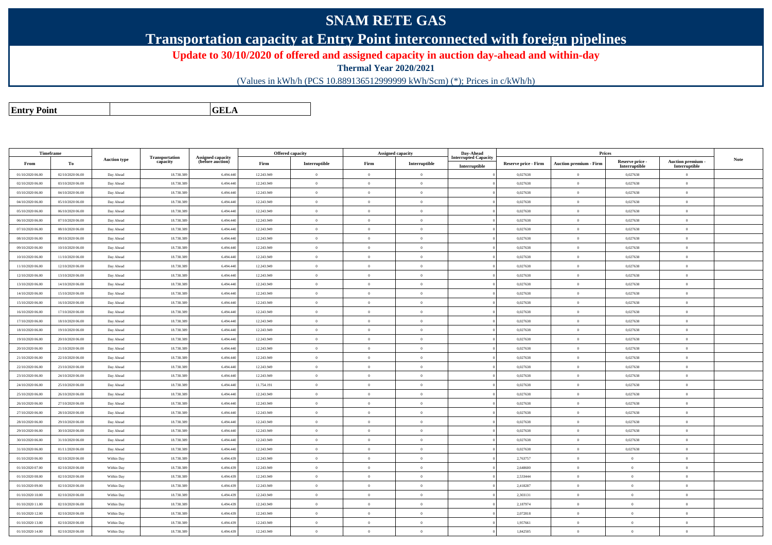## **SNAM RETE GAS**

**Transportation capacity at Entry Point interconnected with foreign pipelines**

**Update to 30/10/2020 of offered and assigned capacity in auction day-ahead and within-day**

**Thermal Year 2020/2021**

(Values in kWh/h (PCS 10.889136512999999 kWh/Scm) (\*); Prices in c/kWh/h)

**Entry PointGELA**

|                  | Timeframe        |                     |                            |                                              |            | <b>Offered capacity</b> |                | <b>Assigned capacity</b> | Day-Ahead                                    |                             | Prices                        |                                  |                                         |             |
|------------------|------------------|---------------------|----------------------------|----------------------------------------------|------------|-------------------------|----------------|--------------------------|----------------------------------------------|-----------------------------|-------------------------------|----------------------------------|-----------------------------------------|-------------|
| From             | To               | <b>Auction type</b> | Transportation<br>capacity | <b>Assigned capacity</b><br>(before auction) | Firm       | Interruptible           | Firm           | Interruptible            | <b>Interrupted Capacity</b><br>Interruptible | <b>Reserve price - Firm</b> | <b>Auction premium - Firm</b> | Reserve price -<br>Interruptible | <b>Auction premium</b><br>Interruptible | <b>Note</b> |
| 01/10/2020 06:00 | 02/10/2020 06:00 | Day Ahead           | 18.738.389                 | 6.494.440                                    | 12.243.949 | $\bf{0}$                | $\Omega$       | $\theta$                 |                                              | 0,027638                    | $\Omega$                      | 0,027638                         | $\overline{0}$                          |             |
| 02/10/2020 06:00 | 03/10/2020 06:00 | Day Ahead           | 18.738.389                 | 6.494.440                                    | 12.243.949 | $\overline{0}$          | $\overline{0}$ | $\overline{0}$           |                                              | 0,027638                    | $\overline{0}$                | 0,027638                         | $\overline{0}$                          |             |
| 03/10/2020 06:00 | 04/10/2020 06:00 | Day Ahead           | 18.738.389                 | 6.494.440                                    | 12.243.949 | $\bf{0}$                | $\overline{0}$ | $\overline{0}$           |                                              | 0,027638                    | $\overline{0}$                | 0,027638                         | $\,$ 0 $\,$                             |             |
| 04/10/2020 06.00 | 05/10/2020 06:00 | Day Ahead           | 18.738.389                 | 6.494.440                                    | 12.243.949 | $\theta$                | $\Omega$       | $\overline{0}$           |                                              | 0,027638                    | $\theta$                      | 0,027638                         | $\Omega$                                |             |
| 05/10/2020 06:00 | 06/10/2020 06:00 | Day Ahead           | 18.738.389                 | 6.494.440                                    | 12.243.949 | $\bf{0}$                | $\overline{0}$ | $\overline{0}$           |                                              | 0,027638                    | $\theta$                      | 0,027638                         | $\theta$                                |             |
| 06/10/2020 06:00 | 07/10/2020 06:00 | Day Ahead           | 18.738.389                 | 6.494.440                                    | 12.243.949 | $\overline{0}$          | $\overline{0}$ | $\overline{0}$           |                                              | 0,027638                    | $\overline{0}$                | 0,027638                         | $\overline{0}$                          |             |
| 07/10/2020 06:00 | 08/10/2020 06:00 | Day Ahead           | 18.738.389                 | 6.494.440                                    | 12.243.949 | $\bf{0}$                | $\overline{0}$ | $\overline{0}$           |                                              | 0,027638                    | $\overline{0}$                | 0,027638                         | $\overline{0}$                          |             |
| 08/10/2020 06:00 | 09/10/2020 06:00 | Day Ahead           | 18.738.389                 | 6.494.440                                    | 12.243.949 | $\theta$                | $\Omega$       | $\overline{0}$           |                                              | 0,027638                    | $\theta$                      | 0,027638                         | $\Omega$                                |             |
| 09/10/2020 06:00 | 10/10/2020 06:00 | Day Ahead           | 18.738.389                 | 6.494.440                                    | 12.243.949 | $\bf{0}$                | $\overline{0}$ | $\overline{0}$           |                                              | 0,027638                    | $\theta$                      | 0,027638                         | $\overline{0}$                          |             |
| 10/10/2020 06:00 | 11/10/2020 06:00 | Day Ahead           | 18.738.389                 | 6.494.440                                    | 12.243.949 | $\,$ 0 $\,$             | $\overline{0}$ | $\overline{0}$           |                                              | 0,027638                    | $\overline{0}$                | 0,027638                         | $\overline{0}$                          |             |
| 11/10/2020 06:00 | 12/10/2020 06:00 | Day Ahead           | 18.738.389                 | 6.494.440                                    | 12.243.949 | $\bf{0}$                | $\overline{0}$ | $\overline{0}$           |                                              | 0,027638                    | $\overline{0}$                | 0,027638                         | $\overline{0}$                          |             |
| 12/10/2020 06:00 | 13/10/2020 06:00 | Day Ahead           | 18.738.389                 | 6.494.440                                    | 12.243.949 | $\theta$                | $\Omega$       | $\overline{0}$           |                                              | 0,027638                    | $\theta$                      | 0,027638                         | $\overline{0}$                          |             |
| 13/10/2020 06:00 | 14/10/2020 06:00 | Day Ahead           | 18.738.389                 | 6.494.440                                    | 12.243.949 | $\overline{0}$          | $\overline{0}$ | $\theta$                 |                                              | 0,027638                    | $\theta$                      | 0,027638                         | $\overline{0}$                          |             |
| 14/10/2020 06:00 | 15/10/2020 06:00 | Day Ahead           | 18.738.389                 | 6.494.440                                    | 12.243.949 | $\overline{0}$          | $\overline{0}$ | $\overline{0}$           |                                              | 0,027638                    | $\overline{0}$                | 0,027638                         | $\overline{0}$                          |             |
| 15/10/2020 06:00 | 16/10/2020 06:00 | Day Ahead           | 18.738.389                 | 6.494.440                                    | 12.243.949 | $\bf{0}$                | $\overline{0}$ | $\overline{0}$           |                                              | 0,027638                    | $\theta$                      | 0,027638                         | $\overline{0}$                          |             |
| 16/10/2020 06:00 | 17/10/2020 06:00 | Day Ahead           | 18.738.389                 | 6.494.440                                    | 12.243.949 | $\theta$                | $\overline{0}$ | $\overline{0}$           |                                              | 0,027638                    | $\theta$                      | 0,027638                         | $\overline{0}$                          |             |
| 17/10/2020 06.00 | 18/10/2020 06:00 | Day Ahead           | 18.738.389                 | 6.494.440                                    | 12.243.949 | $\theta$                | $\overline{0}$ | $\theta$                 |                                              | 0,027638                    | $\theta$                      | 0,027638                         | $\overline{0}$                          |             |
| 18/10/2020 06:00 | 19/10/2020 06:00 | Day Ahead           | 18.738.389                 | 6.494.440                                    | 12.243.949 | $\theta$                | $\overline{0}$ | $\overline{0}$           |                                              | 0,027638                    | $\overline{0}$                | 0,027638                         | $\overline{0}$                          |             |
| 19/10/2020 06:00 | 20/10/2020 06:00 | Day Ahead           | 18.738.389                 | 6.494.440                                    | 12.243.949 | $\bf{0}$                | $\overline{0}$ | $\theta$                 |                                              | 0,027638                    | $\theta$                      | 0,027638                         | $\overline{0}$                          |             |
| 20/10/2020 06:00 | 21/10/2020 06:00 | Day Ahead           | 18.738.389                 | 6.494.440                                    | 12.243.949 | $\bf{0}$                | $\overline{0}$ | $\overline{0}$           |                                              | 0,027638                    | $\theta$                      | 0,027638                         | $\overline{0}$                          |             |
| 21/10/2020 06.00 | 22/10/2020 06:00 | Day Ahead           | 18.738.389                 | 6.494.440                                    | 12.243.949 | $\bf{0}$                | $\overline{0}$ | $\theta$                 |                                              | 0,027638                    | $\theta$                      | 0,027638                         | $\overline{0}$                          |             |
| 22/10/2020 06.00 | 23/10/2020 06:00 | Day Ahead           | 18.738.389                 | 6.494.440                                    | 12.243.949 | $\overline{0}$          | $\overline{0}$ | $\theta$                 |                                              | 0,027638                    | $\theta$                      | 0,027638                         | $\overline{0}$                          |             |
| 23/10/2020 06:00 | 24/10/2020 06:00 | Day Ahead           | 18.738.389                 | 6.494.440                                    | 12.243.949 | $\bf{0}$                | $\overline{0}$ | $\theta$                 |                                              | 0,027638                    | $\sqrt{2}$                    | 0,027638                         | $\overline{0}$                          |             |
| 24/10/2020 06.00 | 25/10/2020 06:00 | Day Ahead           | 18.738.389                 | 6.494.440                                    | 11.754.191 | $\bf{0}$                | $\overline{0}$ | $\overline{0}$           |                                              | 0,027638                    | $\mathbf{0}$                  | 0,027638                         | $\overline{0}$                          |             |
| 25/10/2020 06:00 | 26/10/2020 06:00 | Day Ahead           | 18,738,389                 | 6,494,440                                    | 12.243.949 | $\theta$                | $\theta$       | $\theta$                 |                                              | 0,027638                    | $\theta$                      | 0,027638                         | $\theta$                                |             |
| 26/10/2020 06:00 | 27/10/2020 06.00 | Day Ahead           | 18.738.389                 | 6.494.440                                    | 12.243.949 | $\overline{0}$          | $\overline{0}$ | $\overline{0}$           |                                              | 0,027638                    | $\overline{0}$                | 0.027638                         | $\overline{0}$                          |             |
| 27/10/2020 06:00 | 28/10/2020 06:00 | Day Ahead           | 18.738.389                 | 6.494.440                                    | 12.243.949 | $\bf{0}$                | $\,$ 0 $\,$    | $\overline{0}$           |                                              | 0,027638                    | $\theta$                      | 0,027638                         | $\overline{0}$                          |             |
| 28/10/2020 06:00 | 29/10/2020 06:00 | Day Ahead           | 18.738.389                 | 6.494.440                                    | 12.243.949 | $\theta$                | $\Omega$       | $\Omega$                 |                                              | 0,027638                    | $\theta$                      | 0,027638                         | $\Omega$                                |             |
| 29/10/2020 06:00 | 30/10/2020 06:00 | Day Ahead           | 18.738.389                 | 6.494.440                                    | 12.243.949 | $\bf{0}$                | $\,$ 0 $\,$    | $\overline{0}$           |                                              | 0,027638                    | $\theta$                      | 0,027638                         | $\overline{0}$                          |             |
| 30/10/2020 06:00 | 31/10/2020 06:00 | Day Ahead           | 18.738.389                 | 6,494,440                                    | 12.243.949 | $\overline{0}$          | $\overline{0}$ | $\overline{0}$           |                                              | 0,027638                    | $\mathbf{0}$                  | 0.027638                         | $\theta$                                |             |
| 31/10/2020 06:00 | 01/11/2020 06:00 | Day Ahead           | 18.738.389                 | 6,494,440                                    | 12.243.949 | $\theta$                | $\overline{0}$ | $\overline{0}$           |                                              | 0,027638                    | $\theta$                      | 0,027638                         | $\overline{0}$                          |             |
| 01/10/2020 06:00 | 02/10/2020 06:00 | Within Day          | 18.738.389                 | 6,494,439                                    | 12.243.949 | $\theta$                | $\theta$       | $\overline{0}$           |                                              | 2,763757                    | $\theta$                      | $\theta$                         | $\overline{0}$                          |             |
| 01/10/2020 07:00 | 02/10/2020 06:00 | Within Day          | 18.738.389                 | 6.494.439                                    | 12.243.949 | $\,$ 0 $\,$             | $\overline{0}$ | $\overline{0}$           |                                              | 2,648600                    | $\bf{0}$                      | $\,$ 0 $\,$                      | $\,$ 0 $\,$                             |             |
| 01/10/2020 08:00 | 02/10/2020 06:00 | Within Day          | 18,738,389                 | 6,494,439                                    | 12.243.949 | $\theta$                | $\Omega$       | $\overline{0}$           |                                              | 2.533444                    | $\mathbf{0}$                  | $\theta$                         | $\overline{0}$                          |             |
| 01/10/2020 09:00 | 02/10/2020 06:00 | Within Day          | 18.738.389                 | 6,494,439                                    | 12.243.949 | $\theta$                | $\overline{0}$ | $\overline{0}$           |                                              | 2,418287                    | $\overline{0}$                | $\theta$                         | $\overline{0}$                          |             |
| 01/10/2020 10:00 | 02/10/2020 06:00 | Within Day          | 18.738.389                 | 6,494,439                                    | 12.243.949 | $\theta$                | $\Omega$       | $\Omega$                 |                                              | 2,303131                    | $\theta$                      | $\theta$                         | $\overline{0}$                          |             |
| 01/10/2020 11:00 | 02/10/2020 06:00 | Within Day          | 18.738.389                 | 6.494.439                                    | 12.243.949 | $\theta$                | $\overline{0}$ | $\overline{0}$           |                                              | 2,187974                    | $\overline{0}$                | $\theta$                         | $\overline{0}$                          |             |
| 01/10/2020 12:00 | 02/10/2020 06:00 | Within Day          | 18,738,389                 | 6,494,439                                    | 12.243.949 | $\theta$                | $\Omega$       | $\overline{0}$           |                                              | 2.072818                    | $\overline{0}$                | $\theta$                         | $\overline{0}$                          |             |
| 01/10/2020 13:00 | 02/10/2020 06:00 | Within Day          | 18,738,389                 | 6,494,439                                    | 12.243.949 | $\theta$                | $\Omega$       | $\overline{0}$           |                                              | 1.957661                    | $\theta$                      | $\theta$                         | $\overline{0}$                          |             |
| 01/10/2020 14:00 | 02/10/2020 06:00 | Within Day          | 18.738.389                 | 6.494.439                                    | 12.243.949 | $\bf{0}$                | $\theta$       | $\overline{0}$           |                                              | 1,842505                    | $\theta$                      | $\overline{0}$                   | $\theta$                                |             |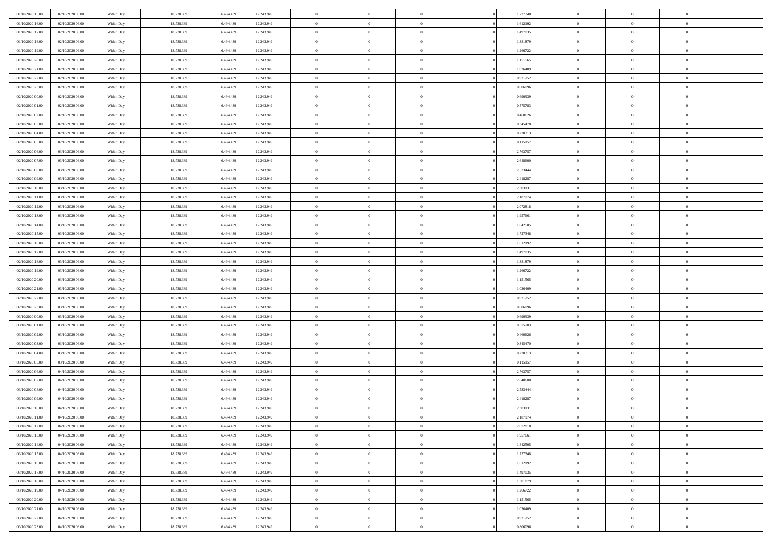| 01/10/2020 15.00 | 02/10/2020 06:00                     | Within Day | 18.738.389 | 6.494.439 | 12.243.949 | $\,$ 0 $\,$    | $\overline{0}$ | $\overline{0}$ |          | 1,727348 | $\bf{0}$       | $\overline{0}$ | $\,0\,$        |  |
|------------------|--------------------------------------|------------|------------|-----------|------------|----------------|----------------|----------------|----------|----------|----------------|----------------|----------------|--|
| 01/10/2020 16:00 | 02/10/2020 06:00                     | Within Day | 18.738.389 | 6,494.43  | 12.243.949 | $\theta$       | $\overline{0}$ | $\mathbf{0}$   |          | 1,612192 | $\theta$       | $\mathbf{0}$   | $\theta$       |  |
| 01/10/2020 17:00 | 02/10/2020 06:00                     | Within Day | 18.738.389 | 6.494.439 | 12.243.949 | $\theta$       | $\overline{0}$ | $\overline{0}$ |          | 1,497035 | $\mathbf{0}$   | $\overline{0}$ | $\overline{0}$ |  |
| 01/10/2020 18:00 | 02/10/2020 06.00                     | Within Day | 18.738.389 | 6.494.439 | 12.243.949 | $\,$ 0 $\,$    | $\overline{0}$ | $\overline{0}$ |          | 1,381879 | $\bf{0}$       | $\overline{0}$ | $\bf{0}$       |  |
| 01/10/2020 19:00 | 02/10/2020 06:00                     | Within Day | 18.738.389 | 6.494.439 | 12.243.949 | $\bf{0}$       | $\overline{0}$ | $\mathbf{0}$   |          | 1,266722 | $\bf{0}$       | $\theta$       | $\,0\,$        |  |
| 01/10/2020 20:00 | 02/10/2020 06:00                     | Within Day | 18.738.389 | 6.494.439 | 12.243.949 | $\theta$       | $\overline{0}$ | $\mathbf{0}$   |          | 1,151565 | $\mathbf{0}$   | $\overline{0}$ | $\overline{0}$ |  |
| 01/10/2020 21:00 | 02/10/2020 06:00                     | Within Day | 18.738.389 | 6.494.439 | 12.243.949 | $\,$ 0 $\,$    | $\overline{0}$ | $\overline{0}$ |          | 1,036409 | $\bf{0}$       | $\overline{0}$ | $\,0\,$        |  |
| 01/10/2020 22.00 | 02/10/2020 06:00                     | Within Day | 18.738.389 | 6,494,439 | 12.243.949 | $\theta$       | $\overline{0}$ | $\mathbf{0}$   |          | 0,921252 | $\,$ 0 $\,$    | $\overline{0}$ | $\theta$       |  |
| 01/10/2020 23:00 | 02/10/2020 06:00                     | Within Day | 18.738.389 | 6.494.439 | 12.243.949 | $\theta$       | $\overline{0}$ | $\overline{0}$ |          | 0,806096 | $\mathbf{0}$   | $\bf{0}$       | $\overline{0}$ |  |
| 02/10/2020 00:00 | 02/10/2020 06:00                     |            | 18.738.389 | 6.494.439 | 12.243.949 | $\,$ 0 $\,$    | $\overline{0}$ | $\Omega$       |          | 0,690939 | $\bf{0}$       | $\overline{0}$ | $\,0\,$        |  |
|                  |                                      | Within Day |            | 6.494.439 |            |                |                |                |          |          |                | $\mathbf{0}$   | $\theta$       |  |
| 02/10/2020 01:00 | 02/10/2020 06.00<br>02/10/2020 06:00 | Within Day | 18.738.389 |           | 12.243.949 | $\bf{0}$       | $\overline{0}$ | $\mathbf{0}$   |          | 0,575783 | $\bf{0}$       |                |                |  |
| 02/10/2020 02.00 |                                      | Within Day | 18.738.389 | 6.494.439 | 12.243.949 | $\theta$       | $\overline{0}$ | $\mathbf{0}$   |          | 0,460626 | $\mathbf{0}$   | $\overline{0}$ | $\overline{0}$ |  |
| 02/10/2020 03:00 | 02/10/2020 06:00                     | Within Day | 18.738.389 | 6.494.439 | 12.243.949 | $\,$ 0 $\,$    | $\overline{0}$ | $\overline{0}$ |          | 0,345470 | $\bf{0}$       | $\overline{0}$ | $\bf{0}$       |  |
| 02/10/2020 04:00 | 02/10/2020 06:00                     | Within Day | 18.738.389 | 6.494.439 | 12.243.949 | $\bf{0}$       | $\overline{0}$ | $\mathbf{0}$   |          | 0,230313 | $\bf{0}$       | $\theta$       | $\,0\,$        |  |
| 02/10/2020 05:00 | 02/10/2020 06:00                     | Within Day | 18.738.389 | 6.494.439 | 12.243.949 | $\theta$       | $\overline{0}$ | $\mathbf{0}$   |          | 0,115157 | $\mathbf{0}$   | $\overline{0}$ | $\overline{0}$ |  |
| 02/10/2020 06:00 | 03/10/2020 06.00                     | Within Day | 18.738.389 | 6.494.439 | 12.243.949 | $\,$ 0 $\,$    | $\overline{0}$ | $\overline{0}$ |          | 2,763757 | $\bf{0}$       | $\overline{0}$ | $\bf{0}$       |  |
| 02/10/2020 07.00 | 03/10/2020 06.00                     | Within Day | 18.738.389 | 6,494,439 | 12.243.949 | $\,$ 0         | $\overline{0}$ | $\mathbf{0}$   |          | 2,648600 | $\bf{0}$       | $\overline{0}$ | $\theta$       |  |
| 02/10/2020 08:00 | 03/10/2020 06:00                     | Within Day | 18.738.389 | 6.494.439 | 12.243.949 | $\theta$       | $\overline{0}$ | $\mathbf{0}$   |          | 2,533444 | $\mathbf{0}$   | $\overline{0}$ | $\overline{0}$ |  |
| 02/10/2020 09:00 | 03/10/2020 06.00                     | Within Day | 18.738.389 | 6.494.439 | 12.243.949 | $\bf{0}$       | $\overline{0}$ | $\Omega$       |          | 2,418287 | $\bf{0}$       | $\overline{0}$ | $\,0\,$        |  |
| 02/10/2020 10:00 | 03/10/2020 06.00                     | Within Day | 18.738.389 | 6,494,439 | 12.243.949 | $\bf{0}$       | $\overline{0}$ | $\mathbf{0}$   |          | 2,303131 | $\bf{0}$       | $\mathbf{0}$   | $\theta$       |  |
| 02/10/2020 11:00 | 03/10/2020 06:00                     | Within Day | 18.738.389 | 6.494.439 | 12.243.949 | $\theta$       | $\overline{0}$ | $\mathbf{0}$   |          | 2,187974 | $\mathbf{0}$   | $\overline{0}$ | $\overline{0}$ |  |
| 02/10/2020 12:00 | 03/10/2020 06.00                     | Within Day | 18.738.389 | 6.494.439 | 12.243.949 | $\,$ 0 $\,$    | $\overline{0}$ | $\overline{0}$ |          | 2,072818 | $\bf{0}$       | $\overline{0}$ | $\bf{0}$       |  |
| 02/10/2020 13:00 | 03/10/2020 06.00                     | Within Day | 18.738.389 | 6,494,439 | 12.243.949 | $\bf{0}$       | $\overline{0}$ | $\mathbf{0}$   |          | 1,957661 | $\bf{0}$       | $\theta$       | $\,0\,$        |  |
| 02/10/2020 14:00 | 03/10/2020 06:00                     | Within Day | 18.738.389 | 6.494.439 | 12.243.949 | $\theta$       | $\overline{0}$ | $\mathbf{0}$   |          | 1,842505 | $\mathbf{0}$   | $\overline{0}$ | $\overline{0}$ |  |
| 02/10/2020 15:00 | 03/10/2020 06.00                     | Within Day | 18.738.389 | 6.494.439 | 12.243.949 | $\,$ 0 $\,$    | $\overline{0}$ | $\overline{0}$ |          | 1,727348 | $\bf{0}$       | $\overline{0}$ | $\,0\,$        |  |
| 02/10/2020 16:00 | 03/10/2020 06.00                     | Within Day | 18.738.389 | 6,494,439 | 12.243.949 | $\,$ 0         | $\overline{0}$ | $\mathbf{0}$   |          | 1,612192 | $\bf{0}$       | $\overline{0}$ | $\theta$       |  |
| 02/10/2020 17:00 | 03/10/2020 06:00                     | Within Day | 18.738.389 | 6.494.439 | 12.243.949 | $\theta$       | $\overline{0}$ | $\overline{0}$ |          | 1,497035 | $\mathbf{0}$   | $\bf{0}$       | $\overline{0}$ |  |
| 02/10/2020 18:00 | 03/10/2020 06:00                     | Within Day | 18.738.389 | 6.494.439 | 12.243.949 | $\,$ 0 $\,$    | $\overline{0}$ | $\Omega$       |          | 1,381879 | $\bf{0}$       | $\overline{0}$ | $\,0\,$        |  |
| 02/10/2020 19:00 | 03/10/2020 06.00                     | Within Day | 18.738.389 | 6.494.439 | 12.243.949 | $\bf{0}$       | $\overline{0}$ | $\mathbf{0}$   |          | 1,266722 | $\bf{0}$       | $\mathbf{0}$   | $\theta$       |  |
| 02/10/2020 20:00 | 03/10/2020 06:00                     | Within Day | 18.738.389 | 6.494.439 | 12.243.949 | $\theta$       | $\overline{0}$ | $\overline{0}$ |          | 1,151565 | $\mathbf{0}$   | $\overline{0}$ | $\overline{0}$ |  |
| 02/10/2020 21:00 | 03/10/2020 06:00                     | Within Day | 18.738.389 | 6.494.439 | 12.243.949 | $\theta$       | $\overline{0}$ | $\overline{0}$ |          | 1,036409 | $\,$ 0         | $\overline{0}$ | $\,$ 0 $\,$    |  |
| 02/10/2020 22.00 | 03/10/2020 06.00                     | Within Day | 18.738.389 | 6,494,439 | 12.243.949 | $\bf{0}$       | $\overline{0}$ | $\mathbf{0}$   |          | 0,921252 | $\bf{0}$       | $\mathbf{0}$   | $\bf{0}$       |  |
| 02/10/2020 23:00 | 03/10/2020 06:00                     | Within Day | 18.738.389 | 6.494.439 | 12.243.949 | $\theta$       | $\overline{0}$ | $\mathbf{0}$   |          | 0,806096 | $\mathbf{0}$   | $\overline{0}$ | $\overline{0}$ |  |
| 03/10/2020 00:00 | 03/10/2020 06:00                     | Within Day | 18.738.389 | 6.494.439 | 12.243.949 | $\theta$       | $\overline{0}$ | $\overline{0}$ |          | 0,690939 | $\,$ 0         | $\overline{0}$ | $\theta$       |  |
| 03/10/2020 01:00 | 03/10/2020 06.00                     | Within Day | 18.738.389 | 6.494.439 | 12.243.949 | $\bf{0}$       | $\overline{0}$ | $\mathbf{0}$   |          | 0,575783 | $\mathbf{0}$   | $\overline{0}$ | $\overline{0}$ |  |
| 03/10/2020 02:00 | 03/10/2020 06:00                     | Within Day | 18.738.389 | 6.494.439 | 12.243.949 | $\theta$       | $\overline{0}$ | $\mathbf{0}$   |          | 0,460626 | $\mathbf{0}$   | $\overline{0}$ | $\overline{0}$ |  |
| 03/10/2020 03:00 | 03/10/2020 06:00                     | Within Day | 18.738.389 | 6.494.439 | 12.243.949 | $\theta$       | $\overline{0}$ | $\overline{0}$ |          | 0,345470 | $\,$ 0         | $\overline{0}$ | $\theta$       |  |
| 03/10/2020 04:00 | 03/10/2020 06.00                     | Within Day | 18.738.389 | 6.494.439 | 12.243.949 | $\bf{0}$       | $\overline{0}$ | $\mathbf{0}$   |          | 0,230313 | $\bf{0}$       | $\mathbf{0}$   | $\overline{0}$ |  |
| 03/10/2020 05:00 | 03/10/2020 06:00                     | Within Day | 18.738.389 | 6.494.439 | 12.243.949 | $\theta$       | $\overline{0}$ | $\mathbf{0}$   |          | 0,115157 | $\mathbf{0}$   | $\overline{0}$ | $\overline{0}$ |  |
| 03/10/2020 06:00 | 04/10/2020 06:00                     | Within Day | 18.738.389 | 6.494.439 | 12.243.949 | $\,$ 0 $\,$    | $\overline{0}$ | $\overline{0}$ |          | 2,763757 | $\,$ 0         | $\overline{0}$ | $\,$ 0 $\,$    |  |
| 03/10/2020 07.00 | 04/10/2020 06.00                     | Within Day | 18.738.389 | 6.494.439 | 12.243.949 | $\,$ 0         | $\,$ 0 $\,$    | $\overline{0}$ |          | 2,648600 | $\,$ 0 $\,$    | $\overline{0}$ | $\overline{0}$ |  |
| 03/10/2020 08:00 | 04/10/2020 06:00                     | Within Day | 18.738.389 | 6.494.439 | 12.243.949 | $\theta$       | $\overline{0}$ | $\mathbf{0}$   |          | 2,533444 | $\mathbf{0}$   | $\overline{0}$ | $\theta$       |  |
| 03/10/2020 09:00 | 04/10/2020 06.00                     | Within Day | 18.738.389 | 6.494.439 | 12.243.949 | $\overline{0}$ | $\overline{0}$ | $\overline{0}$ |          | 2,418287 | $\overline{0}$ | $\overline{0}$ | $\theta$       |  |
| 03/10/2020 10:00 | 04/10/2020 06:00                     | Within Day | 18.738.389 | 6.494.439 | 12.243.949 | $\bf{0}$       | $\overline{0}$ | $\mathbf{0}$   |          | 2,303131 | $\bf{0}$       | $\overline{0}$ | $\overline{0}$ |  |
| 03/10/2020 11:00 | 04/10/2020 06:00                     | Within Day | 18.738.389 | 6.494.439 | 12.243.949 | $\overline{0}$ | $\theta$       |                |          | 2,187974 | $\overline{0}$ | $\theta$       | $\theta$       |  |
| 03/10/2020 12:00 | 04/10/2020 06:00                     | Within Day | 18.738.389 | 6.494.439 | 12.243.949 | $\,$ 0 $\,$    | $\overline{0}$ | $\overline{0}$ |          | 2,072818 | $\,$ 0 $\,$    | $\bf{0}$       | $\theta$       |  |
| 03/10/2020 13:00 | 04/10/2020 06:00                     | Within Day | 18.738.389 | 6.494.439 | 12.243.949 | $\bf{0}$       | $\,$ 0 $\,$    | $\mathbf{0}$   |          | 1,957661 | $\,$ 0 $\,$    | $\overline{0}$ | $\overline{0}$ |  |
| 03/10/2020 14:00 | 04/10/2020 06:00                     | Within Day | 18.738.389 | 6.494.439 | 12.243.949 | $\overline{0}$ | $\overline{0}$ | $\overline{0}$ |          | 1,842505 | $\,$ 0 $\,$    | $\bf{0}$       | $\mathbf{0}$   |  |
|                  |                                      |            |            |           |            |                |                |                |          |          |                |                |                |  |
| 03/10/2020 15:00 | 04/10/2020 06:00                     | Within Day | 18.738.389 | 6.494.439 | 12.243.949 | $\,$ 0 $\,$    | $\overline{0}$ | $\overline{0}$ | $\theta$ | 1,727348 | $\,$ 0 $\,$    | $\bf{0}$       | $\,$ 0 $\,$    |  |
| 03/10/2020 16:00 | 04/10/2020 06.00                     | Within Day | 18.738.389 | 6.494.439 | 12.243.949 | $\,$ 0 $\,$    | $\,$ 0 $\,$    | $\overline{0}$ |          | 1,612192 | $\,$ 0 $\,$    | $\overline{0}$ | $\overline{0}$ |  |
| 03/10/2020 17:00 | 04/10/2020 06:00                     | Within Day | 18.738.389 | 6.494.439 | 12.243.949 | $\overline{0}$ | $\overline{0}$ | $\overline{0}$ |          | 1,497035 | $\mathbf{0}$   | $\overline{0}$ | $\overline{0}$ |  |
| 03/10/2020 18:00 | 04/10/2020 06:00                     | Within Day | 18.738.389 | 6.494.439 | 12.243.949 | $\,$ 0 $\,$    | $\overline{0}$ | $\overline{0}$ |          | 1,381879 | $\,$ 0 $\,$    | $\overline{0}$ | $\,$ 0 $\,$    |  |
| 03/10/2020 19:00 | 04/10/2020 06.00                     | Within Day | 18.738.389 | 6,494,439 | 12.243.949 | $\bf{0}$       | $\overline{0}$ | $\overline{0}$ |          | 1,266722 | $\mathbf{0}$   | $\overline{0}$ | $\overline{0}$ |  |
| 03/10/2020 20:00 | 04/10/2020 06:00                     | Within Day | 18.738.389 | 6.494.439 | 12.243.949 | $\overline{0}$ | $\overline{0}$ | $\overline{0}$ |          | 1,151565 | $\mathbf{0}$   | $\bf{0}$       | $\overline{0}$ |  |
| 03/10/2020 21:00 | 04/10/2020 06:00                     | Within Day | 18.738.389 | 6.494.439 | 12.243.949 | $\,$ 0 $\,$    | $\overline{0}$ | $\overline{0}$ |          | 1,036409 | $\,$ 0 $\,$    | $\overline{0}$ | $\,$ 0 $\,$    |  |
| 03/10/2020 22.00 | 04/10/2020 06.00                     | Within Day | 18.738.389 | 6.494.439 | 12.243.949 | $\,$ 0 $\,$    | $\,$ 0 $\,$    | $\overline{0}$ |          | 0,921252 | $\,$ 0 $\,$    | $\overline{0}$ | $\overline{0}$ |  |
| 03/10/2020 23.00 | 04/10/2020 06:00                     | Within Day | 18.738.389 | 6.494.439 | 12.243.949 | $\theta$       | $\overline{0}$ | $\overline{0}$ |          | 0,806096 | $\mathbf{0}$   | $\overline{0}$ | $\overline{0}$ |  |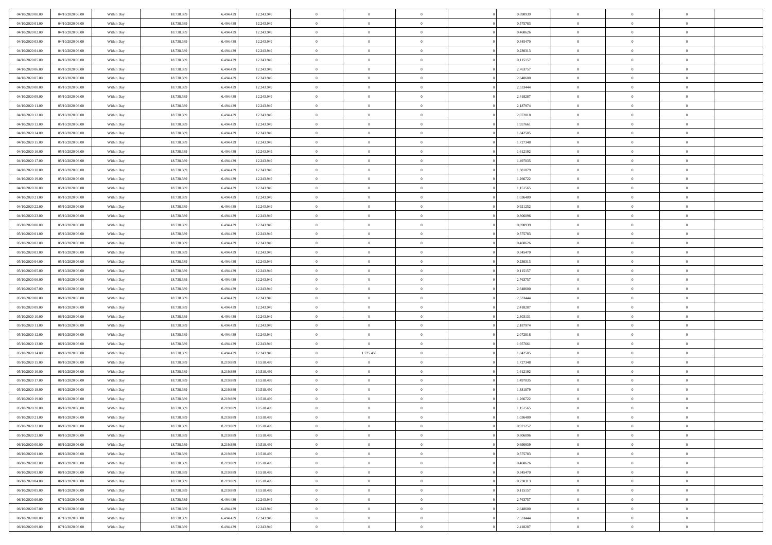| 04/10/2020 00:00                     | 04/10/2020 06.00                     | Within Day               | 18.738.389               | 6.494.439 | 12.243.949               | $\,$ 0 $\,$    | $\overline{0}$                   | $\overline{0}$ |          | 0,690939             | $\bf{0}$       | $\overline{0}$ | $\,0\,$        |  |
|--------------------------------------|--------------------------------------|--------------------------|--------------------------|-----------|--------------------------|----------------|----------------------------------|----------------|----------|----------------------|----------------|----------------|----------------|--|
| 04/10/2020 01:00                     | 04/10/2020 06:00                     | Within Day               | 18.738.389               | 6,494.43  | 12.243.949               | $\theta$       | $\overline{0}$                   | $\mathbf{0}$   |          | 0,575783             | $\theta$       | $\overline{0}$ | $\theta$       |  |
| 04/10/2020 02:00                     | 04/10/2020 06:00                     | Within Day               | 18.738.389               | 6.494.439 | 12.243.949               | $\theta$       | $\overline{0}$                   | $\mathbf{0}$   |          | 0,460626             | $\mathbf{0}$   | $\overline{0}$ | $\overline{0}$ |  |
| 04/10/2020 03:00                     | 04/10/2020 06.00                     | Within Day               | 18.738.389               | 6.494.439 | 12.243.949               | $\,$ 0 $\,$    | $\overline{0}$                   | $\overline{0}$ |          | 0,345470             | $\bf{0}$       | $\overline{0}$ | $\bf{0}$       |  |
| 04/10/2020 04:00                     | 04/10/2020 06.00                     | Within Day               | 18.738.389               | 6.494.439 | 12.243.949               | $\bf{0}$       | $\overline{0}$                   | $\mathbf{0}$   |          | 0,230313             | $\bf{0}$       | $\theta$       | $\,0\,$        |  |
| 04/10/2020 05:00                     | 04/10/2020 06:00                     | Within Dav               | 18.738.389               | 6.494.439 | 12.243.949               | $\theta$       | $\overline{0}$                   | $\mathbf{0}$   |          | 0,115157             | $\mathbf{0}$   | $\overline{0}$ | $\overline{0}$ |  |
| 04/10/2020 06:00                     | 05/10/2020 06:00                     | Within Day               | 18.738.389               | 6.494.439 | 12.243.949               | $\,$ 0 $\,$    | $\overline{0}$                   | $\overline{0}$ |          | 2,763757             | $\bf{0}$       | $\overline{0}$ | $\,0\,$        |  |
| 04/10/2020 07.00                     | 05/10/2020 06.00                     | Within Day               | 18.738.389               | 6,494,439 | 12.243.949               | $\theta$       | $\overline{0}$                   | $\mathbf{0}$   |          | 2,648600             | $\,$ 0 $\,$    | $\overline{0}$ | $\theta$       |  |
| 04/10/2020 08:00                     | 05/10/2020 06:00                     | Within Day               | 18.738.389               | 6.494.439 | 12.243.949               | $\theta$       | $\overline{0}$                   | $\overline{0}$ |          | 2,533444             | $\mathbf{0}$   | $\bf{0}$       | $\overline{0}$ |  |
| 04/10/2020 09:00                     | 05/10/2020 06.00                     | Within Day               | 18.738.389               | 6.494.439 | 12.243.949               | $\,$ 0 $\,$    | $\overline{0}$                   | $\Omega$       |          | 2,418287             | $\bf{0}$       | $\overline{0}$ | $\,0\,$        |  |
|                                      |                                      |                          |                          | 6.494.439 |                          | $\bf{0}$       |                                  | $\mathbf{0}$   |          |                      | $\bf{0}$       | $\mathbf{0}$   | $\theta$       |  |
| 04/10/2020 11:00<br>04/10/2020 12:00 | 05/10/2020 06.00<br>05/10/2020 06:00 | Within Day<br>Within Dav | 18.738.389<br>18.738.389 | 6.494.439 | 12.243.949<br>12.243.949 | $\theta$       | $\overline{0}$<br>$\overline{0}$ |                |          | 2,187974<br>2,072818 | $\mathbf{0}$   | $\overline{0}$ | $\overline{0}$ |  |
|                                      |                                      |                          |                          |           |                          | $\,$ 0 $\,$    |                                  | $\mathbf{0}$   |          |                      | $\bf{0}$       |                | $\bf{0}$       |  |
| 04/10/2020 13:00                     | 05/10/2020 06:00                     | Within Day               | 18.738.389               | 6.494.439 | 12.243.949               |                | $\overline{0}$                   | $\overline{0}$ |          | 1,957661             |                | $\overline{0}$ |                |  |
| 04/10/2020 14:00                     | 05/10/2020 06:00                     | Within Day               | 18.738.389               | 6.494.439 | 12.243.949               | $\bf{0}$       | $\overline{0}$                   | $\mathbf{0}$   |          | 1,842505             | $\bf{0}$       | $\theta$       | $\,0\,$        |  |
| 04/10/2020 15:00                     | 05/10/2020 06:00                     | Within Dav               | 18.738.389               | 6.494.439 | 12.243.949               | $\theta$       | $\overline{0}$                   | $\mathbf{0}$   |          | 1,727348             | $\mathbf{0}$   | $\overline{0}$ | $\overline{0}$ |  |
| 04/10/2020 16:00                     | 05/10/2020 06.00                     | Within Day               | 18.738.389               | 6.494.439 | 12.243.949               | $\,$ 0 $\,$    | $\overline{0}$                   | $\Omega$       |          | 1,612192             | $\bf{0}$       | $\overline{0}$ | $\bf{0}$       |  |
| 04/10/2020 17.00                     | 05/10/2020 06.00                     | Within Day               | 18.738.389               | 6,494,439 | 12.243.949               | $\,$ 0         | $\overline{0}$                   | $\mathbf{0}$   |          | 1,497035             | $\bf{0}$       | $\overline{0}$ | $\theta$       |  |
| 04/10/2020 18:00                     | 05/10/2020 06:00                     | Within Day               | 18.738.389               | 6.494.439 | 12.243.949               | $\theta$       | $\overline{0}$                   | $\mathbf{0}$   |          | 1,381879             | $\mathbf{0}$   | $\overline{0}$ | $\overline{0}$ |  |
| 04/10/2020 19:00                     | 05/10/2020 06:00                     | Within Day               | 18.738.389               | 6.494.439 | 12.243.949               | $\bf{0}$       | $\overline{0}$                   | $\Omega$       |          | 1,266722             | $\bf{0}$       | $\overline{0}$ | $\,0\,$        |  |
| 04/10/2020 20:00                     | 05/10/2020 06.00                     | Within Day               | 18.738.389               | 6,494,439 | 12.243.949               | $\bf{0}$       | $\overline{0}$                   | $\mathbf{0}$   |          | 1,151565             | $\bf{0}$       | $\mathbf{0}$   | $\theta$       |  |
| 04/10/2020 21:00                     | 05/10/2020 06:00                     | Within Dav               | 18.738.389               | 6.494.439 | 12.243.949               | $\theta$       | $\overline{0}$                   | $\mathbf{0}$   |          | 1,036409             | $\mathbf{0}$   | $\overline{0}$ | $\overline{0}$ |  |
| 04/10/2020 22.00                     | 05/10/2020 06.00                     | Within Day               | 18.738.389               | 6.494.439 | 12.243.949               | $\,$ 0 $\,$    | $\overline{0}$                   | $\overline{0}$ |          | 0,921252             | $\bf{0}$       | $\overline{0}$ | $\bf{0}$       |  |
| 04/10/2020 23.00                     | 05/10/2020 06.00                     | Within Day               | 18.738.389               | 6,494,439 | 12.243.949               | $\bf{0}$       | $\overline{0}$                   | $\mathbf{0}$   |          | 0.806096             | $\bf{0}$       | $\theta$       | $\,0\,$        |  |
| 05/10/2020 00:00                     | 05/10/2020 06:00                     | Within Dav               | 18.738.389               | 6.494.439 | 12.243.949               | $\theta$       | $\overline{0}$                   | $\mathbf{0}$   |          | 0,690939             | $\mathbf{0}$   | $\overline{0}$ | $\overline{0}$ |  |
| 05/10/2020 01:00                     | 05/10/2020 06:00                     | Within Day               | 18.738.389               | 6.494.439 | 12.243.949               | $\,$ 0 $\,$    | $\overline{0}$                   | $\overline{0}$ |          | 0,575783             | $\bf{0}$       | $\overline{0}$ | $\,0\,$        |  |
| 05/10/2020 02.00                     | 05/10/2020 06.00                     | Within Day               | 18.738.389               | 6,494,439 | 12.243.949               | $\,$ 0         | $\overline{0}$                   | $\mathbf{0}$   |          | 0,460626             | $\bf{0}$       | $\overline{0}$ | $\theta$       |  |
| 05/10/2020 03:00                     | 05/10/2020 06:00                     | Within Day               | 18.738.389               | 6.494.439 | 12.243.949               | $\theta$       | $\overline{0}$                   | $\overline{0}$ |          | 0,345470             | $\mathbf{0}$   | $\bf{0}$       | $\overline{0}$ |  |
| 05/10/2020 04:00                     | 05/10/2020 06.00                     | Within Day               | 18.738.389               | 6.494.439 | 12.243.949               | $\,$ 0 $\,$    | $\overline{0}$                   | $\Omega$       |          | 0,230313             | $\bf{0}$       | $\overline{0}$ | $\,0\,$        |  |
| 05/10/2020 05:00                     | 05/10/2020 06.00                     | Within Day               | 18.738.389               | 6,494,439 | 12.243.949               | $\bf{0}$       | $\overline{0}$                   | $\mathbf{0}$   |          | 0,115157             | $\bf{0}$       | $\mathbf{0}$   | $\theta$       |  |
| 05/10/2020 06:00                     | 06/10/2020 06:00                     | Within Dav               | 18.738.389               | 6.494.439 | 12.243.949               | $\theta$       | $\overline{0}$                   | $\overline{0}$ |          | 2,763757             | $\mathbf{0}$   | $\overline{0}$ | $\overline{0}$ |  |
| 05/10/2020 07:00                     | 06/10/2020 06:00                     | Within Day               | 18.738.389               | 6.494.439 | 12.243.949               | $\theta$       | $\overline{0}$                   | $\overline{0}$ |          | 2,648600             | $\,$ 0         | $\overline{0}$ | $\,$ 0 $\,$    |  |
| 05/10/2020 08:00                     | 06/10/2020 06:00                     | Within Day               | 18.738.389               | 6,494,439 | 12.243.949               | $\bf{0}$       | $\overline{0}$                   | $\mathbf{0}$   |          | 2,533444             | $\bf{0}$       | $\mathbf{0}$   | $\bf{0}$       |  |
| 05/10/2020 09:00                     | 06/10/2020 06:00                     | Within Dav               | 18.738.389               | 6.494.439 | 12.243.949               | $\theta$       | $\overline{0}$                   | $\mathbf{0}$   |          | 2,418287             | $\mathbf{0}$   | $\overline{0}$ | $\overline{0}$ |  |
| 05/10/2020 10:00                     | 06/10/2020 06:00                     | Within Day               | 18.738.389               | 6.494.439 | 12.243.949               | $\theta$       | $\overline{0}$                   | $\overline{0}$ |          | 2,303131             | $\,$ 0         | $\overline{0}$ | $\theta$       |  |
| 05/10/2020 11:00                     | 06/10/2020 06:00                     | Within Day               | 18.738.389               | 6.494.439 | 12.243.949               | $\bf{0}$       | $\overline{0}$                   | $\mathbf{0}$   |          | 2,187974             | $\mathbf{0}$   | $\overline{0}$ | $\overline{0}$ |  |
| 05/10/2020 12:00                     | 06/10/2020 06:00                     | Within Day               | 18.738.389               | 6.494.439 | 12.243.949               | $\theta$       | $\overline{0}$                   | $\mathbf{0}$   |          | 2,072818             | $\mathbf{0}$   | $\overline{0}$ | $\overline{0}$ |  |
| 05/10/2020 13:00                     | 06/10/2020 06:00                     | Within Day               | 18.738.389               | 6.494.439 | 12.243.949               | $\theta$       | $\overline{0}$                   | $\overline{0}$ |          | 1,957661             | $\,$ 0         | $\overline{0}$ | $\theta$       |  |
| 05/10/2020 14:00                     | 06/10/2020 06:00                     | Within Day               | 18.738.389               | 6,494,439 | 12.243.949               | $\bf{0}$       | 1.725.450                        | $\mathbf{0}$   |          | 1,842505             | $\bf{0}$       | $\mathbf{0}$   | $\bf{0}$       |  |
| 05/10/2020 15:00                     | 06/10/2020 06:00                     | Within Dav               | 18.738.389               | 8.219.889 | 10.518.499               | $\theta$       | $\overline{0}$                   | $\overline{0}$ |          | 1,727348             | $\mathbf{0}$   | $\overline{0}$ | $\overline{0}$ |  |
| 05/10/2020 16:00                     | 06/10/2020 06:00                     | Within Day               | 18.738.389               | 8.219.889 | 10.518.499               | $\theta$       | $\overline{0}$                   | $\overline{0}$ |          | 1,612192             | $\,$ 0         | $\overline{0}$ | $\,$ 0 $\,$    |  |
| 05/10/2020 17:00                     | 06/10/2020 06:00                     | Within Day               | 18.738.389               | 8.219.889 | 10.518.499               | $\,$ 0         | $\,$ 0 $\,$                      | $\overline{0}$ |          | 1,497035             | $\,$ 0 $\,$    | $\overline{0}$ | $\bf{0}$       |  |
| 05/10/2020 18:00                     | 06/10/2020 06:00                     | Within Dav               | 18.738.389               | 8.219.889 | 10.518.499               | $\theta$       | $\overline{0}$                   | $\mathbf{0}$   |          | 1,381879             | $\mathbf{0}$   | $\overline{0}$ | $\theta$       |  |
| 05/10/2020 19:00                     | 06/10/2020 06:00                     | Within Day               | 18.738.389               | 8.219.889 | 10.518.499               | $\overline{0}$ | $\overline{0}$                   | $\overline{0}$ |          | 1,266722             | $\,$ 0         | $\overline{0}$ | $\theta$       |  |
| 05/10/2020 20:00                     | 06/10/2020 06:00                     | Within Day               | 18.738.389               | 8.219.889 | 10.518.499               | $\bf{0}$       | $\overline{0}$                   | $\mathbf{0}$   |          | 1,151565             | $\bf{0}$       | $\overline{0}$ | $\bf{0}$       |  |
| 05/10/2020 21:00                     | 06/10/2020 06:00                     | Within Day               | 18.738.389               | 8.219.889 | 10.518.499               | $\overline{0}$ | $\theta$                         |                |          | 1,036409             | $\overline{0}$ | $\theta$       | $\theta$       |  |
| 05/10/2020 22.00                     | 06/10/2020 06:00                     | Within Day               | 18.738.389               | 8.219.889 | 10.518.499               | $\,$ 0 $\,$    | $\overline{0}$                   | $\overline{0}$ |          | 0,921252             | $\,$ 0 $\,$    | $\bf{0}$       | $\theta$       |  |
| 05/10/2020 23.00                     | 06/10/2020 06:00                     | Within Day               | 18.738.389               | 8.219.889 | 10.518.499               | $\bf{0}$       | $\,$ 0 $\,$                      | $\mathbf{0}$   |          | 0.806096             | $\,$ 0 $\,$    | $\overline{0}$ | $\overline{0}$ |  |
| 06/10/2020 00:00                     | 06/10/2020 06:00                     | Within Day               | 18.738.389               | 8.219.889 | 10.518.499               | $\mathbf{0}$   | $\overline{0}$                   | $\overline{0}$ |          | 0,690939             | $\,$ 0 $\,$    | $\bf{0}$       | $\mathbf{0}$   |  |
| 06/10/2020 01:00                     | 06/10/2020 06:00                     | Within Day               | 18.738.389               | 8.219.889 | 10.518.499               | $\,$ 0 $\,$    | $\overline{0}$                   | $\overline{0}$ | $\theta$ | 0,575783             | $\,$ 0 $\,$    | $\bf{0}$       | $\,$ 0 $\,$    |  |
| 06/10/2020 02.00                     | 06/10/2020 06:00                     | Within Day               | 18.738.389               | 8.219.889 | 10.518.499               | $\mathbf{0}$   | $\,$ 0 $\,$                      | $\overline{0}$ |          | 0,460626             | $\,$ 0 $\,$    | $\overline{0}$ | $\overline{0}$ |  |
| 06/10/2020 03:00                     | 06/10/2020 06:00                     | Within Day               | 18.738.389               | 8.219.889 | 10.518.499               | $\overline{0}$ | $\overline{0}$                   | $\overline{0}$ |          | 0,345470             | $\mathbf{0}$   | $\overline{0}$ | $\overline{0}$ |  |
| 06/10/2020 04:00                     | 06/10/2020 06:00                     | Within Day               | 18.738.389               | 8.219.889 | 10.518.499               | $\,$ 0 $\,$    | $\overline{0}$                   | $\overline{0}$ |          | 0,230313             | $\,$ 0 $\,$    | $\overline{0}$ | $\,$ 0 $\,$    |  |
| 06/10/2020 05:00                     | 06/10/2020 06:00                     | Within Day               | 18.738.389               | 8.219.889 | 10.518.499               | $\bf{0}$       | $\overline{0}$                   | $\overline{0}$ |          | 0,115157             | $\mathbf{0}$   | $\overline{0}$ | $\overline{0}$ |  |
| 06/10/2020 06:00                     | 07/10/2020 06:00                     | Within Day               | 18.738.389               | 6.494.439 | 12.243.949               | $\overline{0}$ | $\overline{0}$                   | $\overline{0}$ |          | 2,763757             | $\mathbf{0}$   | $\bf{0}$       | $\overline{0}$ |  |
| 06/10/2020 07:00                     | 07/10/2020 06:00                     | Within Day               | 18.738.389               | 6.494.439 | 12.243.949               | $\,$ 0 $\,$    | $\overline{0}$                   | $\overline{0}$ |          | 2,648600             | $\,$ 0 $\,$    | $\overline{0}$ | $\,$ 0 $\,$    |  |
| 06/10/2020 08:00                     | 07/10/2020 06.00                     | Within Day               | 18.738.389               | 6.494.439 | 12.243.949               | $\,$ 0 $\,$    | $\overline{0}$                   | $\overline{0}$ |          | 2,533444             | $\bf{0}$       | $\overline{0}$ | $\overline{0}$ |  |
|                                      |                                      |                          |                          |           |                          | $\theta$       |                                  |                |          |                      | $\mathbf{0}$   | $\overline{0}$ | $\overline{0}$ |  |
| 06/10/2020 09:00                     | 07/10/2020 06:00                     | Within Day               | 18.738.389               | 6.494.439 | 12.243.949               |                | $\overline{0}$                   | $\overline{0}$ |          | 2,418287             |                |                |                |  |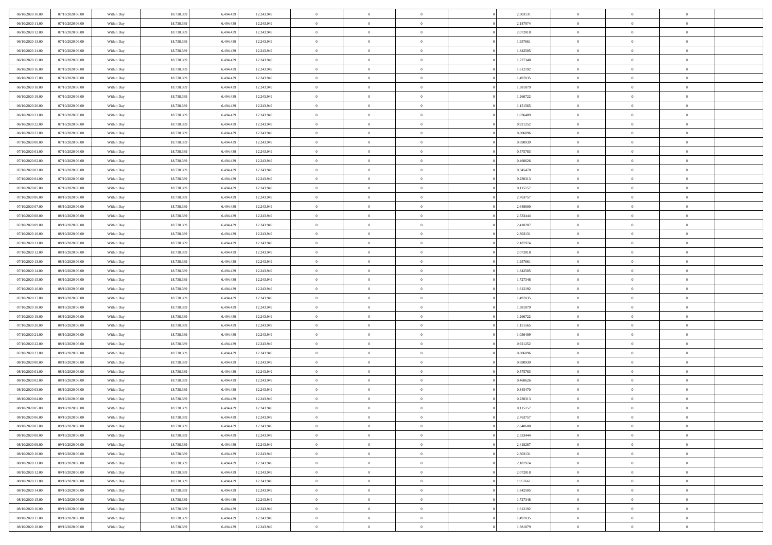| 06/10/2020 10:00 | 07/10/2020 06:00 | Within Day | 18.738.389 | 6.494.439 | 12.243.949 | $\,$ 0 $\,$    | $\overline{0}$ | $\overline{0}$ |          | 2,303131 | $\bf{0}$       | $\overline{0}$ | $\,0\,$        |  |
|------------------|------------------|------------|------------|-----------|------------|----------------|----------------|----------------|----------|----------|----------------|----------------|----------------|--|
| 06/10/2020 11:00 | 07/10/2020 06:00 | Within Day | 18.738.389 | 6,494.43  | 12.243.949 | $\theta$       | $\overline{0}$ | $\mathbf{0}$   |          | 2,187974 | $\theta$       | $\mathbf{0}$   | $\theta$       |  |
| 06/10/2020 12:00 | 07/10/2020 06:00 | Within Dav | 18.738.389 | 6.494.439 | 12.243.949 | $\theta$       | $\overline{0}$ | $\mathbf{0}$   |          | 2,072818 | $\mathbf{0}$   | $\overline{0}$ | $\overline{0}$ |  |
| 06/10/2020 13:00 | 07/10/2020 06.00 | Within Day | 18.738.389 | 6.494.439 | 12.243.949 | $\,$ 0 $\,$    | $\overline{0}$ | $\overline{0}$ |          | 1,957661 | $\bf{0}$       | $\overline{0}$ | $\bf{0}$       |  |
| 06/10/2020 14:00 | 07/10/2020 06.00 | Within Day | 18.738.389 | 6.494.439 | 12.243.949 | $\bf{0}$       | $\overline{0}$ | $\mathbf{0}$   |          | 1,842505 | $\bf{0}$       | $\theta$       | $\,0\,$        |  |
| 06/10/2020 15:00 | 07/10/2020 06:00 | Within Dav | 18.738.389 | 6.494.439 | 12.243.949 | $\theta$       | $\overline{0}$ | $\mathbf{0}$   |          | 1,727348 | $\mathbf{0}$   | $\overline{0}$ | $\overline{0}$ |  |
| 06/10/2020 16:00 | 07/10/2020 06.00 | Within Day | 18.738.389 | 6.494.439 | 12.243.949 | $\,$ 0 $\,$    | $\overline{0}$ | $\overline{0}$ |          | 1,612192 | $\bf{0}$       | $\overline{0}$ | $\,0\,$        |  |
| 06/10/2020 17.00 | 07/10/2020 06.00 | Within Day | 18.738.389 | 6,494,439 | 12.243.949 | $\theta$       | $\overline{0}$ | $\mathbf{0}$   |          | 1,497035 | $\,$ 0 $\,$    | $\overline{0}$ | $\theta$       |  |
| 06/10/2020 18:00 | 07/10/2020 06:00 | Within Day | 18.738.389 | 6.494.439 | 12.243.949 | $\theta$       | $\overline{0}$ | $\mathbf{0}$   |          | 1,381879 | $\mathbf{0}$   | $\bf{0}$       | $\overline{0}$ |  |
| 06/10/2020 19:00 | 07/10/2020 06.00 | Within Day | 18.738.389 | 6.494.439 | 12.243.949 | $\,$ 0 $\,$    | $\overline{0}$ | $\Omega$       |          | 1,266722 | $\bf{0}$       | $\overline{0}$ | $\,0\,$        |  |
| 06/10/2020 20:00 | 07/10/2020 06.00 | Within Day | 18.738.389 | 6,494,439 | 12.243.949 | $\bf{0}$       | $\overline{0}$ | $\mathbf{0}$   |          | 1,151565 | $\bf{0}$       | $\mathbf{0}$   | $\theta$       |  |
| 06/10/2020 21:00 | 07/10/2020 06:00 | Within Dav | 18.738.389 | 6.494.439 | 12.243.949 | $\theta$       | $\overline{0}$ | $\mathbf{0}$   |          | 1,036409 | $\mathbf{0}$   | $\overline{0}$ | $\overline{0}$ |  |
| 06/10/2020 22.00 | 07/10/2020 06.00 | Within Day | 18.738.389 | 6.494.439 | 12.243.949 | $\,$ 0 $\,$    | $\overline{0}$ | $\overline{0}$ |          | 0,921252 | $\bf{0}$       | $\overline{0}$ | $\bf{0}$       |  |
| 06/10/2020 23.00 | 07/10/2020 06.00 | Within Day | 18.738.389 | 6.494.439 | 12.243.949 | $\bf{0}$       | $\overline{0}$ | $\mathbf{0}$   |          | 0,806096 | $\bf{0}$       | $\theta$       | $\,0\,$        |  |
| 07/10/2020 00:00 | 07/10/2020 06:00 | Within Dav | 18.738.389 | 6.494.439 | 12.243.949 | $\theta$       | $\overline{0}$ | $\mathbf{0}$   |          | 0,690939 | $\mathbf{0}$   | $\overline{0}$ | $\overline{0}$ |  |
| 07/10/2020 01:00 | 07/10/2020 06.00 | Within Day | 18.738.389 | 6.494.439 | 12.243.949 | $\,$ 0 $\,$    | $\overline{0}$ | $\overline{0}$ |          | 0,575783 | $\bf{0}$       | $\overline{0}$ | $\bf{0}$       |  |
| 07/10/2020 02.00 | 07/10/2020 06.00 | Within Day | 18.738.389 | 6,494,439 | 12.243.949 | $\,$ 0         | $\overline{0}$ | $\mathbf{0}$   |          | 0.460626 | $\bf{0}$       | $\overline{0}$ | $\theta$       |  |
| 07/10/2020 03:00 | 07/10/2020 06:00 | Within Day | 18.738.389 | 6.494.439 | 12.243.949 | $\theta$       | $\overline{0}$ | $\mathbf{0}$   |          | 0,345470 | $\mathbf{0}$   | $\overline{0}$ | $\overline{0}$ |  |
| 07/10/2020 04:00 | 07/10/2020 06:00 | Within Day | 18.738.389 | 6.494.439 | 12.243.949 | $\bf{0}$       | $\overline{0}$ | $\Omega$       |          | 0,230313 | $\bf{0}$       | $\overline{0}$ | $\,0\,$        |  |
| 07/10/2020 05:00 | 07/10/2020 06.00 | Within Day | 18.738.389 | 6,494,439 | 12.243.949 | $\bf{0}$       | $\overline{0}$ | $\mathbf{0}$   |          | 0,115157 | $\bf{0}$       | $\mathbf{0}$   | $\theta$       |  |
| 07/10/2020 06:00 | 08/10/2020 06:00 | Within Dav | 18.738.389 | 6.494.439 | 12.243.949 | $\theta$       | $\overline{0}$ | $\mathbf{0}$   |          | 2,763757 | $\mathbf{0}$   | $\overline{0}$ | $\overline{0}$ |  |
| 07/10/2020 07.00 | 08/10/2020 06:00 | Within Day | 18.738.389 | 6.494.439 | 12.243.949 | $\,$ 0 $\,$    | $\overline{0}$ | $\overline{0}$ |          | 2,648600 | $\bf{0}$       | $\overline{0}$ | $\bf{0}$       |  |
| 07/10/2020 08:00 | 08/10/2020 06:00 | Within Day | 18.738.389 | 6,494,439 | 12.243.949 | $\bf{0}$       | $\overline{0}$ | $\mathbf{0}$   |          | 2,533444 | $\bf{0}$       | $\theta$       | $\,0\,$        |  |
| 07/10/2020 09:00 | 08/10/2020 06:00 | Within Dav | 18.738.389 | 6.494.439 | 12.243.949 | $\theta$       | $\overline{0}$ | $\mathbf{0}$   |          | 2,418287 | $\mathbf{0}$   | $\overline{0}$ | $\overline{0}$ |  |
| 07/10/2020 10:00 | 08/10/2020 06:00 | Within Day | 18.738.389 | 6.494.439 | 12.243.949 | $\,$ 0 $\,$    | $\overline{0}$ | $\overline{0}$ |          | 2,303131 | $\bf{0}$       | $\overline{0}$ | $\,0\,$        |  |
| 07/10/2020 11:00 | 08/10/2020 06:00 | Within Day | 18.738.389 | 6,494,439 | 12.243.949 | $\,$ 0         | $\overline{0}$ | $\mathbf{0}$   |          | 2,187974 | $\bf{0}$       | $\overline{0}$ | $\theta$       |  |
| 07/10/2020 12:00 | 08/10/2020 06:00 | Within Day | 18.738.389 | 6.494.439 | 12.243.949 | $\theta$       | $\overline{0}$ | $\overline{0}$ |          | 2,072818 | $\mathbf{0}$   | $\bf{0}$       | $\overline{0}$ |  |
| 07/10/2020 13:00 | 08/10/2020 06:00 | Within Day | 18.738.389 | 6.494.439 | 12.243.949 | $\,$ 0 $\,$    | $\overline{0}$ | $\Omega$       |          | 1,957661 | $\bf{0}$       | $\overline{0}$ | $\,0\,$        |  |
| 07/10/2020 14:00 | 08/10/2020 06:00 | Within Day | 18.738.389 | 6.494.439 | 12.243.949 | $\bf{0}$       | $\overline{0}$ | $\mathbf{0}$   |          | 1,842505 | $\bf{0}$       | $\mathbf{0}$   | $\theta$       |  |
| 07/10/2020 15:00 | 08/10/2020 06:00 | Within Dav | 18.738.389 | 6.494.439 | 12.243.949 | $\theta$       | $\overline{0}$ | $\overline{0}$ |          | 1,727348 | $\mathbf{0}$   | $\overline{0}$ | $\overline{0}$ |  |
| 07/10/2020 16:00 | 08/10/2020 06:00 | Within Day | 18.738.389 | 6.494.439 | 12.243.949 | $\theta$       | $\overline{0}$ | $\overline{0}$ |          | 1,612192 | $\,$ 0         | $\overline{0}$ | $\,$ 0 $\,$    |  |
| 07/10/2020 17.00 | 08/10/2020 06:00 | Within Day | 18.738.389 | 6,494,439 | 12.243.949 | $\bf{0}$       | $\overline{0}$ | $\mathbf{0}$   |          | 1,497035 | $\bf{0}$       | $\mathbf{0}$   | $\overline{0}$ |  |
| 07/10/2020 18:00 | 08/10/2020 06:00 | Within Dav | 18.738.389 | 6.494.439 | 12.243.949 | $\theta$       | $\overline{0}$ | $\mathbf{0}$   |          | 1,381879 | $\mathbf{0}$   | $\overline{0}$ | $\overline{0}$ |  |
| 07/10/2020 19:00 | 08/10/2020 06:00 | Within Day | 18.738.389 | 6.494.439 | 12.243.949 | $\theta$       | $\overline{0}$ | $\overline{0}$ |          | 1,266722 | $\,$ 0         | $\overline{0}$ | $\theta$       |  |
| 07/10/2020 20:00 | 08/10/2020 06:00 | Within Day | 18.738.389 | 6.494.439 | 12.243.949 | $\bf{0}$       | $\overline{0}$ | $\mathbf{0}$   |          | 1,151565 | $\mathbf{0}$   | $\overline{0}$ | $\overline{0}$ |  |
| 07/10/2020 21:00 | 08/10/2020 06:00 | Within Day | 18.738.389 | 6.494.439 | 12.243.949 | $\theta$       | $\overline{0}$ | $\mathbf{0}$   |          | 1,036409 | $\mathbf{0}$   | $\overline{0}$ | $\overline{0}$ |  |
| 07/10/2020 22.00 | 08/10/2020 06:00 | Within Day | 18.738.389 | 6.494.439 | 12.243.949 | $\theta$       | $\overline{0}$ | $\overline{0}$ |          | 0,921252 | $\,$ 0         | $\overline{0}$ | $\theta$       |  |
| 07/10/2020 23.00 | 08/10/2020 06:00 | Within Day | 18.738.389 | 6,494,439 | 12.243.949 | $\bf{0}$       | $\overline{0}$ | $\mathbf{0}$   |          | 0.806096 | $\bf{0}$       | $\mathbf{0}$   | $\bf{0}$       |  |
| 08/10/2020 00:00 | 08/10/2020 06:00 | Within Dav | 18.738.389 | 6.494.439 | 12.243.949 | $\theta$       | $\overline{0}$ | $\mathbf{0}$   |          | 0,690939 | $\mathbf{0}$   | $\overline{0}$ | $\overline{0}$ |  |
| 08/10/2020 01:00 | 08/10/2020 06:00 | Within Day | 18.738.389 | 6.494.439 | 12.243.949 | $\,$ 0 $\,$    | $\overline{0}$ | $\overline{0}$ |          | 0,575783 | $\,$ 0         | $\overline{0}$ | $\,$ 0 $\,$    |  |
| 08/10/2020 02:00 | 08/10/2020 06:00 | Within Day | 18.738.389 | 6.494.439 | 12.243.949 | $\,$ 0         | $\,$ 0 $\,$    | $\overline{0}$ |          | 0,460626 | $\,$ 0 $\,$    | $\bf{0}$       | $\bf{0}$       |  |
| 08/10/2020 03:00 | 08/10/2020 06:00 | Within Dav | 18.738.389 | 6.494.439 | 12.243.949 | $\theta$       | $\overline{0}$ | $\mathbf{0}$   |          | 0,345470 | $\mathbf{0}$   | $\overline{0}$ | $\overline{0}$ |  |
| 08/10/2020 04:00 | 08/10/2020 06:00 | Within Day | 18.738.389 | 6.494.439 | 12.243.949 | $\overline{0}$ | $\overline{0}$ | $\overline{0}$ |          | 0,230313 | $\overline{0}$ | $\overline{0}$ | $\theta$       |  |
| 08/10/2020 05:00 | 08/10/2020 06:00 | Within Day | 18.738.389 | 6.494.439 | 12.243.949 | $\bf{0}$       | $\overline{0}$ | $\mathbf{0}$   |          | 0,115157 | $\bf{0}$       | $\overline{0}$ | $\bf{0}$       |  |
| 08/10/2020 06:00 | 09/10/2020 06:00 | Within Day | 18.738.389 | 6.494.439 | 12.243.949 | $\overline{0}$ | $\theta$       |                |          | 2,763757 | $\overline{0}$ | $\theta$       | $\theta$       |  |
| 08/10/2020 07:00 | 09/10/2020 06:00 | Within Day | 18.738.389 | 6.494.439 | 12.243.949 | $\,$ 0 $\,$    | $\overline{0}$ | $\overline{0}$ |          | 2,648600 | $\,$ 0 $\,$    | $\bf{0}$       | $\theta$       |  |
| 08/10/2020 08:00 | 09/10/2020 06:00 | Within Day | 18.738.389 | 6.494.439 | 12.243.949 | $\bf{0}$       | $\,$ 0 $\,$    | $\mathbf{0}$   |          | 2,533444 | $\,$ 0 $\,$    | $\overline{0}$ | $\overline{0}$ |  |
| 08/10/2020 09:00 | 09/10/2020 06:00 | Within Day | 18.738.389 | 6.494.439 | 12.243.949 | $\overline{0}$ | $\overline{0}$ | $\overline{0}$ |          | 2,418287 | $\,$ 0 $\,$    | $\bf{0}$       | $\mathbf{0}$   |  |
| 08/10/2020 10:00 | 09/10/2020 06:00 | Within Day | 18.738.389 | 6.494.439 | 12.243.949 | $\,$ 0 $\,$    | $\overline{0}$ | $\overline{0}$ | $\theta$ | 2,303131 | $\,$ 0 $\,$    | $\bf{0}$       | $\,$ 0 $\,$    |  |
| 08/10/2020 11:00 | 09/10/2020 06.00 | Within Day | 18.738.389 | 6.494.439 | 12.243.949 | $\,$ 0 $\,$    | $\,$ 0 $\,$    | $\overline{0}$ |          | 2,187974 | $\,$ 0 $\,$    | $\overline{0}$ | $\overline{0}$ |  |
| 08/10/2020 12:00 | 09/10/2020 06:00 | Within Day | 18.738.389 | 6.494.439 | 12.243.949 | $\overline{0}$ | $\overline{0}$ | $\overline{0}$ |          | 2,072818 | $\mathbf{0}$   | $\overline{0}$ | $\overline{0}$ |  |
| 08/10/2020 13:00 | 09/10/2020 06:00 | Within Day | 18.738.389 | 6.494.439 | 12.243.949 | $\,$ 0 $\,$    | $\overline{0}$ | $\overline{0}$ |          | 1,957661 | $\,$ 0 $\,$    | $\overline{0}$ | $\,$ 0 $\,$    |  |
| 08/10/2020 14:00 | 09/10/2020 06.00 | Within Day | 18.738.389 | 6,494,439 | 12.243.949 | $\bf{0}$       | $\overline{0}$ | $\overline{0}$ |          | 1,842505 | $\mathbf{0}$   | $\overline{0}$ | $\overline{0}$ |  |
| 08/10/2020 15:00 | 09/10/2020 06:00 | Within Day | 18.738.389 | 6.494.439 | 12.243.949 | $\overline{0}$ | $\overline{0}$ | $\overline{0}$ |          | 1,727348 | $\mathbf{0}$   | $\bf{0}$       | $\overline{0}$ |  |
| 08/10/2020 16:00 | 09/10/2020 06:00 | Within Day | 18.738.389 | 6.494.439 | 12.243.949 | $\,$ 0 $\,$    | $\overline{0}$ | $\overline{0}$ |          | 1,612192 | $\,$ 0 $\,$    | $\overline{0}$ | $\,$ 0 $\,$    |  |
| 08/10/2020 17:00 | 09/10/2020 06.00 | Within Day | 18.738.389 | 6.494.439 | 12.243.949 | $\,$ 0 $\,$    | $\,$ 0 $\,$    | $\overline{0}$ |          | 1,497035 | $\bf{0}$       | $\overline{0}$ | $\overline{0}$ |  |
| 08/10/2020 18:00 | 09/10/2020 06:00 | Within Day | 18.738.389 | 6.494.439 | 12.243.949 | $\theta$       | $\overline{0}$ | $\overline{0}$ |          | 1,381879 | $\mathbf{0}$   | $\overline{0}$ | $\overline{0}$ |  |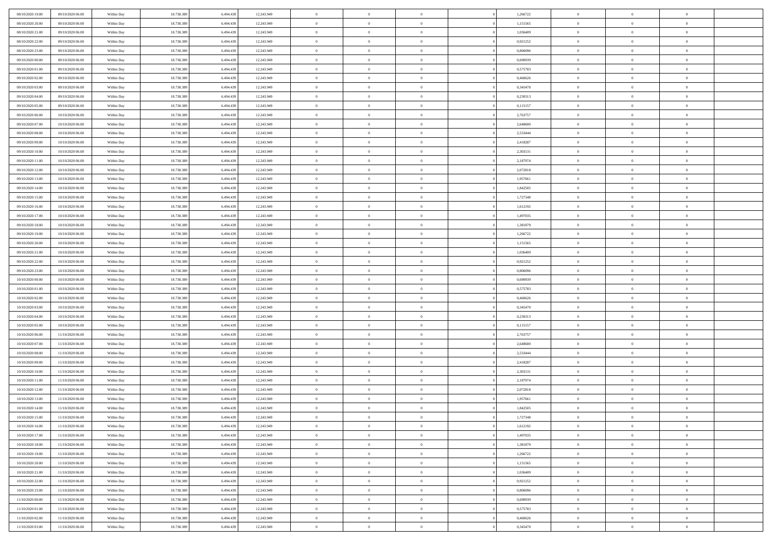| 08/10/2020 19:00 | 09/10/2020 06:00 | Within Day               | 18.738.389 | 6.494.439 | 12.243.949 | $\,$ 0 $\,$    | $\overline{0}$ | $\overline{0}$ |          | 1,266722 | $\bf{0}$       | $\overline{0}$ | $\,0\,$        |  |
|------------------|------------------|--------------------------|------------|-----------|------------|----------------|----------------|----------------|----------|----------|----------------|----------------|----------------|--|
| 08/10/2020 20:00 | 09/10/2020 06:00 | Within Day               | 18.738.389 | 6,494.43  | 12.243.949 | $\theta$       | $\overline{0}$ | $\mathbf{0}$   |          | 1,151565 | $\theta$       | $\overline{0}$ | $\theta$       |  |
| 08/10/2020 21:00 | 09/10/2020 06:00 | Within Day               | 18.738.389 | 6.494.439 | 12.243.949 | $\theta$       | $\overline{0}$ | $\overline{0}$ |          | 1,036409 | $\mathbf{0}$   | $\overline{0}$ | $\overline{0}$ |  |
| 08/10/2020 22.00 | 09/10/2020 06.00 | Within Day               | 18.738.389 | 6.494.439 | 12.243.949 | $\,$ 0 $\,$    | $\overline{0}$ | $\overline{0}$ |          | 0,921252 | $\bf{0}$       | $\overline{0}$ | $\bf{0}$       |  |
| 08/10/2020 23:00 | 09/10/2020 06:00 | Within Day               | 18.738.389 | 6.494.439 | 12.243.949 | $\bf{0}$       | $\overline{0}$ | $\mathbf{0}$   |          | 0.806096 | $\bf{0}$       | $\theta$       | $\,0\,$        |  |
| 09/10/2020 00:00 | 09/10/2020 06:00 | Within Day               | 18.738.389 | 6.494.439 | 12.243.949 | $\theta$       | $\overline{0}$ | $\mathbf{0}$   |          | 0,690939 | $\mathbf{0}$   | $\overline{0}$ | $\overline{0}$ |  |
| 09/10/2020 01:00 | 09/10/2020 06:00 | Within Day               | 18.738.389 | 6.494.439 | 12.243.949 | $\,$ 0 $\,$    | $\overline{0}$ | $\overline{0}$ |          | 0,575783 | $\bf{0}$       | $\overline{0}$ | $\,0\,$        |  |
|                  |                  |                          |            |           |            | $\theta$       |                |                |          |          |                | $\overline{0}$ |                |  |
| 09/10/2020 02.00 | 09/10/2020 06:00 | Within Day               | 18.738.389 | 6,494,439 | 12.243.949 |                | $\overline{0}$ | $\mathbf{0}$   |          | 0,460626 | $\,$ 0 $\,$    |                | $\theta$       |  |
| 09/10/2020 03:00 | 09/10/2020 06:00 | Within Day               | 18.738.389 | 6.494.439 | 12.243.949 | $\theta$       | $\overline{0}$ | $\mathbf{0}$   |          | 0,345470 | $\mathbf{0}$   | $\bf{0}$       | $\overline{0}$ |  |
| 09/10/2020 04:00 | 09/10/2020 06:00 | Within Day               | 18.738.389 | 6.494.439 | 12.243.949 | $\,$ 0 $\,$    | $\overline{0}$ | $\Omega$       |          | 0,230313 | $\bf{0}$       | $\overline{0}$ | $\,0\,$        |  |
| 09/10/2020 05:00 | 09/10/2020 06.00 | Within Day               | 18.738.389 | 6.494.439 | 12.243.949 | $\bf{0}$       | $\overline{0}$ | $\mathbf{0}$   |          | 0,115157 | $\bf{0}$       | $\mathbf{0}$   | $\theta$       |  |
| 09/10/2020 06:00 | 10/10/2020 06:00 | Within Day               | 18.738.389 | 6.494.439 | 12.243.949 | $\theta$       | $\overline{0}$ | $\mathbf{0}$   |          | 2,763757 | $\mathbf{0}$   | $\overline{0}$ | $\overline{0}$ |  |
| 09/10/2020 07.00 | 10/10/2020 06:00 | Within Day               | 18.738.389 | 6.494.439 | 12.243.949 | $\,$ 0 $\,$    | $\overline{0}$ | $\overline{0}$ |          | 2,648600 | $\bf{0}$       | $\overline{0}$ | $\bf{0}$       |  |
| 09/10/2020 08:00 | 10/10/2020 06:00 | Within Day               | 18.738.389 | 6.494.439 | 12.243.949 | $\bf{0}$       | $\overline{0}$ | $\mathbf{0}$   |          | 2,533444 | $\bf{0}$       | $\theta$       | $\,0\,$        |  |
| 09/10/2020 09:00 | 10/10/2020 06:00 | Within Day               | 18.738.389 | 6.494.439 | 12.243.949 | $\theta$       | $\overline{0}$ | $\mathbf{0}$   |          | 2,418287 | $\mathbf{0}$   | $\overline{0}$ | $\overline{0}$ |  |
| 09/10/2020 10:00 | 10/10/2020 06:00 | Within Day               | 18.738.389 | 6.494.439 | 12.243.949 | $\,$ 0 $\,$    | $\overline{0}$ | $\Omega$       |          | 2,303131 | $\bf{0}$       | $\overline{0}$ | $\bf{0}$       |  |
| 09/10/2020 11:00 | 10/10/2020 06:00 | Within Day               | 18.738.389 | 6,494,439 | 12.243.949 | $\,$ 0         | $\overline{0}$ | $\mathbf{0}$   |          | 2,187974 | $\bf{0}$       | $\overline{0}$ | $\theta$       |  |
| 09/10/2020 12:00 | 10/10/2020 06:00 | Within Day               | 18.738.389 | 6.494.439 | 12.243.949 | $\theta$       | $\overline{0}$ | $\mathbf{0}$   |          | 2,072818 | $\mathbf{0}$   | $\overline{0}$ | $\overline{0}$ |  |
| 09/10/2020 13:00 | 10/10/2020 06:00 | Within Day               | 18.738.389 | 6.494.439 | 12.243.949 | $\,$ 0 $\,$    | $\overline{0}$ | $\Omega$       |          | 1,957661 | $\bf{0}$       | $\overline{0}$ | $\,0\,$        |  |
| 09/10/2020 14:00 | 10/10/2020 06:00 | Within Day               | 18.738.389 | 6,494,439 | 12.243.949 | $\bf{0}$       | $\overline{0}$ | $\mathbf{0}$   |          | 1,842505 | $\bf{0}$       | $\mathbf{0}$   | $\theta$       |  |
| 09/10/2020 15:00 | 10/10/2020 06:00 | Within Day               | 18.738.389 | 6.494.439 | 12.243.949 | $\theta$       | $\overline{0}$ | $\mathbf{0}$   |          | 1,727348 | $\mathbf{0}$   | $\overline{0}$ | $\overline{0}$ |  |
| 09/10/2020 16:00 | 10/10/2020 06:00 | Within Day               | 18.738.389 | 6.494.439 | 12.243.949 | $\,$ 0 $\,$    | $\overline{0}$ | $\overline{0}$ |          | 1,612192 | $\bf{0}$       | $\overline{0}$ | $\bf{0}$       |  |
| 09/10/2020 17.00 | 10/10/2020 06:00 | Within Day               | 18.738.389 | 6,494,439 | 12.243.949 | $\bf{0}$       | $\overline{0}$ | $\mathbf{0}$   |          | 1,497035 | $\bf{0}$       | $\theta$       | $\,0\,$        |  |
| 09/10/2020 18:00 | 10/10/2020 06:00 | Within Day               | 18.738.389 | 6.494.439 | 12.243.949 | $\theta$       | $\overline{0}$ | $\mathbf{0}$   |          | 1,381879 | $\mathbf{0}$   | $\overline{0}$ | $\overline{0}$ |  |
| 09/10/2020 19:00 | 10/10/2020 06:00 | Within Day               | 18.738.389 | 6.494.439 | 12.243.949 | $\,$ 0 $\,$    | $\overline{0}$ | $\overline{0}$ |          | 1,266722 | $\bf{0}$       | $\overline{0}$ | $\,0\,$        |  |
| 09/10/2020 20:00 | 10/10/2020 06:00 | Within Day               | 18.738.389 | 6,494,439 | 12.243.949 | $\,$ 0         | $\overline{0}$ | $\mathbf{0}$   |          | 1,151565 | $\bf{0}$       | $\overline{0}$ | $\theta$       |  |
| 09/10/2020 21:00 | 10/10/2020 06:00 | Within Day               | 18.738.389 | 6.494.439 | 12.243.949 | $\theta$       | $\overline{0}$ | $\overline{0}$ |          | 1,036409 | $\mathbf{0}$   | $\bf{0}$       | $\overline{0}$ |  |
| 09/10/2020 22.00 | 10/10/2020 06:00 | Within Day               | 18.738.389 | 6.494.439 | 12.243.949 | $\,$ 0 $\,$    | $\overline{0}$ | $\Omega$       |          | 0,921252 | $\bf{0}$       | $\overline{0}$ | $\,0\,$        |  |
| 09/10/2020 23.00 | 10/10/2020 06:00 | Within Day               | 18.738.389 | 6.494.439 | 12.243.949 | $\bf{0}$       | $\overline{0}$ | $\mathbf{0}$   |          | 0.806096 | $\bf{0}$       | $\mathbf{0}$   | $\theta$       |  |
| 10/10/2020 00:00 | 10/10/2020 06:00 | Within Day               | 18.738.389 | 6.494.439 | 12.243.949 | $\theta$       | $\overline{0}$ | $\overline{0}$ |          | 0,690939 | $\mathbf{0}$   | $\overline{0}$ | $\overline{0}$ |  |
| 10/10/2020 01:00 | 10/10/2020 06:00 | Within Day               | 18.738.389 | 6.494.439 | 12.243.949 | $\theta$       | $\overline{0}$ | $\overline{0}$ |          | 0,575783 | $\,$ 0         | $\overline{0}$ | $\,$ 0 $\,$    |  |
| 10/10/2020 02:00 | 10/10/2020 06:00 |                          | 18.738.389 | 6,494,439 | 12.243.949 | $\bf{0}$       | $\overline{0}$ | $\mathbf{0}$   |          | 0,460626 | $\bf{0}$       | $\mathbf{0}$   | $\bf{0}$       |  |
| 10/10/2020 03:00 | 10/10/2020 06:00 | Within Day<br>Within Day | 18.738.389 | 6.494.439 | 12.243.949 | $\theta$       | $\overline{0}$ | $\mathbf{0}$   |          | 0,345470 | $\mathbf{0}$   | $\overline{0}$ | $\overline{0}$ |  |
|                  |                  |                          |            |           |            | $\theta$       | $\overline{0}$ | $\overline{0}$ |          |          | $\,$ 0         | $\overline{0}$ | $\theta$       |  |
| 10/10/2020 04:00 | 10/10/2020 06:00 | Within Day               | 18.738.389 | 6.494.439 | 12.243.949 |                |                |                |          | 0,230313 |                | $\overline{0}$ | $\overline{0}$ |  |
| 10/10/2020 05:00 | 10/10/2020 06:00 | Within Day               | 18.738.389 | 6.494.439 | 12.243.949 | $\bf{0}$       | $\overline{0}$ | $\mathbf{0}$   |          | 0,115157 | $\mathbf{0}$   |                |                |  |
| 10/10/2020 06:00 | 11/10/2020 06:00 | Within Day               | 18.738.389 | 6.494.439 | 12.243.949 | $\theta$       | $\overline{0}$ | $\mathbf{0}$   |          | 2,763757 | $\mathbf{0}$   | $\overline{0}$ | $\overline{0}$ |  |
| 10/10/2020 07:00 | 11/10/2020 06:00 | Within Day               | 18.738.389 | 6.494.439 | 12.243.949 | $\theta$       | $\overline{0}$ | $\overline{0}$ |          | 2,648600 | $\,$ 0         | $\overline{0}$ | $\theta$       |  |
| 10/10/2020 08:00 | 11/10/2020 06.00 | Within Day               | 18.738.389 | 6.494.439 | 12.243.949 | $\bf{0}$       | $\overline{0}$ | $\mathbf{0}$   |          | 2,533444 | $\bf{0}$       | $\mathbf{0}$   | $\bf{0}$       |  |
| 10/10/2020 09:00 | 11/10/2020 06:00 | Within Day               | 18.738.389 | 6.494.439 | 12.243.949 | $\theta$       | $\overline{0}$ | $\mathbf{0}$   |          | 2,418287 | $\mathbf{0}$   | $\overline{0}$ | $\overline{0}$ |  |
| 10/10/2020 10:00 | 11/10/2020 06:00 | Within Day               | 18.738.389 | 6.494.439 | 12.243.949 | $\,$ 0 $\,$    | $\overline{0}$ | $\overline{0}$ |          | 2,303131 | $\,$ 0         | $\overline{0}$ | $\,$ 0 $\,$    |  |
| 10/10/2020 11:00 | 11/10/2020 06:00 | Within Day               | 18.738.389 | 6.494.439 | 12.243.949 | $\,$ 0         | $\,$ 0 $\,$    | $\overline{0}$ |          | 2,187974 | $\,$ 0 $\,$    | $\overline{0}$ | $\bf{0}$       |  |
| 10/10/2020 12:00 | 11/10/2020 06:00 | Within Day               | 18.738.389 | 6.494.439 | 12.243.949 | $\theta$       | $\overline{0}$ | $\mathbf{0}$   |          | 2,072818 | $\mathbf{0}$   | $\overline{0}$ | $\overline{0}$ |  |
| 10/10/2020 13:00 | 11/10/2020 06.00 | Within Day               | 18.738.389 | 6.494.439 | 12.243.949 | $\overline{0}$ | $\overline{0}$ | $\overline{0}$ |          | 1,957661 | $\overline{0}$ | $\overline{0}$ | $\theta$       |  |
| 10/10/2020 14:00 | 11/10/2020 06.00 | Within Day               | 18.738.389 | 6.494.439 | 12.243.949 | $\bf{0}$       | $\overline{0}$ | $\mathbf{0}$   |          | 1,842505 | $\bf{0}$       | $\overline{0}$ | $\bf{0}$       |  |
| 10/10/2020 15:00 | 11/10/2020 06:00 | Within Day               | 18.738.389 | 6.494.439 | 12.243.949 | $\overline{0}$ | $\theta$       |                |          | 1,727348 | $\overline{0}$ | $\theta$       | $\theta$       |  |
| 10/10/2020 16:00 | 11/10/2020 06:00 | Within Day               | 18.738.389 | 6.494.439 | 12.243.949 | $\,$ 0 $\,$    | $\overline{0}$ | $\overline{0}$ |          | 1,612192 | $\,$ 0 $\,$    | $\bf{0}$       | $\theta$       |  |
| 10/10/2020 17:00 | 11/10/2020 06.00 | Within Day               | 18.738.389 | 6.494.439 | 12.243.949 | $\bf{0}$       | $\,$ 0 $\,$    | $\mathbf{0}$   |          | 1,497035 | $\,$ 0 $\,$    | $\overline{0}$ | $\overline{0}$ |  |
| 10/10/2020 18:00 | 11/10/2020 06:00 | Within Day               | 18.738.389 | 6.494.439 | 12.243.949 | $\overline{0}$ | $\overline{0}$ | $\overline{0}$ |          | 1,381879 | $\,$ 0 $\,$    | $\bf{0}$       | $\mathbf{0}$   |  |
| 10/10/2020 19:00 | 11/10/2020 06:00 | Within Day               | 18.738.389 | 6.494.439 | 12.243.949 | $\,$ 0 $\,$    | $\overline{0}$ | $\overline{0}$ | $\theta$ | 1,266722 | $\,$ 0 $\,$    | $\bf{0}$       | $\,$ 0 $\,$    |  |
| 10/10/2020 20:00 | 11/10/2020 06.00 | Within Day               | 18.738.389 | 6.494.439 | 12.243.949 | $\,$ 0 $\,$    | $\,$ 0 $\,$    | $\overline{0}$ |          | 1,151565 | $\,$ 0 $\,$    | $\overline{0}$ | $\overline{0}$ |  |
| 10/10/2020 21:00 | 11/10/2020 06:00 | Within Day               | 18.738.389 | 6.494.439 | 12.243.949 | $\overline{0}$ | $\overline{0}$ | $\overline{0}$ |          | 1,036409 | $\mathbf{0}$   | $\overline{0}$ | $\overline{0}$ |  |
| 10/10/2020 22:00 | 11/10/2020 06:00 | Within Day               | 18.738.389 | 6.494.439 | 12.243.949 | $\,$ 0 $\,$    | $\overline{0}$ | $\overline{0}$ |          | 0,921252 | $\,$ 0 $\,$    | $\overline{0}$ | $\,$ 0 $\,$    |  |
| 10/10/2020 23.00 | 11/10/2020 06.00 | Within Day               | 18.738.389 | 6,494,439 | 12.243.949 | $\bf{0}$       | $\overline{0}$ | $\overline{0}$ |          | 0.806096 | $\,$ 0 $\,$    | $\overline{0}$ | $\overline{0}$ |  |
| 11/10/2020 00:00 | 11/10/2020 06:00 | Within Day               | 18.738.389 | 6.494.439 | 12.243.949 | $\overline{0}$ | $\overline{0}$ | $\overline{0}$ |          | 0,690939 | $\mathbf{0}$   | $\bf{0}$       | $\overline{0}$ |  |
| 11/10/2020 01:00 | 11/10/2020 06:00 | Within Day               | 18.738.389 | 6.494.439 | 12.243.949 | $\,$ 0 $\,$    | $\overline{0}$ | $\overline{0}$ |          | 0,575783 | $\,$ 0 $\,$    | $\mathbf{0}$   | $\,$ 0 $\,$    |  |
| 11/10/2020 02.00 | 11/10/2020 06.00 | Within Day               | 18.738.389 | 6.494.439 | 12.243.949 | $\,$ 0 $\,$    | $\,$ 0 $\,$    | $\overline{0}$ |          | 0,460626 | $\bf{0}$       | $\overline{0}$ | $\overline{0}$ |  |
| 11/10/2020 03:00 | 11/10/2020 06:00 | Within Day               | 18.738.389 | 6.494.439 | 12.243.949 | $\theta$       | $\overline{0}$ | $\overline{0}$ |          | 0,345470 | $\mathbf{0}$   | $\overline{0}$ | $\overline{0}$ |  |
|                  |                  |                          |            |           |            |                |                |                |          |          |                |                |                |  |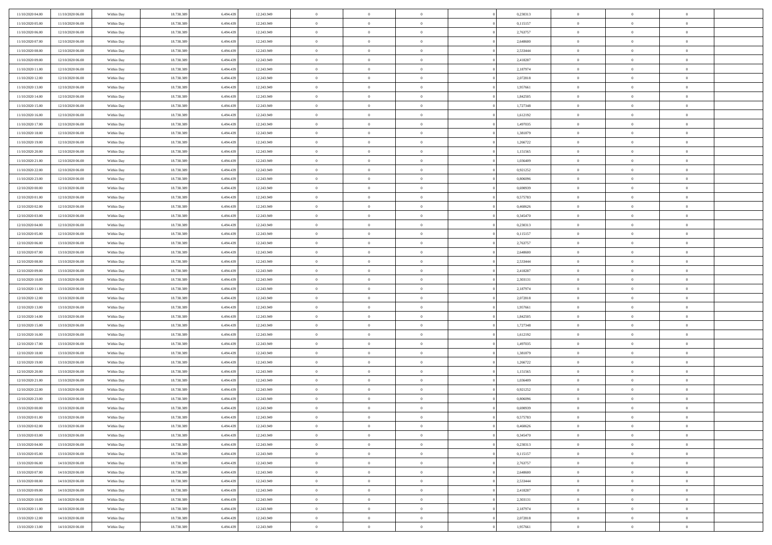| 11/10/2020 04.00 | 11/10/2020 06:00 | Within Day | 18.738.389 | 6.494.43  | 12.243.949 | $\bf{0}$       | $\overline{0}$ | $\overline{0}$ | 0,230313 | $\bf{0}$       | $\overline{0}$ | $\bf{0}$       |  |
|------------------|------------------|------------|------------|-----------|------------|----------------|----------------|----------------|----------|----------------|----------------|----------------|--|
| 11/10/2020 05:00 | 11/10/2020 06:00 | Within Day | 18.738.389 | 6.494.43  | 12.243.949 | $\overline{0}$ | $\overline{0}$ | $\overline{0}$ | 0,115157 | $\mathbf{0}$   | $\bf{0}$       | $\theta$       |  |
| 11/10/2020 06:00 | 12/10/2020 06:00 | Within Day | 18.738.389 | 6.494.439 | 12.243.949 | $\,$ 0         | $\overline{0}$ | $\overline{0}$ | 2,763757 | $\,$ 0 $\,$    | $\overline{0}$ | $\,0\,$        |  |
| 11/10/2020 07:00 | 12/10/2020 06:00 | Within Day | 18.738.389 | 6.494.439 | 12.243.949 | $\overline{0}$ | $\overline{0}$ | $\Omega$       | 2.648600 | $\overline{0}$ | $\theta$       | $\overline{0}$ |  |
| 11/10/2020 08:00 | 12/10/2020 06:00 | Within Day | 18.738.389 | 6.494.439 | 12.243.949 | $\mathbf{0}$   | $\overline{0}$ | $\overline{0}$ | 2,533444 | $\mathbf{0}$   | $\bf{0}$       | $\theta$       |  |
| 11/10/2020 09:00 | 12/10/2020 06:00 | Within Day | 18.738.389 | 6.494.439 | 12.243.949 | $\overline{0}$ | $\overline{0}$ | $\overline{0}$ | 2,418287 | $\,$ 0 $\,$    | $\overline{0}$ | $\,0\,$        |  |
| 11/10/2020 11:00 | 12/10/2020 06:00 | Within Day | 18.738.389 | 6.494.439 | 12.243.949 | $\bf{0}$       | $\overline{0}$ | $\Omega$       | 2,187974 | $\bf{0}$       | $\theta$       | $\overline{0}$ |  |
| 11/10/2020 12:00 | 12/10/2020 06:00 | Within Day | 18.738.389 | 6.494.439 | 12.243.949 | $\overline{0}$ | $\overline{0}$ | $\overline{0}$ | 2,072818 | $\mathbf{0}$   | $\bf{0}$       | $\theta$       |  |
| 11/10/2020 13:00 | 12/10/2020 06:00 | Within Day | 18.738.389 | 6.494.439 | 12.243.949 | $\,$ 0         | $\overline{0}$ | $\overline{0}$ | 1,957661 | $\,$ 0 $\,$    | $\overline{0}$ | $\,0\,$        |  |
| 11/10/2020 14.00 | 12/10/2020 06:00 | Within Day | 18.738.389 | 6.494.439 | 12.243.949 | $\overline{0}$ | $\overline{0}$ | $\Omega$       | 1,842505 | $\overline{0}$ | $\theta$       | $\overline{0}$ |  |
| 11/10/2020 15:00 | 12/10/2020 06:00 | Within Day | 18.738.389 | 6.494.439 | 12.243.949 | $\mathbf{0}$   | $\overline{0}$ | $\overline{0}$ | 1,727348 | $\mathbf{0}$   | $\bf{0}$       | $\theta$       |  |
| 11/10/2020 16:00 | 12/10/2020 06:00 | Within Day | 18.738.389 | 6.494.439 | 12.243.949 | $\overline{0}$ | $\overline{0}$ | $\overline{0}$ | 1,612192 | $\,$ 0 $\,$    | $\overline{0}$ | $\,0\,$        |  |
| 11/10/2020 17.00 | 12/10/2020 06:00 | Within Day | 18.738.389 | 6.494.439 | 12.243.949 | $\overline{0}$ | $\overline{0}$ | $\Omega$       | 1,497035 | $\overline{0}$ | $\theta$       | $\overline{0}$ |  |
| 11/10/2020 18:00 | 12/10/2020 06:00 | Within Day | 18.738.389 | 6.494.439 | 12.243.949 | $\mathbf{0}$   | $\overline{0}$ | $\overline{0}$ | 1,381879 | $\mathbf{0}$   | $\bf{0}$       | $\theta$       |  |
| 11/10/2020 19:00 | 12/10/2020 06:00 | Within Day | 18.738.389 | 6.494.439 | 12.243.949 | $\,$ 0         | $\overline{0}$ | $\overline{0}$ | 1,266722 | $\,$ 0 $\,$    | $\overline{0}$ | $\,0\,$        |  |
| 11/10/2020 20.00 | 12/10/2020 06.00 | Within Day | 18.738.389 | 6.494.439 | 12.243.949 | $\bf{0}$       | $\overline{0}$ | $\Omega$       | 1,151565 | $\bf{0}$       | $\theta$       | $\bf{0}$       |  |
| 11/10/2020 21:00 | 12/10/2020 06:00 | Within Day | 18.738.389 | 6.494.439 | 12.243.949 | $\mathbf{0}$   | $\overline{0}$ | $\overline{0}$ | 1,036409 | $\mathbf{0}$   | $\bf{0}$       | $\theta$       |  |
| 11/10/2020 22:00 | 12/10/2020 06:00 | Within Day | 18.738.389 | 6.494.439 | 12.243.949 | $\overline{0}$ | $\overline{0}$ | $\overline{0}$ | 0,921252 | $\,$ 0 $\,$    | $\overline{0}$ | $\,0\,$        |  |
| 11/10/2020 23.00 | 12/10/2020 06.00 | Within Day | 18.738.389 | 6.494.439 | 12.243.949 | $\overline{0}$ | $\overline{0}$ | $\Omega$       | 0.806096 | $\overline{0}$ | $\theta$       | $\overline{0}$ |  |
| 12/10/2020 00:00 | 12/10/2020 06:00 | Within Day | 18.738.389 | 6.494.439 | 12.243.949 | $\overline{0}$ | $\overline{0}$ | $\overline{0}$ | 0,690939 | $\mathbf{0}$   | $\bf{0}$       | $\theta$       |  |
| 12/10/2020 01:00 | 12/10/2020 06:00 | Within Day | 18.738.389 | 6.494.439 | 12.243.949 | $\,$ 0         | $\overline{0}$ | $\overline{0}$ | 0,575783 | $\,$ 0 $\,$    | $\overline{0}$ | $\,$ 0 $\,$    |  |
| 12/10/2020 02.00 | 12/10/2020 06:00 | Within Day | 18.738.389 | 6.494.439 | 12.243.949 | $\overline{0}$ | $\overline{0}$ | $\Omega$       | 0.460626 | $\overline{0}$ | $\theta$       | $\overline{0}$ |  |
| 12/10/2020 03:00 | 12/10/2020 06:00 | Within Day | 18.738.389 | 6.494.439 | 12.243.949 | $\mathbf{0}$   | $\overline{0}$ | $\overline{0}$ | 0,345470 | $\mathbf{0}$   | $\bf{0}$       | $\theta$       |  |
| 12/10/2020 04:00 | 12/10/2020 06:00 | Within Day | 18.738.389 | 6.494.439 | 12.243.949 | $\overline{0}$ | $\overline{0}$ | $\overline{0}$ | 0,230313 | $\,$ 0 $\,$    | $\overline{0}$ | $\,$ 0 $\,$    |  |
| 12/10/2020 05:00 | 12/10/2020 06.00 | Within Day | 18.738.389 | 6.494.43  | 12.243.949 | $\bf{0}$       | $\overline{0}$ | $\Omega$       | 0,115157 | $\bf{0}$       | $\overline{0}$ | $\bf{0}$       |  |
| 12/10/2020 06:00 | 13/10/2020 06:00 | Within Day | 18.738.389 | 6.494.439 | 12.243.949 | $\overline{0}$ | $\overline{0}$ | $\overline{0}$ | 2,763757 | $\mathbf{0}$   | $\bf{0}$       | $\theta$       |  |
| 12/10/2020 07:00 | 13/10/2020 06:00 | Within Day | 18.738.389 | 6.494.439 | 12.243.949 | $\,$ 0         | $\overline{0}$ | $\overline{0}$ | 2,648600 | $\,$ 0 $\,$    | $\overline{0}$ | $\,$ 0 $\,$    |  |
| 12/10/2020 08:00 | 13/10/2020 06.00 | Within Day | 18.738.389 | 6.494.439 | 12.243.949 | $\overline{0}$ | $\overline{0}$ | $\Omega$       | 2.533444 | $\overline{0}$ | $\theta$       | $\overline{0}$ |  |
| 12/10/2020 09:00 | 13/10/2020 06:00 | Within Day | 18.738.389 | 6.494.439 | 12.243.949 | $\mathbf{0}$   | $\overline{0}$ | $\overline{0}$ | 2,418287 | $\mathbf{0}$   | $\bf{0}$       | $\overline{0}$ |  |
| 12/10/2020 10:00 | 13/10/2020 06:00 | Within Day | 18.738.389 | 6.494.439 | 12.243.949 | $\overline{0}$ | $\overline{0}$ | $\overline{0}$ | 2,303131 | $\,$ 0 $\,$    | $\overline{0}$ | $\,$ 0 $\,$    |  |
| 12/10/2020 11:00 | 13/10/2020 06:00 | Within Day | 18.738.389 | 6.494.439 | 12.243.949 | $\bf{0}$       | $\overline{0}$ | $\Omega$       | 2,187974 | $\bf{0}$       | $\overline{0}$ | $\bf{0}$       |  |
| 12/10/2020 12:00 | 13/10/2020 06:00 | Within Day | 18.738.389 | 6.494.439 | 12.243.949 | $\mathbf{0}$   | $\overline{0}$ | $\overline{0}$ | 2,072818 | $\mathbf{0}$   | $\bf{0}$       | $\theta$       |  |
| 12/10/2020 13:00 | 13/10/2020 06:00 | Within Day | 18.738.389 | 6.494.439 | 12.243.949 | $\,$ 0         | $\overline{0}$ | $\overline{0}$ | 1,957661 | $\,$ 0 $\,$    | $\overline{0}$ | $\,$ 0 $\,$    |  |
| 12/10/2020 14.00 | 13/10/2020 06:00 | Within Day | 18.738.389 | 6.494.439 | 12.243.949 | $\bf{0}$       | $\overline{0}$ | $\overline{0}$ | 1,842505 | $\mathbf{0}$   | $\overline{0}$ | $\bf{0}$       |  |
| 12/10/2020 15:00 | 13/10/2020 06:00 | Within Day | 18.738.389 | 6.494.439 | 12.243.949 | $\mathbf{0}$   | $\overline{0}$ | $\overline{0}$ | 1,727348 | $\overline{0}$ | $\bf{0}$       | $\theta$       |  |
| 12/10/2020 16:00 | 13/10/2020 06:00 | Within Day | 18.738.389 | 6.494.439 | 12.243.949 | $\overline{0}$ | $\overline{0}$ | $\overline{0}$ | 1,612192 | $\,$ 0 $\,$    | $\overline{0}$ | $\,$ 0 $\,$    |  |
| 12/10/2020 17:00 | 13/10/2020 06:00 | Within Day | 18.738.389 | 6.494.439 | 12.243.949 | $\bf{0}$       | $\overline{0}$ | $\Omega$       | 1,497035 | $\bf{0}$       | $\overline{0}$ | $\bf{0}$       |  |
| 12/10/2020 18:00 | 13/10/2020 06:00 | Within Day | 18.738.389 | 6.494.439 | 12.243.949 | $\mathbf{0}$   | $\overline{0}$ | $\overline{0}$ | 1,381879 | $\mathbf{0}$   | $\bf{0}$       | $\overline{0}$ |  |
| 12/10/2020 19:00 | 13/10/2020 06:00 | Within Day | 18.738.389 | 6.494.439 | 12.243.949 | $\,$ 0         | $\overline{0}$ | $\overline{0}$ | 1,266722 | $\,$ 0 $\,$    | $\overline{0}$ | $\,0\,$        |  |
| 12/10/2020 20:00 | 13/10/2020 06:00 | Within Day | 18.738.389 | 6.494.439 | 12.243.949 | $\bf{0}$       | $\overline{0}$ | $\Omega$       | 1,151565 | $\bf{0}$       | $\overline{0}$ | $\bf{0}$       |  |
| 12/10/2020 21:00 | 13/10/2020 06:00 | Within Day | 18.738.389 | 6.494.439 | 12.243.949 | $\mathbf{0}$   | $\overline{0}$ | $\overline{0}$ | 1,036409 | $\overline{0}$ | $\overline{0}$ | $\theta$       |  |
| 12/10/2020 22:00 | 13/10/2020 06:00 | Within Day | 18.738.389 | 6.494.439 | 12.243.949 | $\,$ 0         | $\overline{0}$ | $\overline{0}$ | 0,921252 | $\,$ 0 $\,$    | $\overline{0}$ | $\,0\,$        |  |
| 12/10/2020 23:00 | 13/10/2020 06:00 | Within Day | 18.738.389 | 6.494.43  | 12.243.949 | $\bf{0}$       | $\overline{0}$ | $\overline{0}$ | 0,806096 | $\mathbf{0}$   | $\overline{0}$ | $\bf{0}$       |  |
| 13/10/2020 00:00 | 13/10/2020 06:00 | Within Day | 18.738.389 | 6.494.439 | 12.243.949 | $\mathbf{0}$   | $\overline{0}$ | $\overline{0}$ | 0,690939 | $\overline{0}$ | $\bf{0}$       | $\theta$       |  |
| 13/10/2020 01:00 | 13/10/2020 06:00 | Within Day | 18.738.389 | 6.494.439 | 12.243.949 | $\theta$       | $\overline{0}$ | $\Omega$       | 0,575783 | $\overline{0}$ | $\overline{0}$ | $\overline{0}$ |  |
| 13/10/2020 02.00 | 13/10/2020 06:00 | Within Day | 18.738.389 | 6.494.439 | 12.243.949 | $\bf{0}$       | $\overline{0}$ | $\overline{0}$ | 0,460626 | $\mathbf{0}$   | $\overline{0}$ | $\bf{0}$       |  |
| 13/10/2020 03:00 | 13/10/2020 06:00 | Within Day | 18.738.389 | 6.494.439 | 12.243.949 | $\overline{0}$ | $\overline{0}$ | $\overline{0}$ | 0,345470 | $\,$ 0 $\,$    | $\overline{0}$ | $\overline{0}$ |  |
| 13/10/2020 04:00 | 13/10/2020 06:00 | Within Day | 18.738.389 | 6.494.439 | 12.243.949 | $\,$ 0 $\,$    | $\overline{0}$ | $\overline{0}$ | 0,230313 | $\,$ 0 $\,$    | $\,$ 0 $\,$    | $\theta$       |  |
| 13/10/2020 05:00 | 13/10/2020 06:00 | Within Day | 18.738.389 | 6.494.439 | 12.243.949 | $\bf{0}$       | $\overline{0}$ | $\overline{0}$ | 0,115157 | $\mathbf{0}$   | $\overline{0}$ | $\bf{0}$       |  |
| 13/10/2020 06:00 | 14/10/2020 06:00 | Within Day | 18.738.389 | 6.494.439 | 12.243.949 | $\mathbf{0}$   | $\overline{0}$ | $\overline{0}$ | 2,763757 | $\mathbf{0}$   | $\bf{0}$       | $\overline{0}$ |  |
| 13/10/2020 07:00 | 14/10/2020 06:00 | Within Day | 18.738.389 | 6.494.439 | 12.243.949 | $\,$ 0 $\,$    | $\overline{0}$ | $\overline{0}$ | 2,648600 | $\,$ 0 $\,$    | $\overline{0}$ | $\theta$       |  |
| 13/10/2020 08:00 | 14/10/2020 06:00 | Within Day | 18.738.389 | 6.494.439 | 12.243.949 | $\mathbf{0}$   | $\overline{0}$ | $\overline{0}$ | 2,533444 | $\mathbf{0}$   | $\overline{0}$ | $\overline{0}$ |  |
| 13/10/2020 09:00 | 14/10/2020 06:00 | Within Day | 18.738.389 | 6.494.439 | 12.243.949 | $\,$ 0 $\,$    | $\overline{0}$ | $\overline{0}$ | 2,418287 | $\,$ 0 $\,$    | $\bf{0}$       | $\overline{0}$ |  |
| 13/10/2020 10:00 | 14/10/2020 06:00 | Within Day | 18.738.389 | 6.494.439 | 12.243.949 | $\,$ 0 $\,$    | $\overline{0}$ | $\overline{0}$ | 2,303131 | $\,$ 0 $\,$    | $\,$ 0         | $\theta$       |  |
| 13/10/2020 11:00 | 14/10/2020 06:00 | Within Day | 18.738.389 | 6.494.439 | 12.243.949 | $\bf{0}$       | $\overline{0}$ | $\overline{0}$ | 2,187974 | $\mathbf{0}$   | $\overline{0}$ | $\bf{0}$       |  |
| 13/10/2020 12:00 | 14/10/2020 06:00 | Within Day | 18.738.389 | 6.494.439 | 12.243.949 | $\mathbf{0}$   | $\overline{0}$ | $\overline{0}$ | 2,072818 | $\mathbf{0}$   | $\bf{0}$       | $\overline{0}$ |  |
| 13/10/2020 13:00 | 14/10/2020 06:00 | Within Day | 18.738.389 | 6.494.439 | 12.243.949 | $\,$ 0         | $\overline{0}$ | $\overline{0}$ | 1,957661 | $\,$ 0 $\,$    | $\overline{0}$ | $\theta$       |  |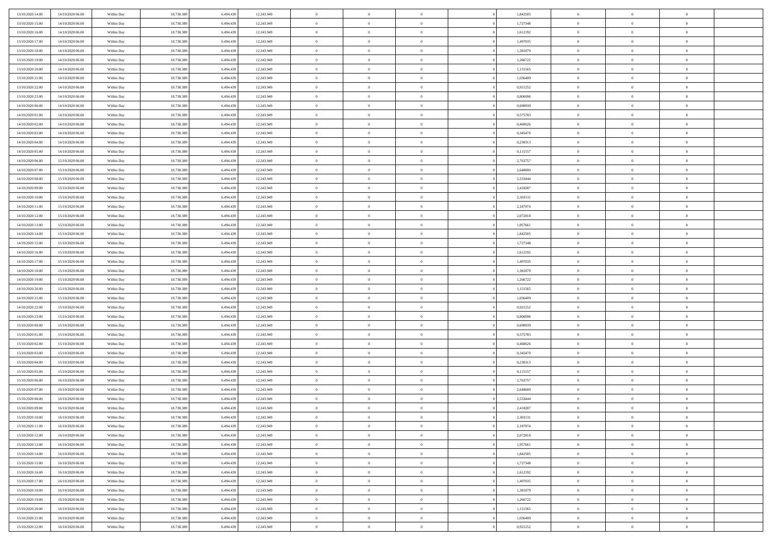| 13/10/2020 14:00 | 14/10/2020 06:00    | Within Day | 18.738.389 | 6.494.43  | 12.243.949 | $\bf{0}$       | $\overline{0}$ | $\overline{0}$ | 1,842505 | $\bf{0}$       | $\overline{0}$ | $\bf{0}$       |  |
|------------------|---------------------|------------|------------|-----------|------------|----------------|----------------|----------------|----------|----------------|----------------|----------------|--|
| 13/10/2020 15:00 | 14/10/2020 06:00    | Within Day | 18.738.389 | 6.494.43  | 12.243.949 | $\overline{0}$ | $\overline{0}$ | $\overline{0}$ | 1,727348 | $\overline{0}$ | $\bf{0}$       | $\theta$       |  |
| 13/10/2020 16:00 | 14/10/2020 06:00    | Within Day | 18.738.389 | 6.494.439 | 12.243.949 | $\overline{0}$ | $\overline{0}$ | $\overline{0}$ | 1,612192 | $\,$ 0 $\,$    | $\overline{0}$ | $\,0\,$        |  |
| 13/10/2020 17:00 | 14/10/2020 06:00    | Within Day | 18.738.389 | 6.494.439 | 12.243.949 | $\overline{0}$ | $\overline{0}$ | $\Omega$       | 1,497035 | $\overline{0}$ | $\theta$       | $\overline{0}$ |  |
| 13/10/2020 18:00 | 14/10/2020 06:00    | Within Day | 18.738.389 | 6.494.439 | 12.243.949 | $\mathbf{0}$   | $\overline{0}$ | $\overline{0}$ | 1,381879 | $\mathbf{0}$   | $\bf{0}$       | $\overline{0}$ |  |
| 13/10/2020 19:00 | 14/10/2020 06:00    | Within Day | 18.738.389 | 6.494.439 | 12.243.949 | $\overline{0}$ | $\overline{0}$ | $\overline{0}$ | 1,266722 | $\,$ 0 $\,$    | $\overline{0}$ | $\,0\,$        |  |
| 13/10/2020 20:00 | 14/10/2020 06.00    | Within Day | 18.738.389 | 6.494.439 | 12.243.949 | $\bf{0}$       | $\overline{0}$ | $\Omega$       | 1,151565 | $\bf{0}$       | $\theta$       | $\overline{0}$ |  |
| 13/10/2020 21:00 | 14/10/2020 06:00    | Within Day | 18.738.389 | 6.494.439 | 12.243.949 | $\overline{0}$ | $\overline{0}$ | $\overline{0}$ | 1,036409 | $\mathbf{0}$   | $\bf{0}$       | $\theta$       |  |
| 13/10/2020 22:00 | 14/10/2020 06:00    | Within Day | 18.738.389 | 6.494.439 | 12.243.949 | $\overline{0}$ | $\overline{0}$ | $\overline{0}$ | 0,921252 | $\,$ 0 $\,$    | $\overline{0}$ | $\,$ 0 $\,$    |  |
| 13/10/2020 23.00 | 14/10/2020 06.00    | Within Day | 18.738.389 | 6.494.439 | 12.243.949 | $\overline{0}$ | $\overline{0}$ | $\Omega$       | 0.806096 | $\overline{0}$ | $\theta$       | $\overline{0}$ |  |
| 14/10/2020 00:00 | 14/10/2020 06:00    | Within Day | 18.738.389 | 6.494.439 | 12.243.949 | $\mathbf{0}$   | $\overline{0}$ | $\overline{0}$ | 0,690939 | $\mathbf{0}$   | $\bf{0}$       | $\theta$       |  |
| 14/10/2020 01:00 | 14/10/2020 06:00    | Within Day | 18.738.389 | 6.494.439 | 12.243.949 | $\overline{0}$ | $\overline{0}$ | $\overline{0}$ | 0,575783 | $\,$ 0 $\,$    | $\overline{0}$ | $\,$ 0 $\,$    |  |
| 14/10/2020 02.00 | $14/10/2020\ 06.00$ | Within Day | 18.738.389 | 6.494.439 | 12.243.949 | $\overline{0}$ | $\overline{0}$ | $\Omega$       | 0.460626 | $\overline{0}$ | $\theta$       | $\overline{0}$ |  |
| 14/10/2020 03:00 | 14/10/2020 06:00    | Within Day | 18.738.389 | 6.494.439 | 12.243.949 | $\mathbf{0}$   | $\overline{0}$ | $\overline{0}$ | 0,345470 | $\mathbf{0}$   | $\bf{0}$       | $\theta$       |  |
| 14/10/2020 04:00 | 14/10/2020 06:00    | Within Day | 18.738.389 | 6.494.439 | 12.243.949 | $\,$ 0         | $\overline{0}$ | $\overline{0}$ | 0,230313 | $\,$ 0 $\,$    | $\overline{0}$ | $\,$ 0 $\,$    |  |
| 14/10/2020 05.00 | 14/10/2020 06.00    | Within Day | 18.738.389 | 6.494.439 | 12.243.949 | $\bf{0}$       | $\overline{0}$ | $\Omega$       | 0,115157 | $\bf{0}$       | $\theta$       | $\bf{0}$       |  |
| 14/10/2020 06:00 | 15/10/2020 06:00    | Within Day | 18.738.389 | 6.494.439 | 12.243.949 | $\mathbf{0}$   | $\overline{0}$ | $\overline{0}$ | 2,763757 | $\mathbf{0}$   | $\bf{0}$       | $\theta$       |  |
| 14/10/2020 07:00 | 15/10/2020 06:00    | Within Day | 18.738.389 | 6.494.439 | 12.243.949 | $\overline{0}$ | $\overline{0}$ | $\overline{0}$ | 2,648600 | $\,$ 0 $\,$    | $\overline{0}$ | $\,$ 0 $\,$    |  |
| 14/10/2020 08:00 | 15/10/2020 06.00    | Within Day | 18.738.389 | 6.494.439 | 12.243.949 | $\overline{0}$ | $\overline{0}$ | $\Omega$       | 2,533444 | $\overline{0}$ | $\theta$       | $\overline{0}$ |  |
| 14/10/2020 09:00 | 15/10/2020 06:00    | Within Day | 18.738.389 | 6.494.439 | 12.243.949 | $\overline{0}$ | $\overline{0}$ | $\overline{0}$ | 2,418287 | $\mathbf{0}$   | $\bf{0}$       | $\theta$       |  |
| 14/10/2020 10:00 | 15/10/2020 06:00    | Within Day | 18.738.389 | 6.494.439 | 12.243.949 | $\,$ 0         | $\overline{0}$ | $\overline{0}$ | 2,303131 | $\,$ 0 $\,$    | $\overline{0}$ | $\,$ 0 $\,$    |  |
| 14/10/2020 11:00 | 15/10/2020 06:00    | Within Day | 18.738.389 | 6.494.43  | 12.243.949 | $\overline{0}$ | $\overline{0}$ | $\Omega$       | 2,187974 | $\overline{0}$ | $\theta$       | $\overline{0}$ |  |
| 14/10/2020 12:00 | 15/10/2020 06:00    | Within Day | 18.738.389 | 6.494.439 | 12.243.949 | $\mathbf{0}$   | $\overline{0}$ | $\overline{0}$ | 2,072818 | $\mathbf{0}$   | $\bf{0}$       | $\theta$       |  |
| 14/10/2020 13:00 | 15/10/2020 06:00    | Within Day | 18.738.389 | 6.494.439 | 12.243.949 | $\overline{0}$ | $\overline{0}$ | $\overline{0}$ | 1,957661 | $\,$ 0 $\,$    | $\overline{0}$ | $\,0\,$        |  |
| 14/10/2020 14.00 | 15/10/2020 06.00    | Within Day | 18.738.389 | 6.494.439 | 12.243.949 | $\bf{0}$       | $\overline{0}$ | $\Omega$       | 1,842505 | $\bf{0}$       | $\overline{0}$ | $\bf{0}$       |  |
| 14/10/2020 15:00 | 15/10/2020 06:00    | Within Day | 18.738.389 | 6.494.439 | 12.243.949 | $\overline{0}$ | $\overline{0}$ | $\overline{0}$ | 1,727348 | $\mathbf{0}$   | $\bf{0}$       | $\theta$       |  |
| 14/10/2020 16:00 | 15/10/2020 06:00    | Within Day | 18.738.389 | 6.494.439 | 12.243.949 | $\,$ 0         | $\overline{0}$ | $\overline{0}$ | 1,612192 | $\,$ 0 $\,$    | $\overline{0}$ | $\,0\,$        |  |
| 14/10/2020 17.00 | 15/10/2020 06.00    | Within Day | 18.738.389 | 6.494.439 | 12.243.949 | $\overline{0}$ | $\overline{0}$ | $\Omega$       | 1,497035 | $\overline{0}$ | $\theta$       | $\overline{0}$ |  |
| 14/10/2020 18:00 | 15/10/2020 06:00    | Within Day | 18.738.389 | 6.494.439 | 12.243.949 | $\mathbf{0}$   | $\overline{0}$ | $\overline{0}$ | 1,381879 | $\mathbf{0}$   | $\bf{0}$       | $\overline{0}$ |  |
| 14/10/2020 19:00 | 15/10/2020 06:00    | Within Day | 18.738.389 | 6.494.439 | 12.243.949 | $\overline{0}$ | $\overline{0}$ | $\overline{0}$ | 1,266722 | $\,$ 0 $\,$    | $\overline{0}$ | $\,0\,$        |  |
| 14/10/2020 20:00 | 15/10/2020 06:00    | Within Day | 18.738.389 | 6.494.43  | 12.243.949 | $\bf{0}$       | $\overline{0}$ | $\Omega$       | 1,151565 | $\bf{0}$       | $\overline{0}$ | $\bf{0}$       |  |
| 14/10/2020 21:00 | 15/10/2020 06:00    | Within Day | 18.738.389 | 6.494.439 | 12.243.949 | $\overline{0}$ | $\overline{0}$ | $\overline{0}$ | 1,036409 | $\mathbf{0}$   | $\bf{0}$       | $\theta$       |  |
| 14/10/2020 22.00 | 15/10/2020 06:00    | Within Day | 18.738.389 | 6.494.439 | 12.243.949 | $\,$ 0         | $\overline{0}$ | $\overline{0}$ | 0,921252 | $\,$ 0 $\,$    | $\overline{0}$ | $\,0\,$        |  |
| 14/10/2020 23.00 | 15/10/2020 06:00    | Within Day | 18.738.389 | 6.494.439 | 12.243.949 | $\bf{0}$       | $\overline{0}$ | $\overline{0}$ | 0,806096 | $\mathbf{0}$   | $\overline{0}$ | $\bf{0}$       |  |
| 15/10/2020 00:00 | 15/10/2020 06:00    | Within Day | 18.738.389 | 6.494.439 | 12.243.949 | $\mathbf{0}$   | $\overline{0}$ | $\overline{0}$ | 0,690939 | $\overline{0}$ | $\bf{0}$       | $\theta$       |  |
| 15/10/2020 01:00 | 15/10/2020 06:00    | Within Day | 18.738.389 | 6.494.439 | 12.243.949 | $\overline{0}$ | $\overline{0}$ | $\overline{0}$ | 0,575783 | $\,$ 0 $\,$    | $\overline{0}$ | $\,0\,$        |  |
| 15/10/2020 02:00 | 15/10/2020 06:00    | Within Day | 18.738.389 | 6.494.439 | 12.243.949 | $\bf{0}$       | $\overline{0}$ | $\Omega$       | 0,460626 | $\bf{0}$       | $\theta$       | $\bf{0}$       |  |
| 15/10/2020 03:00 | 15/10/2020 06:00    | Within Day | 18.738.389 | 6.494.439 | 12.243.949 | $\mathbf{0}$   | $\overline{0}$ | $\overline{0}$ | 0,345470 | $\mathbf{0}$   | $\bf{0}$       | $\overline{0}$ |  |
| 15/10/2020 04:00 | 15/10/2020 06:00    | Within Day | 18.738.389 | 6.494.439 | 12.243.949 | $\,$ 0         | $\overline{0}$ | $\overline{0}$ | 0,230313 | $\,$ 0 $\,$    | $\overline{0}$ | $\,0\,$        |  |
| 15/10/2020 05:00 | 15/10/2020 06:00    | Within Day | 18.738.389 | 6.494.439 | 12.243.949 | $\bf{0}$       | $\overline{0}$ | $\Omega$       | 0,115157 | $\bf{0}$       | $\overline{0}$ | $\bf{0}$       |  |
| 15/10/2020 06:00 | 16/10/2020 06:00    | Within Day | 18.738.389 | 6.494.439 | 12.243.949 | $\mathbf{0}$   | $\overline{0}$ | $\overline{0}$ | 2,763757 | $\overline{0}$ | $\overline{0}$ | $\theta$       |  |
| 15/10/2020 07:00 | 16/10/2020 06:00    | Within Day | 18.738.389 | 6.494.439 | 12.243.949 | $\,$ 0         | $\overline{0}$ | $\overline{0}$ | 2,648600 | $\,$ 0 $\,$    | $\overline{0}$ | $\,0\,$        |  |
| 15/10/2020 08:00 | 16/10/2020 06:00    | Within Day | 18.738.389 | 6.494.43  | 12.243.949 | $\bf{0}$       | $\overline{0}$ | $\overline{0}$ | 2,533444 | $\bf{0}$       | $\overline{0}$ | $\bf{0}$       |  |
| 15/10/2020 09:00 | 16/10/2020 06:00    | Within Day | 18.738.389 | 6.494.439 | 12.243.949 | $\mathbf{0}$   | $\overline{0}$ | $\overline{0}$ | 2,418287 | $\overline{0}$ | $\bf{0}$       | $\theta$       |  |
| 15/10/2020 10:00 | 16/10/2020 06:00    | Within Day | 18.738.389 | 6.494.439 | 12.243.949 | $\theta$       | $\overline{0}$ | $\theta$       | 2,303131 | $\overline{0}$ | $\overline{0}$ | $\overline{0}$ |  |
| 15/10/2020 11:00 | 16/10/2020 06:00    | Within Day | 18.738.389 | 6.494.439 | 12.243.949 | $\bf{0}$       | $\overline{0}$ | $\overline{0}$ | 2,187974 | $\mathbf{0}$   | $\overline{0}$ | $\bf{0}$       |  |
| 15/10/2020 12:00 | 16/10/2020 06:00    | Within Day | 18.738.389 | 6.494.439 | 12.243.949 | $\overline{0}$ | $\overline{0}$ | $\overline{0}$ | 2,072818 | $\,$ 0 $\,$    | $\overline{0}$ | $\overline{0}$ |  |
| 15/10/2020 13:00 | 16/10/2020 06:00    | Within Day | 18.738.389 | 6.494.439 | 12.243.949 | $\,$ 0 $\,$    | $\overline{0}$ | $\overline{0}$ | 1,957661 | $\,$ 0 $\,$    | $\,$ 0 $\,$    | $\theta$       |  |
| 15/10/2020 14.00 | 16/10/2020 06:00    | Within Day | 18.738.389 | 6.494.439 | 12.243.949 | $\bf{0}$       | $\overline{0}$ | $\overline{0}$ | 1,842505 | $\mathbf{0}$   | $\overline{0}$ | $\mathbf{0}$   |  |
| 15/10/2020 15:00 | 16/10/2020 06:00    | Within Day | 18.738.389 | 6.494.439 | 12.243.949 | $\mathbf{0}$   | $\overline{0}$ | $\overline{0}$ | 1,727348 | $\,$ 0 $\,$    | $\bf{0}$       | $\overline{0}$ |  |
| 15/10/2020 16:00 | 16/10/2020 06:00    | Within Day | 18.738.389 | 6.494.439 | 12.243.949 | $\,$ 0 $\,$    | $\overline{0}$ | $\overline{0}$ | 1,612192 | $\,$ 0 $\,$    | $\overline{0}$ | $\theta$       |  |
| 15/10/2020 17:00 | 16/10/2020 06:00    | Within Day | 18.738.389 | 6.494.439 | 12.243.949 | $\mathbf{0}$   | $\overline{0}$ | $\overline{0}$ | 1,497035 | $\mathbf{0}$   | $\overline{0}$ | $\overline{0}$ |  |
| 15/10/2020 18:00 | 16/10/2020 06:00    | Within Day | 18.738.389 | 6.494.439 | 12.243.949 | $\,$ 0 $\,$    | $\overline{0}$ | $\overline{0}$ | 1,381879 | $\,$ 0 $\,$    | $\bf{0}$       | $\overline{0}$ |  |
| 15/10/2020 19:00 | 16/10/2020 06:00    | Within Day | 18.738.389 | 6.494.439 | 12.243.949 | $\,$ 0 $\,$    | $\overline{0}$ | $\overline{0}$ | 1,266722 | $\,$ 0 $\,$    | $\,$ 0         | $\theta$       |  |
| 15/10/2020 20:00 | 16/10/2020 06:00    | Within Day | 18.738.389 | 6.494.439 | 12.243.949 | $\bf{0}$       | $\overline{0}$ | $\overline{0}$ | 1,151565 | $\mathbf{0}$   | $\overline{0}$ | $\bf{0}$       |  |
| 15/10/2020 21.00 | 16/10/2020 06:00    | Within Day | 18.738.389 | 6.494.439 | 12.243.949 | $\mathbf{0}$   | $\overline{0}$ | $\overline{0}$ | 1,036409 | $\mathbf{0}$   | $\bf{0}$       | $\overline{0}$ |  |
| 15/10/2020 22:00 | 16/10/2020 06:00    | Within Day | 18.738.389 | 6.494.439 | 12.243.949 | $\,$ 0         | $\overline{0}$ | $\overline{0}$ | 0,921252 | $\,$ 0 $\,$    | $\overline{0}$ | $\theta$       |  |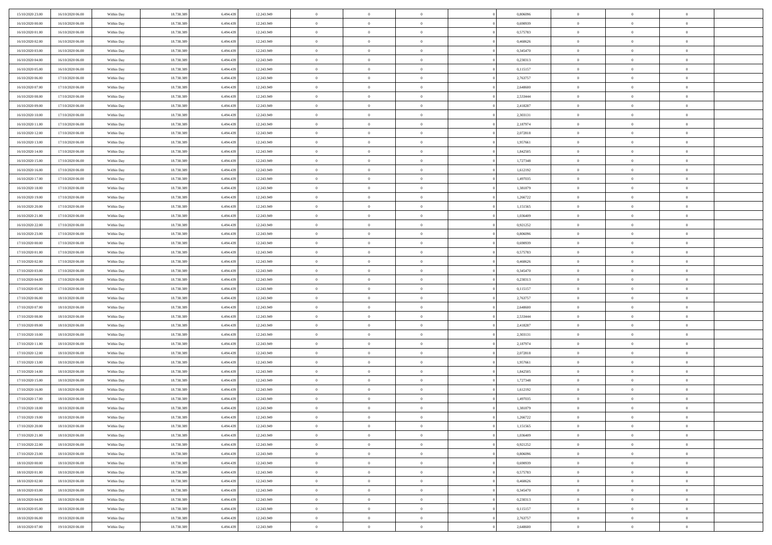| 15/10/2020 23.00 | 16/10/2020 06:00 | Within Day               | 18.738.389 | 6.494.439 | 12.243.949 | $\,$ 0 $\,$    | $\overline{0}$ | $\overline{0}$ |          | 0,806096 | $\bf{0}$       | $\overline{0}$ | $\,0\,$        |  |
|------------------|------------------|--------------------------|------------|-----------|------------|----------------|----------------|----------------|----------|----------|----------------|----------------|----------------|--|
| 16/10/2020 00:00 | 16/10/2020 06:00 | Within Day               | 18.738.389 | 6,494.43  | 12.243.949 | $\theta$       | $\overline{0}$ | $\mathbf{0}$   |          | 0.690939 | $\theta$       | $\overline{0}$ | $\theta$       |  |
| 16/10/2020 01:00 | 16/10/2020 06:00 | Within Day               | 18.738.389 | 6.494.439 | 12.243.949 | $\theta$       | $\overline{0}$ | $\overline{0}$ |          | 0,575783 | $\mathbf{0}$   | $\overline{0}$ | $\overline{0}$ |  |
| 16/10/2020 02.00 | 16/10/2020 06:00 | Within Day               | 18.738.389 | 6.494.439 | 12.243.949 | $\,$ 0 $\,$    | $\overline{0}$ | $\overline{0}$ |          | 0,460626 | $\bf{0}$       | $\overline{0}$ | $\bf{0}$       |  |
| 16/10/2020 03:00 | 16/10/2020 06:00 | Within Day               | 18.738.389 | 6.494.439 | 12.243.949 | $\bf{0}$       | $\overline{0}$ | $\mathbf{0}$   |          | 0,345470 | $\bf{0}$       | $\theta$       | $\,0\,$        |  |
| 16/10/2020 04:00 | 16/10/2020 06:00 | Within Day               | 18.738.389 | 6.494.439 | 12.243.949 | $\theta$       | $\overline{0}$ | $\mathbf{0}$   |          | 0,230313 | $\mathbf{0}$   | $\overline{0}$ | $\overline{0}$ |  |
| 16/10/2020 05:00 | 16/10/2020 06:00 | Within Day               | 18.738.389 | 6.494.439 | 12.243.949 | $\,$ 0 $\,$    | $\overline{0}$ | $\overline{0}$ |          | 0,115157 | $\bf{0}$       | $\overline{0}$ | $\,0\,$        |  |
|                  |                  |                          |            |           |            | $\overline{0}$ |                |                |          |          |                | $\overline{0}$ |                |  |
| 16/10/2020 06:00 | 17/10/2020 06:00 | Within Day               | 18.738.389 | 6,494,439 | 12.243.949 |                | $\overline{0}$ | $\mathbf{0}$   |          | 2,763757 | $\,$ 0 $\,$    |                | $\theta$       |  |
| 16/10/2020 07:00 | 17/10/2020 06:00 | Within Day               | 18.738.389 | 6.494.439 | 12.243.949 | $\theta$       | $\overline{0}$ | $\mathbf{0}$   |          | 2,648600 | $\mathbf{0}$   | $\overline{0}$ | $\overline{0}$ |  |
| 16/10/2020 08:00 | 17/10/2020 06.00 | Within Day               | 18.738.389 | 6.494.439 | 12.243.949 | $\,$ 0 $\,$    | $\overline{0}$ | $\Omega$       |          | 2,533444 | $\bf{0}$       | $\overline{0}$ | $\,0\,$        |  |
| 16/10/2020 09:00 | 17/10/2020 06.00 | Within Day               | 18.738.389 | 6.494.439 | 12.243.949 | $\bf{0}$       | $\overline{0}$ | $\mathbf{0}$   |          | 2,418287 | $\bf{0}$       | $\mathbf{0}$   | $\theta$       |  |
| 16/10/2020 10:00 | 17/10/2020 06:00 | Within Day               | 18.738.389 | 6.494.439 | 12.243.949 | $\theta$       | $\overline{0}$ | $\overline{0}$ |          | 2,303131 | $\mathbf{0}$   | $\overline{0}$ | $\overline{0}$ |  |
| 16/10/2020 11:00 | 17/10/2020 06:00 | Within Day               | 18.738.389 | 6.494.439 | 12.243.949 | $\,$ 0 $\,$    | $\overline{0}$ | $\overline{0}$ |          | 2,187974 | $\bf{0}$       | $\overline{0}$ | $\bf{0}$       |  |
| 16/10/2020 12:00 | 17/10/2020 06:00 | Within Day               | 18.738.389 | 6.494.439 | 12.243.949 | $\bf{0}$       | $\overline{0}$ | $\mathbf{0}$   |          | 2,072818 | $\bf{0}$       | $\theta$       | $\,0\,$        |  |
| 16/10/2020 13:00 | 17/10/2020 06:00 | Within Day               | 18.738.389 | 6.494.439 | 12.243.949 | $\theta$       | $\overline{0}$ | $\mathbf{0}$   |          | 1,957661 | $\mathbf{0}$   | $\overline{0}$ | $\overline{0}$ |  |
| 16/10/2020 14:00 | 17/10/2020 06.00 | Within Day               | 18.738.389 | 6.494.439 | 12.243.949 | $\,$ 0 $\,$    | $\overline{0}$ | $\Omega$       |          | 1,842505 | $\bf{0}$       | $\overline{0}$ | $\bf{0}$       |  |
| 16/10/2020 15:00 | 17/10/2020 06.00 | Within Day               | 18.738.389 | 6,494,439 | 12.243.949 | $\,$ 0         | $\overline{0}$ | $\mathbf{0}$   |          | 1,727348 | $\bf{0}$       | $\overline{0}$ | $\theta$       |  |
| 16/10/2020 16:00 | 17/10/2020 06:00 | Within Day               | 18.738.389 | 6.494.439 | 12.243.949 | $\theta$       | $\overline{0}$ | $\mathbf{0}$   |          | 1,612192 | $\mathbf{0}$   | $\overline{0}$ | $\overline{0}$ |  |
| 16/10/2020 17:00 | 17/10/2020 06.00 | Within Day               | 18.738.389 | 6.494.439 | 12.243.949 | $\,$ 0 $\,$    | $\overline{0}$ | $\Omega$       |          | 1,497035 | $\bf{0}$       | $\overline{0}$ | $\,0\,$        |  |
| 16/10/2020 18:00 | 17/10/2020 06.00 | Within Day               | 18.738.389 | 6,494,439 | 12.243.949 | $\bf{0}$       | $\overline{0}$ | $\mathbf{0}$   |          | 1,381879 | $\bf{0}$       | $\mathbf{0}$   | $\theta$       |  |
| 16/10/2020 19:00 | 17/10/2020 06:00 | Within Day               | 18.738.389 | 6.494.439 | 12.243.949 | $\theta$       | $\overline{0}$ | $\mathbf{0}$   |          | 1,266722 | $\mathbf{0}$   | $\overline{0}$ | $\overline{0}$ |  |
| 16/10/2020 20:00 | 17/10/2020 06.00 | Within Day               | 18.738.389 | 6.494.439 | 12.243.949 | $\,$ 0 $\,$    | $\overline{0}$ | $\overline{0}$ |          | 1,151565 | $\bf{0}$       | $\overline{0}$ | $\bf{0}$       |  |
| 16/10/2020 21:00 | 17/10/2020 06:00 | Within Day               | 18.738.389 | 6,494,439 | 12.243.949 | $\,$ 0         | $\overline{0}$ | $\mathbf{0}$   |          | 1,036409 | $\bf{0}$       | $\mathbf{0}$   | $\,0\,$        |  |
| 16/10/2020 22:00 | 17/10/2020 06:00 | Within Day               | 18.738.389 | 6.494.439 | 12.243.949 | $\theta$       | $\overline{0}$ | $\mathbf{0}$   |          | 0,921252 | $\mathbf{0}$   | $\overline{0}$ | $\overline{0}$ |  |
| 16/10/2020 23.00 | 17/10/2020 06.00 | Within Day               | 18.738.389 | 6.494.439 | 12.243.949 | $\,$ 0 $\,$    | $\overline{0}$ | $\overline{0}$ |          | 0,806096 | $\bf{0}$       | $\overline{0}$ | $\,0\,$        |  |
| 17/10/2020 00:00 | 17/10/2020 06.00 | Within Day               | 18.738.389 | 6,494,439 | 12.243.949 | $\,$ 0         | $\overline{0}$ | $\mathbf{0}$   |          | 0.690939 | $\bf{0}$       | $\overline{0}$ | $\theta$       |  |
| 17/10/2020 01:00 | 17/10/2020 06:00 | Within Day               | 18.738.389 | 6.494.439 | 12.243.949 | $\theta$       | $\overline{0}$ | $\overline{0}$ |          | 0,575783 | $\mathbf{0}$   | $\overline{0}$ | $\overline{0}$ |  |
| 17/10/2020 02.00 | 17/10/2020 06:00 | Within Day               | 18.738.389 | 6.494.439 | 12.243.949 | $\,$ 0 $\,$    | $\overline{0}$ | $\Omega$       |          | 0,460626 | $\bf{0}$       | $\overline{0}$ | $\,0\,$        |  |
| 17/10/2020 03:00 | 17/10/2020 06.00 | Within Day               | 18.738.389 | 6,494,439 | 12.243.949 | $\bf{0}$       | $\overline{0}$ | $\mathbf{0}$   |          | 0,345470 | $\bf{0}$       | $\mathbf{0}$   | $\overline{0}$ |  |
| 17/10/2020 04:00 | 17/10/2020 06:00 | Within Day               | 18.738.389 | 6.494.439 | 12.243.949 | $\theta$       | $\overline{0}$ | $\overline{0}$ |          | 0,230313 | $\mathbf{0}$   | $\overline{0}$ | $\overline{0}$ |  |
| 17/10/2020 05:00 | 17/10/2020 06:00 | Within Day               | 18.738.389 | 6.494.439 | 12.243.949 | $\theta$       | $\overline{0}$ | $\overline{0}$ |          | 0,115157 | $\,$ 0         | $\overline{0}$ | $\,$ 0 $\,$    |  |
| 17/10/2020 06:00 | 18/10/2020 06:00 |                          | 18.738.389 | 6,494,439 | 12.243.949 | $\bf{0}$       | $\overline{0}$ | $\mathbf{0}$   |          | 2,763757 | $\bf{0}$       | $\mathbf{0}$   | $\overline{0}$ |  |
| 17/10/2020 07:00 | 18/10/2020 06:00 | Within Day<br>Within Day | 18.738.389 | 6.494.439 | 12.243.949 | $\theta$       | $\overline{0}$ | $\mathbf{0}$   |          | 2,648600 | $\mathbf{0}$   | $\overline{0}$ | $\overline{0}$ |  |
|                  |                  |                          |            |           |            | $\theta$       | $\overline{0}$ | $\overline{0}$ |          |          | $\,$ 0         | $\overline{0}$ | $\theta$       |  |
| 17/10/2020 08:00 | 18/10/2020 06:00 | Within Day               | 18.738.389 | 6.494.439 | 12.243.949 |                |                |                |          | 2,533444 |                | $\overline{0}$ | $\overline{0}$ |  |
| 17/10/2020 09:00 | 18/10/2020 06:00 | Within Day               | 18.738.389 | 6.494.439 | 12.243.949 | $\bf{0}$       | $\overline{0}$ | $\mathbf{0}$   |          | 2,418287 | $\mathbf{0}$   |                |                |  |
| 17/10/2020 10:00 | 18/10/2020 06:00 | Within Day               | 18.738.389 | 6.494.439 | 12.243.949 | $\theta$       | $\overline{0}$ | $\mathbf{0}$   |          | 2,303131 | $\mathbf{0}$   | $\overline{0}$ | $\overline{0}$ |  |
| 17/10/2020 11:00 | 18/10/2020 06:00 | Within Day               | 18.738.389 | 6.494.439 | 12.243.949 | $\theta$       | $\overline{0}$ | $\overline{0}$ |          | 2,187974 | $\,$ 0         | $\overline{0}$ | $\theta$       |  |
| 17/10/2020 12.00 | 18/10/2020 06:00 | Within Day               | 18.738.389 | 6,494,439 | 12.243.949 | $\bf{0}$       | $\overline{0}$ | $\mathbf{0}$   |          | 2,072818 | $\bf{0}$       | $\mathbf{0}$   | $\overline{0}$ |  |
| 17/10/2020 13:00 | 18/10/2020 06:00 | Within Day               | 18.738.389 | 6.494.439 | 12.243.949 | $\theta$       | $\overline{0}$ | $\overline{0}$ |          | 1,957661 | $\mathbf{0}$   | $\overline{0}$ | $\overline{0}$ |  |
| 17/10/2020 14:00 | 18/10/2020 06:00 | Within Day               | 18.738.389 | 6.494.439 | 12.243.949 | $\,$ 0 $\,$    | $\overline{0}$ | $\overline{0}$ |          | 1,842505 | $\,$ 0         | $\overline{0}$ | $\,$ 0 $\,$    |  |
| 17/10/2020 15:00 | 18/10/2020 06:00 | Within Day               | 18.738.389 | 6.494.439 | 12.243.949 | $\,$ 0         | $\,$ 0 $\,$    | $\overline{0}$ |          | 1,727348 | $\,$ 0 $\,$    | $\overline{0}$ | $\overline{0}$ |  |
| 17/10/2020 16:00 | 18/10/2020 06:00 | Within Day               | 18.738.389 | 6.494.439 | 12.243.949 | $\theta$       | $\overline{0}$ | $\mathbf{0}$   |          | 1,612192 | $\mathbf{0}$   | $\overline{0}$ | $\overline{0}$ |  |
| 17/10/2020 17:00 | 18/10/2020 06:00 | Within Day               | 18.738.389 | 6.494.439 | 12.243.949 | $\overline{0}$ | $\overline{0}$ | $\overline{0}$ |          | 1,497035 | $\,$ 0         | $\overline{0}$ | $\theta$       |  |
| 17/10/2020 18:00 | 18/10/2020 06:00 | Within Day               | 18.738.389 | 6.494.439 | 12.243.949 | $\bf{0}$       | $\overline{0}$ | $\mathbf{0}$   |          | 1,381879 | $\bf{0}$       | $\overline{0}$ | $\overline{0}$ |  |
| 17/10/2020 19:00 | 18/10/2020 06:00 | Within Day               | 18.738.389 | 6.494.439 | 12.243.949 | $\overline{0}$ | $\theta$       |                |          | 1,266722 | $\overline{0}$ | $\theta$       | $\theta$       |  |
| 17/10/2020 20:00 | 18/10/2020 06:00 | Within Day               | 18.738.389 | 6.494.439 | 12.243.949 | $\,$ 0 $\,$    | $\overline{0}$ | $\overline{0}$ |          | 1,151565 | $\,$ 0 $\,$    | $\bf{0}$       | $\theta$       |  |
| 17/10/2020 21.00 | 18/10/2020 06:00 | Within Day               | 18.738.389 | 6.494.439 | 12.243.949 | $\bf{0}$       | $\,$ 0 $\,$    | $\mathbf{0}$   |          | 1,036409 | $\,$ 0 $\,$    | $\overline{0}$ | $\overline{0}$ |  |
| 17/10/2020 22.00 | 18/10/2020 06:00 | Within Day               | 18.738.389 | 6.494.439 | 12.243.949 | $\overline{0}$ | $\overline{0}$ | $\overline{0}$ |          | 0,921252 | $\,$ 0 $\,$    | $\bf{0}$       | $\mathbf{0}$   |  |
| 17/10/2020 23:00 | 18/10/2020 06:00 | Within Day               | 18.738.389 | 6.494.439 | 12.243.949 | $\,$ 0 $\,$    | $\overline{0}$ | $\overline{0}$ | $\theta$ | 0,806096 | $\,$ 0 $\,$    | $\bf{0}$       | $\,$ 0 $\,$    |  |
| 18/10/2020 00:00 | 18/10/2020 06:00 | Within Day               | 18.738.389 | 6.494.439 | 12.243.949 | $\,$ 0 $\,$    | $\,$ 0 $\,$    | $\overline{0}$ |          | 0,690939 | $\,$ 0 $\,$    | $\overline{0}$ | $\overline{0}$ |  |
| 18/10/2020 01:00 | 18/10/2020 06:00 | Within Day               | 18.738.389 | 6.494.439 | 12.243.949 | $\overline{0}$ | $\overline{0}$ | $\overline{0}$ |          | 0,575783 | $\mathbf{0}$   | $\overline{0}$ | $\overline{0}$ |  |
| 18/10/2020 02:00 | 18/10/2020 06:00 | Within Day               | 18.738.389 | 6.494.439 | 12.243.949 | $\,$ 0 $\,$    | $\overline{0}$ | $\overline{0}$ |          | 0,460626 | $\,$ 0 $\,$    | $\overline{0}$ | $\,$ 0 $\,$    |  |
| 18/10/2020 03:00 | 18/10/2020 06:00 | Within Day               | 18.738.389 | 6,494,439 | 12.243.949 | $\bf{0}$       | $\overline{0}$ | $\overline{0}$ |          | 0,345470 | $\,$ 0 $\,$    | $\overline{0}$ | $\overline{0}$ |  |
| 18/10/2020 04:00 | 18/10/2020 06:00 | Within Day               | 18.738.389 | 6.494.439 | 12.243.949 | $\overline{0}$ | $\overline{0}$ | $\overline{0}$ |          | 0,230313 | $\mathbf{0}$   | $\bf{0}$       | $\overline{0}$ |  |
| 18/10/2020 05:00 | 18/10/2020 06:00 | Within Day               | 18.738.389 | 6.494.439 | 12.243.949 | $\,$ 0 $\,$    | $\overline{0}$ | $\overline{0}$ |          | 0,115157 | $\,$ 0 $\,$    | $\mathbf{0}$   | $\,$ 0 $\,$    |  |
| 18/10/2020 06:00 | 19/10/2020 06.00 | Within Day               | 18.738.389 | 6.494.439 | 12.243.949 | $\,$ 0 $\,$    | $\overline{0}$ | $\overline{0}$ |          | 2,763757 | $\bf{0}$       | $\overline{0}$ | $\overline{0}$ |  |
| 18/10/2020 07:00 | 19/10/2020 06:00 | Within Day               | 18.738.389 | 6.494.439 | 12.243.949 | $\theta$       | $\overline{0}$ | $\overline{0}$ |          | 2,648600 | $\mathbf{0}$   | $\overline{0}$ | $\overline{0}$ |  |
|                  |                  |                          |            |           |            |                |                |                |          |          |                |                |                |  |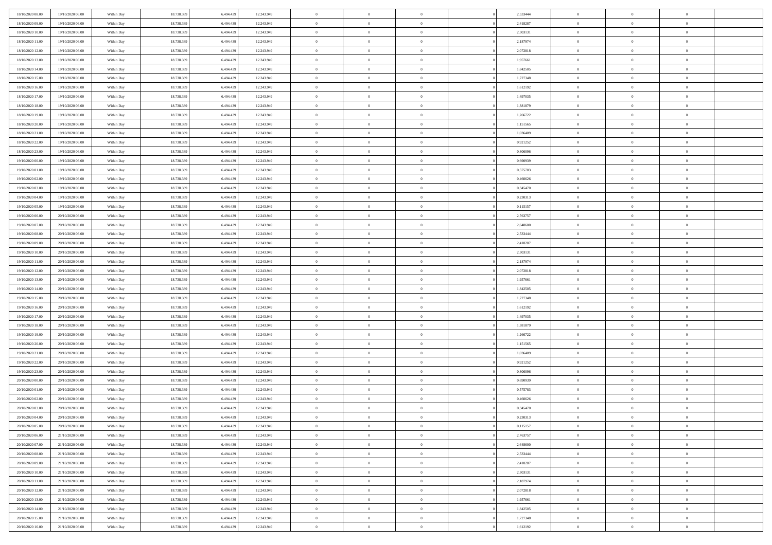| 18/10/2020 08:00                     | 19/10/2020 06:00 | Within Day | 18.738.389 | 6.494.43  | 12.243.949 | $\bf{0}$       | $\bf{0}$                         | $\Omega$                         | 2,533444 | $\bf{0}$       | $\overline{0}$ | $\bf{0}$       |  |
|--------------------------------------|------------------|------------|------------|-----------|------------|----------------|----------------------------------|----------------------------------|----------|----------------|----------------|----------------|--|
| 18/10/2020 09:00                     | 19/10/2020 06:00 | Within Day | 18.738.389 | 6,494.43  | 12.243.949 | $\overline{0}$ | $\overline{0}$                   | $\Omega$                         | 2,418287 | $\overline{0}$ | $\theta$       | $\theta$       |  |
| 18/10/2020 10:00                     | 19/10/2020 06:00 | Within Day | 18.738.389 | 6.494.439 | 12.243.949 | $\overline{0}$ | $\overline{0}$                   | $\overline{0}$                   | 2,303131 | $\mathbf{0}$   | $\overline{0}$ | $\theta$       |  |
| 18/10/2020 11:00                     | 19/10/2020 06:00 | Within Day | 18.738.389 | 6.494.439 | 12.243.949 | $\bf{0}$       | $\overline{0}$                   | $\overline{0}$                   | 2,187974 | $\mathbf{0}$   | $\overline{0}$ | $\bf{0}$       |  |
| 18/10/2020 12:00                     | 19/10/2020 06:00 | Within Day | 18.738.389 | 6.494.439 | 12.243.949 | $\bf{0}$       | $\overline{0}$                   | $\overline{0}$                   | 2,072818 | $\bf{0}$       | $\overline{0}$ | $\bf{0}$       |  |
| 18/10/2020 13:00                     | 19/10/2020 06:00 | Within Day | 18.738.389 | 6.494.439 | 12.243.949 | $\overline{0}$ | $\overline{0}$                   | $\overline{0}$                   | 1,957661 | $\mathbf{0}$   | $\overline{0}$ | $\theta$       |  |
| 18/10/2020 14:00                     | 19/10/2020 06:00 | Within Day | 18.738.389 | 6.494.439 | 12.243.949 | $\bf{0}$       | $\overline{0}$                   | $\overline{0}$                   | 1,842505 | $\bf{0}$       | $\overline{0}$ | $\bf{0}$       |  |
| 18/10/2020 15:00                     | 19/10/2020 06:00 | Within Day | 18.738.389 | 6.494.43  | 12.243.949 | $\overline{0}$ | $\overline{0}$                   | $\overline{0}$                   | 1,727348 | $\mathbf{0}$   | $\theta$       | $\theta$       |  |
| 18/10/2020 16:00                     | 19/10/2020 06:00 | Within Day | 18.738.389 | 6.494.439 | 12.243.949 | $\overline{0}$ | $\overline{0}$                   | $\overline{0}$                   | 1,612192 | $\mathbf{0}$   | $\overline{0}$ | $\theta$       |  |
| 18/10/2020 17:00                     | 19/10/2020 06:00 |            | 18.738.389 | 6.494.439 | 12.243.949 | $\bf{0}$       | $\overline{0}$                   | $\Omega$                         | 1,497035 | $\bf{0}$       | $\overline{0}$ | $\bf{0}$       |  |
|                                      |                  | Within Day |            | 6.494.43  |            | $\bf{0}$       |                                  | $\overline{0}$                   |          |                | $\theta$       | $\theta$       |  |
| 18/10/2020 18:00<br>18/10/2020 19:00 | 19/10/2020 06:00 | Within Day | 18.738.389 |           | 12.243.949 | $\overline{0}$ | $\overline{0}$<br>$\overline{0}$ |                                  | 1,381879 | $\mathbf{0}$   |                | $\theta$       |  |
|                                      | 19/10/2020 06:00 | Within Day | 18.738.389 | 6.494.439 | 12.243.949 |                |                                  | $\overline{0}$<br>$\overline{0}$ | 1,266722 | $\mathbf{0}$   | $\overline{0}$ |                |  |
| 18/10/2020 20:00                     | 19/10/2020 06:00 | Within Day | 18.738.389 | 6.494.439 | 12.243.949 | $\bf{0}$       | $\overline{0}$                   |                                  | 1,151565 | $\mathbf{0}$   | $\overline{0}$ | $\bf{0}$       |  |
| 18/10/2020 21:00                     | 19/10/2020 06:00 | Within Day | 18.738.389 | 6.494.439 | 12.243.949 | $\bf{0}$       | $\overline{0}$                   | $\overline{0}$                   | 1,036409 | $\bf{0}$       | $\theta$       | $\bf{0}$       |  |
| 18/10/2020 22.00                     | 19/10/2020 06:00 | Within Day | 18.738.389 | 6.494.439 | 12.243.949 | $\overline{0}$ | $\overline{0}$                   | $\overline{0}$                   | 0,921252 | $\overline{0}$ | $\overline{0}$ | $\theta$       |  |
| 18/10/2020 23.00                     | 19/10/2020 06:00 | Within Day | 18.738.389 | 6.494.439 | 12.243.949 | $\bf{0}$       | $\overline{0}$                   | $\Omega$                         | 0,806096 | $\bf{0}$       | $\overline{0}$ | $\bf{0}$       |  |
| 19/10/2020 00:00                     | 19/10/2020 06:00 | Within Day | 18.738.389 | 6.494.43  | 12.243.949 | $\,$ 0 $\,$    | $\overline{0}$                   | $\overline{0}$                   | 0.690939 | $\mathbf{0}$   | $\theta$       | $\theta$       |  |
| 19/10/2020 01:00                     | 19/10/2020 06:00 | Within Day | 18.738.389 | 6.494.439 | 12.243.949 | $\overline{0}$ | $\overline{0}$                   | $\overline{0}$                   | 0,575783 | $\mathbf{0}$   | $\overline{0}$ | $\theta$       |  |
| 19/10/2020 02:00                     | 19/10/2020 06:00 | Within Day | 18.738.389 | 6.494.439 | 12.243.949 | $\bf{0}$       | $\overline{0}$                   | $\Omega$                         | 0,460626 | $\bf{0}$       | $\overline{0}$ | $\bf{0}$       |  |
| 19/10/2020 03:00                     | 19/10/2020 06:00 | Within Day | 18.738.389 | 6.494.439 | 12.243.949 | $\bf{0}$       | $\overline{0}$                   | $\overline{0}$                   | 0,345470 | $\mathbf{0}$   | $\mathbf{0}$   | $\overline{0}$ |  |
| 19/10/2020 04:00                     | 19/10/2020 06:00 | Within Day | 18.738.389 | 6.494.439 | 12.243.949 | $\overline{0}$ | $\overline{0}$                   | $\overline{0}$                   | 0,230313 | $\mathbf{0}$   | $\overline{0}$ | $\theta$       |  |
| 19/10/2020 05:00                     | 19/10/2020 06:00 | Within Day | 18.738.389 | 6.494.439 | 12.243.949 | $\bf{0}$       | $\overline{0}$                   | $\overline{0}$                   | 0,115157 | $\mathbf{0}$   | $\overline{0}$ | $\bf{0}$       |  |
| 19/10/2020 06:00                     | 20/10/2020 06:00 | Within Day | 18.738.389 | 6.494.43  | 12.243.949 | $\bf{0}$       | $\overline{0}$                   | $\overline{0}$                   | 2,763757 | $\,$ 0 $\,$    | $\overline{0}$ | $\bf{0}$       |  |
| 19/10/2020 07:00                     | 20/10/2020 06:00 | Within Day | 18.738.389 | 6.494.439 | 12.243.949 | $\overline{0}$ | $\overline{0}$                   | $\overline{0}$                   | 2,648600 | $\mathbf{0}$   | $\overline{0}$ | $\theta$       |  |
| 19/10/2020 08:00                     | 20/10/2020 06:00 | Within Day | 18.738.389 | 6.494.439 | 12.243.949 | $\bf{0}$       | $\overline{0}$                   | $\overline{0}$                   | 2,533444 | $\bf{0}$       | $\overline{0}$ | $\bf{0}$       |  |
| 19/10/2020 09:00                     | 20/10/2020 06:00 | Within Day | 18.738.389 | 6,494.43  | 12.243.949 | $\bf{0}$       | $\overline{0}$                   | $\overline{0}$                   | 2,418287 | $\mathbf{0}$   | $\overline{0}$ | $\overline{0}$ |  |
| 19/10/2020 10:00                     | 20/10/2020 06:00 | Within Day | 18.738.389 | 6.494.439 | 12.243.949 | $\overline{0}$ | $\overline{0}$                   | $\overline{0}$                   | 2,303131 | $\mathbf{0}$   | $\overline{0}$ | $\theta$       |  |
| 19/10/2020 11:00                     | 20/10/2020 06:00 | Within Day | 18.738.389 | 6.494.439 | 12.243.949 | $\bf{0}$       | $\overline{0}$                   | $\Omega$                         | 2,187974 | $\mathbf{0}$   | $\overline{0}$ | $\bf{0}$       |  |
| 19/10/2020 12:00                     | 20/10/2020 06:00 | Within Day | 18.738.389 | 6.494.439 | 12.243.949 | $\bf{0}$       | $\overline{0}$                   | $\overline{0}$                   | 2,072818 | $\mathbf{0}$   | $\theta$       | $\overline{0}$ |  |
| 19/10/2020 13:00                     | 20/10/2020 06:00 | Within Day | 18.738.389 | 6.494.439 | 12.243.949 | $\overline{0}$ | $\overline{0}$                   | $\overline{0}$                   | 1,957661 | $\mathbf{0}$   | $\overline{0}$ | $\theta$       |  |
| 19/10/2020 14:00                     | 20/10/2020 06:00 | Within Day | 18.738.389 | 6.494.439 | 12.243.949 | $\,$ 0         | $\overline{0}$                   | $\overline{0}$                   | 1,842505 | $\,$ 0 $\,$    | $\overline{0}$ | $\,$ 0 $\,$    |  |
| 19/10/2020 15:00                     | 20/10/2020 06:00 | Within Day | 18.738.389 | 6.494.439 | 12.243.949 | $\bf{0}$       | $\overline{0}$                   | $\overline{0}$                   | 1,727348 | $\mathbf{0}$   | $\overline{0}$ | $\bf{0}$       |  |
| 19/10/2020 16:00                     | 20/10/2020 06:00 | Within Day | 18.738.389 | 6.494.439 | 12.243.949 | $\overline{0}$ | $\overline{0}$                   | $\overline{0}$                   | 1,612192 | $\mathbf{0}$   | $\overline{0}$ | $\theta$       |  |
| 19/10/2020 17:00                     | 20/10/2020 06:00 | Within Day | 18.738.389 | 6.494.439 | 12.243.949 | $\,$ 0         | $\overline{0}$                   | $\theta$                         | 1,497035 | $\,$ 0         | $\overline{0}$ | $\mathbf{0}$   |  |
| 19/10/2020 18:00                     | 20/10/2020 06:00 | Within Day | 18.738.389 | 6.494.439 | 12.243.949 | $\bf{0}$       | $\overline{0}$                   | $\overline{0}$                   | 1,381879 | $\mathbf{0}$   | $\overline{0}$ | $\overline{0}$ |  |
| 19/10/2020 19:00                     | 20/10/2020 06:00 | Within Day | 18.738.389 | 6.494.439 | 12.243.949 | $\overline{0}$ | $\overline{0}$                   | $\overline{0}$                   | 1,266722 | $\mathbf{0}$   | $\overline{0}$ | $\theta$       |  |
| 19/10/2020 20:00                     | 20/10/2020 06:00 | Within Day | 18.738.389 | 6.494.439 | 12.243.949 | $\overline{0}$ | $\overline{0}$                   | $\overline{0}$                   | 1,151565 | $\,$ 0 $\,$    | $\overline{0}$ | $\mathbf{0}$   |  |
| 19/10/2020 21:00                     | 20/10/2020 06:00 | Within Day | 18.738.389 | 6.494.43  | 12.243.949 | $\bf{0}$       | $\overline{0}$                   | $\overline{0}$                   | 1,036409 | $\mathbf{0}$   | $\mathbf{0}$   | $\bf{0}$       |  |
| 19/10/2020 22.00                     | 20/10/2020 06:00 | Within Day | 18.738.389 | 6.494.439 | 12.243.949 | $\overline{0}$ | $\overline{0}$                   | $\overline{0}$                   | 0,921252 | $\mathbf{0}$   | $\overline{0}$ | $\theta$       |  |
| 19/10/2020 23.00                     | 20/10/2020 06:00 | Within Day | 18.738.389 | 6.494.439 | 12.243.949 | $\,$ 0         | $\overline{0}$                   | $\overline{0}$                   | 0,806096 | $\,$ 0 $\,$    | $\overline{0}$ | $\,$ 0 $\,$    |  |
| 20/10/2020 00:00                     | 20/10/2020 06:00 | Within Day | 18.738.389 | 6.494.439 | 12.243.949 | $\,$ 0 $\,$    | $\,$ 0 $\,$                      | $\overline{0}$                   | 0,690939 | $\,$ 0 $\,$    | $\overline{0}$ | $\overline{0}$ |  |
| 20/10/2020 01:00                     | 20/10/2020 06:00 | Within Day | 18.738.389 | 6.494.439 | 12.243.949 | $\overline{0}$ | $\overline{0}$                   | $\overline{0}$                   | 0,575783 | $\mathbf{0}$   | $\overline{0}$ | $\theta$       |  |
| 20/10/2020 02:00                     | 20/10/2020 06:00 | Within Day | 18.738.389 | 6.494.439 | 12.243.949 | $\overline{0}$ | $\overline{0}$                   | $\overline{0}$                   | 0,460626 | $\overline{0}$ | $\overline{0}$ | $\mathbf{0}$   |  |
| 20/10/2020 03:00                     | 20/10/2020 06:00 | Within Day | 18.738.389 | 6.494.43  | 12.243.949 | $\bf{0}$       | $\overline{0}$                   | $\overline{0}$                   | 0,345470 | $\mathbf{0}$   | $\overline{0}$ | $\overline{0}$ |  |
| 20/10/2020 04:00                     | 20/10/2020 06:00 | Within Day | 18.738.389 | 6.494.439 | 12.243.949 | $\overline{0}$ | $\theta$                         |                                  | 0,230313 | $\overline{0}$ | $\Omega$       | $\overline{0}$ |  |
| 20/10/2020 05:00                     | 20/10/2020 06:00 | Within Day | 18.738.389 | 6.494.439 | 12.243.949 | $\,$ 0 $\,$    | $\overline{0}$                   | $\overline{0}$                   | 0,115157 | $\,$ 0 $\,$    | $\bf{0}$       | $\,$ 0 $\,$    |  |
| 20/10/2020 06:00                     | 21/10/2020 06:00 | Within Day | 18.738.389 | 6,494.43  | 12.243.949 | $\mathbf{0}$   | $\overline{0}$                   | $\overline{0}$                   | 2,763757 | $\,$ 0 $\,$    | $\overline{0}$ | $\overline{0}$ |  |
| 20/10/2020 07:00                     | 21/10/2020 06:00 | Within Day | 18.738.389 | 6.494.439 | 12.243.949 | $\mathbf{0}$   | $\overline{0}$                   | $\overline{0}$                   | 2,648600 | $\mathbf{0}$   | $\bf{0}$       | $\overline{0}$ |  |
| 20/10/2020 08:00                     | 21/10/2020 06:00 | Within Day | 18.738.389 | 6.494.439 | 12.243.949 | $\,$ 0 $\,$    | $\overline{0}$                   | $\overline{0}$                   | 2,533444 | $\,$ 0 $\,$    | $\bf{0}$       | $\theta$       |  |
| 20/10/2020 09:00                     | 21/10/2020 06.00 | Within Day | 18.738.389 | 6.494.439 | 12.243.949 | $\,$ 0 $\,$    | $\,$ 0 $\,$                      | $\overline{0}$                   | 2,418287 | $\,$ 0 $\,$    | $\overline{0}$ | $\overline{0}$ |  |
| 20/10/2020 10:00                     | 21/10/2020 06:00 | Within Day | 18.738.389 | 6.494.439 | 12.243.949 | $\mathbf{0}$   | $\overline{0}$                   | $\overline{0}$                   | 2,303131 | $\mathbf{0}$   | $\bf{0}$       | $\overline{0}$ |  |
| 20/10/2020 11:00                     | 21/10/2020 06:00 | Within Day | 18.738.389 | 6.494.439 | 12.243.949 | $\,$ 0 $\,$    | $\overline{0}$                   | $\overline{0}$                   | 2,187974 | $\,$ 0 $\,$    | $\mathbf{0}$   | $\theta$       |  |
| 20/10/2020 12:00                     | 21/10/2020 06.00 | Within Day | 18.738.389 | 6.494.439 | 12.243.949 | $\mathbf{0}$   | $\overline{0}$                   | $\overline{0}$                   | 2,072818 | $\,$ 0 $\,$    | $\overline{0}$ | $\overline{0}$ |  |
| 20/10/2020 13:00                     | 21/10/2020 06:00 | Within Day | 18.738.389 | 6.494.439 | 12.243.949 | $\mathbf{0}$   | $\overline{0}$                   | $\overline{0}$                   | 1,957661 | $\mathbf{0}$   | $\bf{0}$       | $\overline{0}$ |  |
| 20/10/2020 14:00                     | 21/10/2020 06:00 | Within Day | 18.738.389 | 6.494.439 | 12.243.949 | $\,$ 0 $\,$    | $\overline{0}$                   | $\overline{0}$                   | 1,842505 | $\,$ 0 $\,$    | $\mathbf{0}$   | $\theta$       |  |
| 20/10/2020 15:00                     | 21/10/2020 06.00 | Within Day | 18.738.389 | 6.494.439 | 12.243.949 | $\mathbf{0}$   | $\overline{0}$                   | $\overline{0}$                   | 1,727348 | $\,$ 0 $\,$    | $\overline{0}$ | $\overline{0}$ |  |
| 20/10/2020 16:00                     | 21/10/2020 06:00 | Within Day | 18.738.389 | 6.494.439 | 12.243.949 | $\overline{0}$ | $\overline{0}$                   | $\overline{0}$                   | 1,612192 | $\mathbf{0}$   | $\mathbf{0}$   | $\overline{0}$ |  |
|                                      |                  |            |            |           |            |                |                                  |                                  |          |                |                |                |  |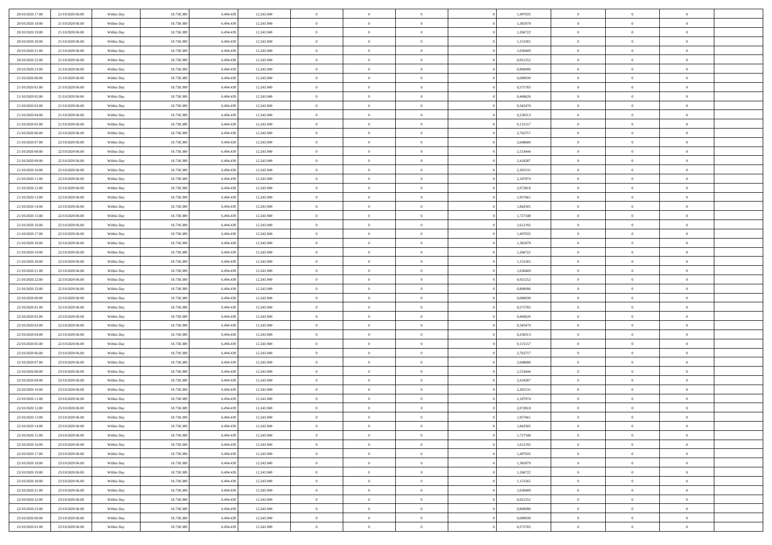| 20/10/2020 17:00                     | 21/10/2020 06.00                     | Within Day               | 18.738.389               | 6.494.439              | 12.243.949               | $\bf{0}$                   | $\overline{0}$                   | $\Omega$                         | 1,497035             | $\bf{0}$                      | $\overline{0}$             | $\bf{0}$                         |  |
|--------------------------------------|--------------------------------------|--------------------------|--------------------------|------------------------|--------------------------|----------------------------|----------------------------------|----------------------------------|----------------------|-------------------------------|----------------------------|----------------------------------|--|
| 20/10/2020 18:00                     | 21/10/2020 06:00                     | Within Dav               | 18.738.389               | 6.494.439              | 12.243.949               | $\theta$                   | $\overline{0}$                   | $\overline{0}$                   | 1,381879             | $\mathbf{0}$                  | $\bf{0}$                   | $\overline{0}$                   |  |
| 20/10/2020 19:00                     | 21/10/2020 06:00                     | Within Day               | 18.738.389               | 6.494.439              | 12.243.949               | $\theta$                   | $\overline{0}$                   | $\bf{0}$                         | 1,266722             | $\,$ 0                        | $\overline{0}$             | $\,$ 0 $\,$                      |  |
| 20/10/2020 20:00                     | 21/10/2020 06.00                     | Within Day               | 18.738.389               | 6.494.439              | 12.243.949               | $\overline{0}$             | $\overline{0}$                   | $\mathbf{0}$                     | 1,151565             | $\bf{0}$                      | $\mathbf{0}$               | $\theta$                         |  |
| 20/10/2020 21:00                     | 21/10/2020 06:00                     | Within Dav               | 18.738.389               | 6.494.439              | 12.243.949               | $\mathbf{0}$               | $\overline{0}$                   | $\overline{0}$                   | 1,036409             | $\mathbf{0}$                  | $\bf{0}$                   | $\overline{0}$                   |  |
| 20/10/2020 22:00                     | 21/10/2020 06:00                     | Within Day               | 18.738.389               | 6.494.439              | 12.243.949               | $\theta$                   | $\overline{0}$                   | $\bf{0}$                         | 0,921252             | $\,$ 0                        | $\overline{0}$             | $\,$ 0 $\,$                      |  |
| 20/10/2020 23:00                     | 21/10/2020 06.00                     | Within Day               | 18.738.389               | 6.494.439              | 12.243.949               | $\,$ 0 $\,$                | $\overline{0}$                   | $\Omega$                         | 0.806096             | $\bf{0}$                      | $\mathbf{0}$               | $\theta$                         |  |
| 21/10/2020 00:00                     | 21/10/2020 06:00                     | Within Dav               | 18.738.389               | 6.494.439              | 12.243.949               | $\overline{0}$             | $\overline{0}$                   | $\overline{0}$                   | 0,690939             | $\mathbf{0}$                  | $\bf{0}$                   | $\overline{0}$                   |  |
| 21/10/2020 01:00                     | 21/10/2020 06:00                     | Within Day               | 18.738.389               | 6.494.439              | 12.243.949               | $\theta$                   | $\overline{0}$                   | $\overline{0}$                   | 0,575783             | $\,$ 0                        | $\overline{0}$             | $\,$ 0 $\,$                      |  |
| 21/10/2020 02.00                     | 21/10/2020 06.00                     | Within Day               | 18,738,389               | 6,494,439              | 12.243.949               | $\overline{0}$             | $\overline{0}$                   | $\mathbf{0}$                     | 0.460626             | $\bf{0}$                      | $\mathbf{0}$               | $\theta$                         |  |
| 21/10/2020 03:00                     | 21/10/2020 06:00                     | Within Dav               | 18.738.389               | 6.494.439              | 12.243.949               | $\overline{0}$             | $\overline{0}$                   | $\overline{0}$                   | 0,345470             | $\mathbf{0}$                  | $\bf{0}$                   | $\overline{0}$                   |  |
| 21/10/2020 04:00                     | 21/10/2020 06:00                     | Within Day               | 18.738.389               | 6.494.439              | 12.243.949               | $\theta$                   | $\overline{0}$                   | $\bf{0}$                         | 0,230313             | $\,$ 0                        | $\overline{0}$             | $\,$ 0 $\,$                      |  |
| 21/10/2020 05:00                     | 21/10/2020 06.00                     | Within Day               | 18.738.389               | 6.494.439              | 12.243.949               | $\theta$                   | $\overline{0}$                   | $\mathbf{0}$                     | 0,115157             | $\bf{0}$                      | $\mathbf{0}$               | $\theta$                         |  |
| 21/10/2020 06:00                     | 22/10/2020 06:00                     | Within Dav               | 18.738.389               | 6.494.439              | 12.243.949               | $\overline{0}$             | $\overline{0}$                   | $\overline{0}$                   | 2,763757             | $\mathbf{0}$                  | $\bf{0}$                   | $\overline{0}$                   |  |
| 21/10/2020 07:00                     | 22/10/2020 06:00                     | Within Day               | 18.738.389               | 6.494.439              | 12.243.949               | $\theta$                   | $\overline{0}$                   | $\overline{0}$                   | 2,648600             | $\,$ 0                        | $\overline{0}$             | $\,$ 0 $\,$                      |  |
| 21/10/2020 08:00                     | 22/10/2020 06.00                     | Within Day               | 18.738.389               | 6.494.439              | 12.243.949               | $\bf{0}$                   | $\overline{0}$                   | $\mathbf{0}$                     | 2,533444             | $\bf{0}$                      | $\mathbf{0}$               | $\bf{0}$                         |  |
| 21/10/2020 09:00                     | 22/10/2020 06:00                     | Within Dav               | 18.738.389               | 6.494.439              | 12.243.949               | $\theta$                   | $\overline{0}$                   | $\overline{0}$                   | 2,418287             | $\mathbf{0}$                  | $\bf{0}$                   | $\overline{0}$                   |  |
| 21/10/2020 10:00                     | 22/10/2020 06:00                     | Within Day               | 18.738.389               | 6.494.439              | 12.243.949               | $\theta$                   | $\overline{0}$                   | $\bf{0}$                         | 2,303131             | $\,$ 0                        | $\overline{0}$             | $\,$ 0 $\,$                      |  |
| 21/10/2020 11:00                     | 22/10/2020 06.00                     | Within Day               | 18.738.389               | 6.494.439              | 12.243.949               | $\mathbf{0}$               | $\overline{0}$                   | $\mathbf{0}$                     | 2,187974             | $\theta$                      | $\mathbf{0}$               | $\theta$                         |  |
| 21/10/2020 12:00                     | 22/10/2020 06:00                     | Within Dav               | 18.738.389               | 6.494.439              | 12.243.949               | $\overline{0}$             | $\overline{0}$                   | $\overline{0}$                   | 2,072818             | $\mathbf{0}$                  | $\bf{0}$                   | $\overline{0}$                   |  |
| 21/10/2020 13:00                     | 22/10/2020 06:00                     | Within Day               | 18.738.389               | 6.494.439              | 12.243.949               | $\theta$                   | $\overline{0}$                   | $\bf{0}$                         | 1,957661             | $\,$ 0                        | $\overline{0}$             | $\,$ 0 $\,$                      |  |
| 21/10/2020 14:00                     | 22/10/2020 06.00                     | Within Day               | 18.738.389               | 6.494.439              | 12.243.949               | $\mathbf{0}$               | $\overline{0}$                   | $\mathbf{0}$                     | 1.842505             | $\bf{0}$                      | $\mathbf{0}$               | $\theta$                         |  |
| 21/10/2020 15:00                     | 22/10/2020 06:00                     | Within Dav               | 18.738.389               | 6.494.439              | 12.243.949               | $\overline{0}$             | $\overline{0}$                   | $\overline{0}$                   | 1,727348             | $\mathbf{0}$                  | $\bf{0}$                   | $\overline{0}$                   |  |
| 21/10/2020 16:00                     | 22/10/2020 06:00                     | Within Day               | 18.738.389               | 6.494.439              | 12.243.949               | $\theta$                   | $\overline{0}$                   | $\bf{0}$                         | 1,612192             | $\,$ 0                        | $\overline{0}$             | $\,$ 0 $\,$                      |  |
| 21/10/2020 17.00                     | 22/10/2020 06:00                     | Within Day               | 18.738.389               | 6.494.439              | 12.243.949               | $\bf{0}$                   | $\overline{0}$                   | $\mathbf{0}$                     | 1.497035             | $\bf{0}$                      | $\bf{0}$                   | $\bf{0}$                         |  |
| 21/10/2020 18:00                     | 22/10/2020 06:00                     | Within Dav               | 18.738.389               | 6.494.439              | 12.243.949               | $\theta$                   | $\overline{0}$                   | $\overline{0}$                   | 1,381879             | $\mathbf{0}$                  | $\bf{0}$                   | $\overline{0}$                   |  |
| 21/10/2020 19:00                     | 22/10/2020 06:00                     | Within Day               | 18.738.389               | 6.494.439              | 12.243.949               | $\theta$                   | $\overline{0}$                   | $\overline{0}$                   | 1,266722             | $\,$ 0                        | $\overline{0}$             | $\,$ 0 $\,$                      |  |
| 21/10/2020 20:00                     | 22/10/2020 06.00                     | Within Day               | 18,738,389               | 6,494,439              | 12.243.949               | $\mathbf{0}$               | $\overline{0}$                   | $\mathbf{0}$                     | 1.151565             | $\bf{0}$                      | $\mathbf{0}$               | $\theta$                         |  |
| 21/10/2020 21:00                     | 22/10/2020 06:00                     | Within Dav               | 18.738.389               | 6.494.439              | 12.243.949               | $\overline{0}$             | $\overline{0}$                   | $\overline{0}$                   | 1,036409             | $\mathbf{0}$                  | $\bf{0}$                   | $\overline{0}$                   |  |
| 21/10/2020 22.00                     | 22/10/2020 06:00                     | Within Day               | 18.738.389               | 6.494.439              | 12.243.949               | $\theta$                   | $\overline{0}$                   | $\bf{0}$                         | 0,921252             | $\,$ 0                        | $\overline{0}$             | $\,$ 0 $\,$                      |  |
| 21/10/2020 23.00                     | 22/10/2020 06:00                     | Within Day               | 18.738.389               | 6.494.439              | 12.243.949               | $\bf{0}$                   | $\overline{0}$                   | $\overline{0}$                   | 0,806096             | $\bf{0}$                      | $\overline{0}$             | $\,0\,$                          |  |
| 22/10/2020 00:00                     | 22/10/2020 06:00                     | Within Dav               | 18.738.389               | 6.494.439              | 12.243.949               | $\overline{0}$             | $\overline{0}$                   | $\overline{0}$                   | 0,690939             | $\mathbf{0}$                  | $\bf{0}$                   | $\overline{0}$                   |  |
| 22/10/2020 01:00                     | 22/10/2020 06:00                     | Within Day               | 18.738.389               | 6.494.439              | 12.243.949               | $\theta$                   | $\overline{0}$                   | $\overline{0}$                   | 0,575783             | $\,$ 0                        | $\overline{0}$             | $\,$ 0 $\,$                      |  |
| 22/10/2020 02.00                     | 22/10/2020 06.00                     | Within Day               | 18.738.389               | 6.494.439              | 12.243.949               | $\,$ 0 $\,$                | $\overline{0}$                   | $\overline{0}$                   | 0,460626             | $\bf{0}$                      | $\overline{0}$             | $\,0\,$                          |  |
| 22/10/2020 03:00                     | 22/10/2020 06:00                     | Within Dav               | 18.738.389               | 6.494.439              | 12.243.949               | $\theta$                   | $\overline{0}$                   | $\overline{0}$                   | 0,345470             | $\mathbf{0}$                  | $\bf{0}$                   | $\overline{0}$                   |  |
| 22/10/2020 04:00                     | 22/10/2020 06:00                     | Within Day               | 18.738.389               | 6.494.439              | 12.243.949               | $\theta$                   | $\overline{0}$                   | $\bf{0}$                         | 0,230313             | $\,$ 0                        | $\overline{0}$             | $\,$ 0 $\,$                      |  |
| 22/10/2020 05:00                     | 22/10/2020 06:00                     | Within Day               | 18.738.389               | 6.494.439              | 12.243.949               | $\bf{0}$                   | $\overline{0}$                   | $\overline{0}$                   | 0,115157             | $\bf{0}$                      | $\overline{0}$             | $\,0\,$                          |  |
| 22/10/2020 06:00                     | 23/10/2020 06:00                     | Within Dav               | 18.738.389               | 6.494.439              | 12.243.949               | $\overline{0}$             | $\overline{0}$                   | $\overline{0}$                   | 2,763757             | $\mathbf{0}$                  | $\bf{0}$                   | $\overline{0}$                   |  |
| 22/10/2020 07:00                     | 23/10/2020 06:00                     | Within Day               | 18.738.389               | 6.494.439              | 12.243.949               | $\theta$                   | $\overline{0}$                   | $\bf{0}$                         | 2,648600             | $\,$ 0                        | $\overline{0}$             | $\,$ 0 $\,$                      |  |
| 22/10/2020 08:00                     | 23/10/2020 06:00                     | Within Day               | 18.738.389               | 6.494.439              | 12.243.949               | $\,$ 0 $\,$                | $\overline{0}$                   | $\overline{0}$                   | 2,533444             | $\bf{0}$                      | $\overline{0}$             | $\,0\,$                          |  |
| 22/10/2020 09:00                     | 23/10/2020 06:00                     | Within Day               | 18.738.389               | 6.494.439              | 12.243.949               | $\theta$                   | $\overline{0}$                   | $\overline{0}$                   | 2,418287             | $\mathbf{0}$                  | $\bf{0}$                   | $\overline{0}$                   |  |
| 22/10/2020 10:00                     | 23/10/2020 06:00                     | Within Day               | 18.738.389               | 6.494.439              | 12.243.949               | $\theta$                   | $\overline{0}$                   | $\overline{0}$                   | 2,303131             | $\,$ 0                        | $\overline{0}$             | $\,$ 0 $\,$                      |  |
| 22/10/2020 11:00                     | 23/10/2020 06:00                     | Within Day               | 18.738.389               | 6.494.439              | 12.243.949               | $\,$ 0 $\,$                | $\overline{0}$                   | $\overline{0}$                   | 2,187974             | $\bf{0}$                      | $\overline{0}$             | $\,0\,$                          |  |
| 22/10/2020 12:00                     | 23/10/2020 06:00                     | Within Dav               | 18.738.389               | 6.494.439              | 12.243.949               | $\theta$                   | $\overline{0}$                   | $\overline{0}$                   | 2,072818             | $\mathbf{0}$                  | $\bf{0}$                   | $\overline{0}$                   |  |
| 22/10/2020 13:00                     | 23/10/2020 06:00                     | Within Day               | 18.738.389               | 6.494.439              | 12.243.949               | $\overline{0}$             | $\overline{0}$                   | $\Omega$                         | 1,957661             | $\overline{0}$                | $\overline{0}$             | $\theta$                         |  |
| 22/10/2020 14:00                     | 23/10/2020 06.00                     | Within Day               | 18.738.389<br>18.738.389 | 6.494.439              | 12.243.949               | $\bf{0}$<br>$\overline{0}$ | $\overline{0}$<br>$\overline{0}$ | $\overline{0}$                   | 1,842505             | $\bf{0}$<br>$\overline{0}$    | $\overline{0}$             | $\bf{0}$                         |  |
| 22/10/2020 15:00                     | 23/10/2020 06:00                     | Within Day               |                          | 6.494.439              | 12.243.949               |                            |                                  | $\overline{0}$                   | 1,727348             |                               | $\bf{0}$                   | $\overline{0}$                   |  |
| 22/10/2020 16:00                     | 23/10/2020 06:00                     | Within Day               | 18.738.389               | 6.494.439              | 12.243.949               | $\,$ 0 $\,$                | $\overline{0}$                   | $\overline{0}$                   | 1,612192             | $\,$ 0 $\,$                   | $\,$ 0 $\,$                | $\,$ 0 $\,$                      |  |
| 22/10/2020 17:00<br>22/10/2020 18:00 | 23/10/2020 06.00<br>23/10/2020 06:00 | Within Day<br>Within Day | 18.738.389<br>18.738.389 | 6.494.439<br>6.494.439 | 12.243.949<br>12.243.949 | $\bf{0}$<br>$\mathbf{0}$   | $\overline{0}$<br>$\overline{0}$ | $\overline{0}$<br>$\overline{0}$ | 1,497035<br>1,381879 | $\mathbf{0}$<br>$\,$ 0 $\,$   | $\overline{0}$<br>$\bf{0}$ | $\bf{0}$<br>$\overline{0}$       |  |
|                                      |                                      |                          |                          |                        |                          | $\,$ 0                     |                                  |                                  |                      |                               | $\overline{0}$             | $\,$ 0 $\,$                      |  |
| 22/10/2020 19:00<br>22/10/2020 20:00 | 23/10/2020 06:00<br>23/10/2020 06:00 | Within Day               | 18.738.389               | 6.494.439              | 12.243.949               |                            | $\overline{0}$                   | $\overline{0}$                   | 1,266722             | $\,$ 0 $\,$                   |                            |                                  |  |
| 22/10/2020 21:00                     | 23/10/2020 06:00                     | Within Day<br>Within Day | 18.738.389<br>18.738.389 | 6.494.439<br>6.494.439 | 12.243.949<br>12.243.949 | $\bf{0}$<br>$\mathbf{0}$   | $\overline{0}$<br>$\overline{0}$ | $\overline{0}$<br>$\overline{0}$ | 1,151565<br>1,036409 | $\overline{0}$<br>$\,$ 0 $\,$ | $\overline{0}$<br>$\bf{0}$ | $\overline{0}$<br>$\overline{0}$ |  |
| 22/10/2020 22.00                     | 23/10/2020 06:00                     | Within Day               | 18.738.389               | 6.494.439              | 12.243.949               | $\,$ 0                     | $\overline{0}$                   | $\overline{0}$                   | 0,921252             | $\,$ 0 $\,$                   | $\,$ 0 $\,$                | $\,$ 0 $\,$                      |  |
| 22/10/2020 23:00                     | 23/10/2020 06:00                     | Within Day               | 18.738.389               | 6.494.439              | 12.243.949               | $\bf{0}$                   | $\overline{0}$                   | $\overline{0}$                   | 0,806096             | $\mathbf{0}$                  | $\overline{0}$             | $\bf{0}$                         |  |
| 23/10/2020 00:00                     | 23/10/2020 06:00                     | Within Day               | 18.738.389               | 6.494.439              | 12.243.949               | $\mathbf{0}$               | $\overline{0}$                   | $\overline{0}$                   | 0,690939             | $\overline{0}$                | $\bf{0}$                   | $\overline{0}$                   |  |
| 23/10/2020 01:00                     | 23/10/2020 06:00                     | Within Day               | 18.738.389               | 6.494.439              | 12.243.949               | $\,$ 0 $\,$                | $\overline{0}$                   | $\overline{0}$                   | 0,575783             | $\,$ 0 $\,$                   | $\overline{0}$             | $\,$ 0 $\,$                      |  |
|                                      |                                      |                          |                          |                        |                          |                            |                                  |                                  |                      |                               |                            |                                  |  |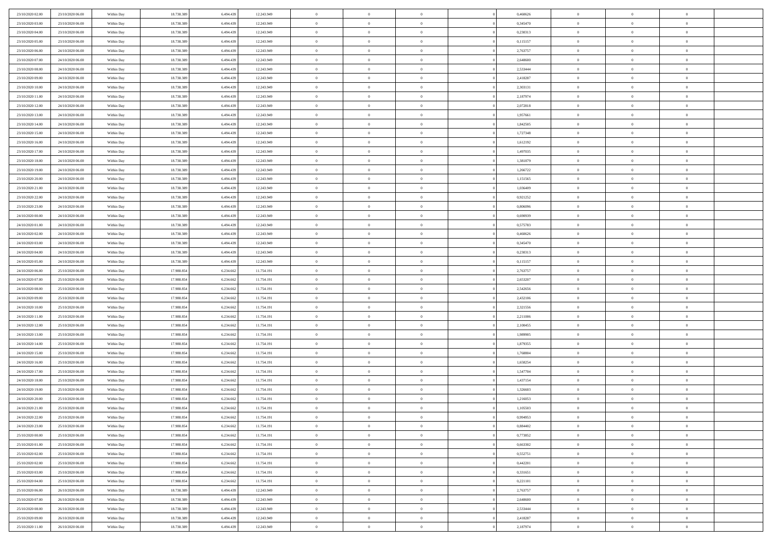| 23/10/2020 02:00 | 23/10/2020 06.00 | Within Day               | 18.738.389 | 6.494.439 | 12.243.949 | $\,$ 0 $\,$    | $\overline{0}$ | $\overline{0}$ | 0,460626 | $\bf{0}$       | $\overline{0}$ | $\,0\,$        |  |
|------------------|------------------|--------------------------|------------|-----------|------------|----------------|----------------|----------------|----------|----------------|----------------|----------------|--|
| 23/10/2020 03.00 | 23/10/2020 06.00 | Within Day               | 18.738.389 | 6,494.43  | 12.243.949 | $\theta$       | $\overline{0}$ | $\mathbf{0}$   | 0.345470 | $\theta$       | $\mathbf{0}$   | $\theta$       |  |
| 23/10/2020 04:00 | 23/10/2020 06:00 | Within Day               | 18.738.389 | 6.494.439 | 12.243.949 | $\theta$       | $\overline{0}$ | $\overline{0}$ | 0,230313 | $\mathbf{0}$   | $\overline{0}$ | $\overline{0}$ |  |
| 23/10/2020 05:00 | 23/10/2020 06:00 | Within Day               | 18.738.389 | 6.494.439 | 12.243.949 | $\,$ 0 $\,$    | $\overline{0}$ | $\overline{0}$ | 0,115157 | $\bf{0}$       | $\overline{0}$ | $\bf{0}$       |  |
| 23/10/2020 06:00 | 24/10/2020 06.00 | Within Day               | 18.738.389 | 6.494.439 | 12.243.949 | $\bf{0}$       | $\overline{0}$ | $\mathbf{0}$   | 2,763757 | $\bf{0}$       | $\theta$       | $\,0\,$        |  |
| 23/10/2020 07:00 | 24/10/2020 06:00 | Within Day               | 18.738.389 | 6.494.439 | 12.243.949 | $\theta$       | $\overline{0}$ | $\mathbf{0}$   | 2,648600 | $\mathbf{0}$   | $\overline{0}$ | $\overline{0}$ |  |
| 23/10/2020 08:00 | 24/10/2020 06.00 | Within Day               | 18.738.389 | 6.494.439 | 12.243.949 | $\,$ 0 $\,$    | $\overline{0}$ | $\overline{0}$ | 2,533444 | $\bf{0}$       | $\overline{0}$ | $\,0\,$        |  |
|                  |                  |                          |            |           |            | $\overline{0}$ |                |                |          |                | $\overline{0}$ |                |  |
| 23/10/2020 09:00 | 24/10/2020 06.00 | Within Day               | 18.738.389 | 6.494.439 | 12.243.949 |                | $\overline{0}$ | $\mathbf{0}$   | 2,418287 | $\,$ 0 $\,$    |                | $\theta$       |  |
| 23/10/2020 10:00 | 24/10/2020 06:00 | Within Day               | 18.738.389 | 6.494.439 | 12.243.949 | $\theta$       | $\overline{0}$ | $\overline{0}$ | 2,303131 | $\mathbf{0}$   | $\overline{0}$ | $\overline{0}$ |  |
| 23/10/2020 11:00 | 24/10/2020 06.00 | Within Day               | 18.738.389 | 6.494.439 | 12.243.949 | $\,$ 0 $\,$    | $\overline{0}$ | $\Omega$       | 2,187974 | $\bf{0}$       | $\overline{0}$ | $\,0\,$        |  |
| 23/10/2020 12:00 | 24/10/2020 06.00 | Within Day               | 18.738.389 | 6.494.439 | 12.243.949 | $\bf{0}$       | $\overline{0}$ | $\mathbf{0}$   | 2,072818 | $\bf{0}$       | $\mathbf{0}$   | $\theta$       |  |
| 23/10/2020 13:00 | 24/10/2020 06:00 | Within Day               | 18.738.389 | 6.494.439 | 12.243.949 | $\theta$       | $\overline{0}$ | $\overline{0}$ | 1,957661 | $\mathbf{0}$   | $\overline{0}$ | $\overline{0}$ |  |
| 23/10/2020 14:00 | 24/10/2020 06.00 | Within Day               | 18.738.389 | 6.494.439 | 12.243.949 | $\,$ 0 $\,$    | $\overline{0}$ | $\overline{0}$ | 1,842505 | $\bf{0}$       | $\overline{0}$ | $\bf{0}$       |  |
| 23/10/2020 15:00 | 24/10/2020 06.00 | Within Day               | 18.738.389 | 6.494.439 | 12.243.949 | $\bf{0}$       | $\overline{0}$ | $\mathbf{0}$   | 1,727348 | $\bf{0}$       | $\theta$       | $\,0\,$        |  |
| 23/10/2020 16:00 | 24/10/2020 06.00 | Within Day               | 18.738.389 | 6.494.439 | 12.243.949 | $\theta$       | $\overline{0}$ | $\mathbf{0}$   | 1,612192 | $\mathbf{0}$   | $\overline{0}$ | $\overline{0}$ |  |
| 23/10/2020 17.00 | 24/10/2020 06.00 | Within Day               | 18.738.389 | 6.494.439 | 12.243.949 | $\,$ 0 $\,$    | $\overline{0}$ | $\overline{0}$ | 1,497035 | $\bf{0}$       | $\overline{0}$ | $\bf{0}$       |  |
| 23/10/2020 18:00 | 24/10/2020 06.00 | Within Day               | 18.738.389 | 6,494,439 | 12.243.949 | $\,$ 0         | $\overline{0}$ | $\mathbf{0}$   | 1,381879 | $\bf{0}$       | $\overline{0}$ | $\theta$       |  |
| 23/10/2020 19:00 | 24/10/2020 06:00 | Within Day               | 18.738.389 | 6.494.439 | 12.243.949 | $\theta$       | $\overline{0}$ | $\mathbf{0}$   | 1,266722 | $\mathbf{0}$   | $\overline{0}$ | $\overline{0}$ |  |
| 23/10/2020 20:00 | 24/10/2020 06.00 | Within Day               | 18.738.389 | 6.494.439 | 12.243.949 | $\,$ 0 $\,$    | $\overline{0}$ | $\Omega$       | 1,151565 | $\bf{0}$       | $\overline{0}$ | $\,0\,$        |  |
| 23/10/2020 21:00 | 24/10/2020 06.00 | Within Day               | 18.738.389 | 6.494.439 | 12.243.949 | $\bf{0}$       | $\overline{0}$ | $\mathbf{0}$   | 1,036409 | $\bf{0}$       | $\mathbf{0}$   | $\theta$       |  |
| 23/10/2020 22.00 | 24/10/2020 06:00 | Within Day               | 18.738.389 | 6.494.439 | 12.243.949 | $\theta$       | $\overline{0}$ | $\mathbf{0}$   | 0,921252 | $\mathbf{0}$   | $\overline{0}$ | $\overline{0}$ |  |
| 23/10/2020 23:00 | 24/10/2020 06.00 | Within Day               | 18.738.389 | 6.494.439 | 12.243.949 | $\,$ 0 $\,$    | $\overline{0}$ | $\overline{0}$ | 0,806096 | $\bf{0}$       | $\overline{0}$ | $\bf{0}$       |  |
| 24/10/2020 00:00 | 24/10/2020 06.00 | Within Day               | 18.738.389 | 6,494,439 | 12.243.949 | $\,$ 0         | $\overline{0}$ | $\mathbf{0}$   | 0,690939 | $\bf{0}$       | $\theta$       | $\,0\,$        |  |
| 24/10/2020 01:00 | 24/10/2020 06:00 | Within Day               | 18.738.389 | 6.494.439 | 12.243.949 | $\theta$       | $\overline{0}$ | $\mathbf{0}$   | 0,575783 | $\mathbf{0}$   | $\overline{0}$ | $\overline{0}$ |  |
| 24/10/2020 02.00 | 24/10/2020 06.00 | Within Day               | 18.738.389 | 6.494.439 | 12.243.949 | $\,$ 0 $\,$    | $\overline{0}$ | $\overline{0}$ | 0,460626 | $\bf{0}$       | $\overline{0}$ | $\,0\,$        |  |
| 24/10/2020 03:00 | 24/10/2020 06.00 | Within Day               | 18.738.389 | 6,494,439 | 12.243.949 | $\,$ 0         | $\overline{0}$ | $\mathbf{0}$   | 0,345470 | $\bf{0}$       | $\overline{0}$ | $\theta$       |  |
| 24/10/2020 04:00 | 24/10/2020 06:00 | Within Day               | 18.738.389 | 6.494.439 | 12.243.949 | $\theta$       | $\overline{0}$ | $\overline{0}$ | 0,230313 | $\mathbf{0}$   | $\bf{0}$       | $\overline{0}$ |  |
| 24/10/2020 05:00 | 24/10/2020 06.00 | Within Day               | 18.738.389 | 6.494.439 | 12.243.949 | $\,$ 0 $\,$    | $\overline{0}$ | $\Omega$       | 0,115157 | $\bf{0}$       | $\overline{0}$ | $\,0\,$        |  |
| 24/10/2020 06.00 | 25/10/2020 06.00 | Within Day               | 17.988.854 | 6.234.662 | 11.754.191 | $\bf{0}$       | $\overline{0}$ | $\mathbf{0}$   | 2,763757 | $\bf{0}$       | $\mathbf{0}$   | $\theta$       |  |
| 24/10/2020 07:00 | 25/10/2020 06:00 | Within Day               | 17.988.854 | 6.234.662 | 11.754.191 | $\theta$       | $\overline{0}$ | $\overline{0}$ | 2,653207 | $\mathbf{0}$   | $\overline{0}$ | $\overline{0}$ |  |
| 24/10/2020 08:00 | 25/10/2020 06:00 | Within Day               | 17.988.854 | 6.234.662 | 11.754.191 | $\theta$       | $\overline{0}$ | $\overline{0}$ | 2,542656 | $\,$ 0         | $\overline{0}$ | $\,$ 0 $\,$    |  |
| 24/10/2020 09:00 | 25/10/2020 06:00 |                          | 17.988.854 | 6.234.662 | 11.754.191 | $\bf{0}$       | $\overline{0}$ | $\mathbf{0}$   | 2,432106 | $\bf{0}$       | $\mathbf{0}$   | $\bf{0}$       |  |
| 24/10/2020 10:00 | 25/10/2020 06:00 | Within Day<br>Within Day | 17.988.854 | 6.234.662 | 11.754.191 | $\theta$       | $\overline{0}$ | $\mathbf{0}$   | 2,321556 | $\mathbf{0}$   | $\overline{0}$ | $\overline{0}$ |  |
|                  |                  |                          |            |           |            | $\theta$       | $\overline{0}$ | $\overline{0}$ |          | $\,$ 0         | $\overline{0}$ | $\theta$       |  |
| 24/10/2020 11:00 | 25/10/2020 06:00 | Within Day               | 17.988.854 | 6.234.662 | 11.754.191 |                |                |                | 2,211006 |                | $\overline{0}$ |                |  |
| 24/10/2020 12:00 | 25/10/2020 06.00 | Within Day               | 17.988.854 | 6.234.662 | 11.754.191 | $\bf{0}$       | $\overline{0}$ | $\mathbf{0}$   | 2,100455 | $\mathbf{0}$   |                | $\overline{0}$ |  |
| 24/10/2020 13:00 | 25/10/2020 06:00 | Within Day               | 17.988.854 | 6.234.662 | 11.754.191 | $\theta$       | $\overline{0}$ | $\mathbf{0}$   | 1,989905 | $\mathbf{0}$   | $\overline{0}$ | $\overline{0}$ |  |
| 24/10/2020 14:00 | 25/10/2020 06:00 | Within Day               | 17.988.854 | 6.234.662 | 11.754.191 | $\theta$       | $\overline{0}$ | $\overline{0}$ | 1,879355 | $\,$ 0         | $\overline{0}$ | $\theta$       |  |
| 24/10/2020 15:00 | 25/10/2020 06.00 | Within Day               | 17.988.854 | 6.234.662 | 11.754.191 | $\bf{0}$       | $\overline{0}$ | $\mathbf{0}$   | 1,768804 | $\bf{0}$       | $\mathbf{0}$   | $\bf{0}$       |  |
| 24/10/2020 16:00 | 25/10/2020 06:00 | Within Day               | 17.988.854 | 6.234.662 | 11.754.191 | $\theta$       | $\overline{0}$ | $\mathbf{0}$   | 1,658254 | $\mathbf{0}$   | $\overline{0}$ | $\overline{0}$ |  |
| 24/10/2020 17:00 | 25/10/2020 06:00 | Within Day               | 17.988.854 | 6.234.662 | 11.754.191 | $\,$ 0 $\,$    | $\overline{0}$ | $\overline{0}$ | 1,547704 | $\,$ 0         | $\overline{0}$ | $\,$ 0 $\,$    |  |
| 24/10/2020 18:00 | 25/10/2020 06:00 | Within Day               | 17.988.854 | 6.234.662 | 11.754.191 | $\,$ 0         | $\,$ 0 $\,$    | $\overline{0}$ | 1,437154 | $\,$ 0 $\,$    | $\overline{0}$ | $\overline{0}$ |  |
| 24/10/2020 19:00 | 25/10/2020 06:00 | Within Day               | 17.988.854 | 6.234.662 | 11.754.191 | $\theta$       | $\overline{0}$ | $\mathbf{0}$   | 1,326603 | $\mathbf{0}$   | $\overline{0}$ | $\overline{0}$ |  |
| 24/10/2020 20:00 | 25/10/2020 06.00 | Within Day               | 17.988.854 | 6.234.662 | 11.754.191 | $\overline{0}$ | $\overline{0}$ | $\overline{0}$ | 1,216053 | $\,$ 0         | $\overline{0}$ | $\theta$       |  |
| 24/10/2020 21:00 | 25/10/2020 06.00 | Within Day               | 17.988.854 | 6.234.662 | 11.754.191 | $\bf{0}$       | $\,$ 0 $\,$    | $\mathbf{0}$   | 1,105503 | $\bf{0}$       | $\overline{0}$ | $\overline{0}$ |  |
| 24/10/2020 22.00 | 25/10/2020 06:00 | Within Day               | 17.988.854 | 6.234.662 | 11.754.191 | $\overline{0}$ | $\theta$       |                | 0,994953 | $\overline{0}$ | $\theta$       | $\theta$       |  |
| 24/10/2020 23:00 | 25/10/2020 06:00 | Within Day               | 17.988.854 | 6.234.662 | 11.754.191 | $\,$ 0 $\,$    | $\overline{0}$ | $\overline{0}$ | 0,884402 | $\,$ 0 $\,$    | $\bf{0}$       | $\theta$       |  |
| 25/10/2020 00:00 | 25/10/2020 06.00 | Within Day               | 17.988.854 | 6.234.662 | 11.754.191 | $\bf{0}$       | $\,$ 0 $\,$    | $\mathbf{0}$   | 0,773852 | $\,$ 0 $\,$    | $\overline{0}$ | $\overline{0}$ |  |
| 25/10/2020 01:00 | 25/10/2020 06:00 | Within Day               | 17.988.854 | 6.234.662 | 11.754.191 | $\overline{0}$ | $\overline{0}$ | $\overline{0}$ | 0,663302 | $\,$ 0 $\,$    | $\bf{0}$       | $\mathbf{0}$   |  |
| 25/10/2020 02:00 | 25/10/2020 06:00 | Within Day               | 17.988.854 | 6.234.662 | 11.754.191 | $\,$ 0 $\,$    | $\overline{0}$ | $\overline{0}$ | 0,552751 | $\,$ 0 $\,$    | $\bf{0}$       | $\,$ 0 $\,$    |  |
| 25/10/2020 02.00 | 25/10/2020 06.00 | Within Day               | 17.988.854 | 6.234.662 | 11.754.191 | $\,$ 0 $\,$    | $\,$ 0 $\,$    | $\overline{0}$ | 0,442201 | $\,$ 0 $\,$    | $\overline{0}$ | $\overline{0}$ |  |
| 25/10/2020 03:00 | 25/10/2020 06:00 | Within Day               | 17.988.854 | 6.234.662 | 11.754.191 | $\overline{0}$ | $\overline{0}$ | $\overline{0}$ | 0,331651 | $\mathbf{0}$   | $\overline{0}$ | $\overline{0}$ |  |
| 25/10/2020 04:00 | 25/10/2020 06:00 | Within Day               | 17.988.854 | 6.234.662 | 11.754.191 | $\,$ 0 $\,$    | $\overline{0}$ | $\overline{0}$ | 0,221101 | $\,$ 0 $\,$    | $\overline{0}$ | $\,$ 0 $\,$    |  |
| 25/10/2020 06.00 | 26/10/2020 06.00 | Within Day               | 18.738.389 | 6,494,439 | 12.243.949 | $\bf{0}$       | $\overline{0}$ | $\overline{0}$ | 2,763757 | $\,$ 0 $\,$    | $\overline{0}$ | $\overline{0}$ |  |
| 25/10/2020 07:00 | 26/10/2020 06:00 | Within Day               | 18.738.389 | 6.494.439 | 12.243.949 | $\mathbf{0}$   | $\overline{0}$ | $\overline{0}$ | 2,648600 | $\mathbf{0}$   | $\bf{0}$       | $\overline{0}$ |  |
| 25/10/2020 08:00 | 26/10/2020 06:00 | Within Day               | 18.738.389 | 6.494.439 | 12.243.949 | $\,$ 0 $\,$    | $\overline{0}$ | $\overline{0}$ | 2,533444 | $\,$ 0 $\,$    | $\mathbf{0}$   | $\,$ 0 $\,$    |  |
| 25/10/2020 09:00 | 26/10/2020 06.00 | Within Day               | 18.738.389 | 6.494.439 | 12.243.949 | $\,$ 0 $\,$    | $\overline{0}$ | $\overline{0}$ | 2,418287 | $\bf{0}$       | $\overline{0}$ | $\overline{0}$ |  |
| 25/10/2020 11:00 | 26/10/2020 06:00 | Within Day               | 18.738.389 | 6.494.439 | 12.243.949 | $\theta$       | $\overline{0}$ | $\overline{0}$ | 2,187974 | $\mathbf{0}$   | $\overline{0}$ | $\overline{0}$ |  |
|                  |                  |                          |            |           |            |                |                |                |          |                |                |                |  |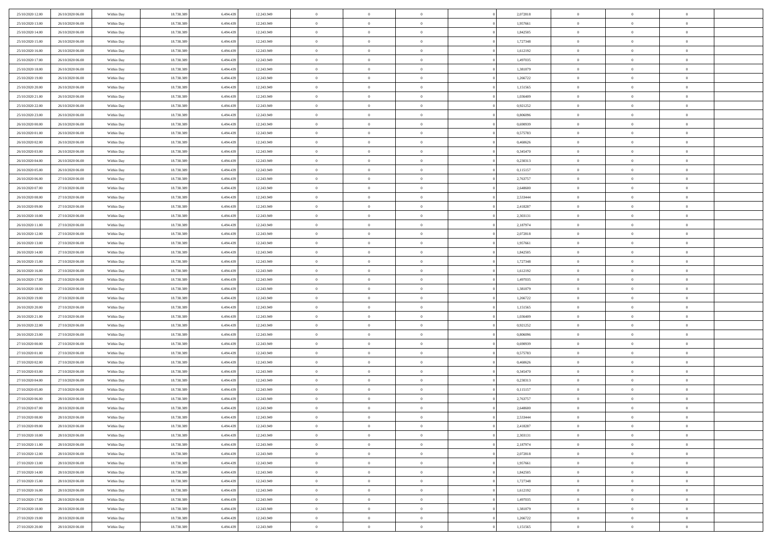| 25/10/2020 12:00<br>26/10/2020 06.00 | Within Day | 18.738.389 | 6.494.439 | 12.243.949 | $\bf{0}$       | $\overline{0}$ | $\Omega$       | 2,072818 | $\bf{0}$       | $\mathbf{0}$   | $\bf{0}$       |  |
|--------------------------------------|------------|------------|-----------|------------|----------------|----------------|----------------|----------|----------------|----------------|----------------|--|
| 25/10/2020 13:00<br>26/10/2020 06:00 | Within Day | 18.738.389 | 6.494.439 | 12.243.949 | $\mathbf{0}$   | $\overline{0}$ | $\overline{0}$ | 1,957661 | $\overline{0}$ | $\overline{0}$ | $\theta$       |  |
| 25/10/2020 14:00<br>26/10/2020 06:00 | Within Day | 18.738.389 | 6.494.439 | 12.243.949 | $\,$ 0         | $\overline{0}$ | $\bf{0}$       | 1,842505 | $\,$ 0         | $\overline{0}$ | $\,$ 0 $\,$    |  |
| 25/10/2020 15.00<br>26/10/2020 06.00 | Within Day | 18.738.389 | 6,494,439 | 12.243.949 | $\bf{0}$       | $\overline{0}$ | $\Omega$       | 1,727348 | $\bf{0}$       | $\mathbf{0}$   | $\theta$       |  |
| 25/10/2020 16:00<br>26/10/2020 06:00 | Within Day | 18.738.389 | 6.494.439 | 12.243.949 | $\bf{0}$       | $\overline{0}$ | $\overline{0}$ | 1,612192 | $\mathbf{0}$   | $\overline{0}$ | $\overline{0}$ |  |
| 25/10/2020 17.00<br>26/10/2020 06:00 | Within Day | 18.738.389 | 6.494.439 | 12.243.949 | $\bf{0}$       | $\overline{0}$ | $\bf{0}$       | 1,497035 | $\,$ 0         | $\overline{0}$ | $\,$ 0 $\,$    |  |
| 25/10/2020 18:00<br>26/10/2020 06:00 | Within Day | 18.738.389 | 6.494.439 | 12.243.949 | $\bf{0}$       | $\overline{0}$ | $\Omega$       | 1,381879 | $\theta$       | $\mathbf{0}$   | $\theta$       |  |
| 25/10/2020 19:00<br>26/10/2020 06:00 | Within Day | 18.738.389 | 6.494.439 | 12.243.949 | $\overline{0}$ | $\overline{0}$ | $\overline{0}$ | 1,266722 | $\mathbf{0}$   | $\overline{0}$ | $\overline{0}$ |  |
|                                      |            |            |           |            |                |                |                |          |                |                |                |  |
| 25/10/2020 20:00<br>26/10/2020 06:00 | Within Day | 18.738.389 | 6.494.439 | 12.243.949 | $\bf{0}$       | $\overline{0}$ | $\bf{0}$       | 1,151565 | $\,$ 0         | $\overline{0}$ | $\,$ 0 $\,$    |  |
| 25/10/2020 21.00<br>26/10/2020 06.00 | Within Day | 18.738.389 | 6,494,439 | 12.243.949 | $\bf{0}$       | $\overline{0}$ | $\Omega$       | 1.036409 | $\theta$       | $\mathbf{0}$   | $\theta$       |  |
| 25/10/2020 22.00<br>26/10/2020 06:00 | Within Day | 18.738.389 | 6.494.439 | 12.243.949 | $\overline{0}$ | $\overline{0}$ | $\overline{0}$ | 0,921252 | $\mathbf{0}$   | $\overline{0}$ | $\overline{0}$ |  |
| 25/10/2020 23.00<br>26/10/2020 06:00 | Within Day | 18.738.389 | 6.494.439 | 12.243.949 | $\bf{0}$       | $\overline{0}$ | $\bf{0}$       | 0,806096 | $\,$ 0         | $\overline{0}$ | $\,$ 0 $\,$    |  |
| 26/10/2020 00:00<br>26/10/2020 06:00 | Within Day | 18.738.389 | 6,494,439 | 12.243.949 | $\bf{0}$       | $\overline{0}$ | $\Omega$       | 0.690939 | $\overline{0}$ | $\mathbf{0}$   | $\theta$       |  |
| 26/10/2020 01:00<br>26/10/2020 06:00 | Within Day | 18.738.389 | 6.494.439 | 12.243.949 | $\overline{0}$ | $\overline{0}$ | $\overline{0}$ | 0,575783 | $\mathbf{0}$   | $\overline{0}$ | $\overline{0}$ |  |
| 26/10/2020 02.00<br>26/10/2020 06:00 | Within Day | 18.738.389 | 6.494.439 | 12.243.949 | $\bf{0}$       | $\overline{0}$ | $\bf{0}$       | 0,460626 | $\,$ 0         | $\overline{0}$ | $\,$ 0 $\,$    |  |
| 26/10/2020 03.00<br>26/10/2020 06.00 | Within Day | 18.738.389 | 6,494,439 | 12.243.949 | $\bf{0}$       | $\overline{0}$ | $\Omega$       | 0.345470 | $\bf{0}$       | $\mathbf{0}$   | $\bf{0}$       |  |
| 26/10/2020 04:00<br>26/10/2020 06:00 | Within Day | 18.738.389 | 6.494.439 | 12.243.949 | $\overline{0}$ | $\overline{0}$ | $\overline{0}$ | 0,230313 | $\mathbf{0}$   | $\overline{0}$ | $\overline{0}$ |  |
| 26/10/2020 05:00<br>26/10/2020 06:00 | Within Day | 18.738.389 | 6.494.439 | 12.243.949 | $\bf{0}$       | $\overline{0}$ | $\bf{0}$       | 0,115157 | $\,$ 0         | $\overline{0}$ | $\,$ 0 $\,$    |  |
| 26/10/2020 06:00<br>27/10/2020 06.00 | Within Day | 18.738.389 | 6,494,439 | 12.243.949 | $\bf{0}$       | $\overline{0}$ | $\Omega$       | 2,763757 | $\theta$       | $\mathbf{0}$   | $\theta$       |  |
| 26/10/2020 07:00<br>27/10/2020 06:00 | Within Day | 18.738.389 | 6.494.439 | 12.243.949 | $\overline{0}$ | $\overline{0}$ | $\overline{0}$ | 2,648600 | $\mathbf{0}$   | $\overline{0}$ | $\overline{0}$ |  |
| 26/10/2020 08:00<br>27/10/2020 06:00 | Within Day | 18.738.389 | 6.494.439 | 12.243.949 | $\bf{0}$       | $\overline{0}$ | $\bf{0}$       | 2,533444 | $\,$ 0         | $\overline{0}$ | $\,$ 0 $\,$    |  |
| 26/10/2020 09:00<br>27/10/2020 06.00 | Within Day | 18.738.389 | 6,494,439 | 12.243.949 | $\bf{0}$       | $\overline{0}$ | $\Omega$       | 2,418287 | $\bf{0}$       | $\mathbf{0}$   | $\theta$       |  |
| 26/10/2020 10:00<br>27/10/2020 06:00 | Within Day | 18.738.389 | 6.494.439 | 12.243.949 | $\overline{0}$ | $\overline{0}$ | $\overline{0}$ | 2,303131 | $\mathbf{0}$   | $\overline{0}$ | $\overline{0}$ |  |
| 26/10/2020 11:00<br>27/10/2020 06:00 | Within Day | 18.738.389 | 6.494.439 | 12.243.949 | $\bf{0}$       | $\overline{0}$ | $\bf{0}$       | 2,187974 | $\,$ 0         | $\overline{0}$ | $\,$ 0 $\,$    |  |
| 26/10/2020 12.00<br>27/10/2020 06.00 | Within Day | 18.738.389 | 6.494.439 | 12.243.949 | $\bf{0}$       | $\overline{0}$ | $\overline{0}$ | 2,072818 | $\bf{0}$       | $\overline{0}$ | $\theta$       |  |
| 26/10/2020 13:00<br>27/10/2020 06:00 | Within Day | 18.738.389 | 6.494.439 | 12.243.949 | $\mathbf{0}$   | $\overline{0}$ | $\overline{0}$ | 1,957661 | $\mathbf{0}$   | $\overline{0}$ | $\overline{0}$ |  |
| 26/10/2020 14:00<br>27/10/2020 06:00 | Within Day | 18.738.389 | 6.494.439 | 12.243.949 | $\bf{0}$       | $\overline{0}$ | $\bf{0}$       | 1,842505 | $\,$ 0         | $\overline{0}$ | $\,$ 0 $\,$    |  |
| 26/10/2020 15:00<br>27/10/2020 06.00 | Within Day | 18.738.389 | 6,494,439 | 12.243.949 | $\bf{0}$       | $\overline{0}$ | $\Omega$       | 1,727348 | $\theta$       | $\mathbf{0}$   | $\theta$       |  |
| 26/10/2020 16:00<br>27/10/2020 06:00 | Within Day | 18.738.389 | 6.494.439 | 12.243.949 | $\overline{0}$ | $\overline{0}$ | $\overline{0}$ | 1,612192 | $\mathbf{0}$   | $\overline{0}$ | $\overline{0}$ |  |
|                                      |            |            |           |            | $\bf{0}$       |                |                |          | $\,$ 0         | $\overline{0}$ | $\,$ 0 $\,$    |  |
| 26/10/2020 17.00<br>27/10/2020 06:00 | Within Day | 18.738.389 | 6.494.439 | 12.243.949 |                | $\overline{0}$ | $\bf{0}$       | 1,497035 |                |                |                |  |
| 26/10/2020 18:00<br>27/10/2020 06:00 | Within Day | 18.738.389 | 6.494.439 | 12.243.949 | $\,$ 0         | $\bf{0}$       | $\overline{0}$ | 1,381879 | $\bf{0}$       | $\overline{0}$ | $\,0\,$        |  |
| 26/10/2020 19:00<br>27/10/2020 06:00 | Within Day | 18.738.389 | 6.494.439 | 12.243.949 | $\overline{0}$ | $\overline{0}$ | $\overline{0}$ | 1,266722 | $\mathbf{0}$   | $\overline{0}$ | $\overline{0}$ |  |
| 26/10/2020 20:00<br>27/10/2020 06:00 | Within Day | 18.738.389 | 6.494.439 | 12.243.949 | $\bf{0}$       | $\overline{0}$ | $\bf{0}$       | 1,151565 | $\,$ 0         | $\overline{0}$ | $\,$ 0 $\,$    |  |
| 26/10/2020 21.00<br>27/10/2020 06:00 | Within Day | 18.738.389 | 6.494.439 | 12.243.949 | $\bf{0}$       | $\bf{0}$       | $\overline{0}$ | 1,036409 | $\bf{0}$       | $\overline{0}$ | $\,0\,$        |  |
| 26/10/2020 22.00<br>27/10/2020 06:00 | Within Day | 18.738.389 | 6.494.439 | 12.243.949 | $\mathbf{0}$   | $\overline{0}$ | $\overline{0}$ | 0,921252 | $\overline{0}$ | $\overline{0}$ | $\overline{0}$ |  |
| 26/10/2020 23.00<br>27/10/2020 06:00 | Within Day | 18.738.389 | 6.494.439 | 12.243.949 | $\bf{0}$       | $\overline{0}$ | $\bf{0}$       | 0,806096 | $\,$ 0         | $\overline{0}$ | $\,$ 0 $\,$    |  |
| 27/10/2020 00:00<br>27/10/2020 06:00 | Within Day | 18.738.389 | 6.494.439 | 12.243.949 | $\,$ 0         | $\bf{0}$       | $\overline{0}$ | 0,690939 | $\bf{0}$       | $\overline{0}$ | $\,0\,$        |  |
| 27/10/2020 01:00<br>27/10/2020 06:00 | Within Day | 18.738.389 | 6.494.439 | 12.243.949 | $\overline{0}$ | $\overline{0}$ | $\overline{0}$ | 0,575783 | $\mathbf{0}$   | $\overline{0}$ | $\overline{0}$ |  |
| 27/10/2020 02.00<br>27/10/2020 06:00 | Within Day | 18.738.389 | 6.494.439 | 12.243.949 | $\bf{0}$       | $\overline{0}$ | $\bf{0}$       | 0,460626 | $\,$ 0         | $\overline{0}$ | $\,$ 0 $\,$    |  |
| 27/10/2020 03.00<br>27/10/2020 06:00 | Within Day | 18.738.389 | 6.494.439 | 12.243.949 | $\bf{0}$       | $\bf{0}$       | $\overline{0}$ | 0,345470 | $\bf{0}$       | $\overline{0}$ | $\,0\,$        |  |
| 27/10/2020 04:00<br>27/10/2020 06:00 | Within Day | 18.738.389 | 6.494.439 | 12.243.949 | $\mathbf{0}$   | $\overline{0}$ | $\overline{0}$ | 0,230313 | $\overline{0}$ | $\overline{0}$ | $\overline{0}$ |  |
| 27/10/2020 05.00<br>27/10/2020 06:00 | Within Day | 18.738.389 | 6.494.439 | 12.243.949 | $\bf{0}$       | $\overline{0}$ | $\bf{0}$       | 0,115157 | $\,$ 0         | $\overline{0}$ | $\,$ 0 $\,$    |  |
| 27/10/2020 06.00<br>28/10/2020 06:00 | Within Day | 18.738.389 | 6.494.439 | 12.243.949 | $\bf{0}$       | $\bf{0}$       | $\bf{0}$       | 2,763757 | $\bf{0}$       | $\overline{0}$ | $\,0\,$        |  |
| 27/10/2020 07:00<br>28/10/2020 06:00 | Within Day | 18.738.389 | 6.494.439 | 12.243.949 | $\mathbf{0}$   | $\overline{0}$ | $\overline{0}$ | 2,648600 | $\mathbf{0}$   | $\overline{0}$ | $\overline{0}$ |  |
| 27/10/2020 08:00<br>28/10/2020 06:00 | Within Day | 18.738.389 | 6.494.439 | 12.243.949 | $\bf{0}$       | $\overline{0}$ | $\theta$       | 2,533444 | $\overline{0}$ | $\overline{0}$ | $\theta$       |  |
| 27/10/2020 09:00<br>28/10/2020 06.00 | Within Day | 18.738.389 | 6.494.439 | 12.243.949 | $\bf{0}$       | $\bf{0}$       | $\bf{0}$       | 2,418287 | $\bf{0}$       | $\overline{0}$ | $\bf{0}$       |  |
| 27/10/2020 10:00<br>28/10/2020 06:00 | Within Day | 18.738.389 | 6.494.439 | 12.243.949 | $\overline{0}$ | $\overline{0}$ | $\overline{0}$ | 2,303131 | $\mathbf{0}$   | $\bf{0}$       | $\overline{0}$ |  |
| 27/10/2020 11:00<br>28/10/2020 06:00 | Within Day | 18.738.389 | 6.494.439 | 12.243.949 | $\,$ 0 $\,$    | $\overline{0}$ | $\overline{0}$ | 2,187974 | $\,$ 0 $\,$    | $\,$ 0 $\,$    | $\,$ 0 $\,$    |  |
| 27/10/2020 12:00<br>28/10/2020 06.00 | Within Day | 18.738.389 | 6.494.439 | 12.243.949 | $\bf{0}$       | $\bf{0}$       | $\overline{0}$ | 2,072818 | $\bf{0}$       | $\overline{0}$ | $\bf{0}$       |  |
| 27/10/2020 13.00<br>28/10/2020 06.00 | Within Day | 18.738.389 | 6.494.439 | 12.243.949 | $\bf{0}$       | $\overline{0}$ | $\overline{0}$ | 1,957661 | $\mathbf{0}$   | $\bf{0}$       | $\overline{0}$ |  |
| 27/10/2020 14:00<br>28/10/2020 06:00 | Within Day | 18.738.389 | 6.494.439 | 12.243.949 | $\,$ 0 $\,$    | $\overline{0}$ | $\overline{0}$ | 1,842505 | $\,$ 0 $\,$    | $\overline{0}$ | $\,$ 0 $\,$    |  |
| 27/10/2020 15:00<br>28/10/2020 06.00 | Within Day | 18.738.389 | 6.494.439 | 12.243.949 | $\bf{0}$       | $\overline{0}$ | $\overline{0}$ | 1,727348 | $\bf{0}$       | $\overline{0}$ | $\overline{0}$ |  |
| 27/10/2020 16.00<br>28/10/2020 06.00 | Within Day | 18.738.389 | 6.494.439 | 12.243.949 | $\overline{0}$ | $\overline{0}$ | $\overline{0}$ | 1,612192 | $\overline{0}$ | $\bf{0}$       | $\overline{0}$ |  |
|                                      |            |            |           |            | $\,$ 0 $\,$    |                |                |          |                | $\,$ 0 $\,$    | $\,$ 0 $\,$    |  |
| 27/10/2020 17.00<br>28/10/2020 06:00 | Within Day | 18.738.389 | 6.494.439 | 12.243.949 |                | $\overline{0}$ | $\overline{0}$ | 1,497035 | $\,$ 0 $\,$    |                |                |  |
| 27/10/2020 18:00<br>28/10/2020 06.00 | Within Day | 18.738.389 | 6.494.439 | 12.243.949 | $\bf{0}$       | $\bf{0}$       | $\overline{0}$ | 1,381879 | $\mathbf{0}$   | $\overline{0}$ | $\bf{0}$       |  |
| 27/10/2020 19:00<br>28/10/2020 06:00 | Within Day | 18.738.389 | 6.494.439 | 12.243.949 | $\bf{0}$       | $\overline{0}$ | $\overline{0}$ | 1,266722 | $\mathbf{0}$   | $\bf{0}$       | $\overline{0}$ |  |
| 27/10/2020 20:00<br>28/10/2020 06:00 | Within Day | 18.738.389 | 6.494.439 | 12.243.949 | $\,0\,$        | $\overline{0}$ | $\overline{0}$ | 1,151565 | $\,$ 0         | $\overline{0}$ | $\,$ 0 $\,$    |  |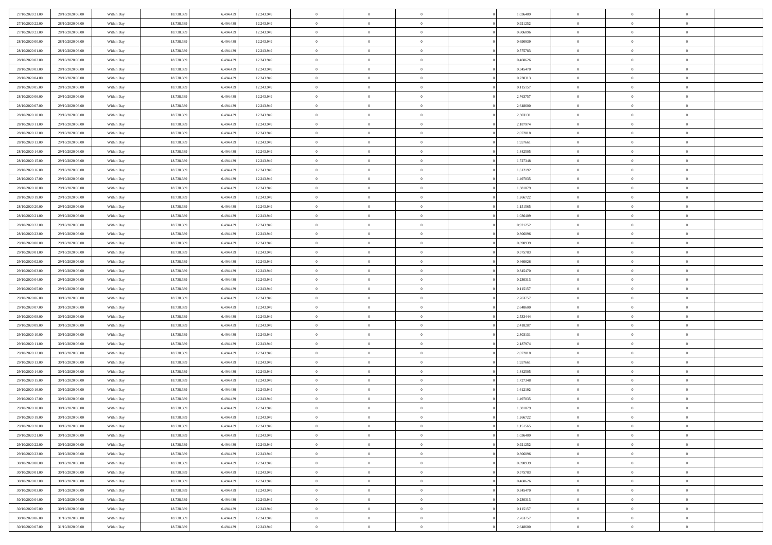| 27/10/2020 21.00<br>28/10/2020 06:00 | Within Day | 18.738.389 | 6.494.439 | 12.243.949 | $\,$ 0                   | $\bf{0}$       | $\theta$       |          | 1,036409 | $\bf{0}$                 | $\overline{0}$ | $\,0\,$        |  |
|--------------------------------------|------------|------------|-----------|------------|--------------------------|----------------|----------------|----------|----------|--------------------------|----------------|----------------|--|
| 27/10/2020 22.00<br>28/10/2020 06:00 | Within Day | 18.738.389 | 6,494,439 | 12.243.949 | $\theta$                 | $\overline{0}$ | $\overline{0}$ |          | 0,921252 | $\overline{0}$           | $\overline{0}$ | $\theta$       |  |
| 27/10/2020 23:00<br>28/10/2020 06:00 | Within Dav | 18.738.389 | 6.494.439 | 12.243.949 | $\mathbf{0}$             | $\overline{0}$ | $\overline{0}$ |          | 0,806096 | $\mathbf{0}$             | $\overline{0}$ | $\overline{0}$ |  |
| 28/10/2020 00:00<br>28/10/2020 06:00 | Within Day | 18.738.389 | 6.494.439 | 12.243.949 | $\bf{0}$                 | $\overline{0}$ | $\bf{0}$       |          | 0,690939 | $\bf{0}$                 | $\overline{0}$ | $\bf{0}$       |  |
| 28/10/2020 01:00<br>28/10/2020 06:00 | Within Day | 18.738.389 | 6,494,439 | 12.243.949 | $\bf{0}$                 | $\bf{0}$       | $\overline{0}$ |          | 0,575783 | $\bf{0}$                 | $\bf{0}$       | $\,0\,$        |  |
| 28/10/2020 02:00<br>28/10/2020 06:00 | Within Dav | 18.738.389 | 6.494.439 | 12.243.949 | $\mathbf{0}$             | $\overline{0}$ | $\overline{0}$ |          | 0,460626 | $\mathbf{0}$             | $\overline{0}$ | $\overline{0}$ |  |
|                                      |            |            |           |            |                          |                |                |          |          |                          |                |                |  |
| 28/10/2020 03.00<br>28/10/2020 06:00 | Within Day | 18.738.389 | 6.494.439 | 12.243.949 | $\bf{0}$                 | $\bf{0}$       | $\overline{0}$ |          | 0,345470 | $\bf{0}$                 | $\overline{0}$ | $\,0\,$        |  |
| 28/10/2020 04:00<br>28/10/2020 06:00 | Within Day | 18.738.389 | 6,494,439 | 12.243.949 | $\theta$                 | $\overline{0}$ | $\overline{0}$ |          | 0,230313 | $\,$ 0 $\,$              | $\overline{0}$ | $\theta$       |  |
| 28/10/2020 05:00<br>28/10/2020 06:00 | Within Dav | 18.738.389 | 6.494.439 | 12.243.949 | $\mathbf{0}$             | $\overline{0}$ | $\overline{0}$ |          | 0,115157 | $\mathbf{0}$             | $\overline{0}$ | $\overline{0}$ |  |
| 28/10/2020 06:00<br>29/10/2020 06:00 | Within Day | 18.738.389 | 6.494.439 | 12.243.949 | $\bf{0}$                 | $\bf{0}$       | $\theta$       |          | 2,763757 | $\bf{0}$                 | $\overline{0}$ | $\,0\,$        |  |
| 28/10/2020 07.00<br>29/10/2020 06:00 | Within Day | 18.738.389 | 6,494,439 | 12.243.949 | $\bf{0}$                 | $\overline{0}$ | $\overline{0}$ |          | 2,648600 | $\bf{0}$                 | $\mathbf{0}$   | $\theta$       |  |
| 28/10/2020 10:00<br>29/10/2020 06:00 | Within Dav | 18.738.389 | 6.494.439 | 12.243.949 | $\mathbf{0}$             | $\overline{0}$ | $\overline{0}$ |          | 2,303131 | $\mathbf{0}$             | $\overline{0}$ | $\overline{0}$ |  |
| 28/10/2020 11:00<br>29/10/2020 06:00 | Within Day | 18.738.389 | 6.494.439 | 12.243.949 | $\bf{0}$                 | $\overline{0}$ | $\bf{0}$       |          | 2,187974 | $\bf{0}$                 | $\overline{0}$ | $\bf{0}$       |  |
| 28/10/2020 12:00<br>29/10/2020 06:00 | Within Day | 18.738.389 | 6.494.439 | 12.243.949 | $\bf{0}$                 | $\overline{0}$ | $\overline{0}$ |          | 2,072818 | $\bf{0}$                 | $\bf{0}$       | $\,0\,$        |  |
| 28/10/2020 13:00<br>29/10/2020 06:00 | Within Dav | 18.738.389 | 6.494.439 | 12.243.949 | $\mathbf{0}$             | $\overline{0}$ | $\overline{0}$ |          | 1,957661 | $\mathbf{0}$             | $\overline{0}$ | $\overline{0}$ |  |
| 28/10/2020 14:00<br>29/10/2020 06:00 | Within Day | 18.738.389 | 6.494.439 | 12.243.949 | $\bf{0}$                 | $\bf{0}$       | $\overline{0}$ |          | 1,842505 | $\bf{0}$                 | $\overline{0}$ | $\bf{0}$       |  |
| 28/10/2020 15.00<br>29/10/2020 06:00 | Within Day | 18.738.389 | 6,494,439 | 12.243.949 | $\bf{0}$                 | $\overline{0}$ | $\overline{0}$ |          | 1,727348 | $\bf{0}$                 | $\overline{0}$ | $\theta$       |  |
| 28/10/2020 16:00<br>29/10/2020 06:00 | Within Day | 18.738.389 | 6.494.439 | 12.243.949 | $\mathbf{0}$             | $\overline{0}$ | $\overline{0}$ |          | 1,612192 | $\mathbf{0}$             | $\overline{0}$ | $\overline{0}$ |  |
| 28/10/2020 17.00<br>29/10/2020 06:00 | Within Day | 18.738.389 | 6.494.439 | 12.243.949 | $\bf{0}$                 | $\bf{0}$       | $\overline{0}$ |          | 1,497035 | $\bf{0}$                 | $\overline{0}$ | $\,0\,$        |  |
| 28/10/2020 18:00<br>29/10/2020 06:00 | Within Day | 18.738.389 | 6,494,439 | 12.243.949 | $\bf{0}$                 | $\bf{0}$       | $\overline{0}$ |          | 1,381879 | $\bf{0}$                 | $\overline{0}$ | $\overline{0}$ |  |
| 28/10/2020 19:00<br>29/10/2020 06:00 | Within Dav | 18.738.389 | 6.494.439 | 12.243.949 | $\mathbf{0}$             | $\overline{0}$ | $\overline{0}$ |          | 1,266722 | $\mathbf{0}$             | $\overline{0}$ | $\overline{0}$ |  |
| 28/10/2020 20:00<br>29/10/2020 06:00 | Within Day | 18.738.389 | 6.494.439 | 12.243.949 | $\bf{0}$                 | $\overline{0}$ | $\bf{0}$       |          | 1,151565 | $\bf{0}$                 | $\overline{0}$ | $\bf{0}$       |  |
| 28/10/2020 21:00<br>29/10/2020 06:00 | Within Day | 18.738.389 | 6,494,439 | 12.243.949 | $\bf{0}$                 | $\bf{0}$       | $\overline{0}$ |          | 1,036409 | $\bf{0}$                 | $\bf{0}$       | $\,0\,$        |  |
| 28/10/2020 22:00<br>29/10/2020 06:00 | Within Dav | 18.738.389 | 6.494.439 | 12.243.949 | $\mathbf{0}$             | $\overline{0}$ | $\overline{0}$ |          | 0,921252 | $\mathbf{0}$             | $\overline{0}$ | $\overline{0}$ |  |
| 28/10/2020 23.00<br>29/10/2020 06:00 | Within Day | 18.738.389 | 6.494.439 | 12.243.949 | $\bf{0}$                 | $\bf{0}$       | $\overline{0}$ |          | 0,806096 | $\bf{0}$                 | $\overline{0}$ | $\,0\,$        |  |
| 29/10/2020 00:00<br>29/10/2020 06:00 | Within Day | 18.738.389 | 6.494.439 | 12.243.949 | $\bf{0}$                 | $\overline{0}$ | $\overline{0}$ |          | 0.690939 | $\bf{0}$                 | $\overline{0}$ | $\theta$       |  |
| 29/10/2020 01:00<br>29/10/2020 06:00 | Within Dav | 18.738.389 | 6.494.439 | 12.243.949 | $\mathbf{0}$             | $\overline{0}$ | $\overline{0}$ |          | 0,575783 | $\mathbf{0}$             | $\overline{0}$ | $\overline{0}$ |  |
| 29/10/2020 02:00<br>29/10/2020 06:00 | Within Day | 18.738.389 | 6.494.439 | 12.243.949 | $\bf{0}$                 | $\bf{0}$       | $\overline{0}$ |          | 0,460626 | $\bf{0}$                 | $\overline{0}$ | $\,0\,$        |  |
| 29/10/2020 03.00<br>29/10/2020 06:00 | Within Day | 18.738.389 | 6,494,439 | 12.243.949 | $\bf{0}$                 | $\bf{0}$       | $\overline{0}$ |          | 0,345470 | $\bf{0}$                 | $\bf{0}$       | $\overline{0}$ |  |
| 29/10/2020 04:00<br>29/10/2020 06:00 | Within Day | 18.738.389 | 6.494.439 | 12.243.949 | $\mathbf{0}$             | $\overline{0}$ | $\overline{0}$ |          | 0,230313 | $\mathbf{0}$             | $\overline{0}$ | $\overline{0}$ |  |
| 29/10/2020 05:00<br>29/10/2020 06:00 | Within Day | 18.738.389 | 6.494.439 | 12.243.949 | $\bf{0}$                 | $\overline{0}$ | $\theta$       |          | 0,115157 | $\,$ 0                   | $\overline{0}$ | $\theta$       |  |
| 29/10/2020 06:00<br>30/10/2020 06:00 | Within Day | 18.738.389 | 6.494.439 | 12.243.949 | $\bf{0}$                 | $\bf{0}$       | $\overline{0}$ |          | 2,763757 | $\bf{0}$                 | $\bf{0}$       | $\bf{0}$       |  |
| 29/10/2020 07:00<br>30/10/2020 06:00 | Within Dav | 18.738.389 | 6.494.439 | 12.243.949 | $\mathbf{0}$             | $\overline{0}$ | $\overline{0}$ |          | 2,648600 | $\mathbf{0}$             | $\overline{0}$ | $\overline{0}$ |  |
| 30/10/2020 06:00<br>29/10/2020 08:00 | Within Day | 18.738.389 | 6.494.439 | 12.243.949 | $\bf{0}$                 | $\overline{0}$ | $\theta$       |          | 2,533444 | $\,$ 0                   | $\overline{0}$ | $\theta$       |  |
|                                      |            |            | 6,494,439 |            |                          | $\overline{0}$ | $\overline{0}$ |          |          |                          | $\overline{0}$ | $\overline{0}$ |  |
| 29/10/2020 09:00<br>30/10/2020 06:00 | Within Day | 18.738.389 |           | 12.243.949 | $\bf{0}$<br>$\mathbf{0}$ |                |                |          | 2,418287 | $\bf{0}$<br>$\mathbf{0}$ |                | $\overline{0}$ |  |
| 29/10/2020 10:00<br>30/10/2020 06:00 | Within Day | 18.738.389 | 6.494.439 | 12.243.949 |                          | $\overline{0}$ | $\overline{0}$ |          | 2,303131 |                          | $\overline{0}$ |                |  |
| 29/10/2020 11:00<br>30/10/2020 06:00 | Within Day | 18.738.389 | 6.494.439 | 12.243.949 | $\bf{0}$                 | $\overline{0}$ | $\theta$       |          | 2,187974 | $\,$ 0                   | $\overline{0}$ | $\theta$       |  |
| 29/10/2020 12:00<br>30/10/2020 06:00 | Within Day | 18.738.389 | 6.494.439 | 12.243.949 | $\bf{0}$                 | $\overline{0}$ | $\overline{0}$ |          | 2,072818 | $\bf{0}$                 | $\bf{0}$       | $\bf{0}$       |  |
| 29/10/2020 13:00<br>30/10/2020 06:00 | Within Dav | 18.738.389 | 6.494.439 | 12.243.949 | $\mathbf{0}$             | $\overline{0}$ | $\overline{0}$ |          | 1,957661 | $\mathbf{0}$             | $\overline{0}$ | $\overline{0}$ |  |
| 30/10/2020 06:00<br>29/10/2020 14:00 | Within Day | 18.738.389 | 6.494.439 | 12.243.949 | $\bf{0}$                 | $\overline{0}$ | $\theta$       |          | 1,842505 | $\,$ 0                   | $\overline{0}$ | $\theta$       |  |
| 29/10/2020 15:00<br>30/10/2020 06:00 | Within Day | 18.738.389 | 6.494.439 | 12.243.949 | $\bf{0}$                 | $\bf{0}$       | $\overline{0}$ |          | 1,727348 | $\bf{0}$                 | $\overline{0}$ | $\bf{0}$       |  |
| 29/10/2020 16:00<br>30/10/2020 06:00 | Within Dav | 18.738.389 | 6.494.439 | 12.243.949 | $\mathbf{0}$             | $\overline{0}$ | $\overline{0}$ |          | 1,612192 | $\mathbf{0}$             | $\overline{0}$ | $\overline{0}$ |  |
| 29/10/2020 17:00<br>30/10/2020 06:00 | Within Day | 18.738.389 | 6.494.439 | 12.243.949 | $\bf{0}$                 | $\overline{0}$ | $\theta$       |          | 1,497035 | $\,$ 0                   | $\overline{0}$ | $\theta$       |  |
| 29/10/2020 18:00<br>30/10/2020 06:00 | Within Day | 18.738.389 | 6.494.439 | 12.243.949 | $\bf{0}$                 | $\overline{0}$ | $\overline{0}$ |          | 1,381879 | $\bf{0}$                 | $\overline{0}$ | $\bf{0}$       |  |
| 29/10/2020 19:00<br>30/10/2020 06:00 | Within Day | 18.738.389 | 6.494.439 | 12.243.949 | $\bf{0}$                 | $\overline{0}$ |                |          | 1,266722 | $\overline{0}$           | $\theta$       | $\theta$       |  |
| 29/10/2020 20:00<br>30/10/2020 06:00 | Within Day | 18.738.389 | 6.494.439 | 12.243.949 | $\,0\,$                  | $\overline{0}$ | $\theta$       |          | 1,151565 | $\,$ 0 $\,$              | $\bf{0}$       | $\theta$       |  |
| 29/10/2020 21.00<br>30/10/2020 06:00 | Within Day | 18.738.389 | 6.494.439 | 12.243.949 | $\overline{0}$           | $\overline{0}$ | $\overline{0}$ |          | 1,036409 | $\overline{0}$           | $\overline{0}$ | $\overline{0}$ |  |
| 29/10/2020 22.00<br>30/10/2020 06:00 | Within Day | 18.738.389 | 6.494.439 | 12.243.949 | $\bf{0}$                 | $\overline{0}$ | $\overline{0}$ |          | 0,921252 | $\overline{0}$           | $\bf{0}$       | $\mathbf{0}$   |  |
| 29/10/2020 23.00<br>30/10/2020 06:00 | Within Day | 18.738.389 | 6.494.439 | 12.243.949 | $\bf{0}$                 | $\overline{0}$ | $\overline{0}$ | $\theta$ | 0,806096 | $\,$ 0 $\,$              | $\bf{0}$       | $\,$ 0 $\,$    |  |
| 30/10/2020 00:00<br>30/10/2020 06.00 | Within Day | 18.738.389 | 6.494.439 | 12.243.949 | $\bf{0}$                 | $\overline{0}$ | $\overline{0}$ |          | 0,690939 | $\,$ 0 $\,$              | $\overline{0}$ | $\overline{0}$ |  |
| 30/10/2020 01:00<br>30/10/2020 06:00 | Within Day | 18.738.389 | 6.494.439 | 12.243.949 | $\bf{0}$                 | $\overline{0}$ | $\overline{0}$ |          | 0,575783 | $\mathbf{0}$             | $\overline{0}$ | $\overline{0}$ |  |
| 30/10/2020 02:00<br>30/10/2020 06:00 | Within Day | 18.738.389 | 6.494.439 | 12.243.949 | $\,0\,$                  | $\overline{0}$ | $\overline{0}$ | $\theta$ | 0,460626 | $\,$ 0 $\,$              | $\overline{0}$ | $\,$ 0 $\,$    |  |
| 30/10/2020 03.00<br>30/10/2020 06:00 | Within Day | 18.738.389 | 6.494.439 | 12.243.949 | $\bf{0}$                 | $\overline{0}$ | $\overline{0}$ |          | 0,345470 | $\overline{0}$           | $\overline{0}$ | $\overline{0}$ |  |
| 30/10/2020 04:00<br>30/10/2020 06:00 | Within Day | 18.738.389 | 6.494.439 | 12.243.949 | $\bf{0}$                 | $\overline{0}$ | $\overline{0}$ |          | 0,230313 | $\mathbf{0}$             | $\overline{0}$ | $\overline{0}$ |  |
| 30/10/2020 05:00<br>30/10/2020 06:00 | Within Day | 18.738.389 | 6.494.439 | 12.243.949 | $\,0\,$                  | $\overline{0}$ | $\overline{0}$ |          | 0,115157 | $\,$ 0 $\,$              | $\mathbf{0}$   | $\overline{0}$ |  |
| 30/10/2020 06:00<br>31/10/2020 06:00 | Within Day | 18.738.389 | 6.494.439 | 12.243.949 | $\bf{0}$                 | $\overline{0}$ | $\overline{0}$ |          | 2,763757 | $\bf{0}$                 | $\mathbf{0}$   | $\overline{0}$ |  |
| 30/10/2020 07:00<br>31/10/2020 06:00 | Within Day | 18.738.389 | 6.494.439 | 12.243.949 | $\mathbf{0}$             | $\overline{0}$ | $\overline{0}$ |          | 2,648600 | $\mathbf{0}$             | $\overline{0}$ | $\overline{0}$ |  |
|                                      |            |            |           |            |                          |                |                |          |          |                          |                |                |  |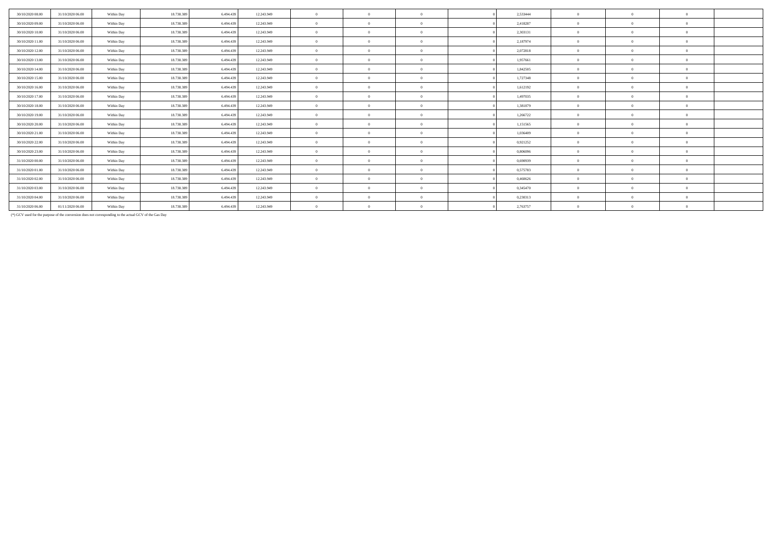| 30/10/2020 08:00 | 31/10/2020 06:00 | Within Day | 18,738,389 | 6.494.439 | 12.243.949 | $\theta$       | $\theta$       | 2.533444 | $\theta$       | $\Omega$   | $\theta$       |  |
|------------------|------------------|------------|------------|-----------|------------|----------------|----------------|----------|----------------|------------|----------------|--|
| 30/10/2020 09:00 | 31/10/2020 06:00 | Within Day | 18.738.389 | 6.494.439 | 12.243.949 | $\overline{0}$ | $\overline{0}$ | 2.418287 | $\overline{0}$ | $\Omega$   | $\Omega$       |  |
| 30/10/2020 10:00 | 31/10/2020 06.00 | Within Day | 18.738.389 | 6.494.439 | 12.243.949 | $\overline{0}$ | $\Omega$       | 2,303131 | $\Omega$       | $\Omega$   | $\Omega$       |  |
| 30/10/2020 11:00 | 31/10/2020 06:00 | Within Day | 18.738.389 | 6.494.439 | 12.243.949 | $\theta$       | $\Omega$       | 2.187974 | $\theta$       | $\Omega$   | $\theta$       |  |
| 30/10/2020 12:00 | 31/10/2020 06.00 | Within Day | 18.738.389 | 6.494.439 | 12.243.949 | $\mathbf{0}$   | $\Omega$       | 2,072818 | $\Omega$       |            | $\Omega$       |  |
| 30/10/2020 13.00 | 31/10/2020 06.00 | Within Day | 18.738.389 | 6.494.439 | 12.243.949 | $\overline{0}$ | $\Omega$       | 1,957661 | $\Omega$       | $\Omega$   | $\Omega$       |  |
| 30/10/2020 14.00 | 31/10/2020 06:00 | Within Day | 18.738.389 | 6.494.439 | 12.243.949 | $\theta$       | $\Omega$       | 1,842505 | $\Omega$       | $\Omega$   | $\theta$       |  |
| 30/10/2020 15.00 | 31/10/2020 06.00 | Within Day | 18.738.389 | 6.494.439 | 12.243.949 | $\overline{0}$ | $\overline{0}$ | 1,727348 | $\overline{0}$ | $\Omega$   | $\Omega$       |  |
| 30/10/2020 16.00 | 31/10/2020 06:00 | Within Day | 18.738.389 | 6.494.439 | 12.243.949 | $\overline{0}$ | $\Omega$       | 1,612192 | $\overline{0}$ | $\Omega$   | $\Omega$       |  |
| 30/10/2020 17.00 | 31/10/2020 06:00 | Within Day | 18.738.389 | 6.494.439 | 12.243.949 | $\overline{0}$ | $\overline{0}$ | 1,497035 | $\Omega$       | $\Omega$   | $\Omega$       |  |
| 30/10/2020 18:00 | 31/10/2020 06.00 | Within Day | 18.738.389 | 6.494.439 | 12.243.949 | $\overline{0}$ | $\theta$       | 1,381879 | $\overline{0}$ |            | $\Omega$       |  |
| 30/10/2020 19:00 | 31/10/2020 06:00 | Within Day | 18,738,389 | 6.494.439 | 12.243.949 | $\mathbf{0}$   | $\Omega$       | 1,266722 | $\Omega$       | $\sqrt{2}$ | $\Omega$       |  |
| 30/10/2020 20:00 | 31/10/2020 06:00 | Within Day | 18.738.389 | 6.494.439 | 12.243.949 | $\theta$       | $\Omega$       | 1,151565 | $\Omega$       | $\Omega$   | $\theta$       |  |
| 30/10/2020 21:00 | 31/10/2020 06.00 | Within Day | 18.738.389 | 6.494.439 | 12.243.949 | $\overline{0}$ | $\Omega$       | 1.036409 | $\theta$       | $\Omega$   | $\Omega$       |  |
| 30/10/2020 22.00 | 31/10/2020 06:00 | Within Day | 18.738.389 | 6.494.439 | 12.243.949 | $\mathbf{0}$   | $\Omega$       | 0,921252 | $\Omega$       | $\sqrt{2}$ | $\Omega$       |  |
| 30/10/2020 23.00 | 31/10/2020 06:00 | Within Day | 18.738.389 | 6.494.439 | 12.243.949 | $\overline{0}$ | $\overline{0}$ | 0.806096 | $\Omega$       | $\Omega$   | $\Omega$       |  |
| 31/10/2020 00:00 | 31/10/2020 06.00 | Within Day | 18.738.389 | 6.494.439 | 12.243.949 | $\overline{0}$ | $\Omega$       | 0,690939 | $\Omega$       |            | $\Omega$       |  |
| 31/10/2020 01:00 | 31/10/2020 06:00 | Within Day | 18.738.389 | 6.494.439 | 12.243.949 | $\mathbf{0}$   | $\Omega$       | 0,575783 | $\Omega$       |            | $\Omega$       |  |
| 31/10/2020 02.00 | 31/10/2020 06.00 | Within Day | 18.738.389 | 6.494.439 | 12.243.949 | $\overline{0}$ | $\Omega$       | 0,460626 | $\Omega$       | $\Omega$   | $\Omega$       |  |
| 31/10/2020 03:00 | 31/10/2020 06.00 | Within Day | 18.738.389 | 6.494.439 | 12.243.949 | $\overline{0}$ | $\Omega$       | 0,345470 | $\theta$       | $\Omega$   | $\Omega$       |  |
| 31/10/2020 04.00 | 31/10/2020 06.00 | Within Day | 18.738.389 | 6.494.439 | 12.243.949 | $\overline{0}$ | $\Omega$       | 0,230313 | $\overline{0}$ |            | $\overline{0}$ |  |
| 31/10/2020 06.00 | 01/11/2020 06.00 | Within Day | 18.738.389 | 6.494.439 | 12.243.949 | $\overline{0}$ | $\Omega$       | 2,763757 | $\overline{0}$ | $\Omega$   | $\overline{0}$ |  |

(\*) GCV used for the purpose of the conversion does not corresponding to the actual GCV of the Gas Day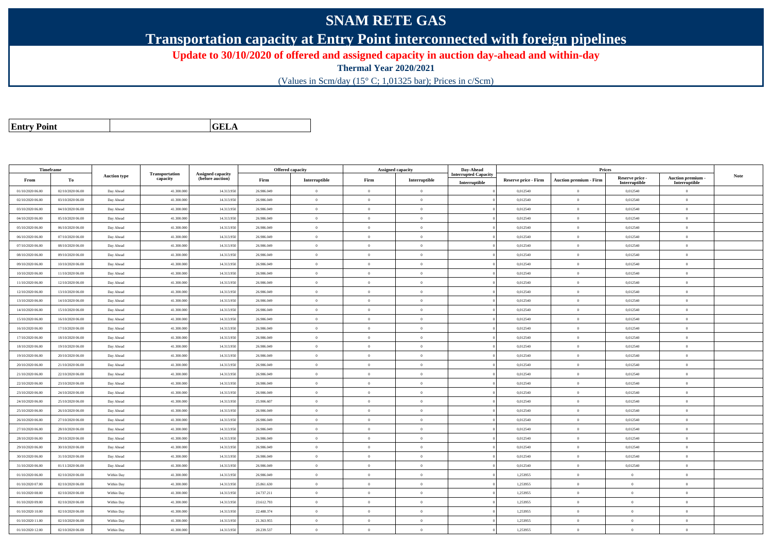## **SNAM RETE GAS**

**Transportation capacity at Entry Point interconnected with foreign pipelines**

**Update to 30/10/2020 of offered and assigned capacity in auction day-ahead and within-day**

**Thermal Year 2020/2021**

(Values in Scm/day (15° C; 1,01325 bar); Prices in c/Scm)

| <b>Entry Point</b> |  |
|--------------------|--|
|--------------------|--|

**a CELA** 

| Timeframe        |                  |                        |                            |                                              |            | <b>Offered capacity</b> |                            | <b>Assigned capacity</b> | Day-Ahead          |                             | Prices                           |                           |                                 |             |
|------------------|------------------|------------------------|----------------------------|----------------------------------------------|------------|-------------------------|----------------------------|--------------------------|--------------------|-----------------------------|----------------------------------|---------------------------|---------------------------------|-------------|
| From             | To               | <b>Auction type</b>    | Transportation<br>capacity | <b>Assigned capacity</b><br>(before auction) | Firm       | Interruptible           | Firm                       | Interruptible            | terrupted Capacity | <b>Reserve price - Firm</b> | <b>Auction premium - Firm</b>    | Reserve price -           | Auction premium -               | <b>Note</b> |
| 01/10/2020 06.00 | 02/10/2020 06:00 | Day Ahead              | 41.300.000                 | 14.313.950                                   | 26.986.049 | $\overline{0}$          | $\overline{0}$             | $\,0\,$                  | Interruptible      | 0,012540                    | $\overline{0}$                   | Interruptible<br>0,012540 | Interruptible<br>$\overline{0}$ |             |
| 02/10/2020 06:00 | 03/10/2020 06:00 |                        | 41.300,000                 | 14.313.950                                   | 26,986,049 | $\theta$                | $\theta$                   | $\Omega$                 |                    | 0,012540                    | $\overline{0}$                   | 0,012540                  | $\overline{0}$                  |             |
| 03/10/2020 06:00 | 04/10/2020 06:00 | Day Ahead<br>Day Ahead | 41.300.000                 | 14.313.950                                   | 26,986,049 | $\theta$                | $\Omega$                   | $\theta$                 |                    | 0,012540                    | $\theta$                         | 0,012540                  | $\theta$                        |             |
| 04/10/2020 06.00 | 05/10/2020 06:00 | Day Ahead              | 41.300.000                 | 14.313.950                                   | 26.986.049 | $\theta$                | $\overline{0}$             | $\Omega$                 |                    | 0,012540                    | $\theta$                         | 0,012540                  | $\Omega$                        |             |
| 05/10/2020 06:00 | 06/10/2020 06:00 |                        | 41.300.000                 | 14.313.950                                   | 26.986.049 | $\theta$                | $\overline{0}$             | $\theta$                 |                    | 0,012540                    |                                  | 0,012540                  | $\overline{0}$                  |             |
| 06/10/2020 06:00 | 07/10/2020 06:00 | Day Ahead<br>Day Ahead | 41.300.000                 | 14.313.950                                   | 26.986.049 | $\overline{0}$          | $\overline{0}$             | $\mathbf{0}$             |                    | 0,012540                    | $\overline{0}$<br>$\overline{0}$ | 0,012540                  | $\overline{0}$                  |             |
|                  |                  |                        | 41,300,000                 |                                              | 26,986,049 | $\theta$                | $\theta$                   | $\Omega$                 |                    |                             | $\theta$                         |                           | $\Omega$                        |             |
| 07/10/2020 06.00 | 08/10/2020 06:00 | Day Ahead              |                            | 14.313.950                                   |            |                         |                            |                          |                    | 0,012540                    |                                  | 0,012540                  |                                 |             |
| 08/10/2020 06:00 | 09/10/2020 06:00 | Day Ahead              | 41.300.000                 | 14.313.950                                   | 26.986.049 | $\overline{0}$          | $\overline{0}$<br>$\theta$ | $\theta$<br>$\theta$     |                    | 0,012540                    | $\overline{0}$                   | 0,012540                  | $\overline{0}$                  |             |
| 09/10/2020 06:00 | 10/10/2020 06:00 | Day Ahead              | 41.300.000                 | 14.313.950                                   | 26.986.049 | $\theta$                |                            |                          |                    | 0,012540                    | $\theta$                         | 0,012540                  | $\Omega$                        |             |
| 10/10/2020 06:00 | 11/10/2020 06:00 | Day Ahead              | 41.300.000                 | 14.313.950                                   | 26.986.049 | $\overline{0}$          | $\theta$                   | $\overline{0}$           |                    | 0,012540                    | $\bf{0}$                         | 0,012540                  | $\overline{0}$                  |             |
| 11/10/2020 06:00 | 12/10/2020 06:00 | Day Ahead              | 41.300.000                 | 14.313.950                                   | 26.986.049 | $\overline{0}$          | $\overline{0}$             | $\overline{0}$           |                    | 0,012540                    | $\overline{0}$                   | 0,012540                  | $\overline{0}$                  |             |
| 12/10/2020 06:00 | 13/10/2020 06:00 | Day Ahead              | 41.300.000                 | 14.313.950                                   | 26.986.049 | $\theta$                | $\theta$                   | $\theta$                 |                    | 0,012540                    | $\overline{0}$                   | 0,012540                  | $\overline{0}$                  |             |
| 13/10/2020 06:00 | 14/10/2020 06:00 | Day Ahead              | 41.300.000                 | 14.313.950                                   | 26.986.049 | $\theta$                | $\overline{0}$             | $\overline{0}$           |                    | 0,012540                    | $\overline{0}$                   | 0,012540                  | $\overline{0}$                  |             |
| 14/10/2020 06:00 | 15/10/2020 06:00 | Day Ahead              | 41,300,000                 | 14.313.950                                   | 26,986,049 | $\theta$                | $\Omega$                   | $\Omega$                 |                    | 0.012540                    | $\theta$                         | 0,012540                  | $\Omega$                        |             |
| 15/10/2020 06:00 | 16/10/2020 06:00 | Day Ahead              | 41.300.000                 | 14.313.950                                   | 26.986.049 | $\theta$                | $\overline{0}$             | $\Omega$                 |                    | 0,012540                    | $\overline{0}$                   | 0,012540                  | $\Omega$                        |             |
| 16/10/2020 06:00 | 17/10/2020 06:00 | Day Ahead              | 41.300.000                 | 14.313.950                                   | 26.986.049 | $\overline{0}$          | $\overline{0}$             | $\mathbf{0}$             |                    | 0,012540                    | $\bf{0}$                         | 0,012540                  | $\overline{0}$                  |             |
| 17/10/2020 06:00 | 18/10/2020 06:00 | Day Ahead              | 41.300,000                 | 14.313.950                                   | 26,986,049 | $\theta$                | $\theta$                   | $\theta$                 |                    | 0.012540                    | $\theta$                         | 0.012540                  | $\overline{0}$                  |             |
| 18/10/2020 06:00 | 19/10/2020 06:00 | Day Ahead              | 41.300.000                 | 14.313.950                                   | 26.986.049 | $\theta$                | $\overline{0}$             | $\overline{0}$           |                    | 0,012540                    | $\overline{0}$                   | 0,012540                  | $\Omega$                        |             |
| 19/10/2020 06:00 | 20/10/2020 06:00 | Day Ahead              | 41.300.000                 | 14.313.950                                   | 26.986.049 | $\theta$                | $\Omega$                   | $\Omega$                 |                    | 0,012540                    | $\theta$                         | 0,012540                  | $\theta$                        |             |
| 20/10/2020 06:00 | 21/10/2020 06:00 | Day Ahead              | 41.300.000                 | 14.313.950                                   | 26.986.049 | $\theta$                | $\overline{0}$             | $\Omega$                 |                    | 0,012540                    | $\theta$                         | 0,012540                  | $\Omega$                        |             |
| 21/10/2020 06:00 | 22/10/2020 06:00 | Day Ahead              | 41,300,000                 | 14.313.950                                   | 26.986.049 | $\theta$                | $\overline{0}$             | $\mathbf{0}$             |                    | 0,012540                    | $\overline{0}$                   | 0,012540                  | $\overline{0}$                  |             |
| 22/10/2020 06:00 | 23/10/2020 06:00 | Day Ahead              | 41.300.000                 | 14.313.950                                   | 26,986,049 | $\theta$                | $\overline{0}$             | $\overline{0}$           |                    | 0,012540                    | $\overline{0}$                   | 0,012540                  | $\theta$                        |             |
| 23/10/2020 06.00 | 24/10/2020 06.00 | Day Ahead              | 41.300.000                 | 14.313.950                                   | 26.986.049 | $\bf{0}$                | $\overline{0}$             | $\theta$                 |                    | 0,012540                    | $\overline{0}$                   | 0,012540                  | $\overline{0}$                  |             |
| 24/10/2020 06:00 | 25/10/2020 06:00 | Day Ahead              | 41,300,000                 | 14.313.950                                   | 25,906,607 | $\sqrt{2}$              | $\theta$                   | $\Omega$                 |                    | 0.012540                    | $\theta$                         | 0.012540                  | $\overline{0}$                  |             |
| 25/10/2020 06:00 | 26/10/2020 06:00 | Day Ahead              | 41,300,000                 | 14.313.950                                   | 26,986,049 | $\theta$                | $\Omega$                   | $\Omega$                 |                    | 0.012540                    | $\theta$                         | 0.012540                  | $\theta$                        |             |
| 26/10/2020 06:00 | 27/10/2020 06:00 | Day Ahead              | 41.300.000                 | 14.313.950                                   | 26.986.049 | $\theta$                | $\overline{0}$             | $\mathbf{0}$             |                    | 0,012540                    | $\overline{0}$                   | 0,012540                  | $\Omega$                        |             |
| 27/10/2020 06.00 | 28/10/2020 06:00 | Day Ahead              | 41.300.000                 | 14.313.950                                   | 26.986.049 | $\theta$                | $\overline{0}$             | $\theta$                 |                    | 0,012540                    | $\overline{0}$                   | 0,012540                  | $\overline{0}$                  |             |
| 28/10/2020 06:00 | 29/10/2020 06:00 | Day Ahead              | 41.300.000                 | 14.313.950                                   | 26.986.049 | $\theta$                | $\overline{0}$             | $\theta$                 |                    | 0,012540                    | $\theta$                         | 0,012540                  | $\Omega$                        |             |
| 29/10/2020 06:00 | 30/10/2020 06:00 | Day Ahead              | 41,300,000                 | 14.313.950                                   | 26,986,049 | $\theta$                | $\Omega$                   | $\theta$                 |                    | 0.012540                    | $\overline{0}$                   | 0,012540                  | $\theta$                        |             |
| 30/10/2020 06:00 | 31/10/2020 06:00 | Day Ahead              | 41.300.000                 | 14.313.950                                   | 26.986.049 | $\theta$                | $\overline{0}$             | $\theta$                 |                    | 0,012540                    | $\theta$                         | 0,012540                  | $\overline{0}$                  |             |
| 31/10/2020 06.00 | 01/11/2020 06:00 | Day Ahead              | 41.300.000                 | 14.313.950                                   | 26.986.049 | $\theta$                | $\theta$                   | $\mathbf{0}$             |                    | 0,012540                    | $\overline{0}$                   | 0,012540                  | $\overline{0}$                  |             |
| 01/10/2020 06:00 | 02/10/2020 06:00 | Within Day             | 41,300,000                 | 14.313.950                                   | 26,986,049 | $\theta$                | $\theta$                   | $\Omega$                 |                    | 1,253955                    | $\overline{0}$                   | $\theta$                  | $\overline{0}$                  |             |
| 01/10/2020 07:00 | 02/10/2020 06:00 | Within Day             | 41.300.000                 | 14.313.95                                    | 25.861.630 | $\overline{0}$          | $\overline{0}$             | $\overline{0}$           |                    | 1,253955                    | $\overline{0}$                   | $\overline{0}$            | $\overline{0}$                  |             |
| 01/10/2020 08:00 | 02/10/2020 06:00 | Within Day             | 41.300.000                 | 14.313.950                                   | 24.737.211 | $\theta$                | $\overline{0}$             | $\overline{0}$           |                    | 1,253955                    | $\theta$                         | $\bf{0}$                  | $\Omega$                        |             |
| 01/10/2020 09:00 | 02/10/2020 06:00 | Within Day             | 41.300.000                 | 14.313.950                                   | 23.612.793 | $\theta$                | $\overline{0}$             | $\Omega$                 |                    | 1,253955                    | $\theta$                         | $\theta$                  | $\overline{0}$                  |             |
| 01/10/2020 10:00 | 02/10/2020 06:00 | Within Day             | 41.300.000                 | 14.313.950                                   | 22.488.374 | $\theta$                | $\Omega$                   | $\theta$                 |                    | 1,253955                    | $\theta$                         | $\theta$                  | $\theta$                        |             |
| 01/10/2020 11:00 | 02/10/2020 06:00 | Within Day             | 41.300,000                 | 14.313.950                                   | 21.363.955 | $\theta$                | $\theta$                   | $\Omega$                 |                    | 1,253955                    | $\overline{0}$                   | $\theta$                  | $\Omega$                        |             |
| 01/10/2020 12.00 | 02/10/2020 06:00 | Within Day             | 41.300.000                 | 14.313.950                                   | 20.239.537 | $\theta$                | $\overline{0}$             | $\theta$                 |                    | 1,253955                    | $\overline{0}$                   | $\bf{0}$                  | $\overline{0}$                  |             |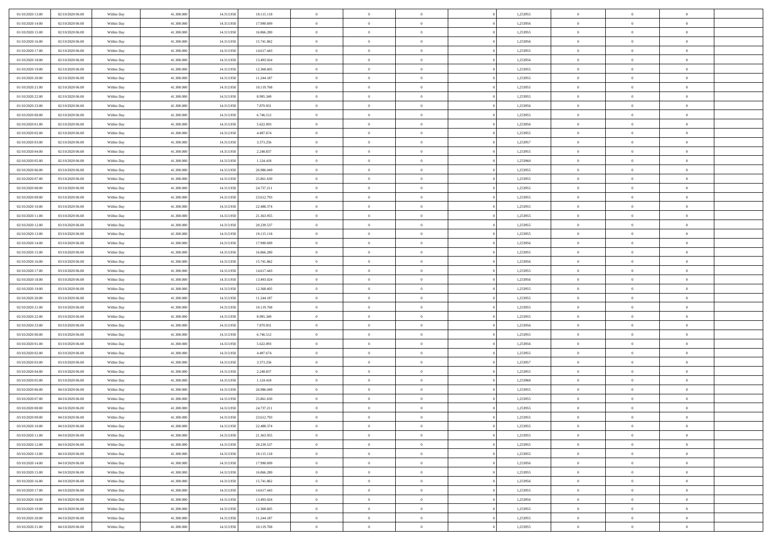| 01/10/2020 13:00                     | 02/10/2020 06.00                     | Within Day               | 41,300,000               | 14.313.950               | 19.115.118               | $\bf{0}$                | $\overline{0}$                   | $\Omega$                         | 1,253955             | $\bf{0}$                 | $\overline{0}$                   | $\bf{0}$                  |  |
|--------------------------------------|--------------------------------------|--------------------------|--------------------------|--------------------------|--------------------------|-------------------------|----------------------------------|----------------------------------|----------------------|--------------------------|----------------------------------|---------------------------|--|
| 01/10/2020 14:00                     | 02/10/2020 06:00                     | Within Day               | 41.300.000               | 14.313.950               | 17.990.699               | $\theta$                | $\overline{0}$                   | $\overline{0}$                   | 1,253956             | $\mathbf{0}$             | $\bf{0}$                         | $\overline{0}$            |  |
| 01/10/2020 15:00                     | 02/10/2020 06:00                     | Within Day               | 41.300.000               | 14.313.950               | 16.866.280               | $\theta$                | $\overline{0}$                   | $\overline{0}$                   | 1,253955             | $\,$ 0                   | $\overline{0}$                   | $\,$ 0 $\,$               |  |
| 01/10/2020 16:00                     | 02/10/2020 06:00                     | Within Day               | 41,300,000               | 14.313.950               | 15.741.862               | $\overline{0}$          | $\overline{0}$                   | $\mathbf{0}$                     | 1,253956             | $\bf{0}$                 | $\mathbf{0}$                     | $\theta$                  |  |
| 01/10/2020 17:00                     | 02/10/2020 06:00                     | Within Day               | 41.300.000               | 14.313.950               | 14.617.443               | $\mathbf{0}$            | $\overline{0}$                   | $\overline{0}$                   | 1,253955             | $\mathbf{0}$             | $\bf{0}$                         | $\overline{0}$            |  |
| 01/10/2020 18:00                     | 02/10/2020 06:00                     | Within Day               | 41.300.000               | 14.313.950               | 13.493.024               | $\theta$                | $\overline{0}$                   | $\bf{0}$                         | 1,253956             | $\,$ 0                   | $\overline{0}$                   | $\,$ 0 $\,$               |  |
| 01/10/2020 19:00                     | 02/10/2020 06:00                     | Within Day               | 41,300,000               | 14.313.950               | 12.368.605               | $\,$ 0 $\,$             | $\overline{0}$                   | $\Omega$                         | 1,253955             | $\bf{0}$                 | $\mathbf{0}$                     | $\theta$                  |  |
| 01/10/2020 20:00                     | 02/10/2020 06:00                     | Within Day               | 41.300.000               | 14.313.950               | 11.244.187               | $\overline{0}$          | $\overline{0}$                   | $\overline{0}$                   | 1,253955             | $\mathbf{0}$             | $\bf{0}$                         | $\overline{0}$            |  |
| 01/10/2020 21:00                     | 02/10/2020 06:00                     | Within Day               | 41.300.000               | 14.313.950               | 10.119.768               | $\theta$                | $\overline{0}$                   | $\overline{0}$                   | 1,253955             | $\,$ 0                   | $\overline{0}$                   | $\,$ 0 $\,$               |  |
| 01/10/2020 22:00                     | 02/10/2020 06.00                     | Within Day               | 41,300,000               | 14.313.950               | 8.995.349                | $\overline{0}$          | $\overline{0}$                   | $\mathbf{0}$                     | 1,253955             | $\bf{0}$                 | $\mathbf{0}$                     | $\theta$                  |  |
| 01/10/2020 23:00                     | 02/10/2020 06:00                     | Within Day               | 41.300.000               | 14.313.950               | 7.870.931                | $\mathbf{0}$            | $\overline{0}$                   | $\overline{0}$                   | 1,253956             | $\mathbf{0}$             | $\bf{0}$                         | $\overline{0}$            |  |
| 02/10/2020 00:00                     | 02/10/2020 06:00                     | Within Day               | 41.300.000               | 14.313.950               | 6.746.512                | $\theta$                | $\overline{0}$                   | $\overline{0}$                   | 1,253955             | $\,$ 0                   | $\overline{0}$                   | $\,$ 0 $\,$               |  |
| 02/10/2020 01:00                     | 02/10/2020 06.00                     | Within Day               | 41,300,000               | 14.313.950               | 5.622.093                | $\theta$                | $\overline{0}$                   | $\mathbf{0}$                     | 1,253956             | $\bf{0}$                 | $\mathbf{0}$                     | $\theta$                  |  |
| 02/10/2020 02:00                     | 02/10/2020 06:00                     | Within Day               | 41.300.000               | 14.313.950               | 4.497.674                | $\overline{0}$          | $\overline{0}$                   | $\overline{0}$                   | 1,253955             | $\mathbf{0}$             | $\bf{0}$                         | $\overline{0}$            |  |
| 02/10/2020 03:00                     | 02/10/2020 06:00                     | Within Day               | 41.300.000               | 14.313.950               | 3.373.256                | $\theta$                | $\overline{0}$                   | $\overline{0}$                   | 1,253957             | $\,$ 0                   | $\overline{0}$                   | $\,$ 0 $\,$               |  |
| 02/10/2020 04:00                     | 02/10/2020 06.00                     | Within Day               | 41,300,000               | 14.313.950               | 2.248.837                | $\bf{0}$                | $\overline{0}$                   | $\mathbf{0}$                     | 1,253955             | $\bf{0}$                 | $\mathbf{0}$                     | $\bf{0}$                  |  |
| 02/10/2020 05:00                     | 02/10/2020 06:00                     | Within Day               | 41.300.000               | 14.313.950               | 1.124.418                | $\overline{0}$          | $\overline{0}$                   | $\overline{0}$                   | 1,253960             | $\mathbf{0}$             | $\bf{0}$                         | $\overline{0}$            |  |
| 02/10/2020 06:00                     | 03/10/2020 06:00                     | Within Day               | 41.300.000               | 14.313.950               | 26.986.049               | $\theta$                | $\overline{0}$                   | $\bf{0}$                         | 1,253955             | $\,$ 0                   | $\overline{0}$                   | $\,$ 0 $\,$               |  |
| 02/10/2020 07:00                     | 03/10/2020 06:00                     | Within Day               | 41,300,000               | 14.313.950               | 25.861.630               | $\overline{0}$          | $\overline{0}$                   | $\mathbf{0}$                     | 1,253955             | $\bf{0}$                 | $\mathbf{0}$                     | $\theta$                  |  |
| 02/10/2020 08:00                     | 03/10/2020 06:00                     | Within Day               | 41.300.000               | 14.313.950               | 24.737.211               | $\overline{0}$          | $\overline{0}$                   | $\overline{0}$                   | 1,253955             | $\mathbf{0}$             | $\bf{0}$                         | $\overline{0}$            |  |
| 02/10/2020 09:00                     | 03/10/2020 06:00                     | Within Day               | 41.300.000               | 14.313.950               | 23.612.793               | $\theta$                | $\overline{0}$                   | $\bf{0}$                         | 1,253955             | $\,$ 0                   | $\overline{0}$                   | $\,$ 0 $\,$               |  |
| 02/10/2020 10:00                     | 03/10/2020 06.00                     | Within Day               | 41,300,000               | 14.313.950               | 22.488.374               | $\mathbf{0}$            | $\overline{0}$                   | $\mathbf{0}$                     | 1,253955             | $\bf{0}$                 | $\mathbf{0}$                     | $\theta$                  |  |
| 02/10/2020 11:00                     | 03/10/2020 06:00                     | Within Day               | 41.300.000               | 14.313.950               | 21.363.955               | $\overline{0}$          | $\overline{0}$                   | $\overline{0}$                   | 1,253955             | $\mathbf{0}$             | $\bf{0}$                         | $\overline{0}$            |  |
| 02/10/2020 12:00                     | 03/10/2020 06:00                     | Within Day               | 41.300.000               | 14.313.950               | 20.239.537               | $\theta$                | $\overline{0}$                   | $\bf{0}$                         | 1,253955             | $\,$ 0                   | $\overline{0}$                   | $\,$ 0 $\,$               |  |
| 02/10/2020 13:00                     | 03/10/2020 06.00                     | Within Day               | 41,300,000               | 14.313.950               | 19.115.118               | $\bf{0}$                | $\overline{0}$                   | $\mathbf{0}$                     | 1,253955             | $\bf{0}$                 | $\overline{0}$                   | $\bf{0}$                  |  |
| 02/10/2020 14:00                     | 03/10/2020 06:00                     | Within Day               | 41.300.000               | 14.313.950               | 17.990.699               | $\overline{0}$          | $\overline{0}$                   | $\overline{0}$                   | 1,253956             | $\mathbf{0}$             | $\bf{0}$                         | $\overline{0}$            |  |
| 02/10/2020 15:00                     | 03/10/2020 06:00                     | Within Day               | 41.300.000               | 14.313.950               | 16.866.280               | $\theta$                | $\overline{0}$                   | $\overline{0}$                   | 1,253955             | $\,$ 0                   | $\overline{0}$                   | $\,$ 0 $\,$               |  |
| 02/10/2020 16:00                     | 03/10/2020 06:00                     | Within Day               | 41,300,000               | 14.313.950               | 15.741.862               | $\mathbf{0}$            | $\overline{0}$                   | $\mathbf{0}$                     | 1.253956             | $\bf{0}$                 | $\mathbf{0}$                     | $\theta$                  |  |
| 02/10/2020 17:00                     | 03/10/2020 06:00                     | Within Day               | 41.300.000               | 14.313.950               | 14.617.443               | $\overline{0}$          | $\overline{0}$                   | $\overline{0}$                   | 1,253955             | $\mathbf{0}$             | $\bf{0}$                         | $\overline{0}$            |  |
| 02/10/2020 18:00                     | 03/10/2020 06:00                     | Within Day               | 41.300.000               | 14.313.950               | 13.493.024               | $\theta$                | $\overline{0}$                   | $\bf{0}$                         | 1,253956             | $\,$ 0                   | $\overline{0}$                   | $\,$ 0 $\,$               |  |
| 02/10/2020 19:00                     | 03/10/2020 06.00                     | Within Day               | 41.300.000               | 14.313.950               | 12.368.605               | $\bf{0}$                | $\overline{0}$                   | $\overline{0}$                   | 1,253955             | $\bf{0}$                 | $\overline{0}$                   | $\,0\,$                   |  |
| 02/10/2020 20:00                     | 03/10/2020 06:00                     | Within Day               | 41.300.000               | 14.313.950               | 11.244.187               | $\overline{0}$          | $\overline{0}$                   | $\overline{0}$                   | 1,253955             | $\mathbf{0}$             | $\bf{0}$                         | $\overline{0}$            |  |
| 02/10/2020 21:00                     | 03/10/2020 06:00                     | Within Day               | 41.300.000               | 14.313.950               | 10.119.768               | $\theta$                | $\overline{0}$                   | $\overline{0}$                   | 1,253955             | $\,$ 0                   | $\overline{0}$                   | $\,$ 0 $\,$               |  |
| 02/10/2020 22.00                     | 03/10/2020 06.00                     | Within Day               | 41.300.000               | 14.313.950               | 8.995.349                | $\,$ 0 $\,$             | $\overline{0}$                   | $\overline{0}$                   | 1,253955             | $\bf{0}$                 | $\overline{0}$                   | $\,0\,$                   |  |
| 02/10/2020 23:00                     | 03/10/2020 06:00                     | Within Day               | 41.300.000               | 14.313.950               | 7.870.931                | $\theta$                | $\overline{0}$                   | $\overline{0}$                   | 1,253956             | $\mathbf{0}$             | $\bf{0}$                         | $\overline{0}$            |  |
| 03/10/2020 00:00                     | 03/10/2020 06:00                     | Within Day               | 41.300.000               | 14.313.950               | 6.746.512                | $\theta$                | $\overline{0}$                   | $\bf{0}$                         | 1,253955             | $\,$ 0                   | $\overline{0}$                   | $\,$ 0 $\,$               |  |
| 03/10/2020 01:00                     | 03/10/2020 06:00                     | Within Day               | 41.300.000               | 14.313.950               | 5.622.093                | $\,$ 0 $\,$             | $\overline{0}$                   | $\overline{0}$                   | 1,253956             | $\bf{0}$                 | $\overline{0}$                   | $\,0\,$                   |  |
| 03/10/2020 02:00                     | 03/10/2020 06:00                     | Within Day               | 41.300.000               | 14.313.950               | 4.497.674                | $\overline{0}$          | $\overline{0}$                   | $\overline{0}$                   | 1,253955             | $\mathbf{0}$             | $\bf{0}$                         | $\overline{0}$            |  |
| 03/10/2020 03:00                     | 03/10/2020 06:00                     | Within Day               | 41.300.000               | 14.313.950               | 3.373.256                | $\theta$                | $\overline{0}$                   | $\bf{0}$                         | 1,253957             | $\,$ 0                   | $\overline{0}$                   | $\,$ 0 $\,$               |  |
| 03/10/2020 04:00                     | 03/10/2020 06.00                     | Within Day               | 41.300.000               | 14.313.950               | 2.248.837                | $\,$ 0 $\,$             | $\overline{0}$                   | $\overline{0}$                   | 1,253955             | $\bf{0}$                 | $\overline{0}$                   | $\,0\,$                   |  |
| 03/10/2020 05:00                     | 03/10/2020 06:00                     | Within Day               | 41.300.000               | 14.313.950               | 1.124.418                | $\theta$                | $\overline{0}$                   | $\overline{0}$                   | 1,253960             | $\mathbf{0}$             | $\bf{0}$                         | $\overline{0}$            |  |
| 03/10/2020 06:00                     | 04/10/2020 06:00                     | Within Day               | 41.300.000               | 14.313.950               | 26.986.049               | $\theta$                | $\overline{0}$                   | $\overline{0}$<br>$\overline{0}$ | 1,253955             | $\,$ 0                   | $\overline{0}$<br>$\overline{0}$ | $\,$ 0 $\,$               |  |
| 03/10/2020 07.00<br>03/10/2020 08:00 | 04/10/2020 06:00<br>04/10/2020 06:00 | Within Day<br>Within Dav | 41.300.000<br>41.300.000 | 14.313.950<br>14.313.950 | 25.861.630<br>24.737.211 | $\,$ 0 $\,$<br>$\theta$ | $\overline{0}$<br>$\overline{0}$ | $\overline{0}$                   | 1,253955<br>1,253955 | $\bf{0}$<br>$\mathbf{0}$ | $\bf{0}$                         | $\,0\,$<br>$\overline{0}$ |  |
| 03/10/2020 09:00                     | 04/10/2020 06.00                     | Within Day               | 41.300.000               | 14.313.950               | 23.612.793               | $\overline{0}$          | $\overline{0}$                   | $\overline{0}$                   | 1,253955             | $\overline{0}$           | $\theta$                         | $\theta$                  |  |
| 03/10/2020 10:00                     | 04/10/2020 06.00                     | Within Day               | 41.300.000               | 14.313.950               | 22.488.374               | $\bf{0}$                | $\overline{0}$                   | $\overline{0}$                   | 1,253955             | $\bf{0}$                 | $\overline{0}$                   | $\bf{0}$                  |  |
| 03/10/2020 11:00                     | 04/10/2020 06:00                     | Within Day               | 41.300.000               | 14.313.950               | 21.363.955               | $\overline{0}$          | $\overline{0}$                   | $\overline{0}$                   | 1,253955             | $\overline{0}$           | $\bf{0}$                         | $\overline{0}$            |  |
| 03/10/2020 12:00                     | 04/10/2020 06:00                     | Within Day               | 41.300.000               | 14.313.950               | 20.239.537               | $\,$ 0 $\,$             | $\overline{0}$                   | $\overline{0}$                   | 1,253955             | $\,$ 0 $\,$              | $\,$ 0 $\,$                      | $\,$ 0 $\,$               |  |
| 03/10/2020 13:00                     | 04/10/2020 06.00                     | Within Day               | 41.300.000               | 14.313.950               | 19.115.118               | $\bf{0}$                | $\overline{0}$                   | $\overline{0}$                   | 1,253955             | $\mathbf{0}$             | $\overline{0}$                   | $\bf{0}$                  |  |
| 03/10/2020 14:00                     | 04/10/2020 06:00                     | Within Day               | 41.300.000               | 14.313.950               | 17.990.699               | $\,$ 0 $\,$             | $\overline{0}$                   | $\overline{0}$                   | 1,253956             | $\,$ 0 $\,$              | $\bf{0}$                         | $\overline{0}$            |  |
| 03/10/2020 15:00                     | 04/10/2020 06:00                     | Within Day               | 41.300.000               | 14.313.950               | 16.866.280               | $\,$ 0                  | $\overline{0}$                   | $\overline{0}$                   | 1,253955             | $\,$ 0 $\,$              | $\overline{0}$                   | $\,$ 0 $\,$               |  |
| 03/10/2020 16:00                     | 04/10/2020 06:00                     | Within Day               | 41.300.000               | 14.313.950               | 15.741.862               | $\bf{0}$                | $\overline{0}$                   | $\overline{0}$                   | 1,253956             | $\overline{0}$           | $\overline{0}$                   | $\overline{0}$            |  |
| 03/10/2020 17:00                     | 04/10/2020 06:00                     | Within Day               | 41.300.000               | 14.313.950               | 14.617.443               | $\,$ 0 $\,$             | $\overline{0}$                   | $\overline{0}$                   | 1,253955             | $\,$ 0 $\,$              | $\bf{0}$                         | $\overline{0}$            |  |
| 03/10/2020 18:00                     | 04/10/2020 06:00                     | Within Day               | 41.300.000               | 14.313.950               | 13.493.024               | $\,$ 0                  | $\overline{0}$                   | $\overline{0}$                   | 1,253956             | $\,$ 0 $\,$              | $\,$ 0 $\,$                      | $\,$ 0 $\,$               |  |
| 03/10/2020 19:00                     | 04/10/2020 06:00                     | Within Day               | 41.300.000               | 14.313.950               | 12.368.605               | $\bf{0}$                | $\overline{0}$                   | $\overline{0}$                   | 1,253955             | $\mathbf{0}$             | $\overline{0}$                   | $\bf{0}$                  |  |
| 03/10/2020 20:00                     | 04/10/2020 06:00                     | Within Day               | 41.300.000               | 14.313.950               | 11.244.187               | $\,$ 0 $\,$             | $\overline{0}$                   | $\overline{0}$                   | 1,253955             | $\overline{0}$           | $\bf{0}$                         | $\overline{0}$            |  |
| 03/10/2020 21:00                     | 04/10/2020 06.00                     | Within Day               | 41.300.000               | 14.313.950               | 10.119.768               | $\,$ 0 $\,$             | $\overline{0}$                   | $\overline{0}$                   | 1,253955             | $\,$ 0 $\,$              | $\overline{0}$                   | $\,$ 0 $\,$               |  |
|                                      |                                      |                          |                          |                          |                          |                         |                                  |                                  |                      |                          |                                  |                           |  |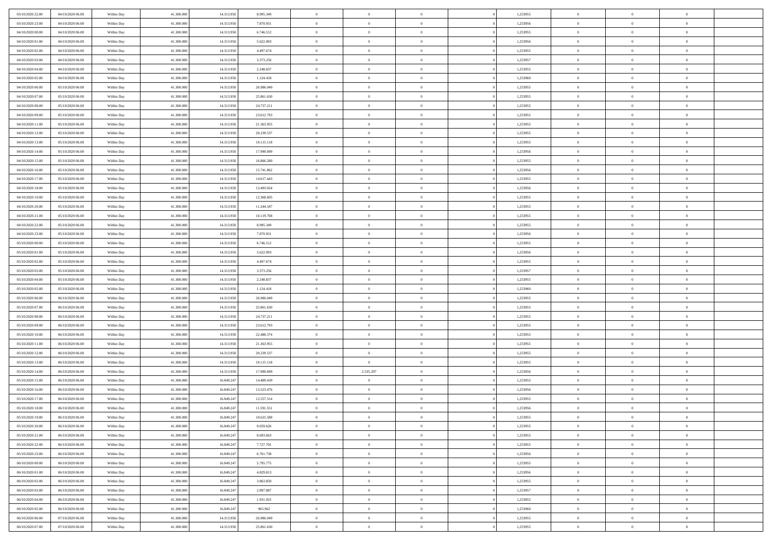| 03/10/2020 22.00                     | 04/10/2020 06.00                     | Within Day               | 41,300,000               | 14.313.950               | 8.995.349                | $\bf{0}$                | $\overline{0}$                   | $\Omega$                         | 1,253955             | $\bf{0}$                 | $\overline{0}$             | $\bf{0}$                  |  |
|--------------------------------------|--------------------------------------|--------------------------|--------------------------|--------------------------|--------------------------|-------------------------|----------------------------------|----------------------------------|----------------------|--------------------------|----------------------------|---------------------------|--|
| 03/10/2020 23:00                     | 04/10/2020 06:00                     | Within Day               | 41.300.000               | 14.313.950               | 7.870.931                | $\theta$                | $\overline{0}$                   | $\overline{0}$                   | 1,253956             | $\mathbf{0}$             | $\bf{0}$                   | $\overline{0}$            |  |
| 04/10/2020 00:00                     | 04/10/2020 06:00                     | Within Day               | 41.300.000               | 14.313.950               | 6.746.512                | $\theta$                | $\overline{0}$                   | $\overline{0}$                   | 1,253955             | $\,$ 0                   | $\overline{0}$             | $\,$ 0 $\,$               |  |
| 04/10/2020 01:00                     | 04/10/2020 06.00                     | Within Day               | 41,300,000               | 14.313.950               | 5.622.093                | $\mathbf{0}$            | $\overline{0}$                   | $\mathbf{0}$                     | 1,253956             | $\bf{0}$                 | $\mathbf{0}$               | $\theta$                  |  |
| 04/10/2020 02.00                     | 04/10/2020 06:00                     | Within Day               | 41.300.000               | 14.313.950               | 4.497.674                | $\mathbf{0}$            | $\overline{0}$                   | $\overline{0}$                   | 1,253955             | $\mathbf{0}$             | $\bf{0}$                   | $\overline{0}$            |  |
| 04/10/2020 03:00                     | 04/10/2020 06:00                     | Within Day               | 41.300.000               | 14.313.950               | 3.373.256                | $\theta$                | $\overline{0}$                   | $\bf{0}$                         | 1,253957             | $\,$ 0                   | $\overline{0}$             | $\,$ 0 $\,$               |  |
| 04/10/2020 04:00                     | 04/10/2020 06:00                     | Within Day               | 41,300,000               | 14.313.950               | 2.248.837                | $\,$ 0 $\,$             | $\overline{0}$                   | $\Omega$                         | 1,253955             | $\bf{0}$                 | $\mathbf{0}$               | $\theta$                  |  |
| 04/10/2020 05:00                     | 04/10/2020 06:00                     | Within Day               | 41.300.000               | 14.313.950               | 1.124.418                | $\overline{0}$          | $\overline{0}$                   | $\overline{0}$                   | 1,253960             | $\mathbf{0}$             | $\bf{0}$                   | $\overline{0}$            |  |
| 04/10/2020 06:00                     | 05/10/2020 06:00                     | Within Day               | 41.300.000               | 14.313.950               | 26.986.049               | $\theta$                | $\overline{0}$                   | $\overline{0}$                   | 1,253955             | $\,$ 0                   | $\overline{0}$             | $\,$ 0 $\,$               |  |
| 04/10/2020 07:00                     | 05/10/2020 06.00                     | Within Day               | 41,300,000               | 14.313.950               | 25.861.630               | $\mathbf{0}$            | $\overline{0}$                   | $\mathbf{0}$                     | 1,253955             | $\bf{0}$                 | $\mathbf{0}$               | $\theta$                  |  |
| 04/10/2020 08:00                     | 05/10/2020 06:00                     | Within Day               | 41.300.000               | 14.313.950               | 24.737.211               | $\mathbf{0}$            | $\overline{0}$                   | $\overline{0}$                   | 1,253955             | $\mathbf{0}$             | $\bf{0}$                   | $\overline{0}$            |  |
| 04/10/2020 09:00                     | 05/10/2020 06:00                     | Within Day               | 41.300.000               | 14.313.950               | 23.612.793               | $\theta$                | $\overline{0}$                   | $\overline{0}$                   | 1,253955             | $\,$ 0                   | $\overline{0}$             | $\,$ 0 $\,$               |  |
| 04/10/2020 11:00                     | 05/10/2020 06.00                     | Within Day               | 41,300,000               | 14.313.950               | 21.363.955               | $\theta$                | $\overline{0}$                   | $\mathbf{0}$                     | 1,253955             | $\bf{0}$                 | $\mathbf{0}$               | $\theta$                  |  |
| 04/10/2020 12:00                     | 05/10/2020 06:00                     | Within Day               | 41.300.000               | 14.313.950               | 20.239.537               | $\overline{0}$          | $\overline{0}$                   | $\overline{0}$                   | 1,253955             | $\mathbf{0}$             | $\bf{0}$                   | $\overline{0}$            |  |
| 04/10/2020 13:00                     | 05/10/2020 06:00                     | Within Day               | 41.300.000               | 14.313.950               | 19.115.118               | $\theta$                | $\overline{0}$                   | $\overline{0}$                   | 1,253955             | $\,$ 0                   | $\overline{0}$             | $\,$ 0 $\,$               |  |
| 04/10/2020 14:00                     | 05/10/2020 06:00                     | Within Day               | 41,300,000               | 14.313.950               | 17.990.699               | $\bf{0}$                | $\overline{0}$                   | $\mathbf{0}$                     | 1,253956             | $\bf{0}$                 | $\mathbf{0}$               | $\bf{0}$                  |  |
| 04/10/2020 15:00                     | 05/10/2020 06:00                     | Within Day               | 41.300.000               | 14.313.950               | 16.866.280               | $\overline{0}$          | $\overline{0}$                   | $\overline{0}$                   | 1,253955             | $\mathbf{0}$             | $\bf{0}$                   | $\overline{0}$            |  |
| 04/10/2020 16:00                     | 05/10/2020 06:00                     | Within Day               | 41.300.000               | 14.313.950               | 15.741.862               | $\theta$                | $\overline{0}$                   | $\bf{0}$                         | 1,253956             | $\,$ 0                   | $\overline{0}$             | $\,$ 0 $\,$               |  |
| 04/10/2020 17:00                     | 05/10/2020 06.00                     | Within Day               | 41,300,000               | 14.313.950               | 14.617.443               | $\mathbf{0}$            | $\overline{0}$                   | $\mathbf{0}$                     | 1,253955             | $\bf{0}$                 | $\mathbf{0}$               | $\theta$                  |  |
| 04/10/2020 18:00                     | 05/10/2020 06:00                     | Within Day               | 41.300.000               | 14.313.950               | 13.493.024               | $\overline{0}$          | $\overline{0}$                   | $\overline{0}$                   | 1,253956             | $\mathbf{0}$             | $\bf{0}$                   | $\overline{0}$            |  |
| 04/10/2020 19:00                     | 05/10/2020 06:00                     | Within Day               | 41.300.000               | 14.313.950               | 12.368.605               | $\theta$                | $\overline{0}$                   | $\bf{0}$                         | 1,253955             | $\,$ 0                   | $\overline{0}$             | $\,$ 0 $\,$               |  |
| 04/10/2020 20:00                     | 05/10/2020 06:00                     | Within Day               | 41,300,000               | 14.313.950               | 11.244.187               | $\mathbf{0}$            | $\overline{0}$                   | $\mathbf{0}$                     | 1,253955             | $\bf{0}$                 | $\mathbf{0}$               | $\theta$                  |  |
| 04/10/2020 21:00                     | 05/10/2020 06:00                     | Within Day               | 41.300.000               | 14.313.950               | 10.119.768               | $\overline{0}$          | $\overline{0}$                   | $\overline{0}$                   | 1,253955             | $\mathbf{0}$             | $\bf{0}$                   | $\overline{0}$            |  |
| 04/10/2020 22.00                     | 05/10/2020 06:00                     | Within Day               | 41.300.000               | 14.313.950               | 8.995.349                | $\theta$                | $\overline{0}$                   | $\bf{0}$                         | 1,253955             | $\,$ 0                   | $\overline{0}$             | $\,$ 0 $\,$               |  |
| 04/10/2020 23.00                     | 05/10/2020 06:00                     | Within Day               | 41,300,000               | 14.313.950               | 7.870.931                | $\,$ 0 $\,$             | $\overline{0}$                   | $\mathbf{0}$                     | 1,253956             | $\bf{0}$                 | $\overline{0}$             | $\bf{0}$                  |  |
| 05/10/2020 00:00                     | 05/10/2020 06:00                     | Within Day               | 41.300.000               | 14.313.950               | 6.746.512                | $\overline{0}$          | $\overline{0}$                   | $\overline{0}$                   | 1,253955             | $\mathbf{0}$             | $\bf{0}$                   | $\overline{0}$            |  |
| 05/10/2020 01:00                     | 05/10/2020 06:00                     | Within Day               | 41.300.000               | 14.313.950               | 5.622.093                | $\theta$                | $\overline{0}$                   | $\overline{0}$                   | 1,253956             | $\,$ 0                   | $\overline{0}$             | $\,$ 0 $\,$               |  |
| 05/10/2020 02:00                     | 05/10/2020 06:00                     | Within Day               | 41,300,000               | 14.313.950               | 4.497.674                | $\mathbf{0}$            | $\overline{0}$                   | $\mathbf{0}$                     | 1.253955             | $\bf{0}$                 | $\mathbf{0}$               | $\theta$                  |  |
| 05/10/2020 03:00                     | 05/10/2020 06:00                     | Within Day               | 41.300.000               | 14.313.950               | 3.373.256                | $\overline{0}$          | $\overline{0}$                   | $\overline{0}$                   | 1,253957             | $\mathbf{0}$             | $\bf{0}$                   | $\overline{0}$            |  |
| 05/10/2020 04:00                     | 05/10/2020 06:00                     | Within Day               | 41.300.000               | 14.313.950               | 2.248.837                | $\theta$                | $\overline{0}$                   | $\bf{0}$                         | 1,253955             | $\,$ 0                   | $\overline{0}$             | $\,$ 0 $\,$               |  |
| 05/10/2020 05:00                     | 05/10/2020 06.00                     | Within Day               | 41.300.000               | 14.313.950               | 1.124.418                | $\bf{0}$                | $\overline{0}$                   | $\overline{0}$                   | 1,253960             | $\bf{0}$                 | $\overline{0}$             | $\,0\,$                   |  |
| 05/10/2020 06:00                     | 06/10/2020 06:00                     | Within Day               | 41.300.000               | 14.313.950               | 26.986.049               | $\overline{0}$          | $\overline{0}$                   | $\overline{0}$                   | 1,253955             | $\mathbf{0}$             | $\bf{0}$                   | $\overline{0}$            |  |
| 05/10/2020 07:00                     | 06/10/2020 06:00                     | Within Day               | 41.300.000               | 14.313.950               | 25.861.630               | $\theta$                | $\overline{0}$                   | $\overline{0}$                   | 1,253955             | $\,$ 0                   | $\overline{0}$             | $\,$ 0 $\,$               |  |
| 05/10/2020 08:00<br>05/10/2020 09:00 | 06/10/2020 06:00<br>06/10/2020 06:00 | Within Day<br>Within Day | 41.300.000<br>41.300.000 | 14.313.950<br>14.313.950 | 24.737.211               | $\,$ 0 $\,$<br>$\theta$ | $\overline{0}$<br>$\overline{0}$ | $\overline{0}$<br>$\overline{0}$ | 1,253955<br>1,253955 | $\bf{0}$<br>$\mathbf{0}$ | $\overline{0}$<br>$\bf{0}$ | $\,0\,$<br>$\overline{0}$ |  |
| 05/10/2020 10:00                     | 06/10/2020 06:00                     | Within Day               | 41.300.000               | 14.313.950               | 23.612.793<br>22.488.374 | $\theta$                | $\overline{0}$                   | $\bf{0}$                         | 1,253955             | $\,$ 0                   | $\overline{0}$             | $\,$ 0 $\,$               |  |
| 05/10/2020 11:00                     | 06/10/2020 06:00                     | Within Day               | 41.300.000               | 14.313.950               | 21.363.955               | $\,$ 0 $\,$             | $\overline{0}$                   | $\Omega$                         | 1,253955             | $\bf{0}$                 | $\overline{0}$             | $\,0\,$                   |  |
| 05/10/2020 12:00                     | 06/10/2020 06:00                     | Within Day               | 41.300.000               | 14.313.950               | 20.239.537               | $\overline{0}$          | $\overline{0}$                   | $\overline{0}$                   | 1,253955             | $\mathbf{0}$             | $\bf{0}$                   | $\overline{0}$            |  |
| 05/10/2020 13:00                     | 06/10/2020 06:00                     | Within Day               | 41.300.000               | 14.313.950               | 19.115.118               | $\theta$                | $\overline{0}$                   | $\bf{0}$                         | 1,253955             | $\,$ 0                   | $\overline{0}$             | $\,$ 0 $\,$               |  |
| 05/10/2020 14:00                     | 06/10/2020 06:00                     | Within Day               | 41.300.000               | 14.313.950               | 17.990.699               | $\,$ 0 $\,$             | 2.535.297                        | $\overline{0}$                   | 1,253956             | $\bf{0}$                 | $\overline{0}$             | $\,0\,$                   |  |
| 05/10/2020 15:00                     | 06/10/2020 06:00                     | Within Day               | 41.300.000               | 16.849.247               | 14.489.439               | $\theta$                | $\overline{0}$                   | $\overline{0}$                   | 1,253955             | $\mathbf{0}$             | $\bf{0}$                   | $\overline{0}$            |  |
| 05/10/2020 16:00                     | 06/10/2020 06:00                     | Within Day               | 41.300.000               | 16.849.247               | 13.523.476               | $\theta$                | $\overline{0}$                   | $\overline{0}$                   | 1,253956             | $\,$ 0                   | $\overline{0}$             | $\,$ 0 $\,$               |  |
| 05/10/2020 17:00                     | 06/10/2020 06:00                     | Within Day               | 41.300.000               | 16.849.247               | 12.557.514               | $\,$ 0 $\,$             | $\overline{0}$                   | $\overline{0}$                   | 1,253955             | $\bf{0}$                 | $\overline{0}$             | $\,0\,$                   |  |
| 05/10/2020 18:00                     | 06/10/2020 06:00                     | Within Dav               | 41.300.000               | 16.849.247               | 11.591.551               | $\theta$                | $\overline{0}$                   | $\overline{0}$                   | 1,253956             | $\mathbf{0}$             | $\bf{0}$                   | $\overline{0}$            |  |
| 05/10/2020 19:00                     | 06/10/2020 06:00                     | Within Day               | 41.300.000               | 16.849.247               | 10.625.588               | $\overline{0}$          | $\overline{0}$                   | $\overline{0}$                   | 1,253955             | $\overline{0}$           | $\overline{0}$             | $\theta$                  |  |
| 05/10/2020 20:00                     | 06/10/2020 06:00                     | Within Day               | 41.300.000               | 16.849.247               | 9.659.626                | $\bf{0}$                | $\overline{0}$                   | $\overline{0}$                   | 1,253955             | $\bf{0}$                 | $\overline{0}$             | $\bf{0}$                  |  |
| 05/10/2020 21:00                     | 06/10/2020 06:00                     | Within Day               | 41.300.000               | 16.849.247               | 8.693.663                | $\overline{0}$          | $\overline{0}$                   | $\overline{0}$                   | 1,253955             | $\overline{0}$           | $\bf{0}$                   | $\overline{0}$            |  |
| 05/10/2020 22.00                     | 06/10/2020 06:00                     | Within Day               | 41.300.000               | 16.849.247               | 7.727.701                | $\,$ 0 $\,$             | $\overline{0}$                   | $\overline{0}$                   | 1,253955             | $\,$ 0 $\,$              | $\,$ 0 $\,$                | $\,$ 0 $\,$               |  |
| 05/10/2020 23:00                     | 06/10/2020 06:00                     | Within Day               | 41.300.000               | 16.849.247               | 6.761.738                | $\bf{0}$                | $\overline{0}$                   | $\overline{0}$                   | 1,253956             | $\mathbf{0}$             | $\overline{0}$             | $\bf{0}$                  |  |
| 06/10/2020 00:00                     | 06/10/2020 06:00                     | Within Day               | 41.300.000               | 16.849.247               | 5.795.775                | $\,$ 0 $\,$             | $\overline{0}$                   | $\overline{0}$                   | 1,253955             | $\,$ 0 $\,$              | $\bf{0}$                   | $\overline{0}$            |  |
| 06/10/2020 01:00                     | 06/10/2020 06:00                     | Within Day               | 41.300.000               | 16.849.247               | 4.829.813                | $\,$ 0                  | $\overline{0}$                   | $\overline{0}$                   | 1,253956             | $\,$ 0 $\,$              | $\overline{0}$             | $\,$ 0 $\,$               |  |
| 06/10/2020 02:00                     | 06/10/2020 06:00                     | Within Day               | 41.300.000               | 16.849.247               | 3.863.850                | $\bf{0}$                | $\overline{0}$                   | $\overline{0}$                   | 1,253955             | $\overline{0}$           | $\overline{0}$             | $\overline{0}$            |  |
| 06/10/2020 03:00                     | 06/10/2020 06:00                     | Within Day               | 41.300.000               | 16.849.247               | 2.897.887                | $\,$ 0 $\,$             | $\overline{0}$                   | $\overline{0}$                   | 1,253957             | $\,$ 0 $\,$              | $\bf{0}$                   | $\overline{0}$            |  |
| 06/10/2020 04:00                     | 06/10/2020 06:00                     | Within Day               | 41.300.000               | 16.849.247               | 1.931.925                | $\,$ 0                  | $\overline{0}$                   | $\overline{0}$                   | 1,253955             | $\,$ 0 $\,$              | $\,$ 0 $\,$                | $\,$ 0 $\,$               |  |
| 06/10/2020 05:00                     | 06/10/2020 06:00                     | Within Day               | 41.300.000               | 16.849.247               | 965.962                  | $\bf{0}$                | $\overline{0}$                   | $\overline{0}$                   | 1,253960             | $\mathbf{0}$             | $\overline{0}$             | $\bf{0}$                  |  |
| 06/10/2020 06:00                     | 07/10/2020 06:00                     | Within Day               | 41.300.000               | 14.313.950               | 26.986.049               | $\,$ 0 $\,$             | $\overline{0}$                   | $\overline{0}$                   | 1,253955             | $\mathbf{0}$             | $\bf{0}$                   | $\overline{0}$            |  |
| 06/10/2020 07:00                     | 07/10/2020 06:00                     | Within Day               | 41.300.000               | 14.313.950               | 25.861.630               | $\,$ 0 $\,$             | $\overline{0}$                   | $\overline{0}$                   | 1,253955             | $\,$ 0 $\,$              | $\overline{0}$             | $\,$ 0 $\,$               |  |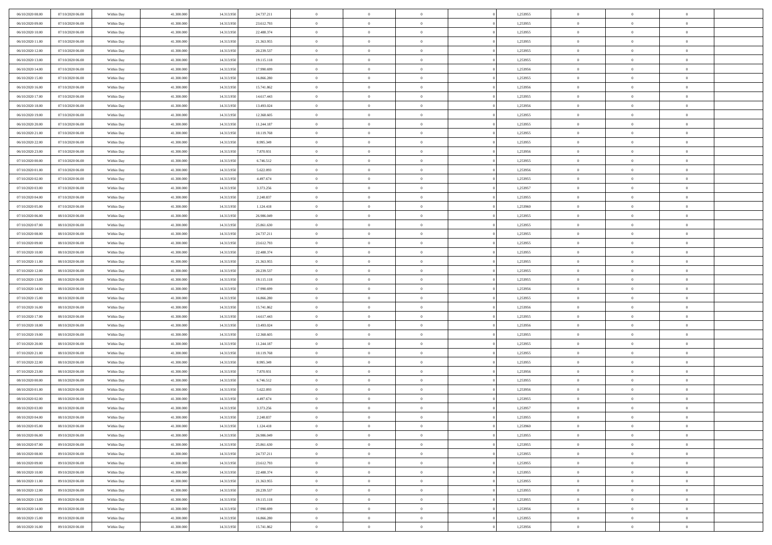| 06/10/2020 08:00                     | 07/10/2020 06.00                     | Within Day               | 41,300,000               | 14.313.950               | 24.737.211               | $\bf{0}$                      | $\overline{0}$                   | $\Omega$                         | 1,253955             | $\bf{0}$                 | $\overline{0}$             | $\bf{0}$                  |  |
|--------------------------------------|--------------------------------------|--------------------------|--------------------------|--------------------------|--------------------------|-------------------------------|----------------------------------|----------------------------------|----------------------|--------------------------|----------------------------|---------------------------|--|
| 06/10/2020 09:00                     | 07/10/2020 06:00                     | Within Day               | 41.300.000               | 14.313.950               | 23.612.793               | $\overline{0}$                | $\overline{0}$                   | $\overline{0}$                   | 1,253955             | $\mathbf{0}$             | $\bf{0}$                   | $\overline{0}$            |  |
| 06/10/2020 10:00                     | 07/10/2020 06:00                     | Within Day               | 41.300.000               | 14.313.950               | 22.488.374               | $\theta$                      | $\overline{0}$                   | $\overline{0}$                   | 1,253955             | $\,$ 0                   | $\overline{0}$             | $\,$ 0 $\,$               |  |
| 06/10/2020 11:00                     | 07/10/2020 06:00                     | Within Day               | 41,300,000               | 14.313.950               | 21.363.955               | $\mathbf{0}$                  | $\overline{0}$                   | $\mathbf{0}$                     | 1,253955             | $\bf{0}$                 | $\mathbf{0}$               | $\theta$                  |  |
| 06/10/2020 12:00                     | 07/10/2020 06:00                     | Within Day               | 41.300.000               | 14.313.950               | 20.239.537               | $\mathbf{0}$                  | $\overline{0}$                   | $\overline{0}$                   | 1,253955             | $\mathbf{0}$             | $\bf{0}$                   | $\overline{0}$            |  |
| 06/10/2020 13:00                     | 07/10/2020 06:00                     | Within Day               | 41.300.000               | 14.313.950               | 19.115.118               | $\theta$                      | $\overline{0}$                   | $\bf{0}$                         | 1,253955             | $\,$ 0                   | $\overline{0}$             | $\,$ 0 $\,$               |  |
| 06/10/2020 14:00                     | 07/10/2020 06.00                     | Within Day               | 41,300,000               | 14.313.950               | 17.990.699               | $\,$ 0 $\,$                   | $\overline{0}$                   | $\Omega$                         | 1,253956             | $\bf{0}$                 | $\mathbf{0}$               | $\theta$                  |  |
| 06/10/2020 15:00                     | 07/10/2020 06:00                     | Within Day               | 41.300.000               | 14.313.950               | 16.866.280               | $\overline{0}$                | $\overline{0}$                   | $\overline{0}$                   | 1,253955             | $\mathbf{0}$             | $\bf{0}$                   | $\overline{0}$            |  |
| 06/10/2020 16:00                     | 07/10/2020 06:00                     | Within Day               | 41.300.000               | 14.313.950               | 15.741.862               | $\theta$                      | $\overline{0}$                   | $\overline{0}$                   | 1,253956             | $\,$ 0                   | $\overline{0}$             | $\,$ 0 $\,$               |  |
| 06/10/2020 17:00                     | 07/10/2020 06.00                     | Within Day               | 41,300,000               | 14.313.950               | 14.617.443               | $\mathbf{0}$                  | $\overline{0}$                   | $\mathbf{0}$                     | 1,253955             | $\bf{0}$                 | $\mathbf{0}$               | $\theta$                  |  |
| 06/10/2020 18:00                     | 07/10/2020 06:00                     | Within Day               | 41.300.000               | 14.313.950               | 13.493.024               | $\overline{0}$                | $\overline{0}$                   | $\overline{0}$                   | 1,253956             | $\mathbf{0}$             | $\bf{0}$                   | $\overline{0}$            |  |
| 06/10/2020 19:00                     | 07/10/2020 06:00                     | Within Day               | 41.300.000               | 14.313.950               | 12.368.605               | $\theta$                      | $\overline{0}$                   | $\overline{0}$                   | 1,253955             | $\,$ 0                   | $\overline{0}$             | $\,$ 0 $\,$               |  |
| 06/10/2020 20:00                     | 07/10/2020 06.00                     | Within Day               | 41,300,000               | 14.313.950               | 11.244.187               | $\theta$                      | $\overline{0}$                   | $\mathbf{0}$                     | 1,253955             | $\bf{0}$                 | $\mathbf{0}$               | $\theta$                  |  |
| 06/10/2020 21:00                     | 07/10/2020 06:00                     | Within Day               | 41.300.000               | 14.313.950               | 10.119.768               | $\overline{0}$                | $\overline{0}$                   | $\overline{0}$                   | 1,253955             | $\mathbf{0}$             | $\bf{0}$                   | $\overline{0}$            |  |
| 06/10/2020 22.00                     | 07/10/2020 06:00                     | Within Day               | 41.300.000               | 14.313.950               | 8.995.349                | $\theta$                      | $\overline{0}$                   | $\overline{0}$                   | 1,253955             | $\,$ 0                   | $\overline{0}$             | $\,$ 0 $\,$               |  |
| 06/10/2020 23.00                     | 07/10/2020 06.00                     | Within Day               | 41,300,000               | 14.313.950               | 7.870.931                | $\bf{0}$                      | $\overline{0}$                   | $\mathbf{0}$                     | 1,253956             | $\bf{0}$                 | $\mathbf{0}$               | $\bf{0}$                  |  |
| 07/10/2020 00:00                     | 07/10/2020 06:00                     | Within Day               | 41.300.000               | 14.313.950               | 6.746.512                | $\overline{0}$                | $\overline{0}$                   | $\overline{0}$                   | 1,253955             | $\mathbf{0}$             | $\bf{0}$                   | $\overline{0}$            |  |
| 07/10/2020 01:00                     | 07/10/2020 06:00                     | Within Day               | 41.300.000               | 14.313.950               | 5.622.093                | $\theta$                      | $\overline{0}$                   | $\overline{0}$                   | 1,253956             | $\,$ 0                   | $\overline{0}$             | $\,0\,$                   |  |
| 07/10/2020 02:00                     | 07/10/2020 06.00                     | Within Day               | 41,300,000               | 14.313.950               | 4.497.674                | $\mathbf{0}$                  | $\overline{0}$                   | $\mathbf{0}$                     | 1,253955             | $\bf{0}$                 | $\mathbf{0}$               | $\theta$                  |  |
| 07/10/2020 03:00                     | 07/10/2020 06:00                     | Within Day               | 41.300.000               | 14.313.950               | 3.373.256                | $\overline{0}$                | $\overline{0}$                   | $\overline{0}$                   | 1,253957             | $\mathbf{0}$             | $\bf{0}$                   | $\overline{0}$            |  |
| 07/10/2020 04:00                     | 07/10/2020 06:00                     | Within Day               | 41.300.000               | 14.313.950               | 2.248.837                | $\theta$                      | $\overline{0}$                   | $\bf{0}$                         | 1,253955             | $\,$ 0                   | $\overline{0}$             | $\,$ 0 $\,$               |  |
| 07/10/2020 05:00                     | 07/10/2020 06.00                     | Within Day               | 41,300,000               | 14.313.950               | 1.124.418                | $\mathbf{0}$                  | $\overline{0}$                   | $\mathbf{0}$                     | 1,253960             | $\bf{0}$                 | $\mathbf{0}$               | $\theta$                  |  |
| 07/10/2020 06:00                     | 08/10/2020 06:00                     | Within Day               | 41.300.000               | 14.313.950               | 26.986.049               | $\overline{0}$                | $\overline{0}$                   | $\overline{0}$                   | 1,253955             | $\mathbf{0}$             | $\bf{0}$                   | $\overline{0}$            |  |
| 07/10/2020 07:00                     | 08/10/2020 06:00                     | Within Day               | 41.300.000               | 14.313.950               | 25.861.630               | $\theta$                      | $\overline{0}$                   | $\bf{0}$                         | 1,253955             | $\,$ 0                   | $\overline{0}$             | $\,$ 0 $\,$               |  |
| 07/10/2020 08:00                     | 08/10/2020 06:00                     | Within Day               | 41,300,000               | 14.313.950               | 24.737.211               | $\bf{0}$                      | $\overline{0}$                   | $\mathbf{0}$                     | 1,253955             | $\bf{0}$                 | $\bf{0}$                   | $\bf{0}$                  |  |
| 07/10/2020 09:00                     | 08/10/2020 06:00                     | Within Day               | 41.300.000               | 14.313.950               | 23.612.793               | $\overline{0}$                | $\overline{0}$                   | $\overline{0}$                   | 1,253955             | $\mathbf{0}$             | $\bf{0}$                   | $\overline{0}$            |  |
| 07/10/2020 10:00                     | 08/10/2020 06:00                     | Within Day               | 41.300.000               | 14.313.950               | 22.488.374               | $\theta$                      | $\overline{0}$                   | $\overline{0}$                   | 1,253955             | $\,$ 0                   | $\overline{0}$             | $\,$ 0 $\,$               |  |
| 07/10/2020 11:00                     | 08/10/2020 06:00                     | Within Day               | 41,300,000               | 14.313.950               | 21.363.955               | $\mathbf{0}$                  | $\overline{0}$                   | $\mathbf{0}$                     | 1.253955             | $\bf{0}$                 | $\mathbf{0}$               | $\theta$                  |  |
| 07/10/2020 12:00                     | 08/10/2020 06:00                     | Within Day               | 41.300.000               | 14.313.950               | 20.239.537               | $\overline{0}$                | $\overline{0}$                   | $\overline{0}$                   | 1,253955             | $\mathbf{0}$             | $\bf{0}$                   | $\overline{0}$            |  |
| 07/10/2020 13:00                     | 08/10/2020 06:00                     | Within Day               | 41.300.000               | 14.313.950               | 19.115.118               | $\theta$                      | $\overline{0}$                   | $\overline{0}$                   | 1,253955             | $\,$ 0                   | $\overline{0}$             | $\,$ 0 $\,$               |  |
| 07/10/2020 14:00                     | 08/10/2020 06:00                     | Within Day               | 41.300.000               | 14.313.950               | 17.990.699               | $\bf{0}$                      | $\overline{0}$                   | $\overline{0}$                   | 1,253956             | $\bf{0}$                 | $\overline{0}$             | $\,0\,$                   |  |
| 07/10/2020 15:00                     | 08/10/2020 06:00                     | Within Day               | 41.300.000               | 14.313.950               | 16.866.280               | $\overline{0}$                | $\overline{0}$                   | $\overline{0}$                   | 1,253955             | $\mathbf{0}$             | $\bf{0}$                   | $\overline{0}$            |  |
| 07/10/2020 16:00                     | 08/10/2020 06:00                     | Within Day               | 41.300.000               | 14.313.950               | 15.741.862               | $\theta$                      | $\overline{0}$                   | $\overline{0}$                   | 1,253956             | $\,$ 0                   | $\overline{0}$             | $\,$ 0 $\,$               |  |
| 07/10/2020 17.00                     | 08/10/2020 06:00                     | Within Day               | 41.300.000               | 14.313.950               | 14.617.443               | $\,$ 0 $\,$                   | $\overline{0}$                   | $\overline{0}$                   | 1,253955             | $\bf{0}$                 | $\overline{0}$             | $\,0\,$                   |  |
| 07/10/2020 18:00                     | 08/10/2020 06:00                     | Within Day               | 41.300.000               | 14.313.950               | 13.493.024               | $\theta$                      | $\overline{0}$                   | $\overline{0}$                   | 1,253956             | $\mathbf{0}$             | $\bf{0}$                   | $\overline{0}$            |  |
| 07/10/2020 19:00                     | 08/10/2020 06:00                     | Within Day               | 41.300.000               | 14.313.950               | 12.368.605               | $\theta$                      | $\overline{0}$                   | $\bf{0}$                         | 1,253955             | $\,$ 0                   | $\overline{0}$             | $\,$ 0 $\,$               |  |
| 07/10/2020 20:00<br>07/10/2020 21:00 | 08/10/2020 06:00<br>08/10/2020 06:00 | Within Day<br>Within Day | 41.300.000<br>41.300.000 | 14.313.950<br>14.313.950 | 11.244.187<br>10.119.768 | $\,$ 0 $\,$<br>$\overline{0}$ | $\overline{0}$<br>$\overline{0}$ | $\overline{0}$<br>$\overline{0}$ | 1,253955<br>1,253955 | $\bf{0}$<br>$\mathbf{0}$ | $\overline{0}$<br>$\bf{0}$ | $\,0\,$<br>$\overline{0}$ |  |
| 07/10/2020 22.00                     | 08/10/2020 06:00                     | Within Day               | 41.300.000               | 14.313.950               | 8.995.349                | $\theta$                      | $\overline{0}$                   | $\bf{0}$                         | 1,253955             | $\,$ 0                   | $\overline{0}$             | $\,$ 0 $\,$               |  |
|                                      |                                      |                          |                          |                          |                          | $\,$ 0 $\,$                   |                                  | $\overline{0}$                   |                      | $\bf{0}$                 | $\overline{0}$             | $\,0\,$                   |  |
| 07/10/2020 23.00<br>08/10/2020 00:00 | 08/10/2020 06:00<br>08/10/2020 06:00 | Within Day<br>Within Day | 41.300.000<br>41.300.000 | 14.313.950<br>14.313.950 | 7.870.931<br>6.746.512   | $\theta$                      | $\overline{0}$<br>$\overline{0}$ | $\overline{0}$                   | 1,253956<br>1,253955 | $\mathbf{0}$             | $\bf{0}$                   | $\overline{0}$            |  |
| 08/10/2020 01:00                     | 08/10/2020 06:00                     | Within Day               | 41.300.000               | 14.313.950               | 5.622.093                | $\theta$                      | $\overline{0}$                   | $\overline{0}$                   | 1,253956             | $\,$ 0                   | $\overline{0}$             | $\,$ 0 $\,$               |  |
| 08/10/2020 02:00                     | 08/10/2020 06:00                     | Within Day               | 41.300.000               | 14.313.950               | 4.497.674                | $\,$ 0 $\,$                   | $\overline{0}$                   | $\overline{0}$                   | 1,253955             | $\bf{0}$                 | $\overline{0}$             | $\,0\,$                   |  |
| 08/10/2020 03:00                     | 08/10/2020 06:00                     | Within Dav               | 41.300.000               | 14.313.950               | 3.373.256                | $\theta$                      | $\overline{0}$                   | $\overline{0}$                   | 1,253957             | $\mathbf{0}$             | $\bf{0}$                   | $\overline{0}$            |  |
| 08/10/2020 04:00                     | 08/10/2020 06:00                     | Within Day               | 41.300.000               | 14.313.950               | 2.248.837                | $\overline{0}$                | $\overline{0}$                   | $\overline{0}$                   | 1,253955             | $\overline{0}$           | $\theta$                   | $\theta$                  |  |
| 08/10/2020 05:00                     | 08/10/2020 06:00                     | Within Day               | 41.300.000               | 14.313.950               | 1.124.418                | $\bf{0}$                      | $\overline{0}$                   | $\overline{0}$                   | 1,253960             | $\bf{0}$                 | $\overline{0}$             | $\bf{0}$                  |  |
| 08/10/2020 06:00                     | 09/10/2020 06:00                     | Within Day               | 41.300.000               | 14.313.950               | 26.986.049               | $\overline{0}$                | $\overline{0}$                   | $\overline{0}$                   | 1,253955             | $\overline{0}$           | $\bf{0}$                   | $\overline{0}$            |  |
| 08/10/2020 07:00                     | 09/10/2020 06:00                     | Within Day               | 41.300.000               | 14.313.950               | 25.861.630               | $\,$ 0                        | $\overline{0}$                   | $\overline{0}$                   | 1,253955             | $\,$ 0 $\,$              | $\,$ 0 $\,$                | $\,$ 0 $\,$               |  |
| 08/10/2020 08:00                     | 09/10/2020 06:00                     | Within Day               | 41.300.000               | 14.313.950               | 24.737.211               | $\bf{0}$                      | $\overline{0}$                   | $\overline{0}$                   | 1,253955             | $\mathbf{0}$             | $\overline{0}$             | $\bf{0}$                  |  |
| 08/10/2020 09:00                     | 09/10/2020 06:00                     | Within Day               | 41.300.000               | 14.313.950               | 23.612.793               | $\,$ 0 $\,$                   | $\overline{0}$                   | $\overline{0}$                   | 1,253955             | $\,$ 0 $\,$              | $\bf{0}$                   | $\overline{0}$            |  |
| 08/10/2020 10:00                     | 09/10/2020 06:00                     | Within Day               | 41.300.000               | 14.313.950               | 22.488.374               | $\,$ 0                        | $\overline{0}$                   | $\overline{0}$                   | 1,253955             | $\,$ 0 $\,$              | $\overline{0}$             | $\,$ 0 $\,$               |  |
| 08/10/2020 11:00                     | 09/10/2020 06.00                     | Within Day               | 41.300.000               | 14.313.950               | 21.363.955               | $\bf{0}$                      | $\overline{0}$                   | $\overline{0}$                   | 1,253955             | $\overline{0}$           | $\overline{0}$             | $\overline{0}$            |  |
| 08/10/2020 12:00                     | 09/10/2020 06:00                     | Within Day               | 41.300.000               | 14.313.950               | 20.239.537               | $\,$ 0 $\,$                   | $\overline{0}$                   | $\overline{0}$                   | 1,253955             | $\,$ 0 $\,$              | $\bf{0}$                   | $\overline{0}$            |  |
| 08/10/2020 13:00                     | 09/10/2020 06:00                     | Within Day               | 41.300.000               | 14.313.950               | 19.115.118               | $\,$ 0                        | $\overline{0}$                   | $\overline{0}$                   | 1,253955             | $\,$ 0 $\,$              | $\,$ 0 $\,$                | $\,$ 0 $\,$               |  |
| 08/10/2020 14:00                     | 09/10/2020 06.00                     | Within Day               | 41.300.000               | 14.313.950               | 17.990.699               | $\bf{0}$                      | $\overline{0}$                   | $\overline{0}$                   | 1,253956             | $\mathbf{0}$             | $\overline{0}$             | $\bf{0}$                  |  |
| 08/10/2020 15:00                     | 09/10/2020 06:00                     | Within Day               | 41.300.000               | 14.313.950               | 16.866.280               | $\,$ 0 $\,$                   | $\overline{0}$                   | $\overline{0}$                   | 1,253955             | $\overline{0}$           | $\bf{0}$                   | $\overline{0}$            |  |
| 08/10/2020 16:00                     | 09/10/2020 06:00                     | Within Day               | 41.300.000               | 14.313.950               | 15.741.862               | $\,$ 0 $\,$                   | $\overline{0}$                   | $\overline{0}$                   | 1,253956             | $\,$ 0 $\,$              | $\overline{0}$             | $\,$ 0 $\,$               |  |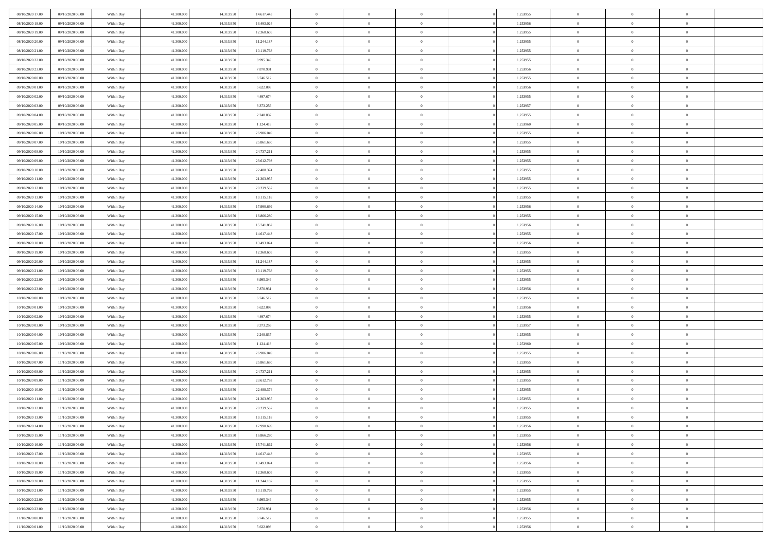| 08/10/2020 17:00                     | 09/10/2020 06.00                     | Within Day               | 41,300,000               | 14.313.950               | 14.617.443             | $\bf{0}$                | $\overline{0}$                   | $\Omega$                         | 1,253955             | $\bf{0}$                 | $\overline{0}$             | $\bf{0}$                  |  |
|--------------------------------------|--------------------------------------|--------------------------|--------------------------|--------------------------|------------------------|-------------------------|----------------------------------|----------------------------------|----------------------|--------------------------|----------------------------|---------------------------|--|
| 08/10/2020 18:00                     | 09/10/2020 06:00                     | Within Day               | 41.300.000               | 14.313.950               | 13.493.024             | $\theta$                | $\overline{0}$                   | $\overline{0}$                   | 1,253956             | $\mathbf{0}$             | $\bf{0}$                   | $\overline{0}$            |  |
| 08/10/2020 19:00                     | 09/10/2020 06:00                     | Within Day               | 41.300.000               | 14.313.950               | 12.368.605             | $\theta$                | $\overline{0}$                   | $\overline{0}$                   | 1,253955             | $\,$ 0                   | $\overline{0}$             | $\,$ 0 $\,$               |  |
| 08/10/2020 20:00                     | 09/10/2020 06:00                     | Within Day               | 41,300,000               | 14.313.950               | 11.244.187             | $\mathbf{0}$            | $\overline{0}$                   | $\mathbf{0}$                     | 1,253955             | $\bf{0}$                 | $\mathbf{0}$               | $\theta$                  |  |
| 08/10/2020 21:00                     | 09/10/2020 06:00                     | Within Day               | 41.300.000               | 14.313.950               | 10.119.768             | $\mathbf{0}$            | $\overline{0}$                   | $\overline{0}$                   | 1,253955             | $\mathbf{0}$             | $\bf{0}$                   | $\overline{0}$            |  |
| 08/10/2020 22:00                     | 09/10/2020 06:00                     | Within Day               | 41.300.000               | 14.313.950               | 8.995.349              | $\theta$                | $\overline{0}$                   | $\bf{0}$                         | 1,253955             | $\,$ 0                   | $\overline{0}$             | $\,$ 0 $\,$               |  |
| 08/10/2020 23:00                     | 09/10/2020 06:00                     | Within Day               | 41,300,000               | 14.313.950               | 7.870.931              | $\,$ 0 $\,$             | $\overline{0}$                   | $\Omega$                         | 1,253956             | $\bf{0}$                 | $\mathbf{0}$               | $\theta$                  |  |
| 09/10/2020 00:00                     | 09/10/2020 06:00                     | Within Day               | 41.300.000               | 14.313.950               | 6.746.512              | $\overline{0}$          | $\overline{0}$                   | $\overline{0}$                   | 1,253955             | $\mathbf{0}$             | $\bf{0}$                   | $\overline{0}$            |  |
| 09/10/2020 01:00                     | 09/10/2020 06:00                     | Within Day               | 41.300.000               | 14.313.950               | 5.622.093              | $\theta$                | $\overline{0}$                   | $\overline{0}$                   | 1,253956             | $\,$ 0                   | $\overline{0}$             | $\,$ 0 $\,$               |  |
| 09/10/2020 02:00                     | 09/10/2020 06.00                     | Within Day               | 41,300,000               | 14.313.950               | 4.497.674              | $\mathbf{0}$            | $\overline{0}$                   | $\mathbf{0}$                     | 1,253955             | $\bf{0}$                 | $\mathbf{0}$               | $\theta$                  |  |
| 09/10/2020 03:00                     | 09/10/2020 06:00                     | Within Day               | 41.300.000               | 14.313.950               | 3.373.256              | $\mathbf{0}$            | $\overline{0}$                   | $\overline{0}$                   | 1,253957             | $\mathbf{0}$             | $\bf{0}$                   | $\overline{0}$            |  |
| 09/10/2020 04:00                     | 09/10/2020 06:00                     | Within Day               | 41.300.000               | 14.313.950               | 2.248.837              | $\theta$                | $\overline{0}$                   | $\bf{0}$                         | 1,253955             | $\,$ 0                   | $\overline{0}$             | $\,$ 0 $\,$               |  |
| 09/10/2020 05:00                     | 09/10/2020 06:00                     | Within Day               | 41,300,000               | 14.313.950               | 1.124.418              | $\theta$                | $\overline{0}$                   | $\mathbf{0}$                     | 1,253960             | $\bf{0}$                 | $\mathbf{0}$               | $\theta$                  |  |
| 09/10/2020 06:00                     | 10/10/2020 06:00                     | Within Day               | 41.300.000               | 14.313.950               | 26.986.049             | $\overline{0}$          | $\overline{0}$                   | $\overline{0}$                   | 1,253955             | $\mathbf{0}$             | $\bf{0}$                   | $\overline{0}$            |  |
| 09/10/2020 07:00                     | 10/10/2020 06:00                     | Within Day               | 41.300.000               | 14.313.950               | 25.861.630             | $\theta$                | $\overline{0}$                   | $\overline{0}$                   | 1,253955             | $\,$ 0                   | $\overline{0}$             | $\,$ 0 $\,$               |  |
| 09/10/2020 08:00                     | 10/10/2020 06:00                     | Within Day               | 41,300,000               | 14.313.950               | 24.737.211             | $\bf{0}$                | $\overline{0}$                   | $\mathbf{0}$                     | 1,253955             | $\bf{0}$                 | $\mathbf{0}$               | $\bf{0}$                  |  |
| 09/10/2020 09:00                     | 10/10/2020 06:00                     | Within Day               | 41.300.000               | 14.313.950               | 23.612.793             | $\overline{0}$          | $\overline{0}$                   | $\overline{0}$                   | 1,253955             | $\mathbf{0}$             | $\bf{0}$                   | $\overline{0}$            |  |
| 09/10/2020 10:00                     | 10/10/2020 06:00                     | Within Day               | 41.300.000               | 14.313.950               | 22.488.374             | $\theta$                | $\overline{0}$                   | $\bf{0}$                         | 1,253955             | $\,$ 0                   | $\overline{0}$             | $\,$ 0 $\,$               |  |
| 09/10/2020 11:00                     | 10/10/2020 06:00                     | Within Day               | 41,300,000               | 14.313.950               | 21.363.955             | $\mathbf{0}$            | $\overline{0}$                   | $\mathbf{0}$                     | 1,253955             | $\theta$                 | $\mathbf{0}$               | $\theta$                  |  |
| 09/10/2020 12:00                     | 10/10/2020 06:00                     | Within Day               | 41.300.000               | 14.313.950               | 20.239.537             | $\overline{0}$          | $\overline{0}$                   | $\overline{0}$                   | 1,253955             | $\mathbf{0}$             | $\bf{0}$                   | $\overline{0}$            |  |
| 09/10/2020 13:00                     | 10/10/2020 06:00                     | Within Day               | 41.300.000               | 14.313.950               | 19.115.118             | $\theta$                | $\overline{0}$                   | $\bf{0}$                         | 1,253955             | $\,$ 0                   | $\overline{0}$             | $\,$ 0 $\,$               |  |
| 09/10/2020 14:00                     | 10/10/2020 06:00                     | Within Day               | 41,300,000               | 14.313.950               | 17.990.699             | $\mathbf{0}$            | $\overline{0}$                   | $\mathbf{0}$                     | 1,253956             | $\bf{0}$                 | $\mathbf{0}$               | $\theta$                  |  |
| 09/10/2020 15:00                     | 10/10/2020 06:00                     | Within Day               | 41.300.000               | 14.313.950               | 16.866.280             | $\overline{0}$          | $\overline{0}$                   | $\overline{0}$                   | 1,253955             | $\mathbf{0}$             | $\bf{0}$                   | $\overline{0}$            |  |
| 09/10/2020 16:00                     | 10/10/2020 06:00                     | Within Day               | 41.300.000               | 14.313.950               | 15.741.862             | $\theta$                | $\overline{0}$                   | $\bf{0}$                         | 1,253956             | $\,$ 0                   | $\overline{0}$             | $\,$ 0 $\,$               |  |
| 09/10/2020 17.00                     | 10/10/2020 06:00                     | Within Day               | 41,300,000               | 14.313.950               | 14.617.443             | $\bf{0}$                | $\overline{0}$                   | $\mathbf{0}$                     | 1,253955             | $\bf{0}$                 | $\overline{0}$             | $\bf{0}$                  |  |
| 09/10/2020 18:00                     | 10/10/2020 06:00                     | Within Day               | 41.300.000               | 14.313.950               | 13.493.024             | $\overline{0}$          | $\overline{0}$                   | $\overline{0}$                   | 1,253956             | $\mathbf{0}$             | $\bf{0}$                   | $\overline{0}$            |  |
| 09/10/2020 19:00                     | 10/10/2020 06:00                     | Within Day               | 41.300.000               | 14.313.950               | 12.368.605             | $\theta$                | $\overline{0}$                   | $\overline{0}$                   | 1,253955             | $\,$ 0                   | $\overline{0}$             | $\,$ 0 $\,$               |  |
| 09/10/2020 20:00                     | 10/10/2020 06:00                     | Within Day               | 41,300,000               | 14.313.950               | 11.244.187             | $\mathbf{0}$            | $\overline{0}$                   | $\mathbf{0}$                     | 1.253955             | $\bf{0}$                 | $\mathbf{0}$               | $\theta$                  |  |
| 09/10/2020 21:00                     | 10/10/2020 06:00                     | Within Day               | 41.300.000               | 14.313.950               | 10.119.768             | $\overline{0}$          | $\overline{0}$                   | $\overline{0}$                   | 1,253955             | $\mathbf{0}$             | $\bf{0}$                   | $\overline{0}$            |  |
| 09/10/2020 22.00                     | 10/10/2020 06:00                     | Within Day               | 41.300.000               | 14.313.950               | 8.995.349              | $\theta$                | $\overline{0}$                   | $\bf{0}$                         | 1,253955             | $\,$ 0                   | $\overline{0}$             | $\,$ 0 $\,$               |  |
| 09/10/2020 23.00                     | 10/10/2020 06:00                     | Within Day               | 41.300.000               | 14.313.950               | 7.870.931              | $\bf{0}$                | $\overline{0}$                   | $\overline{0}$                   | 1,253956             | $\bf{0}$                 | $\overline{0}$             | $\,0\,$                   |  |
| 10/10/2020 00:00                     | 10/10/2020 06:00                     | Within Day               | 41.300.000               | 14.313.950               | 6.746.512              | $\overline{0}$          | $\overline{0}$                   | $\overline{0}$                   | 1,253955             | $\mathbf{0}$             | $\bf{0}$                   | $\overline{0}$            |  |
| 10/10/2020 01:00                     | 10/10/2020 06:00                     | Within Day               | 41.300.000               | 14.313.950               | 5.622.093              | $\theta$                | $\overline{0}$                   | $\overline{0}$                   | 1,253956             | $\,$ 0                   | $\overline{0}$             | $\,$ 0 $\,$               |  |
| 10/10/2020 02:00<br>10/10/2020 03:00 | 10/10/2020 06:00<br>10/10/2020 06:00 | Within Day<br>Within Day | 41.300.000<br>41.300.000 | 14.313.950<br>14.313.950 | 4.497.674              | $\,$ 0 $\,$<br>$\theta$ | $\overline{0}$<br>$\overline{0}$ | $\overline{0}$<br>$\overline{0}$ | 1,253955<br>1,253957 | $\bf{0}$<br>$\mathbf{0}$ | $\overline{0}$<br>$\bf{0}$ | $\,0\,$<br>$\overline{0}$ |  |
| 10/10/2020 04:00                     | 10/10/2020 06:00                     | Within Day               | 41.300.000               | 14.313.950               | 3.373.256<br>2.248.837 | $\theta$                | $\overline{0}$                   | $\bf{0}$                         | 1,253955             | $\,$ 0                   | $\overline{0}$             | $\,$ 0 $\,$               |  |
| 10/10/2020 05:00                     | 10/10/2020 06:00                     | Within Day               | 41.300.000               | 14.313.950               | 1.124.418              | $\bf{0}$                | $\overline{0}$                   | $\overline{0}$                   | 1,253960             | $\bf{0}$                 | $\overline{0}$             | $\,0\,$                   |  |
| 10/10/2020 06:00                     | 11/10/2020 06:00                     | Within Day               | 41.300.000               | 14.313.950               | 26.986.049             | $\overline{0}$          | $\overline{0}$                   | $\overline{0}$                   | 1,253955             | $\mathbf{0}$             | $\bf{0}$                   | $\overline{0}$            |  |
| 10/10/2020 07:00                     | 11/10/2020 06:00                     | Within Day               | 41.300.000               | 14.313.950               | 25.861.630             | $\theta$                | $\overline{0}$                   | $\bf{0}$                         | 1,253955             | $\,$ 0                   | $\overline{0}$             | $\,$ 0 $\,$               |  |
| 10/10/2020 08:00                     | 11/10/2020 06.00                     | Within Day               | 41.300.000               | 14.313.950               | 24.737.211             | $\,$ 0 $\,$             | $\overline{0}$                   | $\overline{0}$                   | 1,253955             | $\bf{0}$                 | $\overline{0}$             | $\,0\,$                   |  |
| 10/10/2020 09:00                     | 11/10/2020 06:00                     | Within Day               | 41.300.000               | 14.313.950               | 23.612.793             | $\theta$                | $\overline{0}$                   | $\overline{0}$                   | 1,253955             | $\mathbf{0}$             | $\bf{0}$                   | $\overline{0}$            |  |
| 10/10/2020 10:00                     | 11/10/2020 06:00                     | Within Day               | 41.300.000               | 14.313.950               | 22.488.374             | $\theta$                | $\overline{0}$                   | $\overline{0}$                   | 1,253955             | $\,$ 0                   | $\overline{0}$             | $\,$ 0 $\,$               |  |
| 10/10/2020 11:00                     | 11/10/2020 06.00                     | Within Day               | 41.300.000               | 14.313.950               | 21.363.955             | $\,$ 0 $\,$             | $\overline{0}$                   | $\overline{0}$                   | 1,253955             | $\bf{0}$                 | $\overline{0}$             | $\,0\,$                   |  |
| 10/10/2020 12:00                     | 11/10/2020 06:00                     | Within Dav               | 41.300.000               | 14.313.950               | 20.239.537             | $\theta$                | $\overline{0}$                   | $\overline{0}$                   | 1,253955             | $\mathbf{0}$             | $\bf{0}$                   | $\overline{0}$            |  |
| 10/10/2020 13:00                     | 11/10/2020 06:00                     | Within Day               | 41.300.000               | 14.313.950               | 19.115.118             | $\overline{0}$          | $\overline{0}$                   | $\overline{0}$                   | 1,253955             | $\overline{0}$           | $\overline{0}$             | $\theta$                  |  |
| 10/10/2020 14:00                     | 11/10/2020 06:00                     | Within Day               | 41.300.000               | 14.313.950               | 17.990.699             | $\bf{0}$                | $\overline{0}$                   | $\overline{0}$                   | 1,253956             | $\bf{0}$                 | $\overline{0}$             | $\bf{0}$                  |  |
| 10/10/2020 15:00                     | 11/10/2020 06:00                     | Within Day               | 41.300.000               | 14.313.950               | 16.866.280             | $\overline{0}$          | $\overline{0}$                   | $\overline{0}$                   | 1,253955             | $\overline{0}$           | $\bf{0}$                   | $\overline{0}$            |  |
| 10/10/2020 16:00                     | 11/10/2020 06:00                     | Within Day               | 41.300.000               | 14.313.950               | 15.741.862             | $\,$ 0 $\,$             | $\overline{0}$                   | $\overline{0}$                   | 1,253956             | $\,$ 0 $\,$              | $\,$ 0 $\,$                | $\,$ 0 $\,$               |  |
| 10/10/2020 17:00                     | 11/10/2020 06:00                     | Within Day               | 41.300.000               | 14.313.950               | 14.617.443             | $\bf{0}$                | $\overline{0}$                   | $\overline{0}$                   | 1,253955             | $\mathbf{0}$             | $\overline{0}$             | $\bf{0}$                  |  |
| 10/10/2020 18:00                     | 11/10/2020 06:00                     | Within Day               | 41.300.000               | 14.313.950               | 13.493.024             | $\,$ 0 $\,$             | $\overline{0}$                   | $\overline{0}$                   | 1,253956             | $\,$ 0 $\,$              | $\bf{0}$                   | $\overline{0}$            |  |
| 10/10/2020 19:00                     | 11/10/2020 06:00                     | Within Day               | 41.300.000               | 14.313.950               | 12.368.605             | $\,$ 0                  | $\overline{0}$                   | $\overline{0}$                   | 1,253955             | $\,$ 0 $\,$              | $\overline{0}$             | $\,$ 0 $\,$               |  |
| 10/10/2020 20:00                     | 11/10/2020 06:00                     | Within Day               | 41.300.000               | 14.313.950               | 11.244.187             | $\bf{0}$                | $\overline{0}$                   | $\overline{0}$                   | 1,253955             | $\overline{0}$           | $\overline{0}$             | $\overline{0}$            |  |
| 10/10/2020 21:00                     | 11/10/2020 06:00                     | Within Day               | 41.300.000               | 14.313.950               | 10.119.768             | $\,$ 0 $\,$             | $\overline{0}$                   | $\overline{0}$                   | 1,253955             | $\,$ 0 $\,$              | $\bf{0}$                   | $\overline{0}$            |  |
| 10/10/2020 22:00                     | 11/10/2020 06:00                     | Within Day               | 41.300.000               | 14.313.950               | 8.995.349              | $\,$ 0                  | $\overline{0}$                   | $\overline{0}$                   | 1,253955             | $\,$ 0 $\,$              | $\,$ 0 $\,$                | $\,$ 0 $\,$               |  |
| 10/10/2020 23:00                     | 11/10/2020 06:00                     | Within Day               | 41.300.000               | 14.313.950               | 7.870.931              | $\bf{0}$                | $\overline{0}$                   | $\overline{0}$                   | 1,253956             | $\mathbf{0}$             | $\overline{0}$             | $\bf{0}$                  |  |
| 11/10/2020 00:00                     | 11/10/2020 06:00                     | Within Day               | 41.300.000               | 14.313.950               | 6.746.512              | $\mathbf{0}$            | $\overline{0}$                   | $\overline{0}$                   | 1,253955             | $\overline{0}$           | $\bf{0}$                   | $\overline{0}$            |  |
| 11/10/2020 01:00                     | 11/10/2020 06:00                     | Within Day               | 41.300.000               | 14.313.950               | 5.622.093              | $\,$ 0 $\,$             | $\overline{0}$                   | $\overline{0}$                   | 1,253956             | $\,$ 0 $\,$              | $\overline{0}$             | $\,$ 0 $\,$               |  |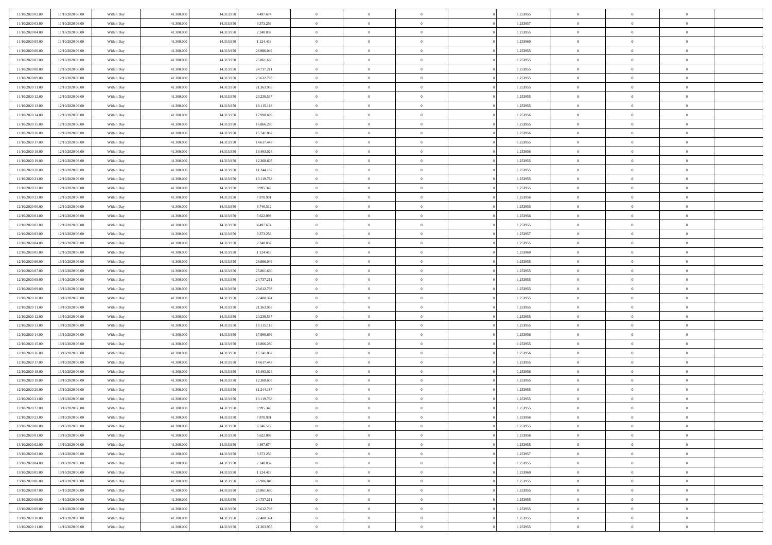| 11/10/2020 02.00                     | 11/10/2020 06.00                     | Within Day               | 41,300,000               | 14.313.950               | 4.497.674                | $\bf{0}$                      | $\overline{0}$                   | $\Omega$                         | 1,253955             | $\bf{0}$                 | $\overline{0}$             | $\bf{0}$                  |  |
|--------------------------------------|--------------------------------------|--------------------------|--------------------------|--------------------------|--------------------------|-------------------------------|----------------------------------|----------------------------------|----------------------|--------------------------|----------------------------|---------------------------|--|
| 11/10/2020 03:00                     | 11/10/2020 06:00                     | Within Day               | 41.300.000               | 14.313.950               | 3.373.256                | $\theta$                      | $\overline{0}$                   | $\overline{0}$                   | 1,253957             | $\mathbf{0}$             | $\bf{0}$                   | $\overline{0}$            |  |
| 11/10/2020 04:00                     | 11/10/2020 06:00                     | Within Day               | 41.300.000               | 14.313.950               | 2.248.837                | $\theta$                      | $\overline{0}$                   | $\overline{0}$                   | 1,253955             | $\,$ 0                   | $\overline{0}$             | $\,$ 0 $\,$               |  |
| 11/10/2020 05:00                     | 11/10/2020 06.00                     | Within Day               | 41,300,000               | 14.313.950               | 1.124.418                | $\mathbf{0}$                  | $\overline{0}$                   | $\mathbf{0}$                     | 1,253960             | $\bf{0}$                 | $\mathbf{0}$               | $\theta$                  |  |
| 11/10/2020 06:00                     | 12/10/2020 06:00                     | Within Day               | 41.300.000               | 14.313.950               | 26.986.049               | $\overline{0}$                | $\overline{0}$                   | $\overline{0}$                   | 1,253955             | $\mathbf{0}$             | $\bf{0}$                   | $\overline{0}$            |  |
| 11/10/2020 07:00                     | 12/10/2020 06:00                     | Within Day               | 41.300.000               | 14.313.950               | 25.861.630               | $\theta$                      | $\overline{0}$                   | $\bf{0}$                         | 1,253955             | $\,$ 0                   | $\overline{0}$             | $\,$ 0 $\,$               |  |
| 11/10/2020 08:00                     | 12/10/2020 06:00                     | Within Day               | 41,300,000               | 14.313.950               | 24.737.211               | $\,$ 0 $\,$                   | $\overline{0}$                   | $\Omega$                         | 1,253955             | $\bf{0}$                 | $\overline{0}$             | $\theta$                  |  |
| 11/10/2020 09:00                     | 12/10/2020 06:00                     | Within Day               | 41.300.000               | 14.313.950               | 23.612.793               | $\overline{0}$                | $\overline{0}$                   | $\overline{0}$                   | 1,253955             | $\mathbf{0}$             | $\bf{0}$                   | $\overline{0}$            |  |
| 11/10/2020 11:00                     | 12/10/2020 06:00                     | Within Day               | 41.300.000               | 14.313.950               | 21.363.955               | $\theta$                      | $\overline{0}$                   | $\bf{0}$                         | 1,253955             | $\,$ 0                   | $\overline{0}$             | $\,$ 0 $\,$               |  |
| 11/10/2020 12:00                     | 12/10/2020 06.00                     | Within Day               | 41,300,000               | 14.313.950               | 20.239.537               | $\mathbf{0}$                  | $\overline{0}$                   | $\mathbf{0}$                     | 1,253955             | $\bf{0}$                 | $\mathbf{0}$               | $\theta$                  |  |
| 11/10/2020 13:00                     | 12/10/2020 06:00                     | Within Day               | 41.300.000               | 14.313.950               | 19.115.118               | $\overline{0}$                | $\overline{0}$                   | $\overline{0}$                   | 1,253955             | $\mathbf{0}$             | $\bf{0}$                   | $\overline{0}$            |  |
| 11/10/2020 14:00                     | 12/10/2020 06:00                     | Within Day               | 41.300.000               | 14.313.950               | 17.990.699               | $\theta$                      | $\overline{0}$                   | $\overline{0}$                   | 1,253956             | $\,$ 0                   | $\overline{0}$             | $\,$ 0 $\,$               |  |
| 11/10/2020 15:00                     | 12/10/2020 06.00                     | Within Day               | 41,300,000               | 14.313.950               | 16.866.280               | $\theta$                      | $\overline{0}$                   | $\mathbf{0}$                     | 1,253955             | $\bf{0}$                 | $\mathbf{0}$               | $\theta$                  |  |
| 11/10/2020 16:00                     | 12/10/2020 06:00                     | Within Day               | 41.300.000               | 14.313.950               | 15.741.862               | $\overline{0}$                | $\overline{0}$                   | $\overline{0}$                   | 1,253956             | $\mathbf{0}$             | $\bf{0}$                   | $\overline{0}$            |  |
| 11/10/2020 17:00                     | 12/10/2020 06:00                     | Within Day               | 41.300.000               | 14.313.950               | 14.617.443               | $\theta$                      | $\overline{0}$                   | $\overline{0}$                   | 1,253955             | $\,$ 0                   | $\overline{0}$             | $\,$ 0 $\,$               |  |
| 11/10/2020 18:00                     | 12/10/2020 06.00                     | Within Day               | 41,300,000               | 14.313.950               | 13.493.024               | $\bf{0}$                      | $\overline{0}$                   | $\mathbf{0}$                     | 1,253956             | $\bf{0}$                 | $\mathbf{0}$               | $\bf{0}$                  |  |
| 11/10/2020 19:00                     | 12/10/2020 06:00                     | Within Day               | 41.300.000               | 14.313.950               | 12.368.605               | $\overline{0}$                | $\overline{0}$                   | $\overline{0}$                   | 1,253955             | $\mathbf{0}$             | $\bf{0}$                   | $\overline{0}$            |  |
| 11/10/2020 20:00                     | 12/10/2020 06:00                     | Within Day               | 41.300.000               | 14.313.950               | 11.244.187               | $\theta$                      | $\overline{0}$                   | $\bf{0}$                         | 1,253955             | $\,$ 0                   | $\overline{0}$             | $\,$ 0 $\,$               |  |
| 11/10/2020 21:00                     | 12/10/2020 06.00                     | Within Day               | 41,300,000               | 14.313.950               | 10.119.768               | $\theta$                      | $\overline{0}$                   | $\mathbf{0}$                     | 1,253955             | $\theta$                 | $\mathbf{0}$               | $\theta$                  |  |
| 11/10/2020 22.00                     | 12/10/2020 06:00                     | Within Day               | 41.300.000               | 14.313.950               | 8.995.349                | $\overline{0}$                | $\overline{0}$                   | $\overline{0}$                   | 1,253955             | $\mathbf{0}$             | $\bf{0}$                   | $\overline{0}$            |  |
| 11/10/2020 23:00                     | 12/10/2020 06:00                     | Within Day               | 41.300.000               | 14.313.950               | 7.870.931                | $\theta$                      | $\overline{0}$                   | $\bf{0}$                         | 1,253956             | $\,$ 0                   | $\overline{0}$             | $\,$ 0 $\,$               |  |
| 12/10/2020 00:00                     | 12/10/2020 06:00                     | Within Day               | 41,300,000               | 14.313.950               | 6.746.512                | $\theta$                      | $\overline{0}$                   | $\mathbf{0}$                     | 1,253955             | $\bf{0}$                 | $\mathbf{0}$               | $\theta$                  |  |
| 12/10/2020 01:00                     | 12/10/2020 06:00                     | Within Day               | 41.300.000               | 14.313.950               | 5.622.093                | $\mathbf{0}$                  | $\overline{0}$                   | $\overline{0}$                   | 1,253956             | $\mathbf{0}$             | $\bf{0}$                   | $\overline{0}$            |  |
| 12/10/2020 02:00                     | 12/10/2020 06:00                     | Within Day               | 41.300.000               | 14.313.950               | 4.497.674                | $\theta$                      | $\overline{0}$                   | $\bf{0}$                         | 1,253955             | $\,$ 0                   | $\overline{0}$             | $\,$ 0 $\,$               |  |
| 12/10/2020 03:00                     | 12/10/2020 06:00                     | Within Day               | 41,300,000               | 14.313.950               | 3.373.256                | $\bf{0}$                      | $\overline{0}$                   | $\mathbf{0}$                     | 1,253957             | $\bf{0}$                 | $\overline{0}$             | $\bf{0}$                  |  |
| 12/10/2020 04:00                     | 12/10/2020 06:00                     | Within Day               | 41.300.000               | 14.313.950               | 2.248.837                | $\overline{0}$                | $\overline{0}$                   | $\overline{0}$                   | 1,253955             | $\mathbf{0}$             | $\bf{0}$                   | $\overline{0}$            |  |
| 12/10/2020 05:00                     | 12/10/2020 06:00                     | Within Day               | 41.300.000               | 14.313.950               | 1.124.418                | $\theta$                      | $\overline{0}$                   | $\overline{0}$                   | 1,253960             | $\,$ 0                   | $\overline{0}$             | $\,$ 0 $\,$               |  |
| 12/10/2020 06:00                     | 13/10/2020 06:00                     | Within Day               | 41,300,000               | 14.313.950               | 26,986,049               | $\mathbf{0}$                  | $\overline{0}$                   | $\mathbf{0}$                     | 1.253955             | $\bf{0}$                 | $\mathbf{0}$               | $\theta$                  |  |
| 12/10/2020 07:00                     | 13/10/2020 06:00                     | Within Day               | 41.300.000               | 14.313.950               | 25.861.630               | $\mathbf{0}$                  | $\overline{0}$                   | $\overline{0}$                   | 1,253955             | $\mathbf{0}$             | $\bf{0}$                   | $\overline{0}$            |  |
| 12/10/2020 08:00                     | 13/10/2020 06:00                     | Within Day               | 41.300.000               | 14.313.950               | 24.737.211               | $\theta$                      | $\overline{0}$                   | $\overline{0}$                   | 1,253955             | $\,$ 0                   | $\overline{0}$             | $\,$ 0 $\,$               |  |
| 12/10/2020 09:00                     | 13/10/2020 06:00                     | Within Day               | 41.300.000               | 14.313.950               | 23.612.793               | $\bf{0}$                      | $\overline{0}$                   | $\overline{0}$                   | 1,253955             | $\bf{0}$                 | $\overline{0}$             | $\,0\,$                   |  |
| 12/10/2020 10:00                     | 13/10/2020 06:00                     | Within Day               | 41.300.000               | 14.313.950               | 22.488.374               | $\overline{0}$                | $\overline{0}$                   | $\overline{0}$                   | 1,253955             | $\mathbf{0}$             | $\bf{0}$                   | $\overline{0}$            |  |
| 12/10/2020 11:00                     | 13/10/2020 06:00                     | Within Day               | 41.300.000               | 14.313.950               | 21.363.955               | $\theta$                      | $\overline{0}$                   | $\overline{0}$                   | 1,253955             | $\,$ 0                   | $\overline{0}$             | $\,$ 0 $\,$               |  |
| 12/10/2020 12:00<br>12/10/2020 13:00 | 13/10/2020 06.00<br>13/10/2020 06:00 | Within Day<br>Within Day | 41.300.000<br>41.300.000 | 14.313.950<br>14.313.950 | 20.239.537<br>19.115.118 | $\,$ 0 $\,$<br>$\overline{0}$ | $\overline{0}$<br>$\overline{0}$ | $\overline{0}$<br>$\overline{0}$ | 1,253955<br>1,253955 | $\bf{0}$<br>$\mathbf{0}$ | $\overline{0}$<br>$\bf{0}$ | $\,0\,$<br>$\overline{0}$ |  |
| 12/10/2020 14:00                     | 13/10/2020 06:00                     | Within Day               | 41.300.000               | 14.313.950               | 17.990.699               | $\theta$                      | $\overline{0}$                   | $\bf{0}$                         | 1,253956             | $\,$ 0                   | $\overline{0}$             | $\,$ 0 $\,$               |  |
| 12/10/2020 15:00                     | 13/10/2020 06:00                     | Within Day               | 41.300.000               | 14.313.950               | 16.866.280               | $\,$ 0 $\,$                   | $\overline{0}$                   | $\overline{0}$                   | 1,253955             | $\bf{0}$                 | $\overline{0}$             | $\,0\,$                   |  |
| 12/10/2020 16:00                     | 13/10/2020 06:00                     | Within Day               | 41.300.000               | 14.313.950               | 15.741.862               | $\overline{0}$                | $\overline{0}$                   | $\overline{0}$                   | 1,253956             | $\mathbf{0}$             | $\bf{0}$                   | $\overline{0}$            |  |
| 12/10/2020 17:00                     | 13/10/2020 06:00                     | Within Day               | 41.300.000               | 14.313.950               | 14.617.443               | $\theta$                      | $\overline{0}$                   | $\bf{0}$                         | 1,253955             | $\,$ 0                   | $\overline{0}$             | $\,$ 0 $\,$               |  |
| 12/10/2020 18:00                     | 13/10/2020 06.00                     | Within Day               | 41.300.000               | 14.313.950               | 13.493.024               | $\,$ 0 $\,$                   | $\overline{0}$                   | $\overline{0}$                   | 1,253956             | $\bf{0}$                 | $\overline{0}$             | $\,0\,$                   |  |
| 12/10/2020 19:00                     | 13/10/2020 06:00                     | Within Day               | 41.300.000               | 14.313.950               | 12.368.605               | $\theta$                      | $\overline{0}$                   | $\overline{0}$                   | 1,253955             | $\mathbf{0}$             | $\bf{0}$                   | $\overline{0}$            |  |
| 12/10/2020 20:00                     | 13/10/2020 06:00                     | Within Day               | 41.300.000               | 14.313.950               | 11.244.187               | $\theta$                      | $\overline{0}$                   | $\overline{0}$                   | 1,253955             | $\,$ 0                   | $\overline{0}$             | $\,$ 0 $\,$               |  |
| 12/10/2020 21:00                     | 13/10/2020 06:00                     | Within Day               | 41.300.000               | 14.313.950               | 10.119.768               | $\,$ 0 $\,$                   | $\overline{0}$                   | $\overline{0}$                   | 1,253955             | $\bf{0}$                 | $\overline{0}$             | $\,0\,$                   |  |
| 12/10/2020 22:00                     | 13/10/2020 06:00                     | Within Dav               | 41.300.000               | 14.313.950               | 8.995.349                | $\theta$                      | $\overline{0}$                   | $\overline{0}$                   | 1,253955             | $\mathbf{0}$             | $\bf{0}$                   | $\overline{0}$            |  |
| 12/10/2020 23:00                     | 13/10/2020 06:00                     | Within Day               | 41.300.000               | 14.313.950               | 7.870.931                | $\overline{0}$                | $\overline{0}$                   | $\overline{0}$                   | 1,253956             | $\overline{0}$           | $\overline{0}$             | $\theta$                  |  |
| 13/10/2020 00:00                     | 13/10/2020 06:00                     | Within Day               | 41.300.000               | 14.313.950               | 6.746.512                | $\bf{0}$                      | $\overline{0}$                   | $\overline{0}$                   | 1,253955             | $\bf{0}$                 | $\overline{0}$             | $\bf{0}$                  |  |
| 13/10/2020 01:00                     | 13/10/2020 06:00                     | Within Day               | 41.300.000               | 14.313.950               | 5.622.093                | $\overline{0}$                | $\overline{0}$                   | $\overline{0}$                   | 1,253956             | $\overline{0}$           | $\bf{0}$                   | $\overline{0}$            |  |
| 13/10/2020 02:00                     | 13/10/2020 06:00                     | Within Day               | 41.300.000               | 14.313.950               | 4.497.674                | $\,$ 0 $\,$                   | $\overline{0}$                   | $\overline{0}$                   | 1,253955             | $\,$ 0 $\,$              | $\,$ 0 $\,$                | $\,$ 0 $\,$               |  |
| 13/10/2020 03:00                     | 13/10/2020 06:00                     | Within Day               | 41.300.000               | 14.313.950               | 3.373.256                | $\bf{0}$                      | $\overline{0}$                   | $\overline{0}$                   | 1,253957             | $\mathbf{0}$             | $\overline{0}$             | $\bf{0}$                  |  |
| 13/10/2020 04:00                     | 13/10/2020 06:00                     | Within Day               | 41.300.000               | 14.313.950               | 2.248.837                | $\,$ 0 $\,$                   | $\overline{0}$                   | $\overline{0}$                   | 1,253955             | $\mathbf{0}$             | $\bf{0}$                   | $\overline{0}$            |  |
| 13/10/2020 05:00                     | 13/10/2020 06:00                     | Within Day               | 41.300.000               | 14.313.950               | 1.124.418                | $\,$ 0                        | $\overline{0}$                   | $\overline{0}$                   | 1,253960             | $\,$ 0 $\,$              | $\overline{0}$             | $\,$ 0 $\,$               |  |
| 13/10/2020 06:00                     | 14/10/2020 06:00                     | Within Day               | 41.300.000               | 14.313.950               | 26.986.049               | $\bf{0}$                      | $\overline{0}$                   | $\overline{0}$                   | 1,253955             | $\overline{0}$           | $\overline{0}$             | $\overline{0}$            |  |
| 13/10/2020 07:00                     | 14/10/2020 06:00                     | Within Day               | 41.300.000               | 14.313.950               | 25.861.630               | $\mathbf{0}$                  | $\overline{0}$                   | $\overline{0}$                   | 1,253955             | $\,$ 0 $\,$              | $\bf{0}$                   | $\overline{0}$            |  |
| 13/10/2020 08:00                     | 14/10/2020 06:00                     | Within Day               | 41.300.000               | 14.313.950               | 24.737.211               | $\,$ 0                        | $\overline{0}$                   | $\overline{0}$                   | 1,253955             | $\,$ 0 $\,$              | $\,$ 0 $\,$                | $\,$ 0 $\,$               |  |
| 13/10/2020 09:00                     | 14/10/2020 06.00                     | Within Day               | 41.300.000               | 14.313.950               | 23.612.793               | $\bf{0}$                      | $\overline{0}$                   | $\overline{0}$                   | 1,253955             | $\mathbf{0}$             | $\overline{0}$             | $\bf{0}$                  |  |
| 13/10/2020 10:00                     | 14/10/2020 06:00                     | Within Day               | 41.300.000               | 14.313.950               | 22.488.374               | $\overline{0}$                | $\overline{0}$                   | $\overline{0}$                   | 1,253955             | $\overline{0}$           | $\bf{0}$                   | $\overline{0}$            |  |
| 13/10/2020 11:00                     | 14/10/2020 06.00                     | Within Day               | 41.300.000               | 14.313.950               | 21.363.955               | $\,$ 0 $\,$                   | $\overline{0}$                   | $\overline{0}$                   | 1,253955             | $\,$ 0 $\,$              | $\overline{0}$             | $\,$ 0 $\,$               |  |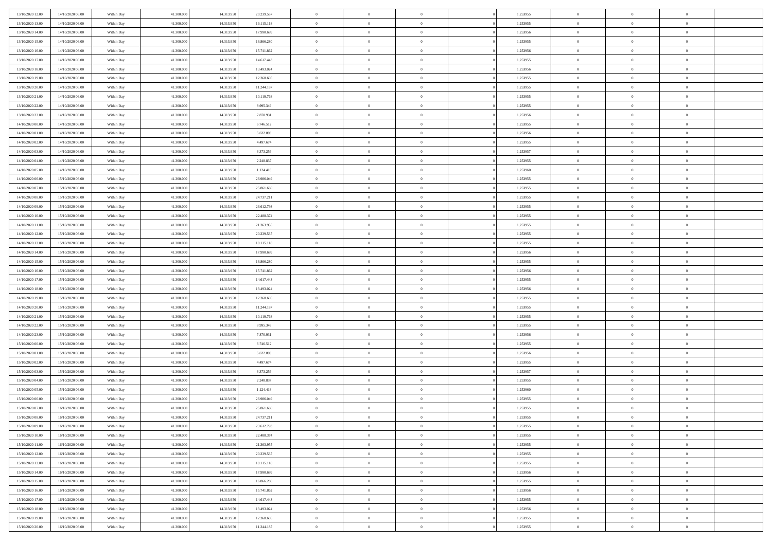| 13/10/2020 12:00 | 14/10/2020 06:00 | Within Day | 41.300,000 | 14.313.950 | 20.239.537 | $\bf{0}$       | $\overline{0}$ | $\overline{0}$ | 1,253955 | $\bf{0}$       | $\overline{0}$ | $\bf{0}$       |  |
|------------------|------------------|------------|------------|------------|------------|----------------|----------------|----------------|----------|----------------|----------------|----------------|--|
| 13/10/2020 13:00 | 14/10/2020 06:00 | Within Day | 41.300.000 | 14.313.950 | 19.115.118 | $\overline{0}$ | $\overline{0}$ | $\overline{0}$ | 1,253955 | $\overline{0}$ | $\bf{0}$       | $\theta$       |  |
| 13/10/2020 14:00 | 14/10/2020 06:00 | Within Day | 41.300.000 | 14.313.950 | 17.990.699 | $\overline{0}$ | $\overline{0}$ | $\overline{0}$ | 1,253956 | $\,$ 0 $\,$    | $\overline{0}$ | $\,0\,$        |  |
| 13/10/2020 15:00 | 14/10/2020 06:00 | Within Day | 41.300,000 | 14.313.950 | 16.866.280 | $\overline{0}$ | $\overline{0}$ | $\Omega$       | 1,253955 | $\overline{0}$ | $\theta$       | $\overline{0}$ |  |
| 13/10/2020 16:00 | 14/10/2020 06:00 | Within Day | 41.300.000 | 14.313.950 | 15.741.862 | $\mathbf{0}$   | $\overline{0}$ | $\overline{0}$ | 1,253956 | $\mathbf{0}$   | $\bf{0}$       | $\overline{0}$ |  |
| 13/10/2020 17:00 | 14/10/2020 06:00 | Within Day | 41.300.000 | 14.313.950 | 14.617.443 | $\overline{0}$ | $\overline{0}$ | $\overline{0}$ | 1,253955 | $\,$ 0 $\,$    | $\overline{0}$ | $\,0\,$        |  |
| 13/10/2020 18:00 | 14/10/2020 06.00 | Within Day | 41.300,000 | 14.313.950 | 13.493.024 | $\bf{0}$       | $\overline{0}$ | $\Omega$       | 1,253956 | $\bf{0}$       | $\theta$       | $\overline{0}$ |  |
| 13/10/2020 19:00 | 14/10/2020 06:00 | Within Day | 41.300.000 | 14.313.950 | 12.368.605 | $\overline{0}$ | $\overline{0}$ | $\overline{0}$ | 1,253955 | $\mathbf{0}$   | $\bf{0}$       | $\theta$       |  |
| 13/10/2020 20:00 | 14/10/2020 06:00 | Within Day | 41.300.000 | 14.313.950 | 11.244.187 | $\,$ 0         | $\overline{0}$ | $\overline{0}$ | 1,253955 | $\,$ 0 $\,$    | $\overline{0}$ | $\,0\,$        |  |
| 13/10/2020 21.00 | 14/10/2020 06.00 | Within Day | 41.300,000 | 14.313.950 | 10.119.768 | $\overline{0}$ | $\overline{0}$ | $\Omega$       | 1,253955 | $\overline{0}$ | $\theta$       | $\overline{0}$ |  |
| 13/10/2020 22:00 | 14/10/2020 06:00 | Within Day | 41.300.000 | 14.313.950 | 8.995.349  | $\mathbf{0}$   | $\overline{0}$ | $\overline{0}$ | 1,253955 | $\mathbf{0}$   | $\bf{0}$       | $\theta$       |  |
| 13/10/2020 23:00 | 14/10/2020 06:00 | Within Day | 41.300.000 | 14.313.950 | 7.870.931  | $\overline{0}$ | $\overline{0}$ | $\overline{0}$ | 1,253956 | $\,$ 0 $\,$    | $\overline{0}$ | $\,0\,$        |  |
| 14/10/2020 00:00 | 14/10/2020 06.00 | Within Day | 41.300,000 | 14.313.950 | 6.746.512  | $\overline{0}$ | $\overline{0}$ | $\Omega$       | 1,253955 | $\overline{0}$ | $\theta$       | $\overline{0}$ |  |
| 14/10/2020 01:00 | 14/10/2020 06:00 | Within Day | 41.300.000 | 14.313.950 | 5.622.093  | $\mathbf{0}$   | $\overline{0}$ | $\overline{0}$ | 1,253956 | $\mathbf{0}$   | $\bf{0}$       | $\theta$       |  |
| 14/10/2020 02:00 | 14/10/2020 06:00 | Within Day | 41.300.000 | 14.313.950 | 4.497.674  | $\,$ 0         | $\,$ 0 $\,$    | $\overline{0}$ | 1,253955 | $\,$ 0 $\,$    | $\overline{0}$ | $\,0\,$        |  |
| 14/10/2020 03.00 | 14/10/2020 06.00 | Within Day | 41.300,000 | 14.313.950 | 3.373.256  | $\bf{0}$       | $\overline{0}$ | $\Omega$       | 1,253957 | $\bf{0}$       | $\theta$       | $\bf{0}$       |  |
| 14/10/2020 04:00 | 14/10/2020 06:00 | Within Day | 41.300.000 | 14.313.950 | 2.248.837  | $\mathbf{0}$   | $\overline{0}$ | $\overline{0}$ | 1,253955 | $\mathbf{0}$   | $\bf{0}$       | $\theta$       |  |
| 14/10/2020 05:00 | 14/10/2020 06:00 | Within Day | 41.300.000 | 14.313.950 | 1.124.418  | $\overline{0}$ | $\overline{0}$ | $\overline{0}$ | 1,253960 | $\,$ 0 $\,$    | $\overline{0}$ | $\,0\,$        |  |
| 14/10/2020 06.00 | 15/10/2020 06.00 | Within Day | 41.300,000 | 14.313.950 | 26,986,049 | $\overline{0}$ | $\overline{0}$ | $\Omega$       | 1.253955 | $\overline{0}$ | $\theta$       | $\overline{0}$ |  |
| 14/10/2020 07:00 | 15/10/2020 06:00 | Within Day | 41.300.000 | 14.313.950 | 25.861.630 | $\overline{0}$ | $\overline{0}$ | $\overline{0}$ | 1,253955 | $\mathbf{0}$   | $\bf{0}$       | $\theta$       |  |
| 14/10/2020 08:00 | 15/10/2020 06:00 | Within Day | 41.300.000 | 14.313.950 | 24.737.211 | $\,$ 0         | $\overline{0}$ | $\overline{0}$ | 1,253955 | $\,$ 0 $\,$    | $\overline{0}$ | $\,0\,$        |  |
| 14/10/2020 09:00 | 15/10/2020 06:00 | Within Day | 41.300,000 | 14.313.950 | 23.612.793 | $\overline{0}$ | $\overline{0}$ | $\Omega$       | 1.253955 | $\overline{0}$ | $\theta$       | $\overline{0}$ |  |
| 14/10/2020 10:00 | 15/10/2020 06:00 | Within Day | 41.300.000 | 14.313.950 | 22.488.374 | $\mathbf{0}$   | $\overline{0}$ | $\overline{0}$ | 1,253955 | $\mathbf{0}$   | $\bf{0}$       | $\theta$       |  |
| 14/10/2020 11:00 | 15/10/2020 06:00 | Within Day | 41.300.000 | 14.313.950 | 21.363.955 | $\overline{0}$ | $\overline{0}$ | $\overline{0}$ | 1,253955 | $\,$ 0 $\,$    | $\overline{0}$ | $\,0\,$        |  |
| 14/10/2020 12:00 | 15/10/2020 06.00 | Within Day | 41.300,000 | 14.313.950 | 20.239.537 | $\bf{0}$       | $\overline{0}$ | $\Omega$       | 1,253955 | $\bf{0}$       | $\theta$       | $\bf{0}$       |  |
| 14/10/2020 13:00 | 15/10/2020 06:00 | Within Day | 41.300.000 | 14.313.950 | 19.115.118 | $\overline{0}$ | $\overline{0}$ | $\overline{0}$ | 1,253955 | $\overline{0}$ | $\bf{0}$       | $\theta$       |  |
| 14/10/2020 14:00 | 15/10/2020 06:00 | Within Day | 41.300.000 | 14.313.950 | 17.990.699 | $\,$ 0         | $\overline{0}$ | $\overline{0}$ | 1,253956 | $\,$ 0 $\,$    | $\overline{0}$ | $\,0\,$        |  |
| 14/10/2020 15.00 | 15/10/2020 06.00 | Within Day | 41.300,000 | 14.313.950 | 16,866,280 | $\overline{0}$ | $\overline{0}$ | $\Omega$       | 1.253955 | $\overline{0}$ | $\theta$       | $\overline{0}$ |  |
| 14/10/2020 16:00 | 15/10/2020 06:00 | Within Day | 41.300.000 | 14.313.950 | 15.741.862 | $\mathbf{0}$   | $\overline{0}$ | $\overline{0}$ | 1,253956 | $\mathbf{0}$   | $\bf{0}$       | $\overline{0}$ |  |
| 14/10/2020 17:00 | 15/10/2020 06:00 | Within Day | 41.300.000 | 14.313.950 | 14.617.443 | $\overline{0}$ | $\overline{0}$ | $\overline{0}$ | 1,253955 | $\,$ 0 $\,$    | $\overline{0}$ | $\,0\,$        |  |
| 14/10/2020 18:00 | 15/10/2020 06:00 | Within Day | 41.300.000 | 14.313.950 | 13.493.024 | $\bf{0}$       | $\overline{0}$ | $\Omega$       | 1,253956 | $\bf{0}$       | $\overline{0}$ | $\bf{0}$       |  |
| 14/10/2020 19:00 | 15/10/2020 06:00 | Within Day | 41.300.000 | 14.313.950 | 12.368.605 | $\overline{0}$ | $\overline{0}$ | $\overline{0}$ | 1,253955 | $\mathbf{0}$   | $\bf{0}$       | $\theta$       |  |
| 14/10/2020 20:00 | 15/10/2020 06:00 | Within Day | 41.300.000 | 14.313.950 | 11.244.187 | $\,$ 0         | $\overline{0}$ | $\overline{0}$ | 1,253955 | $\,$ 0 $\,$    | $\overline{0}$ | $\,0\,$        |  |
| 14/10/2020 21.00 | 15/10/2020 06:00 | Within Day | 41.300.000 | 14.313.950 | 10.119.768 | $\bf{0}$       | $\overline{0}$ | $\overline{0}$ | 1,253955 | $\mathbf{0}$   | $\overline{0}$ | $\bf{0}$       |  |
| 14/10/2020 22.00 | 15/10/2020 06:00 | Within Day | 41.300.000 | 14.313.950 | 8.995.349  | $\mathbf{0}$   | $\overline{0}$ | $\overline{0}$ | 1,253955 | $\overline{0}$ | $\bf{0}$       | $\theta$       |  |
| 14/10/2020 23:00 | 15/10/2020 06:00 | Within Day | 41.300.000 | 14.313.950 | 7.870.931  | $\overline{0}$ | $\overline{0}$ | $\overline{0}$ | 1,253956 | $\,$ 0 $\,$    | $\overline{0}$ | $\,0\,$        |  |
| 15/10/2020 00:00 | 15/10/2020 06:00 | Within Day | 41.300.000 | 14.313.950 | 6.746.512  | $\bf{0}$       | $\overline{0}$ | $\Omega$       | 1,253955 | $\bf{0}$       | $\theta$       | $\bf{0}$       |  |
| 15/10/2020 01:00 | 15/10/2020 06:00 | Within Day | 41.300.000 | 14.313.950 | 5.622.093  | $\mathbf{0}$   | $\overline{0}$ | $\overline{0}$ | 1,253956 | $\mathbf{0}$   | $\bf{0}$       | $\overline{0}$ |  |
| 15/10/2020 02:00 | 15/10/2020 06:00 | Within Day | 41.300.000 | 14.313.950 | 4.497.674  | $\,$ 0         | $\overline{0}$ | $\overline{0}$ | 1,253955 | $\,$ 0 $\,$    | $\overline{0}$ | $\,0\,$        |  |
| 15/10/2020 03:00 | 15/10/2020 06:00 | Within Day | 41.300.000 | 14.313.950 | 3.373.256  | $\bf{0}$       | $\overline{0}$ | $\Omega$       | 1,253957 | $\bf{0}$       | $\overline{0}$ | $\bf{0}$       |  |
| 15/10/2020 04:00 | 15/10/2020 06:00 | Within Day | 41.300.000 | 14.313.950 | 2.248.837  | $\mathbf{0}$   | $\overline{0}$ | $\overline{0}$ | 1,253955 | $\overline{0}$ | $\overline{0}$ | $\theta$       |  |
| 15/10/2020 05:00 | 15/10/2020 06:00 | Within Day | 41.300.000 | 14.313.950 | 1.124.418  | $\overline{0}$ | $\overline{0}$ | $\overline{0}$ | 1,253960 | $\,$ 0 $\,$    | $\overline{0}$ | $\,0\,$        |  |
| 15/10/2020 06:00 | 16/10/2020 06:00 | Within Day | 41.300.000 | 14.313.950 | 26.986.049 | $\bf{0}$       | $\overline{0}$ | $\overline{0}$ | 1,253955 | $\bf{0}$       | $\overline{0}$ | $\bf{0}$       |  |
| 15/10/2020 07:00 | 16/10/2020 06:00 | Within Day | 41.300.000 | 14.313.950 | 25.861.630 | $\mathbf{0}$   | $\overline{0}$ | $\overline{0}$ | 1,253955 | $\overline{0}$ | $\bf{0}$       | $\theta$       |  |
| 15/10/2020 08:00 | 16/10/2020 06:00 | Within Day | 41.300.000 | 14.313.950 | 24.737.211 | $\theta$       | $\overline{0}$ | $\theta$       | 1,253955 | $\overline{0}$ | $\overline{0}$ | $\overline{0}$ |  |
| 15/10/2020 09:00 | 16/10/2020 06:00 | Within Day | 41.300.000 | 14.313.950 | 23.612.793 | $\bf{0}$       | $\overline{0}$ | $\overline{0}$ | 1,253955 | $\mathbf{0}$   | $\overline{0}$ | $\bf{0}$       |  |
| 15/10/2020 10:00 | 16/10/2020 06:00 | Within Day | 41.300.000 | 14.313.950 | 22.488.374 | $\overline{0}$ | $\overline{0}$ | $\overline{0}$ | 1,253955 | $\mathbf{0}$   | $\bf{0}$       | $\overline{0}$ |  |
| 15/10/2020 11:00 | 16/10/2020 06:00 | Within Day | 41.300.000 | 14.313.950 | 21.363.955 | $\,$ 0 $\,$    | $\overline{0}$ | $\overline{0}$ | 1,253955 | $\,$ 0 $\,$    | $\,$ 0 $\,$    | $\theta$       |  |
| 15/10/2020 12:00 | 16/10/2020 06:00 | Within Day | 41.300.000 | 14.313.950 | 20.239.537 | $\bf{0}$       | $\overline{0}$ | $\overline{0}$ | 1,253955 | $\mathbf{0}$   | $\overline{0}$ | $\bf{0}$       |  |
| 15/10/2020 13:00 | 16/10/2020 06:00 | Within Day | 41.300.000 | 14.313.950 | 19.115.118 | $\mathbf{0}$   | $\overline{0}$ | $\overline{0}$ | 1,253955 | $\mathbf{0}$   | $\bf{0}$       | $\theta$       |  |
| 15/10/2020 14:00 | 16/10/2020 06:00 | Within Day | 41.300.000 | 14.313.950 | 17.990.699 | $\,$ 0 $\,$    | $\overline{0}$ | $\overline{0}$ | 1,253956 | $\,$ 0 $\,$    | $\overline{0}$ | $\theta$       |  |
| 15/10/2020 15:00 | 16/10/2020 06:00 | Within Day | 41.300.000 | 14.313.950 | 16.866.280 | $\mathbf{0}$   | $\overline{0}$ | $\overline{0}$ | 1,253955 | $\mathbf{0}$   | $\overline{0}$ | $\overline{0}$ |  |
| 15/10/2020 16.00 | 16/10/2020 06:00 | Within Day | 41.300.000 | 14.313.950 | 15.741.862 | $\mathbf{0}$   | $\overline{0}$ | $\overline{0}$ | 1,253956 | $\,$ 0 $\,$    | $\bf{0}$       | $\overline{0}$ |  |
| 15/10/2020 17.00 | 16/10/2020 06:00 | Within Day | 41.300.000 | 14.313.950 | 14.617.443 | $\,$ 0 $\,$    | $\overline{0}$ | $\overline{0}$ | 1,253955 | $\,$ 0 $\,$    | $\,$ 0         | $\theta$       |  |
| 15/10/2020 18:00 | 16/10/2020 06:00 | Within Day | 41.300.000 | 14.313.950 | 13.493.024 | $\bf{0}$       | $\overline{0}$ | $\overline{0}$ | 1,253956 | $\mathbf{0}$   | $\overline{0}$ | $\bf{0}$       |  |
| 15/10/2020 19:00 | 16/10/2020 06:00 | Within Day | 41.300.000 | 14.313.950 | 12.368.605 | $\mathbf{0}$   | $\overline{0}$ | $\overline{0}$ | 1,253955 | $\mathbf{0}$   | $\bf{0}$       | $\overline{0}$ |  |
| 15/10/2020 20:00 | 16/10/2020 06:00 | Within Day | 41.300.000 | 14.313.950 | 11.244.187 | $\,$ 0         | $\overline{0}$ | $\overline{0}$ | 1,253955 | $\,$ 0 $\,$    | $\overline{0}$ | $\theta$       |  |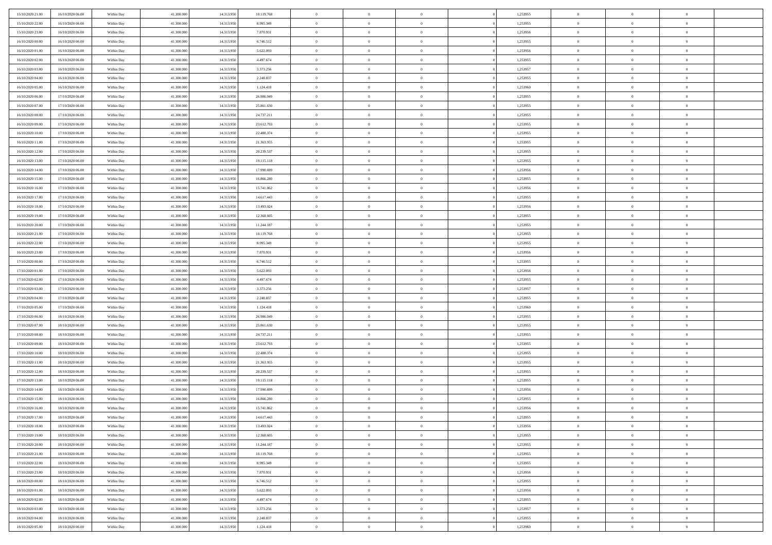| 15/10/2020 21:00                     | 16/10/2020 06:00                     | Within Day               | 41,300,000               | 14.313.950               | 10.119.768               | $\bf{0}$                | $\overline{0}$                   | $\Omega$                         | 1,253955             | $\bf{0}$                 | $\overline{0}$             | $\bf{0}$                  |  |
|--------------------------------------|--------------------------------------|--------------------------|--------------------------|--------------------------|--------------------------|-------------------------|----------------------------------|----------------------------------|----------------------|--------------------------|----------------------------|---------------------------|--|
| 15/10/2020 22.00                     | 16/10/2020 06:00                     | Within Dav               | 41.300.000               | 14.313.950               | 8.995.349                | $\overline{0}$          | $\overline{0}$                   | $\overline{0}$                   | 1,253955             | $\mathbf{0}$             | $\bf{0}$                   | $\overline{0}$            |  |
| 15/10/2020 23:00                     | 16/10/2020 06:00                     | Within Day               | 41.300.000               | 14.313.950               | 7.870.931                | $\theta$                | $\overline{0}$                   | $\overline{0}$                   | 1,253956             | $\,$ 0                   | $\overline{0}$             | $\,$ 0 $\,$               |  |
| 16/10/2020 00:00                     | 16/10/2020 06:00                     | Within Day               | 41,300,000               | 14.313.950               | 6.746.512                | $\mathbf{0}$            | $\overline{0}$                   | $\mathbf{0}$                     | 1,253955             | $\bf{0}$                 | $\mathbf{0}$               | $\theta$                  |  |
| 16/10/2020 01:00                     | 16/10/2020 06:00                     | Within Dav               | 41.300.000               | 14.313.950               | 5.622.093                | $\mathbf{0}$            | $\overline{0}$                   | $\overline{0}$                   | 1,253956             | $\mathbf{0}$             | $\bf{0}$                   | $\overline{0}$            |  |
| 16/10/2020 02:00                     | 16/10/2020 06:00                     | Within Day               | 41.300.000               | 14.313.950               | 4.497.674                | $\theta$                | $\overline{0}$                   | $\bf{0}$                         | 1,253955             | $\,$ 0                   | $\overline{0}$             | $\,$ 0 $\,$               |  |
| 16/10/2020 03:00                     | 16/10/2020 06:00                     | Within Day               | 41,300,000               | 14.313.950               | 3.373.256                | $\,$ 0 $\,$             | $\overline{0}$                   | $\Omega$                         | 1,253957             | $\bf{0}$                 | $\overline{0}$             | $\theta$                  |  |
| 16/10/2020 04:00                     | 16/10/2020 06:00                     | Within Dav               | 41.300.000               | 14.313.950               | 2.248.837                | $\overline{0}$          | $\overline{0}$                   | $\overline{0}$                   | 1,253955             | $\mathbf{0}$             | $\bf{0}$                   | $\overline{0}$            |  |
| 16/10/2020 05:00                     | 16/10/2020 06:00                     | Within Day               | 41.300.000               | 14.313.950               | 1.124.418                | $\theta$                | $\overline{0}$                   | $\bf{0}$                         | 1,253960             | $\,$ 0                   | $\overline{0}$             | $\,$ 0 $\,$               |  |
| 16/10/2020 06:00                     | 17/10/2020 06.00                     | Within Day               | 41,300,000               | 14.313.950               | 26,986,049               | $\mathbf{0}$            | $\overline{0}$                   | $\mathbf{0}$                     | 1,253955             | $\bf{0}$                 | $\mathbf{0}$               | $\theta$                  |  |
| 16/10/2020 07:00                     | 17/10/2020 06:00                     | Within Day               | 41.300.000               | 14.313.950               | 25.861.630               | $\overline{0}$          | $\overline{0}$                   | $\overline{0}$                   | 1,253955             | $\mathbf{0}$             | $\bf{0}$                   | $\overline{0}$            |  |
| 16/10/2020 08:00                     | 17/10/2020 06:00                     | Within Day               | 41.300.000               | 14.313.950               | 24.737.211               | $\theta$                | $\overline{0}$                   | $\overline{0}$                   | 1,253955             | $\,$ 0                   | $\overline{0}$             | $\,$ 0 $\,$               |  |
| 16/10/2020 09:00                     | 17/10/2020 06:00                     | Within Day               | 41,300,000               | 14.313.950               | 23.612.793               | $\theta$                | $\overline{0}$                   | $\mathbf{0}$                     | 1,253955             | $\bf{0}$                 | $\mathbf{0}$               | $\theta$                  |  |
| 16/10/2020 10:00                     | 17/10/2020 06:00                     | Within Day               | 41.300.000               | 14.313.950               | 22.488.374               | $\overline{0}$          | $\overline{0}$                   | $\overline{0}$                   | 1,253955             | $\mathbf{0}$             | $\bf{0}$                   | $\overline{0}$            |  |
| 16/10/2020 11:00                     | 17/10/2020 06:00                     | Within Day               | 41.300.000               | 14.313.950               | 21.363.955               | $\theta$                | $\overline{0}$                   | $\overline{0}$                   | 1,253955             | $\,$ 0                   | $\overline{0}$             | $\,$ 0 $\,$               |  |
| 16/10/2020 12:00                     | 17/10/2020 06.00                     | Within Day               | 41,300,000               | 14.313.950               | 20.239.537               | $\bf{0}$                | $\overline{0}$                   | $\mathbf{0}$                     | 1,253955             | $\bf{0}$                 | $\mathbf{0}$               | $\bf{0}$                  |  |
| 16/10/2020 13:00                     | 17/10/2020 06:00                     | Within Day               | 41.300.000               | 14.313.950               | 19.115.118               | $\overline{0}$          | $\overline{0}$                   | $\overline{0}$                   | 1,253955             | $\mathbf{0}$             | $\bf{0}$                   | $\overline{0}$            |  |
| 16/10/2020 14:00                     | 17/10/2020 06:00                     | Within Day               | 41.300.000               | 14.313.950               | 17.990.699               | $\theta$                | $\overline{0}$                   | $\bf{0}$                         | 1,253956             | $\,$ 0                   | $\overline{0}$             | $\,$ 0 $\,$               |  |
| 16/10/2020 15:00                     | 17/10/2020 06.00                     | Within Day               | 41,300,000               | 14.313.950               | 16.866.280               | $\overline{0}$          | $\overline{0}$                   | $\mathbf{0}$                     | 1,253955             | $\theta$                 | $\mathbf{0}$               | $\theta$                  |  |
| 16/10/2020 16:00                     | 17/10/2020 06:00                     | Within Day               | 41.300.000               | 14.313.950               | 15.741.862               | $\overline{0}$          | $\overline{0}$                   | $\overline{0}$                   | 1,253956             | $\mathbf{0}$             | $\bf{0}$                   | $\overline{0}$            |  |
| 16/10/2020 17:00                     | 17/10/2020 06:00                     | Within Day               | 41.300.000               | 14.313.950               | 14.617.443               | $\theta$                | $\overline{0}$                   | $\bf{0}$                         | 1,253955             | $\,$ 0                   | $\overline{0}$             | $\,$ 0 $\,$               |  |
| 16/10/2020 18:00                     | 17/10/2020 06.00                     | Within Day               | 41,300,000               | 14.313.950               | 13.493.024               | $\theta$                | $\overline{0}$                   | $\mathbf{0}$                     | 1,253956             | $\bf{0}$                 | $\mathbf{0}$               | $\theta$                  |  |
| 16/10/2020 19:00                     | 17/10/2020 06:00                     | Within Day               | 41.300.000               | 14.313.950               | 12.368.605               | $\overline{0}$          | $\overline{0}$                   | $\overline{0}$                   | 1,253955             | $\mathbf{0}$             | $\bf{0}$                   | $\overline{0}$            |  |
| 16/10/2020 20:00                     | 17/10/2020 06:00                     | Within Day               | 41.300.000               | 14.313.950               | 11.244.187               | $\theta$                | $\overline{0}$                   | $\bf{0}$                         | 1,253955             | $\,$ 0                   | $\overline{0}$             | $\,$ 0 $\,$               |  |
| 16/10/2020 21:00                     | 17/10/2020 06:00                     | Within Day               | 41,300,000               | 14.313.950               | 10.119.768               | $\bf{0}$                | $\overline{0}$                   | $\mathbf{0}$                     | 1,253955             | $\bf{0}$                 | $\bf{0}$                   | $\bf{0}$                  |  |
| 16/10/2020 22:00                     | 17/10/2020 06:00                     | Within Day               | 41.300.000               | 14.313.950               | 8.995.349                | $\overline{0}$          | $\overline{0}$                   | $\overline{0}$                   | 1,253955             | $\mathbf{0}$             | $\bf{0}$                   | $\overline{0}$            |  |
| 16/10/2020 23:00                     | 17/10/2020 06:00                     | Within Day               | 41.300.000               | 14.313.950               | 7.870.931                | $\theta$                | $\overline{0}$                   | $\bf{0}$                         | 1,253956             | $\,$ 0                   | $\overline{0}$             | $\,$ 0 $\,$               |  |
| 17/10/2020 00:00                     | 17/10/2020 06:00                     | Within Day               | 41,300,000               | 14.313.950               | 6.746.512                | $\mathbf{0}$            | $\overline{0}$                   | $\mathbf{0}$                     | 1.253955             | $\bf{0}$                 | $\mathbf{0}$               | $\theta$                  |  |
| 17/10/2020 01:00                     | 17/10/2020 06:00                     | Within Day               | 41.300.000               | 14.313.950               | 5.622.093                | $\mathbf{0}$            | $\overline{0}$                   | $\overline{0}$                   | 1,253956             | $\mathbf{0}$             | $\bf{0}$                   | $\overline{0}$            |  |
| 17/10/2020 02:00                     | 17/10/2020 06:00                     | Within Day               | 41.300.000               | 14.313.950               | 4.497.674                | $\theta$                | $\overline{0}$                   | $\overline{0}$                   | 1,253955             | $\,$ 0                   | $\overline{0}$             | $\,$ 0 $\,$               |  |
| 17/10/2020 03:00                     | 17/10/2020 06.00                     | Within Day               | 41.300.000               | 14.313.950               | 3.373.256                | $\,$ 0 $\,$             | $\overline{0}$                   | $\overline{0}$                   | 1,253957             | $\bf{0}$                 | $\overline{0}$             | $\,0\,$                   |  |
| 17/10/2020 04:00                     | 17/10/2020 06:00                     | Within Day               | 41.300.000               | 14.313.950               | 2.248.837                | $\overline{0}$          | $\overline{0}$                   | $\overline{0}$                   | 1,253955             | $\mathbf{0}$             | $\bf{0}$                   | $\overline{0}$            |  |
| 17/10/2020 05:00                     | 17/10/2020 06:00                     | Within Day               | 41.300.000               | 14.313.950               | 1.124.418                | $\theta$                | $\overline{0}$                   | $\overline{0}$                   | 1,253960             | $\,$ 0                   | $\overline{0}$             | $\,$ 0 $\,$               |  |
| 17/10/2020 06:00                     | 18/10/2020 06:00                     | Within Day               | 41.300.000               | 14.313.950               | 26.986.049               | $\,$ 0 $\,$             | $\overline{0}$                   | $\overline{0}$                   | 1,253955             | $\bf{0}$                 | $\overline{0}$             | $\,0\,$                   |  |
| 17/10/2020 07:00                     | 18/10/2020 06:00                     | Within Day               | 41.300.000               | 14.313.950               | 25.861.630               | $\overline{0}$          | $\overline{0}$                   | $\overline{0}$                   | 1,253955             | $\mathbf{0}$             | $\bf{0}$                   | $\overline{0}$            |  |
| 17/10/2020 08:00                     | 18/10/2020 06:00                     | Within Day               | 41.300.000               | 14.313.950               | 24.737.211               | $\theta$                | $\overline{0}$                   | $\bf{0}$                         | 1,253955             | $\,$ 0                   | $\overline{0}$             | $\,$ 0 $\,$               |  |
| 17/10/2020 09:00                     | 18/10/2020 06:00                     | Within Day               | 41.300.000               | 14.313.950               | 23.612.793               | $\,$ 0 $\,$             | $\overline{0}$                   | $\overline{0}$                   | 1,253955             | $\bf{0}$                 | $\overline{0}$             | $\,0\,$                   |  |
| 17/10/2020 10:00                     | 18/10/2020 06:00                     | Within Day               | 41.300.000               | 14.313.950               | 22.488.374               | $\overline{0}$          | $\overline{0}$                   | $\overline{0}$                   | 1,253955             | $\mathbf{0}$             | $\bf{0}$                   | $\overline{0}$            |  |
| 17/10/2020 11:00                     | 18/10/2020 06:00                     | Within Day               | 41.300.000               | 14.313.950               | 21.363.955               | $\theta$                | $\overline{0}$                   | $\bf{0}$                         | 1,253955             | $\,$ 0                   | $\overline{0}$             | $\,$ 0 $\,$               |  |
| 17/10/2020 12:00                     | 18/10/2020 06:00                     | Within Day               | 41.300.000               | 14.313.950               | 20.239.537               | $\,$ 0 $\,$             | $\overline{0}$                   | $\overline{0}$                   | 1,253955             | $\bf{0}$                 | $\overline{0}$             | $\,0\,$                   |  |
| 17/10/2020 13:00                     | 18/10/2020 06:00                     | Within Day               | 41.300.000               | 14.313.950               | 19.115.118               | $\overline{0}$          | $\overline{0}$                   | $\overline{0}$                   | 1,253955             | $\mathbf{0}$             | $\bf{0}$                   | $\overline{0}$            |  |
| 17/10/2020 14:00                     | 18/10/2020 06:00                     | Within Day               | 41.300.000               | 14.313.950               | 17.990.699               | $\theta$                | $\overline{0}$                   | $\overline{0}$                   | 1,253956             | $\,$ 0                   | $\overline{0}$             | $\,$ 0 $\,$               |  |
| 17/10/2020 15:00<br>17/10/2020 16:00 | 18/10/2020 06:00<br>18/10/2020 06:00 | Within Day<br>Within Dav | 41.300.000<br>41.300.000 | 14.313.950<br>14.313.950 | 16.866.280<br>15.741.862 | $\,$ 0 $\,$<br>$\theta$ | $\overline{0}$<br>$\overline{0}$ | $\overline{0}$<br>$\overline{0}$ | 1,253955<br>1,253956 | $\bf{0}$<br>$\mathbf{0}$ | $\overline{0}$<br>$\bf{0}$ | $\,0\,$<br>$\overline{0}$ |  |
| 17/10/2020 17:00                     | 18/10/2020 06:00                     | Within Day               | 41.300.000               | 14.313.950               | 14.617.443               | $\overline{0}$          | $\overline{0}$                   | $\overline{0}$                   | 1,253955             | $\overline{0}$           | $\overline{0}$             | $\theta$                  |  |
| 17/10/2020 18:00                     | 18/10/2020 06:00                     | Within Day               | 41.300.000               | 14.313.950               | 13.493.024               | $\bf{0}$                | $\overline{0}$                   | $\overline{0}$                   | 1,253956             | $\bf{0}$                 | $\overline{0}$             | $\bf{0}$                  |  |
| 17/10/2020 19:00                     | 18/10/2020 06:00                     | Within Day               | 41.300.000               | 14.313.950               | 12.368.605               | $\overline{0}$          | $\overline{0}$                   | $\overline{0}$                   | 1,253955             | $\overline{0}$           | $\bf{0}$                   | $\overline{0}$            |  |
| 17/10/2020 20:00                     | 18/10/2020 06:00                     | Within Day               | 41.300.000               | 14.313.950               | 11.244.187               | $\,$ 0 $\,$             | $\overline{0}$                   | $\overline{0}$                   | 1,253955             | $\,$ 0 $\,$              | $\,$ 0 $\,$                | $\,$ 0 $\,$               |  |
| 17/10/2020 21:00                     | 18/10/2020 06:00                     | Within Day               | 41.300.000               | 14.313.950               | 10.119.768               | $\bf{0}$                | $\overline{0}$                   | $\overline{0}$                   | 1,253955             | $\mathbf{0}$             | $\overline{0}$             | $\bf{0}$                  |  |
| 17/10/2020 22.00                     | 18/10/2020 06:00                     | Within Day               | 41.300.000               | 14.313.950               | 8.995.349                | $\mathbf{0}$            | $\overline{0}$                   | $\overline{0}$                   | 1,253955             | $\,$ 0 $\,$              | $\bf{0}$                   | $\overline{0}$            |  |
| 17/10/2020 23:00                     | 18/10/2020 06:00                     | Within Day               | 41.300.000               | 14.313.950               | 7.870.931                | $\,$ 0 $\,$             | $\overline{0}$                   | $\overline{0}$                   | 1,253956             | $\,$ 0 $\,$              | $\overline{0}$             | $\,$ 0 $\,$               |  |
| 18/10/2020 00:00                     | 18/10/2020 06:00                     | Within Day               | 41.300.000               | 14.313.950               | 6.746.512                | $\bf{0}$                | $\overline{0}$                   | $\overline{0}$                   | 1,253955             | $\overline{0}$           | $\overline{0}$             | $\overline{0}$            |  |
| 18/10/2020 01:00                     | 18/10/2020 06:00                     | Within Day               | 41.300.000               | 14.313.950               | 5.622.093                | $\mathbf{0}$            | $\overline{0}$                   | $\overline{0}$                   | 1,253956             | $\,$ 0 $\,$              | $\bf{0}$                   | $\overline{0}$            |  |
| 18/10/2020 02:00                     | 18/10/2020 06:00                     | Within Day               | 41.300.000               | 14.313.950               | 4.497.674                | $\,$ 0                  | $\overline{0}$                   | $\overline{0}$                   | 1,253955             | $\,$ 0 $\,$              | $\,$ 0 $\,$                | $\,$ 0 $\,$               |  |
| 18/10/2020 03:00                     | 18/10/2020 06:00                     | Within Day               | 41.300.000               | 14.313.950               | 3.373.256                | $\bf{0}$                | $\overline{0}$                   | $\overline{0}$                   | 1,253957             | $\mathbf{0}$             | $\overline{0}$             | $\bf{0}$                  |  |
| 18/10/2020 04:00                     | 18/10/2020 06:00                     | Within Day               | 41.300.000               | 14.313.950               | 2.248.837                | $\mathbf{0}$            | $\overline{0}$                   | $\overline{0}$                   | 1,253955             | $\overline{0}$           | $\bf{0}$                   | $\overline{0}$            |  |
| 18/10/2020 05:00                     | 18/10/2020 06:00                     | Within Day               | 41.300.000               | 14.313.950               | 1.124.418                | $\,$ 0 $\,$             | $\overline{0}$                   | $\overline{0}$                   | 1,253960             | $\,$ 0 $\,$              | $\overline{0}$             | $\,$ 0 $\,$               |  |
|                                      |                                      |                          |                          |                          |                          |                         |                                  |                                  |                      |                          |                            |                           |  |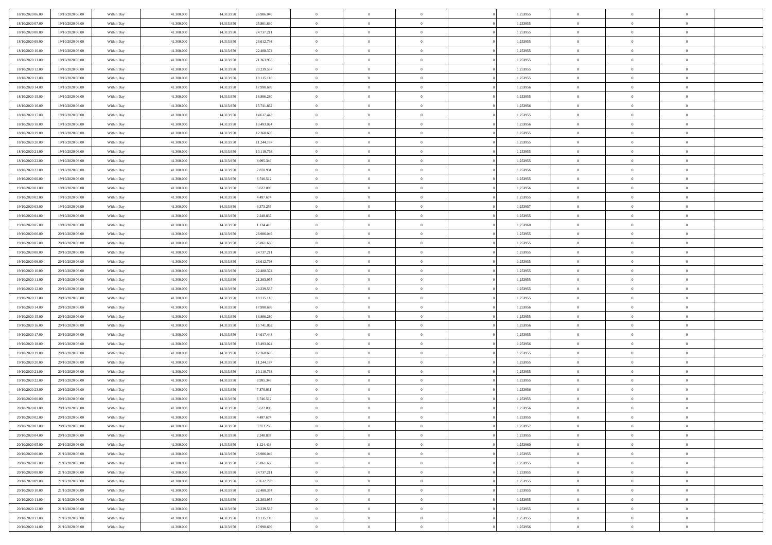| 18/10/2020 06:00 | 19/10/2020 06:00 | Within Day | 41.300,000 | 14.313.950 | 26.986.049 | $\bf{0}$       | $\overline{0}$ | $\overline{0}$ | 1,253955 | $\bf{0}$       | $\overline{0}$ | $\bf{0}$       |  |
|------------------|------------------|------------|------------|------------|------------|----------------|----------------|----------------|----------|----------------|----------------|----------------|--|
| 18/10/2020 07:00 | 19/10/2020 06:00 | Within Day | 41.300.000 | 14.313.950 | 25.861.630 | $\overline{0}$ | $\overline{0}$ | $\Omega$       | 1,253955 | $\overline{0}$ | $\bf{0}$       | $\theta$       |  |
| 18/10/2020 08:00 | 19/10/2020 06:00 | Within Day | 41.300.000 | 14.313.950 | 24.737.211 | $\overline{0}$ | $\overline{0}$ | $\overline{0}$ | 1,253955 | $\,$ 0 $\,$    | $\overline{0}$ | $\,0\,$        |  |
| 18/10/2020 09:00 | 19/10/2020 06:00 | Within Day | 41.300,000 | 14.313.950 | 23.612.793 | $\overline{0}$ | $\overline{0}$ | $\Omega$       | 1,253955 | $\overline{0}$ | $\theta$       | $\overline{0}$ |  |
| 18/10/2020 10:00 | 19/10/2020 06:00 | Within Day | 41.300.000 | 14.313.950 | 22.488.374 | $\mathbf{0}$   | $\overline{0}$ | $\overline{0}$ | 1,253955 | $\mathbf{0}$   | $\bf{0}$       | $\overline{0}$ |  |
| 18/10/2020 11:00 | 19/10/2020 06:00 | Within Day | 41.300.000 | 14.313.950 | 21.363.955 | $\overline{0}$ | $\overline{0}$ | $\overline{0}$ | 1,253955 | $\,$ 0 $\,$    | $\overline{0}$ | $\,0\,$        |  |
| 18/10/2020 12:00 | 19/10/2020 06:00 | Within Day | 41.300,000 | 14.313.950 | 20.239.537 | $\bf{0}$       | $\overline{0}$ | $\Omega$       | 1,253955 | $\bf{0}$       | $\theta$       | $\overline{0}$ |  |
| 18/10/2020 13:00 | 19/10/2020 06:00 | Within Day | 41.300.000 | 14.313.950 | 19.115.118 | $\overline{0}$ | $\overline{0}$ | $\overline{0}$ | 1,253955 | $\mathbf{0}$   | $\bf{0}$       | $\theta$       |  |
| 18/10/2020 14:00 | 19/10/2020 06:00 | Within Day | 41.300.000 | 14.313.950 | 17.990.699 | $\overline{0}$ | $\overline{0}$ | $\overline{0}$ | 1,253956 | $\,$ 0 $\,$    | $\overline{0}$ | $\,0\,$        |  |
| 18/10/2020 15:00 | 19/10/2020 06:00 | Within Day | 41.300,000 | 14.313.950 | 16.866.280 | $\overline{0}$ | $\overline{0}$ | $\Omega$       | 1,253955 | $\overline{0}$ | $\theta$       | $\overline{0}$ |  |
| 18/10/2020 16:00 | 19/10/2020 06:00 | Within Day | 41.300.000 | 14.313.950 | 15.741.862 | $\mathbf{0}$   | $\overline{0}$ | $\overline{0}$ | 1,253956 | $\mathbf{0}$   | $\bf{0}$       | $\theta$       |  |
| 18/10/2020 17:00 | 19/10/2020 06:00 | Within Day | 41.300.000 | 14.313.950 | 14.617.443 | $\overline{0}$ | $\overline{0}$ | $\overline{0}$ | 1,253955 | $\,$ 0 $\,$    | $\overline{0}$ | $\,0\,$        |  |
| 18/10/2020 18:00 | 19/10/2020 06:00 | Within Day | 41.300,000 | 14.313.950 | 13.493.024 | $\overline{0}$ | $\overline{0}$ | $\Omega$       | 1,253956 | $\overline{0}$ | $\theta$       | $\overline{0}$ |  |
| 18/10/2020 19:00 | 19/10/2020 06:00 | Within Day | 41.300.000 | 14.313.950 | 12.368.605 | $\mathbf{0}$   | $\overline{0}$ | $\overline{0}$ | 1,253955 | $\mathbf{0}$   | $\bf{0}$       | $\theta$       |  |
| 18/10/2020 20:00 | 19/10/2020 06:00 | Within Day | 41.300.000 | 14.313.950 | 11.244.187 | $\,$ 0         | $\,$ 0 $\,$    | $\overline{0}$ | 1,253955 | $\,$ 0 $\,$    | $\overline{0}$ | $\,0\,$        |  |
| 18/10/2020 21.00 | 19/10/2020 06:00 | Within Day | 41.300,000 | 14.313.950 | 10.119.768 | $\bf{0}$       | $\overline{0}$ | $\Omega$       | 1,253955 | $\bf{0}$       | $\theta$       | $\bf{0}$       |  |
| 18/10/2020 22:00 | 19/10/2020 06:00 | Within Day | 41.300.000 | 14.313.950 | 8.995.349  | $\mathbf{0}$   | $\overline{0}$ | $\overline{0}$ | 1,253955 | $\mathbf{0}$   | $\bf{0}$       | $\theta$       |  |
| 18/10/2020 23:00 | 19/10/2020 06:00 | Within Day | 41.300.000 | 14.313.950 | 7.870.931  | $\overline{0}$ | $\overline{0}$ | $\overline{0}$ | 1,253956 | $\,$ 0 $\,$    | $\overline{0}$ | $\,0\,$        |  |
| 19/10/2020 00:00 | 19/10/2020 06:00 | Within Day | 41.300,000 | 14.313.950 | 6.746.512  | $\overline{0}$ | $\overline{0}$ | $\Omega$       | 1.253955 | $\overline{0}$ | $\theta$       | $\overline{0}$ |  |
| 19/10/2020 01:00 | 19/10/2020 06:00 | Within Day | 41.300.000 | 14.313.950 | 5.622.093  | $\overline{0}$ | $\overline{0}$ | $\overline{0}$ | 1,253956 | $\mathbf{0}$   | $\bf{0}$       | $\theta$       |  |
| 19/10/2020 02:00 | 19/10/2020 06:00 | Within Day | 41.300.000 | 14.313.950 | 4.497.674  | $\,$ 0         | $\overline{0}$ | $\overline{0}$ | 1,253955 | $\,$ 0 $\,$    | $\overline{0}$ | $\,0\,$        |  |
| 19/10/2020 03:00 | 19/10/2020 06:00 | Within Day | 41.300,000 | 14.313.950 | 3.373.256  | $\overline{0}$ | $\overline{0}$ | $\Omega$       | 1,253957 | $\overline{0}$ | $\theta$       | $\overline{0}$ |  |
| 19/10/2020 04:00 | 19/10/2020 06:00 | Within Day | 41.300.000 | 14.313.950 | 2.248.837  | $\mathbf{0}$   | $\overline{0}$ | $\overline{0}$ | 1,253955 | $\mathbf{0}$   | $\bf{0}$       | $\theta$       |  |
| 19/10/2020 05:00 | 19/10/2020 06:00 | Within Day | 41.300.000 | 14.313.950 | 1.124.418  | $\overline{0}$ | $\overline{0}$ | $\overline{0}$ | 1,253960 | $\,$ 0 $\,$    | $\overline{0}$ | $\,0\,$        |  |
| 19/10/2020 06.00 | 20/10/2020 06.00 | Within Day | 41.300,000 | 14.313.950 | 26.986.049 | $\bf{0}$       | $\overline{0}$ | $\Omega$       | 1,253955 | $\bf{0}$       | $\theta$       | $\bf{0}$       |  |
| 19/10/2020 07:00 | 20/10/2020 06:00 | Within Day | 41.300.000 | 14.313.950 | 25.861.630 | $\overline{0}$ | $\overline{0}$ | $\overline{0}$ | 1,253955 | $\overline{0}$ | $\bf{0}$       | $\theta$       |  |
| 19/10/2020 08:00 | 20/10/2020 06:00 | Within Day | 41.300.000 | 14.313.950 | 24.737.211 | $\,$ 0         | $\overline{0}$ | $\overline{0}$ | 1,253955 | $\,$ 0 $\,$    | $\overline{0}$ | $\,0\,$        |  |
| 19/10/2020 09:00 | 20/10/2020 06.00 | Within Day | 41.300,000 | 14.313.950 | 23.612.793 | $\overline{0}$ | $\overline{0}$ | $\Omega$       | 1.253955 | $\overline{0}$ | $\theta$       | $\overline{0}$ |  |
| 19/10/2020 10:00 | 20/10/2020 06:00 | Within Day | 41.300.000 | 14.313.950 | 22.488.374 | $\mathbf{0}$   | $\overline{0}$ | $\overline{0}$ | 1,253955 | $\mathbf{0}$   | $\bf{0}$       | $\overline{0}$ |  |
| 19/10/2020 11:00 | 20/10/2020 06:00 | Within Day | 41.300.000 | 14.313.950 | 21.363.955 | $\overline{0}$ | $\overline{0}$ | $\overline{0}$ | 1,253955 | $\,$ 0 $\,$    | $\overline{0}$ | $\,0\,$        |  |
| 19/10/2020 12:00 | 20/10/2020 06:00 | Within Day | 41.300.000 | 14.313.950 | 20.239.537 | $\bf{0}$       | $\overline{0}$ | $\theta$       | 1,253955 | $\bf{0}$       | $\overline{0}$ | $\bf{0}$       |  |
| 19/10/2020 13:00 | 20/10/2020 06:00 | Within Day | 41.300.000 | 14.313.950 | 19.115.118 | $\overline{0}$ | $\overline{0}$ | $\overline{0}$ | 1,253955 | $\mathbf{0}$   | $\bf{0}$       | $\theta$       |  |
| 19/10/2020 14:00 | 20/10/2020 06:00 | Within Day | 41.300.000 | 14.313.950 | 17.990.699 | $\,$ 0         | $\overline{0}$ | $\overline{0}$ | 1,253956 | $\,$ 0 $\,$    | $\overline{0}$ | $\,$ 0 $\,$    |  |
| 19/10/2020 15:00 | 20/10/2020 06:00 | Within Day | 41.300.000 | 14.313.950 | 16.866.280 | $\bf{0}$       | $\overline{0}$ | $\overline{0}$ | 1,253955 | $\mathbf{0}$   | $\overline{0}$ | $\bf{0}$       |  |
| 19/10/2020 16:00 | 20/10/2020 06:00 | Within Day | 41.300.000 | 14.313.950 | 15.741.862 | $\overline{0}$ | $\overline{0}$ | $\overline{0}$ | 1,253956 | $\overline{0}$ | $\bf{0}$       | $\theta$       |  |
| 19/10/2020 17:00 | 20/10/2020 06:00 | Within Day | 41.300.000 | 14.313.950 | 14.617.443 | $\overline{0}$ | $\overline{0}$ | $\overline{0}$ | 1,253955 | $\,$ 0 $\,$    | $\overline{0}$ | $\,$ 0 $\,$    |  |
| 19/10/2020 18:00 | 20/10/2020 06:00 | Within Day | 41.300.000 | 14.313.950 | 13.493.024 | $\bf{0}$       | $\overline{0}$ | $\Omega$       | 1,253956 | $\bf{0}$       | $\theta$       | $\bf{0}$       |  |
| 19/10/2020 19:00 | 20/10/2020 06:00 | Within Day | 41.300.000 | 14.313.950 | 12.368.605 | $\mathbf{0}$   | $\overline{0}$ | $\overline{0}$ | 1,253955 | $\mathbf{0}$   | $\bf{0}$       | $\overline{0}$ |  |
| 19/10/2020 20:00 | 20/10/2020 06:00 | Within Day | 41.300.000 | 14.313.950 | 11.244.187 | $\,$ 0         | $\overline{0}$ | $\overline{0}$ | 1,253955 | $\,$ 0 $\,$    | $\overline{0}$ | $\,$ 0 $\,$    |  |
| 19/10/2020 21:00 | 20/10/2020 06:00 | Within Day | 41.300.000 | 14.313.950 | 10.119.768 | $\bf{0}$       | $\overline{0}$ | $\Omega$       | 1,253955 | $\bf{0}$       | $\overline{0}$ | $\bf{0}$       |  |
| 19/10/2020 22:00 | 20/10/2020 06:00 | Within Day | 41.300.000 | 14.313.950 | 8.995.349  | $\mathbf{0}$   | $\overline{0}$ | $\overline{0}$ | 1,253955 | $\overline{0}$ | $\overline{0}$ | $\theta$       |  |
| 19/10/2020 23:00 | 20/10/2020 06:00 | Within Day | 41.300.000 | 14.313.950 | 7.870.931  | $\,$ 0         | $\overline{0}$ | $\overline{0}$ | 1,253956 | $\,$ 0 $\,$    | $\overline{0}$ | $\,$ 0 $\,$    |  |
| 20/10/2020 00:00 | 20/10/2020 06:00 | Within Day | 41.300.000 | 14.313.950 | 6.746.512  | $\bf{0}$       | $\overline{0}$ | $\overline{0}$ | 1,253955 | $\bf{0}$       | $\overline{0}$ | $\bf{0}$       |  |
| 20/10/2020 01:00 | 20/10/2020 06:00 | Within Day | 41.300.000 | 14.313.950 | 5.622.093  | $\mathbf{0}$   | $\overline{0}$ | $\overline{0}$ | 1,253956 | $\overline{0}$ | $\bf{0}$       | $\theta$       |  |
| 20/10/2020 02.00 | 20/10/2020 06:00 | Within Day | 41.300.000 | 14.313.950 | 4.497.674  | $\theta$       | $\overline{0}$ | $\Omega$       | 1,253955 | $\overline{0}$ | $\overline{0}$ | $\overline{0}$ |  |
| 20/10/2020 03:00 | 20/10/2020 06:00 | Within Day | 41.300.000 | 14.313.950 | 3.373.256  | $\bf{0}$       | $\overline{0}$ | $\overline{0}$ | 1,253957 | $\mathbf{0}$   | $\overline{0}$ | $\bf{0}$       |  |
| 20/10/2020 04:00 | 20/10/2020 06:00 | Within Day | 41.300.000 | 14.313.950 | 2.248.837  | $\overline{0}$ | $\overline{0}$ | $\overline{0}$ | 1,253955 | $\,$ 0 $\,$    | $\overline{0}$ | $\overline{0}$ |  |
| 20/10/2020 05:00 | 20/10/2020 06:00 | Within Day | 41.300.000 | 14.313.950 | 1.124.418  | $\,$ 0 $\,$    | $\overline{0}$ | $\overline{0}$ | 1,253960 | $\,$ 0 $\,$    | $\,$ 0 $\,$    | $\theta$       |  |
| 20/10/2020 06.00 | 21/10/2020 06:00 | Within Day | 41.300.000 | 14.313.950 | 26.986.049 | $\bf{0}$       | $\overline{0}$ | $\overline{0}$ | 1,253955 | $\mathbf{0}$   | $\overline{0}$ | $\mathbf{0}$   |  |
| 20/10/2020 07:00 | 21/10/2020 06:00 | Within Day | 41.300.000 | 14.313.950 | 25.861.630 | $\mathbf{0}$   | $\overline{0}$ | $\overline{0}$ | 1,253955 | $\mathbf{0}$   | $\bf{0}$       | $\overline{0}$ |  |
| 20/10/2020 08:00 | 21/10/2020 06:00 | Within Day | 41.300.000 | 14.313.950 | 24.737.211 | $\,$ 0 $\,$    | $\overline{0}$ | $\overline{0}$ | 1,253955 | $\,$ 0 $\,$    | $\overline{0}$ | $\theta$       |  |
| 20/10/2020 09:00 | 21/10/2020 06:00 | Within Day | 41.300.000 | 14.313.950 | 23.612.793 | $\mathbf{0}$   | $\overline{0}$ | $\overline{0}$ | 1,253955 | $\mathbf{0}$   | $\overline{0}$ | $\overline{0}$ |  |
| 20/10/2020 10:00 | 21/10/2020 06:00 | Within Day | 41.300.000 | 14.313.950 | 22.488.374 | $\,$ 0 $\,$    | $\overline{0}$ | $\overline{0}$ | 1,253955 | $\,$ 0 $\,$    | $\bf{0}$       | $\overline{0}$ |  |
| 20/10/2020 11:00 | 21/10/2020 06:00 | Within Day | 41.300.000 | 14.313.950 | 21.363.955 | $\,$ 0 $\,$    | $\overline{0}$ | $\overline{0}$ | 1,253955 | $\,$ 0 $\,$    | $\,$ 0         | $\theta$       |  |
| 20/10/2020 12:00 | 21/10/2020 06:00 | Within Day | 41.300.000 | 14.313.950 | 20.239.537 | $\bf{0}$       | $\overline{0}$ | $\overline{0}$ | 1,253955 | $\mathbf{0}$   | $\overline{0}$ | $\bf{0}$       |  |
| 20/10/2020 13:00 | 21/10/2020 06:00 | Within Day | 41.300.000 | 14.313.950 | 19.115.118 | $\mathbf{0}$   | $\overline{0}$ | $\overline{0}$ | 1,253955 | $\mathbf{0}$   | $\bf{0}$       | $\overline{0}$ |  |
| 20/10/2020 14:00 | 21/10/2020 06:00 | Within Day | 41.300.000 | 14.313.950 | 17.990.699 | $\,$ 0         | $\overline{0}$ | $\overline{0}$ | 1,253956 | $\,$ 0 $\,$    | $\overline{0}$ | $\theta$       |  |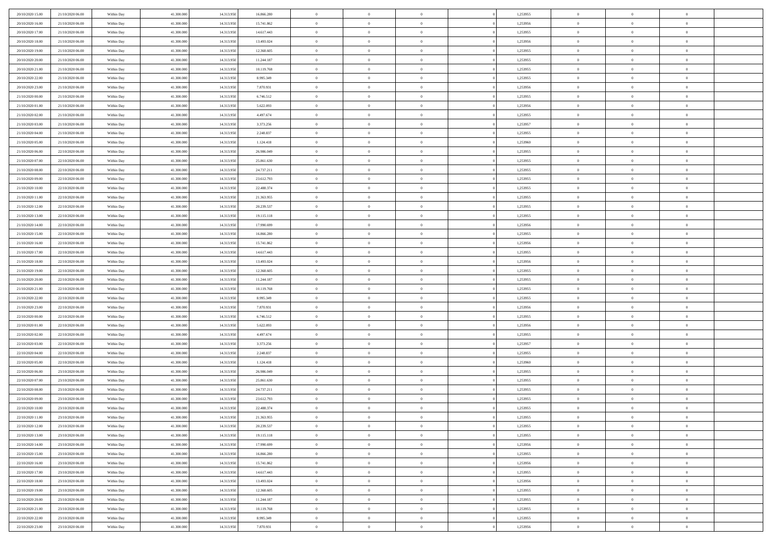| 20/10/2020 15:00                     | 21/10/2020 06.00                     | Within Day               | 41,300,000               | 14.313.950               | 16.866.280             | $\bf{0}$                      | $\overline{0}$                   | $\Omega$                         | 1,253955             | $\bf{0}$                 | $\overline{0}$                   | $\bf{0}$                  |  |
|--------------------------------------|--------------------------------------|--------------------------|--------------------------|--------------------------|------------------------|-------------------------------|----------------------------------|----------------------------------|----------------------|--------------------------|----------------------------------|---------------------------|--|
| 20/10/2020 16:00                     | 21/10/2020 06:00                     | Within Dav               | 41.300.000               | 14.313.950               | 15.741.862             | $\theta$                      | $\overline{0}$                   | $\overline{0}$                   | 1,253956             | $\mathbf{0}$             | $\bf{0}$                         | $\overline{0}$            |  |
| 20/10/2020 17:00                     | 21/10/2020 06:00                     | Within Day               | 41.300.000               | 14.313.950               | 14.617.443             | $\theta$                      | $\overline{0}$                   | $\bf{0}$                         | 1,253955             | $\,$ 0                   | $\overline{0}$                   | $\,$ 0 $\,$               |  |
| 20/10/2020 18:00                     | 21/10/2020 06.00                     | Within Day               | 41,300,000               | 14.313.950               | 13.493.024             | $\mathbf{0}$                  | $\overline{0}$                   | $\mathbf{0}$                     | 1,253956             | $\bf{0}$                 | $\mathbf{0}$                     | $\theta$                  |  |
| 20/10/2020 19:00                     | 21/10/2020 06:00                     | Within Dav               | 41.300.000               | 14.313.950               | 12.368.605             | $\mathbf{0}$                  | $\overline{0}$                   | $\overline{0}$                   | 1,253955             | $\mathbf{0}$             | $\bf{0}$                         | $\overline{0}$            |  |
| 20/10/2020 20:00                     | 21/10/2020 06:00                     | Within Day               | 41.300.000               | 14.313.950               | 11.244.187             | $\theta$                      | $\overline{0}$                   | $\bf{0}$                         | 1,253955             | $\,$ 0                   | $\overline{0}$                   | $\,$ 0 $\,$               |  |
| 20/10/2020 21:00                     | 21/10/2020 06.00                     | Within Day               | 41,300,000               | 14.313.950               | 10.119.768             | $\,$ 0 $\,$                   | $\overline{0}$                   | $\Omega$                         | 1,253955             | $\bf{0}$                 | $\bf{0}$                         | $\theta$                  |  |
| 20/10/2020 22.00                     | 21/10/2020 06:00                     | Within Dav               | 41.300.000               | 14.313.950               | 8.995.349              | $\overline{0}$                | $\overline{0}$                   | $\overline{0}$                   | 1,253955             | $\mathbf{0}$             | $\bf{0}$                         | $\overline{0}$            |  |
| 20/10/2020 23:00                     | 21/10/2020 06:00                     | Within Day               | 41.300.000               | 14.313.950               | 7.870.931              | $\theta$                      | $\overline{0}$                   | $\overline{0}$                   | 1,253956             | $\,$ 0                   | $\overline{0}$                   | $\,$ 0 $\,$               |  |
| 21/10/2020 00:00                     | 21/10/2020 06.00                     | Within Day               | 41,300,000               | 14.313.950               | 6.746.512              | $\mathbf{0}$                  | $\overline{0}$                   | $\mathbf{0}$                     | 1,253955             | $\bf{0}$                 | $\mathbf{0}$                     | $\theta$                  |  |
| 21/10/2020 01:00                     | 21/10/2020 06:00                     | Within Dav               | 41.300.000               | 14.313.950               | 5.622.093              | $\mathbf{0}$                  | $\overline{0}$                   | $\overline{0}$                   | 1,253956             | $\mathbf{0}$             | $\bf{0}$                         | $\overline{0}$            |  |
| 21/10/2020 02:00                     | 21/10/2020 06:00                     | Within Day               | 41.300.000               | 14.313.950               | 4.497.674              | $\theta$                      | $\overline{0}$                   | $\bf{0}$                         | 1,253955             | $\,$ 0                   | $\overline{0}$                   | $\,$ 0 $\,$               |  |
| 21/10/2020 03:00                     | 21/10/2020 06.00                     | Within Day               | 41,300,000               | 14.313.950               | 3.373.256              | $\theta$                      | $\overline{0}$                   | $\mathbf{0}$                     | 1,253957             | $\bf{0}$                 | $\mathbf{0}$                     | $\theta$                  |  |
| 21/10/2020 04:00                     | 21/10/2020 06:00                     | Within Dav               | 41.300.000               | 14.313.950               | 2.248.837              | $\overline{0}$                | $\overline{0}$                   | $\overline{0}$                   | 1,253955             | $\mathbf{0}$             | $\bf{0}$                         | $\overline{0}$            |  |
| 21/10/2020 05:00                     | 21/10/2020 06:00                     | Within Day               | 41.300.000               | 14.313.950               | 1.124.418              | $\theta$                      | $\overline{0}$                   | $\overline{0}$                   | 1,253960             | $\,$ 0                   | $\overline{0}$                   | $\,$ 0 $\,$               |  |
| 21/10/2020 06:00                     | 22/10/2020 06.00                     | Within Day               | 41,300,000               | 14.313.950               | 26.986.049             | $\bf{0}$                      | $\overline{0}$                   | $\mathbf{0}$                     | 1,253955             | $\bf{0}$                 | $\mathbf{0}$                     | $\bf{0}$                  |  |
| 21/10/2020 07:00                     | 22/10/2020 06:00                     | Within Dav               | 41.300.000               | 14.313.950               | 25.861.630             | $\overline{0}$                | $\overline{0}$                   | $\overline{0}$                   | 1,253955             | $\mathbf{0}$             | $\bf{0}$                         | $\overline{0}$            |  |
| 21/10/2020 08:00                     | 22/10/2020 06:00                     | Within Day               | 41.300.000               | 14.313.950               | 24.737.211             | $\theta$                      | $\overline{0}$                   | $\bf{0}$                         | 1,253955             | $\,$ 0                   | $\overline{0}$                   | $\,$ 0 $\,$               |  |
| 21/10/2020 09:00                     | 22/10/2020 06.00                     | Within Day               | 41,300,000               | 14.313.950               | 23.612.793             | $\theta$                      | $\overline{0}$                   | $\mathbf{0}$                     | 1,253955             | $\theta$                 | $\mathbf{0}$                     | $\theta$                  |  |
| 21/10/2020 10:00                     | 22/10/2020 06:00                     | Within Day               | 41.300.000               | 14.313.950               | 22.488.374             | $\overline{0}$                | $\overline{0}$                   | $\overline{0}$                   | 1,253955             | $\mathbf{0}$             | $\bf{0}$                         | $\overline{0}$            |  |
| 21/10/2020 11:00                     | 22/10/2020 06:00                     | Within Day               | 41.300.000               | 14.313.950               | 21.363.955             | $\theta$                      | $\overline{0}$                   | $\bf{0}$                         | 1,253955             | $\,$ 0                   | $\overline{0}$                   | $\,$ 0 $\,$               |  |
| 21/10/2020 12:00                     | 22/10/2020 06.00                     | Within Day               | 41,300,000               | 14.313.950               | 20.239.537             | $\theta$                      | $\overline{0}$                   | $\mathbf{0}$                     | 1,253955             | $\bf{0}$                 | $\mathbf{0}$                     | $\theta$                  |  |
| 21/10/2020 13:00                     | 22/10/2020 06:00                     | Within Day               | 41.300.000               | 14.313.950               | 19.115.118             | $\overline{0}$                | $\overline{0}$                   | $\overline{0}$                   | 1,253955             | $\mathbf{0}$             | $\bf{0}$                         | $\overline{0}$            |  |
| 21/10/2020 14:00                     | 22/10/2020 06:00                     | Within Day               | 41.300.000               | 14.313.950               | 17.990.699             | $\theta$                      | $\overline{0}$                   | $\bf{0}$                         | 1,253956             | $\,$ 0                   | $\overline{0}$                   | $\,$ 0 $\,$               |  |
| 21/10/2020 15:00                     | 22/10/2020 06:00                     | Within Day               | 41,300,000               | 14.313.950               | 16.866.280             | $\,$ 0 $\,$                   | $\overline{0}$                   | $\mathbf{0}$                     | 1,253955             | $\bf{0}$                 | $\bf{0}$                         | $\bf{0}$                  |  |
| 21/10/2020 16:00                     | 22/10/2020 06:00                     | Within Day               | 41.300.000               | 14.313.950               | 15.741.862             | $\overline{0}$                | $\overline{0}$                   | $\overline{0}$                   | 1,253956             | $\mathbf{0}$             | $\bf{0}$                         | $\overline{0}$            |  |
| 21/10/2020 17:00                     | 22/10/2020 06:00                     | Within Day               | 41.300.000               | 14.313.950               | 14.617.443             | $\theta$                      | $\overline{0}$                   | $\overline{0}$                   | 1,253955             | $\,$ 0                   | $\overline{0}$                   | $\,$ 0 $\,$               |  |
| 21/10/2020 18:00                     | 22/10/2020 06.00                     | Within Day               | 41,300,000               | 14.313.950               | 13.493.024             | $\mathbf{0}$                  | $\overline{0}$                   | $\mathbf{0}$                     | 1.253956             | $\bf{0}$                 | $\mathbf{0}$                     | $\theta$                  |  |
| 21/10/2020 19:00                     | 22/10/2020 06:00                     | Within Day               | 41.300.000               | 14.313.950               | 12.368.605             | $\mathbf{0}$                  | $\overline{0}$                   | $\overline{0}$                   | 1,253955             | $\mathbf{0}$             | $\bf{0}$                         | $\overline{0}$            |  |
| 21/10/2020 20:00                     | 22/10/2020 06:00                     | Within Day               | 41.300.000               | 14.313.950               | 11.244.187             | $\theta$                      | $\overline{0}$                   | $\bf{0}$                         | 1,253955             | $\,$ 0                   | $\overline{0}$                   | $\,$ 0 $\,$               |  |
| 21/10/2020 21:00                     | 22/10/2020 06:00                     | Within Day               | 41.300.000               | 14.313.950               | 10.119.768             | $\,$ 0 $\,$                   | $\overline{0}$                   | $\overline{0}$                   | 1,253955             | $\bf{0}$                 | $\overline{0}$                   | $\,0\,$                   |  |
| 21/10/2020 22.00                     | 22/10/2020 06:00                     | Within Day               | 41.300.000               | 14.313.950               | 8.995.349              | $\overline{0}$                | $\overline{0}$                   | $\overline{0}$                   | 1,253955             | $\mathbf{0}$             | $\bf{0}$                         | $\overline{0}$            |  |
| 21/10/2020 23:00                     | 22/10/2020 06:00                     | Within Day               | 41.300.000               | 14.313.950               | 7.870.931              | $\theta$                      | $\overline{0}$                   | $\overline{0}$<br>$\overline{0}$ | 1,253956             | $\,$ 0                   | $\overline{0}$<br>$\overline{0}$ | $\,$ 0 $\,$               |  |
| 22/10/2020 00:00<br>22/10/2020 01:00 | 22/10/2020 06.00<br>22/10/2020 06:00 | Within Day<br>Within Day | 41.300.000<br>41.300.000 | 14.313.950<br>14.313.950 | 6.746.512<br>5.622.093 | $\,$ 0 $\,$<br>$\overline{0}$ | $\overline{0}$<br>$\overline{0}$ | $\overline{0}$                   | 1,253955<br>1,253956 | $\bf{0}$<br>$\mathbf{0}$ | $\bf{0}$                         | $\,0\,$<br>$\overline{0}$ |  |
| 22/10/2020 02:00                     | 22/10/2020 06:00                     | Within Day               | 41.300.000               | 14.313.950               | 4.497.674              | $\theta$                      | $\overline{0}$                   | $\bf{0}$                         | 1,253955             | $\,$ 0                   | $\overline{0}$                   | $\,$ 0 $\,$               |  |
| 22/10/2020 03:00                     | 22/10/2020 06:00                     | Within Day               | 41.300.000               | 14.313.950               | 3.373.256              | $\,$ 0 $\,$                   | $\overline{0}$                   | $\overline{0}$                   | 1,253957             | $\bf{0}$                 | $\overline{0}$                   | $\,0\,$                   |  |
| 22/10/2020 04:00                     | 22/10/2020 06:00                     | Within Day               | 41.300.000               | 14.313.950               | 2.248.837              | $\mathbf{0}$                  | $\overline{0}$                   | $\overline{0}$                   | 1,253955             | $\mathbf{0}$             | $\bf{0}$                         | $\overline{0}$            |  |
| 22/10/2020 05:00                     | 22/10/2020 06:00                     | Within Day               | 41.300.000               | 14.313.950               | 1.124.418              | $\theta$                      | $\overline{0}$                   | $\bf{0}$                         | 1,253960             | $\,$ 0                   | $\overline{0}$                   | $\,$ 0 $\,$               |  |
| 22/10/2020 06:00                     | 23/10/2020 06:00                     | Within Day               | 41.300.000               | 14.313.950               | 26.986.049             | $\,$ 0 $\,$                   | $\overline{0}$                   | $\overline{0}$                   | 1,253955             | $\bf{0}$                 | $\overline{0}$                   | $\,0\,$                   |  |
| 22/10/2020 07:00                     | 23/10/2020 06:00                     | Within Day               | 41.300.000               | 14.313.950               | 25.861.630             | $\theta$                      | $\overline{0}$                   | $\overline{0}$                   | 1,253955             | $\mathbf{0}$             | $\bf{0}$                         | $\overline{0}$            |  |
| 22/10/2020 08:00                     | 23/10/2020 06:00                     | Within Day               | 41.300.000               | 14.313.950               | 24.737.211             | $\theta$                      | $\overline{0}$                   | $\bf{0}$                         | 1,253955             | $\,$ 0                   | $\overline{0}$                   | $\,$ 0 $\,$               |  |
| 22/10/2020 09:00                     | 23/10/2020 06:00                     | Within Day               | 41.300.000               | 14.313.950               | 23.612.793             | $\,$ 0 $\,$                   | $\overline{0}$                   | $\overline{0}$                   | 1,253955             | $\bf{0}$                 | $\overline{0}$                   | $\,0\,$                   |  |
| 22/10/2020 10:00                     | 23/10/2020 06:00                     | Within Dav               | 41.300.000               | 14.313.950               | 22.488.374             | $\theta$                      | $\overline{0}$                   | $\overline{0}$                   | 1,253955             | $\mathbf{0}$             | $\bf{0}$                         | $\overline{0}$            |  |
| 22/10/2020 11:00                     | 23/10/2020 06:00                     | Within Day               | 41.300.000               | 14.313.950               | 21.363.955             | $\overline{0}$                | $\overline{0}$                   | $\overline{0}$                   | 1,253955             | $\overline{0}$           | $\overline{0}$                   | $\theta$                  |  |
| 22/10/2020 12:00                     | 23/10/2020 06.00                     | Within Day               | 41.300.000               | 14.313.950               | 20.239.537             | $\bf{0}$                      | $\overline{0}$                   | $\overline{0}$                   | 1,253955             | $\mathbf{0}$             | $\overline{0}$                   | $\bf{0}$                  |  |
| 22/10/2020 13:00                     | 23/10/2020 06:00                     | Within Day               | 41.300.000               | 14.313.950               | 19.115.118             | $\overline{0}$                | $\overline{0}$                   | $\overline{0}$                   | 1,253955             | $\overline{0}$           | $\overline{0}$                   | $\overline{0}$            |  |
| 22/10/2020 14:00                     | 23/10/2020 06:00                     | Within Day               | 41.300.000               | 14.313.950               | 17.990.699             | $\,$ 0 $\,$                   | $\overline{0}$                   | $\overline{0}$                   | 1,253956             | $\,$ 0 $\,$              | $\,$ 0 $\,$                      | $\,$ 0 $\,$               |  |
| 22/10/2020 15:00                     | 23/10/2020 06.00                     | Within Day               | 41.300.000               | 14.313.950               | 16.866.280             | $\bf{0}$                      | $\overline{0}$                   | $\overline{0}$                   | 1,253955             | $\mathbf{0}$             | $\overline{0}$                   | $\bf{0}$                  |  |
| 22/10/2020 16:00                     | 23/10/2020 06:00                     | Within Day               | 41.300.000               | 14.313.950               | 15.741.862             | $\mathbf{0}$                  | $\overline{0}$                   | $\overline{0}$                   | 1,253956             | $\,$ 0 $\,$              | $\bf{0}$                         | $\overline{0}$            |  |
| 22/10/2020 17:00                     | 23/10/2020 06:00                     | Within Day               | 41.300.000               | 14.313.950               | 14.617.443             | $\,$ 0                        | $\overline{0}$                   | $\overline{0}$                   | 1,253955             | $\,$ 0 $\,$              | $\overline{0}$                   | $\,$ 0 $\,$               |  |
| 22/10/2020 18:00                     | 23/10/2020 06:00                     | Within Day               | 41.300.000               | 14.313.950               | 13.493.024             | $\bf{0}$                      | $\overline{0}$                   | $\overline{0}$                   | 1,253956             | $\overline{0}$           | $\overline{0}$                   | $\overline{0}$            |  |
| 22/10/2020 19:00                     | 23/10/2020 06:00                     | Within Day               | 41.300.000               | 14.313.950               | 12.368.605             | $\mathbf{0}$                  | $\overline{0}$                   | $\overline{0}$                   | 1,253955             | $\,$ 0 $\,$              | $\bf{0}$                         | $\overline{0}$            |  |
| 22/10/2020 20:00                     | 23/10/2020 06:00                     | Within Day               | 41.300.000               | 14.313.950               | 11.244.187             | $\,$ 0                        | $\overline{0}$                   | $\overline{0}$                   | 1,253955             | $\,$ 0 $\,$              | $\,$ 0 $\,$                      | $\,$ 0 $\,$               |  |
| 22/10/2020 21:00                     | 23/10/2020 06:00                     | Within Day               | 41.300.000               | 14.313.950               | 10.119.768             | $\bf{0}$                      | $\overline{0}$                   | $\overline{0}$                   | 1,253955             | $\mathbf{0}$             | $\overline{0}$                   | $\bf{0}$                  |  |
| 22/10/2020 22.00                     | 23/10/2020 06:00                     | Within Day               | 41.300.000               | 14.313.950               | 8.995.349              | $\mathbf{0}$                  | $\overline{0}$                   | $\overline{0}$                   | 1,253955             | $\overline{0}$           | $\bf{0}$                         | $\overline{0}$            |  |
| 22/10/2020 23:00                     | 23/10/2020 06:00                     | Within Day               | 41.300.000               | 14.313.950               | 7.870.931              | $\,$ 0 $\,$                   | $\overline{0}$                   | $\overline{0}$                   | 1,253956             | $\,$ 0 $\,$              | $\overline{0}$                   | $\,$ 0 $\,$               |  |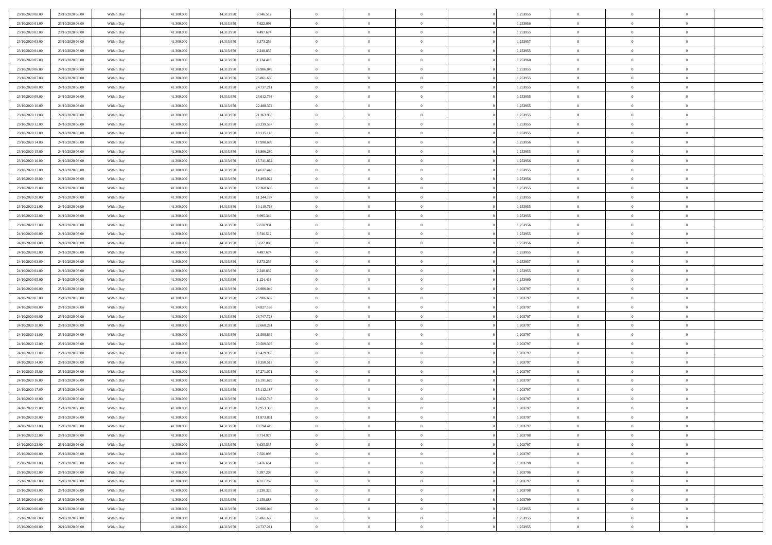| 23/10/2020 00:00                     | 23/10/2020 06.00                     | Within Day               | 41,300,000               | 14.313.950               | 6.746.512                | $\bf{0}$                      | $\overline{0}$                   | $\Omega$                         | 1,253955             | $\bf{0}$                 | $\overline{0}$             | $\bf{0}$                  |  |
|--------------------------------------|--------------------------------------|--------------------------|--------------------------|--------------------------|--------------------------|-------------------------------|----------------------------------|----------------------------------|----------------------|--------------------------|----------------------------|---------------------------|--|
| 23/10/2020 01:00                     | 23/10/2020 06:00                     | Within Day               | 41.300.000               | 14.313.950               | 5.622.093                | $\theta$                      | $\overline{0}$                   | $\overline{0}$                   | 1,253956             | $\mathbf{0}$             | $\bf{0}$                   | $\overline{0}$            |  |
| 23/10/2020 02:00                     | 23/10/2020 06:00                     | Within Day               | 41.300.000               | 14.313.950               | 4.497.674                | $\theta$                      | $\overline{0}$                   | $\overline{0}$                   | 1,253955             | $\,$ 0                   | $\overline{0}$             | $\,$ 0 $\,$               |  |
| 23/10/2020 03:00                     | 23/10/2020 06.00                     | Within Day               | 41,300,000               | 14.313.950               | 3.373.256                | $\mathbf{0}$                  | $\overline{0}$                   | $\mathbf{0}$                     | 1,253957             | $\bf{0}$                 | $\mathbf{0}$               | $\theta$                  |  |
| 23/10/2020 04:00                     | 23/10/2020 06:00                     | Within Day               | 41.300.000               | 14.313.950               | 2.248.837                | $\overline{0}$                | $\overline{0}$                   | $\overline{0}$                   | 1,253955             | $\mathbf{0}$             | $\bf{0}$                   | $\overline{0}$            |  |
| 23/10/2020 05:00                     | 23/10/2020 06:00                     | Within Day               | 41.300.000               | 14.313.950               | 1.124.418                | $\theta$                      | $\overline{0}$                   | $\bf{0}$                         | 1,253960             | $\,$ 0                   | $\overline{0}$             | $\,$ 0 $\,$               |  |
| 23/10/2020 06:00                     | 24/10/2020 06:00                     | Within Day               | 41,300,000               | 14.313.950               | 26.986.049               | $\,$ 0 $\,$                   | $\overline{0}$                   | $\Omega$                         | 1,253955             | $\bf{0}$                 | $\overline{0}$             | $\theta$                  |  |
| 23/10/2020 07:00                     | 24/10/2020 06:00                     | Within Day               | 41.300.000               | 14.313.950               | 25.861.630               | $\overline{0}$                | $\overline{0}$                   | $\overline{0}$                   | 1,253955             | $\mathbf{0}$             | $\bf{0}$                   | $\overline{0}$            |  |
| 23/10/2020 08:00                     | 24/10/2020 06:00                     | Within Day               | 41.300.000               | 14.313.950               | 24.737.211               | $\theta$                      | $\overline{0}$                   | $\overline{0}$                   | 1,253955             | $\,$ 0                   | $\overline{0}$             | $\,$ 0 $\,$               |  |
| 23/10/2020 09:00                     | 24/10/2020 06.00                     | Within Day               | 41,300,000               | 14.313.950               | 23.612.793               | $\mathbf{0}$                  | $\overline{0}$                   | $\mathbf{0}$                     | 1,253955             | $\bf{0}$                 | $\mathbf{0}$               | $\theta$                  |  |
| 23/10/2020 10:00                     | 24/10/2020 06:00                     | Within Day               | 41.300.000               | 14.313.950               | 22.488.374               | $\overline{0}$                | $\overline{0}$                   | $\overline{0}$                   | 1,253955             | $\mathbf{0}$             | $\bf{0}$                   | $\overline{0}$            |  |
| 23/10/2020 11:00                     | 24/10/2020 06:00                     | Within Day               | 41.300.000               | 14.313.950               | 21.363.955               | $\theta$                      | $\overline{0}$                   | $\bf{0}$                         | 1,253955             | $\,$ 0                   | $\overline{0}$             | $\,$ 0 $\,$               |  |
| 23/10/2020 12:00                     | 24/10/2020 06.00                     | Within Day               | 41,300,000               | 14.313.950               | 20.239.537               | $\theta$                      | $\overline{0}$                   | $\mathbf{0}$                     | 1,253955             | $\bf{0}$                 | $\mathbf{0}$               | $\theta$                  |  |
| 23/10/2020 13:00                     | 24/10/2020 06.00                     | Within Day               | 41.300.000               | 14.313.950               | 19.115.118               | $\overline{0}$                | $\overline{0}$                   | $\overline{0}$                   | 1,253955             | $\mathbf{0}$             | $\bf{0}$                   | $\overline{0}$            |  |
| 23/10/2020 14:00                     | 24/10/2020 06:00                     | Within Day               | 41.300.000               | 14.313.950               | 17.990.699               | $\theta$                      | $\overline{0}$                   | $\overline{0}$                   | 1,253956             | $\,$ 0                   | $\overline{0}$             | $\,$ 0 $\,$               |  |
| 23/10/2020 15:00                     | 24/10/2020 06.00                     | Within Day               | 41,300,000               | 14.313.950               | 16.866.280               | $\bf{0}$                      | $\overline{0}$                   | $\mathbf{0}$                     | 1,253955             | $\bf{0}$                 | $\mathbf{0}$               | $\bf{0}$                  |  |
| 23/10/2020 16:00                     | 24/10/2020 06:00                     | Within Day               | 41.300.000               | 14.313.950               | 15.741.862               | $\overline{0}$                | $\overline{0}$                   | $\overline{0}$                   | 1,253956             | $\mathbf{0}$             | $\bf{0}$                   | $\overline{0}$            |  |
| 23/10/2020 17:00                     | 24/10/2020 06:00                     | Within Day               | 41.300.000               | 14.313.950               | 14.617.443               | $\theta$                      | $\overline{0}$                   | $\bf{0}$                         | 1,253955             | $\,$ 0                   | $\overline{0}$             | $\,$ 0 $\,$               |  |
| 23/10/2020 18:00                     | 24/10/2020 06.00                     | Within Day               | 41,300,000               | 14.313.950               | 13,493,024               | $\theta$                      | $\overline{0}$                   | $\mathbf{0}$                     | 1,253956             | $\theta$                 | $\mathbf{0}$               | $\theta$                  |  |
| 23/10/2020 19:00                     | 24/10/2020 06:00                     | Within Day               | 41.300.000               | 14.313.950               | 12.368.605               | $\overline{0}$                | $\overline{0}$                   | $\overline{0}$                   | 1,253955             | $\mathbf{0}$             | $\bf{0}$                   | $\overline{0}$            |  |
| 23/10/2020 20:00                     | 24/10/2020 06:00                     | Within Day               | 41.300.000               | 14.313.950               | 11.244.187               | $\theta$                      | $\overline{0}$                   | $\bf{0}$                         | 1,253955             | $\,$ 0                   | $\overline{0}$             | $\,$ 0 $\,$               |  |
| 23/10/2020 21:00                     | 24/10/2020 06.00                     | Within Day               | 41,300,000               | 14.313.950               | 10.119.768               | $\theta$                      | $\overline{0}$                   | $\mathbf{0}$                     | 1,253955             | $\bf{0}$                 | $\mathbf{0}$               | $\theta$                  |  |
| 23/10/2020 22.00                     | 24/10/2020 06.00                     | Within Day               | 41.300.000               | 14.313.950               | 8.995.349                | $\mathbf{0}$                  | $\overline{0}$                   | $\overline{0}$                   | 1,253955             | $\mathbf{0}$             | $\bf{0}$                   | $\overline{0}$            |  |
| 23/10/2020 23:00                     | 24/10/2020 06:00                     | Within Day               | 41.300.000               | 14.313.950               | 7.870.931                | $\theta$                      | $\overline{0}$                   | $\bf{0}$                         | 1,253956             | $\,$ 0                   | $\overline{0}$             | $\,$ 0 $\,$               |  |
| 24/10/2020 00:00                     | 24/10/2020 06:00                     | Within Day               | 41,300,000               | 14.313.950               | 6.746.512                | $\bf{0}$                      | $\overline{0}$                   | $\mathbf{0}$                     | 1,253955             | $\bf{0}$                 | $\overline{0}$             | $\bf{0}$                  |  |
| 24/10/2020 01:00                     | 24/10/2020 06:00                     | Within Day               | 41.300.000               | 14.313.950               | 5.622.093                | $\overline{0}$                | $\overline{0}$                   | $\overline{0}$                   | 1,253956             | $\mathbf{0}$             | $\bf{0}$                   | $\overline{0}$            |  |
| 24/10/2020 02.00                     | 24/10/2020 06:00                     | Within Day               | 41.300.000               | 14.313.950               | 4.497.674                | $\theta$                      | $\overline{0}$                   | $\overline{0}$                   | 1,253955             | $\,$ 0                   | $\overline{0}$             | $\,$ 0 $\,$               |  |
| 24/10/2020 03.00                     | 24/10/2020 06.00                     | Within Day               | 41,300,000               | 14.313.950               | 3.373.256                | $\mathbf{0}$                  | $\overline{0}$                   | $\mathbf{0}$                     | 1.253957             | $\bf{0}$                 | $\mathbf{0}$               | $\theta$                  |  |
| 24/10/2020 04:00                     | 24/10/2020 06:00                     | Within Day               | 41.300.000               | 14.313.950               | 2.248.837                | $\mathbf{0}$                  | $\overline{0}$                   | $\overline{0}$                   | 1,253955             | $\mathbf{0}$             | $\bf{0}$                   | $\overline{0}$            |  |
| 24/10/2020 05:00                     | 24/10/2020 06:00                     | Within Day               | 41.300.000               | 14.313.950               | 1.124.418                | $\theta$                      | $\overline{0}$                   | $\bf{0}$                         | 1,253960             | $\,$ 0                   | $\overline{0}$             | $\,$ 0 $\,$               |  |
| 24/10/2020 06.00                     | 25/10/2020 06.00                     | Within Day               | 41.300.000               | 14.313.950               | 26.986.049               | $\bf{0}$                      | $\overline{0}$                   | $\overline{0}$                   | 1,203797             | $\bf{0}$                 | $\overline{0}$             | $\,0\,$                   |  |
| 24/10/2020 07:00                     | 25/10/2020 06:00                     | Within Day               | 41.300.000               | 14.313.950               | 25.906.607               | $\overline{0}$                | $\overline{0}$                   | $\overline{0}$                   | 1,203797             | $\mathbf{0}$             | $\bf{0}$                   | $\overline{0}$            |  |
| 24/10/2020 08:00                     | 25/10/2020 06:00                     | Within Day               | 41.300.000               | 14.313.950               | 24.827.165               | $\theta$                      | $\overline{0}$                   | $\overline{0}$                   | 1,203797             | $\,$ 0                   | $\overline{0}$             | $\,$ 0 $\,$               |  |
| 24/10/2020 09:00<br>24/10/2020 10:00 | 25/10/2020 06.00<br>25/10/2020 06:00 | Within Day<br>Within Day | 41.300.000<br>41.300.000 | 14.313.950<br>14.313.950 | 23.747.723<br>22.668.281 | $\,$ 0 $\,$<br>$\overline{0}$ | $\overline{0}$<br>$\overline{0}$ | $\overline{0}$<br>$\overline{0}$ | 1,203797<br>1,203797 | $\bf{0}$<br>$\mathbf{0}$ | $\overline{0}$<br>$\bf{0}$ | $\,0\,$<br>$\overline{0}$ |  |
| 24/10/2020 11:00                     | 25/10/2020 06:00                     | Within Day               | 41.300.000               | 14.313.950               | 21.588.839               | $\theta$                      | $\overline{0}$                   | $\bf{0}$                         | 1,203797             | $\,$ 0                   | $\overline{0}$             | $\,$ 0 $\,$               |  |
| 24/10/2020 12:00                     | 25/10/2020 06:00                     | Within Day               | 41.300.000               | 14.313.950               | 20.509.397               | $\,$ 0 $\,$                   | $\overline{0}$                   | $\overline{0}$                   | 1,203797             | $\bf{0}$                 | $\overline{0}$             | $\,0\,$                   |  |
| 24/10/2020 13:00                     | 25/10/2020 06:00                     | Within Day               | 41.300.000               | 14.313.950               | 19.429.955               | $\overline{0}$                | $\overline{0}$                   | $\overline{0}$                   | 1,203797             | $\mathbf{0}$             | $\bf{0}$                   | $\overline{0}$            |  |
| 24/10/2020 14:00                     | 25/10/2020 06:00                     | Within Day               | 41.300.000               | 14.313.950               | 18.350.513               | $\theta$                      | $\overline{0}$                   | $\bf{0}$                         | 1,203797             | $\,$ 0                   | $\overline{0}$             | $\,$ 0 $\,$               |  |
| 24/10/2020 15:00                     | 25/10/2020 06.00                     | Within Day               | 41.300.000               | 14.313.950               | 17.271.071               | $\,$ 0 $\,$                   | $\overline{0}$                   | $\overline{0}$                   | 1,203797             | $\bf{0}$                 | $\overline{0}$             | $\,0\,$                   |  |
| 24/10/2020 16:00                     | 25/10/2020 06:00                     | Within Day               | 41.300.000               | 14.313.950               | 16.191.629               | $\theta$                      | $\overline{0}$                   | $\overline{0}$                   | 1,203797             | $\mathbf{0}$             | $\bf{0}$                   | $\overline{0}$            |  |
| 24/10/2020 17:00                     | 25/10/2020 06:00                     | Within Day               | 41.300.000               | 14.313.950               | 15.112.187               | $\theta$                      | $\overline{0}$                   | $\bf{0}$                         | 1,203797             | $\,$ 0                   | $\overline{0}$             | $\,$ 0 $\,$               |  |
| 24/10/2020 18:00                     | 25/10/2020 06:00                     | Within Day               | 41.300.000               | 14.313.950               | 14.032.745               | $\,$ 0 $\,$                   | $\overline{0}$                   | $\overline{0}$                   | 1,203797             | $\bf{0}$                 | $\overline{0}$             | $\,0\,$                   |  |
| 24/10/2020 19:00                     | 25/10/2020 06:00                     | Within Dav               | 41.300.000               | 14.313.950               | 12.953.303               | $\theta$                      | $\overline{0}$                   | $\overline{0}$                   | 1,203797             | $\mathbf{0}$             | $\bf{0}$                   | $\overline{0}$            |  |
| 24/10/2020 20:00                     | 25/10/2020 06:00                     | Within Day               | 41.300.000               | 14.313.950               | 11.873.861               | $\overline{0}$                | $\overline{0}$                   | $\overline{0}$                   | 1,203797             | $\overline{0}$           | $\overline{0}$             | $\theta$                  |  |
| 24/10/2020 21.00                     | 25/10/2020 06:00                     | Within Day               | 41.300.000               | 14.313.950               | 10.794.419               | $\bf{0}$                      | $\overline{0}$                   | $\overline{0}$                   | 1,203797             | $\bf{0}$                 | $\overline{0}$             | $\bf{0}$                  |  |
| 24/10/2020 22.00                     | 25/10/2020 06:00                     | Within Day               | 41.300.000               | 14.313.950               | 9.714.977                | $\overline{0}$                | $\overline{0}$                   | $\overline{0}$                   | 1,203798             | $\overline{0}$           | $\overline{0}$             | $\overline{0}$            |  |
| 24/10/2020 23:00                     | 25/10/2020 06:00                     | Within Day               | 41.300.000               | 14.313.950               | 8.635.535                | $\,$ 0                        | $\overline{0}$                   | $\overline{0}$                   | 1,203797             | $\,$ 0 $\,$              | $\,$ 0 $\,$                | $\,$ 0 $\,$               |  |
| 25/10/2020 00:00                     | 25/10/2020 06:00                     | Within Day               | 41.300.000               | 14.313.950               | 7.556.093                | $\bf{0}$                      | $\overline{0}$                   | $\overline{0}$                   | 1,203797             | $\mathbf{0}$             | $\overline{0}$             | $\bf{0}$                  |  |
| 25/10/2020 01:00                     | 25/10/2020 06:00                     | Within Day               | 41.300.000               | 14.313.950               | 6.476.651                | $\,$ 0 $\,$                   | $\overline{0}$                   | $\overline{0}$                   | 1,203798             | $\,$ 0 $\,$              | $\bf{0}$                   | $\overline{0}$            |  |
| 25/10/2020 02:00                     | 25/10/2020 06:00                     | Within Day               | 41.300.000               | 14.313.950               | 5.397.209                | $\,$ 0 $\,$                   | $\overline{0}$                   | $\overline{0}$                   | 1,203796             | $\,$ 0 $\,$              | $\overline{0}$             | $\,$ 0 $\,$               |  |
| 25/10/2020 02.00                     | 25/10/2020 06.00                     | Within Day               | 41.300.000               | 14.313.950               | 4.317.767                | $\bf{0}$                      | $\overline{0}$                   | $\overline{0}$                   | 1,203797             | $\overline{0}$           | $\overline{0}$             | $\overline{0}$            |  |
| 25/10/2020 03:00                     | 25/10/2020 06:00                     | Within Day               | 41.300.000               | 14.313.950               | 3.238.325                | $\,$ 0 $\,$                   | $\overline{0}$                   | $\overline{0}$                   | 1,203798             | $\,$ 0 $\,$              | $\bf{0}$                   | $\overline{0}$            |  |
| 25/10/2020 04:00                     | 25/10/2020 06:00                     | Within Day               | 41.300.000               | 14.313.950               | 2.158.883                | $\,$ 0 $\,$                   | $\overline{0}$                   | $\overline{0}$                   | 1,203799             | $\,$ 0 $\,$              | $\,$ 0 $\,$                | $\,$ 0 $\,$               |  |
| 25/10/2020 06:00                     | 26/10/2020 06.00                     | Within Day               | 41.300.000               | 14.313.950               | 26.986.049               | $\bf{0}$                      | $\overline{0}$                   | $\overline{0}$                   | 1,253955             | $\mathbf{0}$             | $\overline{0}$             | $\bf{0}$                  |  |
| 25/10/2020 07:00                     | 26/10/2020 06:00                     | Within Day               | 41.300.000               | 14.313.950               | 25.861.630               | $\,$ 0 $\,$                   | $\overline{0}$                   | $\overline{0}$                   | 1,253955             | $\overline{0}$           | $\bf{0}$                   | $\overline{0}$            |  |
| 25/10/2020 08:00                     | 26/10/2020 06.00                     | Within Day               | 41.300.000               | 14.313.950               | 24.737.211               | $\,$ 0 $\,$                   | $\overline{0}$                   | $\overline{0}$                   | 1,253955             | $\,$ 0 $\,$              | $\overline{0}$             | $\,$ 0 $\,$               |  |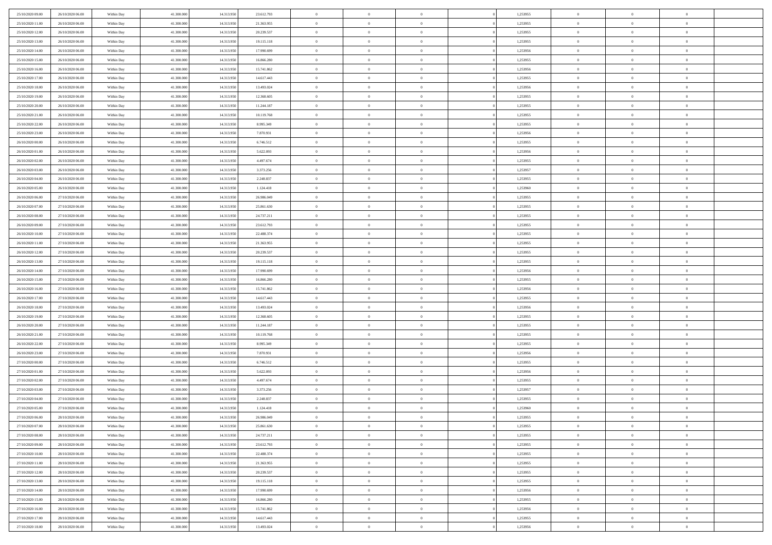| 25/10/2020 09:00                     | 26/10/2020 06.00                     | Within Day               | 41,300,000               | 14.313.950               | 23.612.793               | $\bf{0}$                | $\overline{0}$                   | $\Omega$                         | 1,253955             | $\bf{0}$                 | $\overline{0}$             | $\bf{0}$                  |  |
|--------------------------------------|--------------------------------------|--------------------------|--------------------------|--------------------------|--------------------------|-------------------------|----------------------------------|----------------------------------|----------------------|--------------------------|----------------------------|---------------------------|--|
| 25/10/2020 11:00                     | 26/10/2020 06:00                     | Within Day               | 41.300.000               | 14.313.950               | 21.363.955               | $\theta$                | $\overline{0}$                   | $\overline{0}$                   | 1,253955             | $\mathbf{0}$             | $\bf{0}$                   | $\overline{0}$            |  |
| 25/10/2020 12:00                     | 26/10/2020 06:00                     | Within Day               | 41.300.000               | 14.313.950               | 20.239.537               | $\theta$                | $\overline{0}$                   | $\overline{0}$                   | 1,253955             | $\,$ 0                   | $\overline{0}$             | $\,$ 0 $\,$               |  |
| 25/10/2020 13:00                     | 26/10/2020 06:00                     | Within Day               | 41,300,000               | 14.313.950               | 19.115.118               | $\mathbf{0}$            | $\overline{0}$                   | $\mathbf{0}$                     | 1,253955             | $\bf{0}$                 | $\mathbf{0}$               | $\theta$                  |  |
| 25/10/2020 14:00                     | 26/10/2020 06:00                     | Within Dav               | 41.300.000               | 14.313.950               | 17.990.699               | $\mathbf{0}$            | $\overline{0}$                   | $\overline{0}$                   | 1,253956             | $\mathbf{0}$             | $\bf{0}$                   | $\overline{0}$            |  |
| 25/10/2020 15:00                     | 26/10/2020 06:00                     | Within Day               | 41.300.000               | 14.313.950               | 16.866.280               | $\theta$                | $\overline{0}$                   | $\bf{0}$                         | 1,253955             | $\,$ 0                   | $\overline{0}$             | $\,$ 0 $\,$               |  |
| 25/10/2020 16:00                     | 26/10/2020 06:00                     | Within Day               | 41,300,000               | 14.313.950               | 15.741.862               | $\,$ 0 $\,$             | $\overline{0}$                   | $\Omega$                         | 1,253956             | $\bf{0}$                 | $\overline{0}$             | $\theta$                  |  |
| 25/10/2020 17:00                     | 26/10/2020 06:00                     | Within Dav               | 41.300.000               | 14.313.950               | 14.617.443               | $\overline{0}$          | $\overline{0}$                   | $\overline{0}$                   | 1,253955             | $\mathbf{0}$             | $\bf{0}$                   | $\overline{0}$            |  |
| 25/10/2020 18:00                     | 26/10/2020 06:00                     | Within Day               | 41.300.000               | 14.313.950               | 13.493.024               | $\theta$                | $\overline{0}$                   | $\overline{0}$                   | 1,253956             | $\,$ 0                   | $\overline{0}$             | $\,$ 0 $\,$               |  |
| 25/10/2020 19:00                     | 26/10/2020 06.00                     | Within Day               | 41,300,000               | 14.313.950               | 12.368.605               | $\mathbf{0}$            | $\overline{0}$                   | $\mathbf{0}$                     | 1,253955             | $\bf{0}$                 | $\mathbf{0}$               | $\theta$                  |  |
| 25/10/2020 20:00                     | 26/10/2020 06:00                     | Within Dav               | 41.300.000               | 14.313.950               | 11.244.187               | $\mathbf{0}$            | $\overline{0}$                   | $\overline{0}$                   | 1,253955             | $\mathbf{0}$             | $\bf{0}$                   | $\overline{0}$            |  |
| 25/10/2020 21:00                     | 26/10/2020 06:00                     | Within Day               | 41.300.000               | 14.313.950               | 10.119.768               | $\theta$                | $\overline{0}$                   | $\bf{0}$                         | 1,253955             | $\,$ 0                   | $\overline{0}$             | $\,$ 0 $\,$               |  |
| 25/10/2020 22.00                     | 26/10/2020 06:00                     | Within Day               | 41,300,000               | 14.313.950               | 8.995.349                | $\theta$                | $\overline{0}$                   | $\mathbf{0}$                     | 1,253955             | $\bf{0}$                 | $\mathbf{0}$               | $\theta$                  |  |
| 25/10/2020 23:00                     | 26/10/2020 06:00                     | Within Dav               | 41.300.000               | 14.313.950               | 7.870.931                | $\overline{0}$          | $\overline{0}$                   | $\overline{0}$                   | 1,253956             | $\mathbf{0}$             | $\bf{0}$                   | $\overline{0}$            |  |
| 26/10/2020 00:00                     | 26/10/2020 06:00                     | Within Day               | 41.300.000               | 14.313.950               | 6.746.512                | $\theta$                | $\overline{0}$                   | $\overline{0}$                   | 1,253955             | $\,$ 0                   | $\overline{0}$             | $\,$ 0 $\,$               |  |
| 26/10/2020 01:00                     | 26/10/2020 06.00                     | Within Day               | 41,300,000               | 14.313.950               | 5.622.093                | $\bf{0}$                | $\overline{0}$                   | $\mathbf{0}$                     | 1,253956             | $\bf{0}$                 | $\mathbf{0}$               | $\bf{0}$                  |  |
| 26/10/2020 02.00                     | 26/10/2020 06:00                     | Within Dav               | 41.300.000               | 14.313.950               | 4.497.674                | $\overline{0}$          | $\overline{0}$                   | $\overline{0}$                   | 1,253955             | $\mathbf{0}$             | $\bf{0}$                   | $\overline{0}$            |  |
| 26/10/2020 03:00                     | 26/10/2020 06:00                     | Within Day               | 41.300.000               | 14.313.950               | 3.373.256                | $\theta$                | $\overline{0}$                   | $\bf{0}$                         | 1,253957             | $\,$ 0                   | $\overline{0}$             | $\,0\,$                   |  |
| 26/10/2020 04:00                     | 26/10/2020 06.00                     | Within Day               | 41,300,000               | 14.313.950               | 2.248.837                | $\theta$                | $\overline{0}$                   | $\mathbf{0}$                     | 1,253955             | $\theta$                 | $\mathbf{0}$               | $\theta$                  |  |
| 26/10/2020 05:00                     | 26/10/2020 06:00                     | Within Dav               | 41.300.000               | 14.313.950               | 1.124.418                | $\overline{0}$          | $\overline{0}$                   | $\overline{0}$                   | 1,253960             | $\mathbf{0}$             | $\bf{0}$                   | $\overline{0}$            |  |
| 26/10/2020 06:00                     | 27/10/2020 06:00                     | Within Day               | 41.300.000               | 14.313.950               | 26.986.049               | $\theta$                | $\overline{0}$                   | $\bf{0}$                         | 1,253955             | $\,$ 0                   | $\overline{0}$             | $\,$ 0 $\,$               |  |
| 26/10/2020 07.00                     | 27/10/2020 06.00                     | Within Day               | 41,300,000               | 14.313.950               | 25.861.630               | $\theta$                | $\overline{0}$                   | $\mathbf{0}$                     | 1,253955             | $\bf{0}$                 | $\mathbf{0}$               | $\theta$                  |  |
| 26/10/2020 08:00                     | 27/10/2020 06:00                     | Within Dav               | 41.300.000               | 14.313.950               | 24.737.211               | $\mathbf{0}$            | $\overline{0}$                   | $\overline{0}$                   | 1,253955             | $\mathbf{0}$             | $\bf{0}$                   | $\overline{0}$            |  |
| 26/10/2020 09:00                     | 27/10/2020 06:00                     | Within Day               | 41.300.000               | 14.313.950               | 23.612.793               | $\theta$                | $\overline{0}$                   | $\bf{0}$                         | 1,253955             | $\,$ 0                   | $\overline{0}$             | $\,$ 0 $\,$               |  |
| 26/10/2020 10:00                     | 27/10/2020 06:00                     | Within Day               | 41,300,000               | 14.313.950               | 22.488.374               | $\bf{0}$                | $\overline{0}$                   | $\mathbf{0}$                     | 1,253955             | $\bf{0}$                 | $\overline{0}$             | $\bf{0}$                  |  |
| 26/10/2020 11:00                     | 27/10/2020 06:00                     | Within Dav               | 41.300.000               | 14.313.950               | 21.363.955               | $\overline{0}$          | $\overline{0}$                   | $\overline{0}$                   | 1,253955             | $\mathbf{0}$             | $\bf{0}$                   | $\overline{0}$            |  |
| 26/10/2020 12:00                     | 27/10/2020 06:00                     | Within Day               | 41.300.000               | 14.313.950               | 20.239.537               | $\theta$                | $\overline{0}$                   | $\overline{0}$                   | 1,253955             | $\,$ 0                   | $\overline{0}$             | $\,$ 0 $\,$               |  |
| 26/10/2020 13:00                     | 27/10/2020 06.00                     | Within Day               | 41,300,000               | 14.313.950               | 19.115.118               | $\mathbf{0}$            | $\overline{0}$                   | $\mathbf{0}$                     | 1.253955             | $\bf{0}$                 | $\mathbf{0}$               | $\theta$                  |  |
| 26/10/2020 14:00                     | 27/10/2020 06:00                     | Within Dav               | 41.300.000               | 14.313.950               | 17.990.699               | $\mathbf{0}$            | $\overline{0}$                   | $\overline{0}$                   | 1,253956             | $\mathbf{0}$             | $\bf{0}$                   | $\overline{0}$            |  |
| 26/10/2020 15:00                     | 27/10/2020 06:00                     | Within Day               | 41.300.000               | 14.313.950               | 16.866.280               | $\theta$                | $\overline{0}$                   | $\bf{0}$                         | 1,253955             | $\,$ 0                   | $\overline{0}$             | $\,$ 0 $\,$               |  |
| 26/10/2020 16:00                     | 27/10/2020 06.00                     | Within Day               | 41.300.000               | 14.313.950               | 15.741.862               | $\bf{0}$                | $\overline{0}$                   | $\overline{0}$                   | 1,253956             | $\bf{0}$                 | $\overline{0}$             | $\,0\,$                   |  |
| 26/10/2020 17:00                     | 27/10/2020 06:00                     | Within Dav               | 41.300.000               | 14.313.950               | 14.617.443               | $\overline{0}$          | $\overline{0}$                   | $\overline{0}$                   | 1,253955             | $\mathbf{0}$             | $\bf{0}$                   | $\overline{0}$            |  |
| 26/10/2020 18:00                     | 27/10/2020 06:00                     | Within Day               | 41.300.000               | 14.313.950               | 13.493.024               | $\theta$                | $\overline{0}$                   | $\overline{0}$                   | 1,253956             | $\,$ 0                   | $\overline{0}$             | $\,$ 0 $\,$               |  |
| 26/10/2020 19:00<br>26/10/2020 20:00 | 27/10/2020 06.00<br>27/10/2020 06:00 | Within Day<br>Within Dav | 41.300.000<br>41.300.000 | 14.313.950<br>14.313.950 | 12.368.605<br>11.244.187 | $\,$ 0 $\,$<br>$\theta$ | $\overline{0}$<br>$\overline{0}$ | $\overline{0}$<br>$\overline{0}$ | 1,253955<br>1,253955 | $\bf{0}$<br>$\mathbf{0}$ | $\overline{0}$<br>$\bf{0}$ | $\,0\,$<br>$\overline{0}$ |  |
| 26/10/2020 21:00                     | 27/10/2020 06:00                     | Within Day               | 41.300.000               | 14.313.950               | 10.119.768               | $\theta$                | $\overline{0}$                   | $\bf{0}$                         | 1,253955             | $\,$ 0                   | $\overline{0}$             | $\,$ 0 $\,$               |  |
| 26/10/2020 22.00                     | 27/10/2020 06:00                     | Within Day               | 41.300.000               | 14.313.950               | 8.995.349                | $\,$ 0 $\,$             | $\overline{0}$                   | $\overline{0}$                   | 1,253955             | $\bf{0}$                 | $\overline{0}$             | $\,0\,$                   |  |
| 26/10/2020 23:00                     | 27/10/2020 06:00                     | Within Dav               | 41.300.000               | 14.313.950               | 7.870.931                | $\overline{0}$          | $\overline{0}$                   | $\overline{0}$                   | 1,253956             | $\mathbf{0}$             | $\bf{0}$                   | $\overline{0}$            |  |
| 27/10/2020 00:00                     | 27/10/2020 06:00                     | Within Day               | 41.300.000               | 14.313.950               | 6.746.512                | $\theta$                | $\overline{0}$                   | $\bf{0}$                         | 1,253955             | $\,$ 0                   | $\overline{0}$             | $\,$ 0 $\,$               |  |
| 27/10/2020 01:00                     | 27/10/2020 06.00                     | Within Day               | 41.300.000               | 14.313.950               | 5.622.093                | $\,$ 0 $\,$             | $\overline{0}$                   | $\overline{0}$                   | 1,253956             | $\bf{0}$                 | $\overline{0}$             | $\,0\,$                   |  |
| 27/10/2020 02.00                     | 27/10/2020 06:00                     | Within Dav               | 41.300.000               | 14.313.950               | 4.497.674                | $\theta$                | $\overline{0}$                   | $\overline{0}$                   | 1,253955             | $\mathbf{0}$             | $\bf{0}$                   | $\overline{0}$            |  |
| 27/10/2020 03:00                     | 27/10/2020 06:00                     | Within Day               | 41.300.000               | 14.313.950               | 3.373.256                | $\theta$                | $\overline{0}$                   | $\bf{0}$                         | 1,253957             | $\,$ 0                   | $\overline{0}$             | $\,$ 0 $\,$               |  |
| 27/10/2020 04:00                     | 27/10/2020 06.00                     | Within Day               | 41.300.000               | 14.313.950               | 2.248.837                | $\,$ 0 $\,$             | $\overline{0}$                   | $\overline{0}$                   | 1,253955             | $\bf{0}$                 | $\overline{0}$             | $\,0\,$                   |  |
| 27/10/2020 05:00                     | 27/10/2020 06:00                     | Within Dav               | 41.300.000               | 14.313.950               | 1.124.418                | $\theta$                | $\overline{0}$                   | $\overline{0}$                   | 1,253960             | $\mathbf{0}$             | $\bf{0}$                   | $\overline{0}$            |  |
| 27/10/2020 06:00                     | 28/10/2020 06:00                     | Within Day               | 41.300.000               | 14.313.950               | 26.986.049               | $\overline{0}$          | $\overline{0}$                   | $\overline{0}$                   | 1,253955             | $\overline{0}$           | $\overline{0}$             | $\theta$                  |  |
| 27/10/2020 07.00                     | 28/10/2020 06:00                     | Within Day               | 41.300.000               | 14.313.950               | 25.861.630               | $\bf{0}$                | $\overline{0}$                   | $\overline{0}$                   | 1,253955             | $\mathbf{0}$             | $\overline{0}$             | $\bf{0}$                  |  |
| 27/10/2020 08:00                     | 28/10/2020 06:00                     | Within Day               | 41.300.000               | 14.313.950               | 24.737.211               | $\overline{0}$          | $\overline{0}$                   | $\overline{0}$                   | 1,253955             | $\overline{0}$           | $\bf{0}$                   | $\overline{0}$            |  |
| 27/10/2020 09:00                     | 28/10/2020 06:00                     | Within Day               | 41.300.000               | 14.313.950               | 23.612.793               | $\,$ 0 $\,$             | $\overline{0}$                   | $\overline{0}$                   | 1,253955             | $\,$ 0 $\,$              | $\,$ 0 $\,$                | $\,$ 0 $\,$               |  |
| 27/10/2020 10:00                     | 28/10/2020 06:00                     | Within Day               | 41.300.000               | 14.313.950               | 22.488.374               | $\bf{0}$                | $\overline{0}$                   | $\overline{0}$                   | 1,253955             | $\mathbf{0}$             | $\overline{0}$             | $\bf{0}$                  |  |
| 27/10/2020 11:00                     | 28/10/2020 06:00                     | Within Dav               | 41.300.000               | 14.313.950               | 21.363.955               | $\,$ 0 $\,$             | $\overline{0}$                   | $\overline{0}$                   | 1,253955             | $\,$ 0 $\,$              | $\bf{0}$                   | $\overline{0}$            |  |
| 27/10/2020 12:00                     | 28/10/2020 06:00                     | Within Day               | 41.300.000               | 14.313.950               | 20.239.537               | $\,$ 0                  | $\overline{0}$                   | $\overline{0}$                   | 1,253955             | $\,$ 0 $\,$              | $\overline{0}$             | $\,$ 0 $\,$               |  |
| 27/10/2020 13:00                     | 28/10/2020 06.00                     | Within Day               | 41.300.000               | 14.313.950               | 19.115.118               | $\bf{0}$                | $\overline{0}$                   | $\overline{0}$                   | 1,253955             | $\overline{0}$           | $\overline{0}$             | $\overline{0}$            |  |
| 27/10/2020 14:00                     | 28/10/2020 06:00                     | Within Day               | 41.300.000               | 14.313.950               | 17.990.699               | $\mathbf{0}$            | $\overline{0}$                   | $\overline{0}$                   | 1,253956             | $\,$ 0 $\,$              | $\bf{0}$                   | $\overline{0}$            |  |
| 27/10/2020 15:00                     | 28/10/2020 06:00                     | Within Day               | 41.300.000               | 14.313.950               | 16.866.280               | $\,$ 0                  | $\overline{0}$                   | $\overline{0}$                   | 1,253955             | $\,$ 0 $\,$              | $\,$ 0 $\,$                | $\,$ 0 $\,$               |  |
| 27/10/2020 16:00                     | 28/10/2020 06:00                     | Within Day               | 41.300.000               | 14.313.950               | 15.741.862               | $\bf{0}$                | $\overline{0}$                   | $\overline{0}$                   | 1,253956             | $\mathbf{0}$             | $\overline{0}$             | $\bf{0}$                  |  |
| 27/10/2020 17:00                     | 28/10/2020 06:00                     | Within Day               | 41.300.000               | 14.313.950               | 14.617.443               | $\mathbf{0}$            | $\overline{0}$                   | $\overline{0}$                   | 1,253955             | $\overline{0}$           | $\bf{0}$                   | $\overline{0}$            |  |
| 27/10/2020 18:00                     | 28/10/2020 06:00                     | Within Day               | 41.300.000               | 14.313.950               | 13.493.024               | $\,$ 0 $\,$             | $\overline{0}$                   | $\overline{0}$                   | 1,253956             | $\,$ 0 $\,$              | $\overline{0}$             | $\,$ 0 $\,$               |  |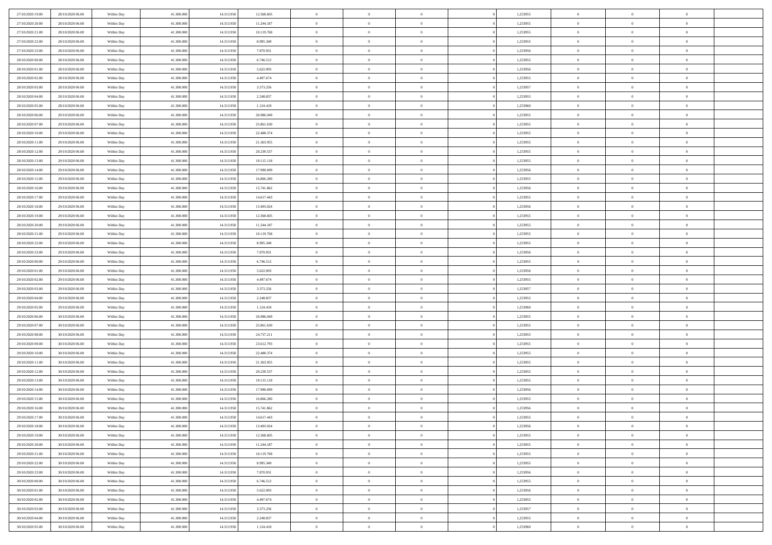| 27/10/2020 19:00                     | 28/10/2020 06:00                     | Within Day               | 41.300.000 | 14.313.950 | 12.368.605               | $\,$ 0 $\,$    | $\overline{0}$ | $\overline{0}$ |          | 1,253955             | $\bf{0}$       | $\overline{0}$ | $\,0\,$        |  |
|--------------------------------------|--------------------------------------|--------------------------|------------|------------|--------------------------|----------------|----------------|----------------|----------|----------------------|----------------|----------------|----------------|--|
| 27/10/2020 20:00                     | 28/10/2020 06:00                     | Within Day               | 41,300,000 | 14.313.950 | 11.244.187               | $\theta$       | $\overline{0}$ | $\mathbf{0}$   |          | 1,253955             | $\theta$       | $\mathbf{0}$   | $\theta$       |  |
| 27/10/2020 21:00                     | 28/10/2020 06:00                     | Within Day               | 41.300.000 | 14.313.950 | 10.119.768               | $\theta$       | $\overline{0}$ | $\overline{0}$ |          | 1,253955             | $\mathbf{0}$   | $\overline{0}$ | $\overline{0}$ |  |
| 27/10/2020 22.00                     | 28/10/2020 06:00                     | Within Day               | 41.300.000 | 14.313.950 | 8.995.349                | $\,$ 0 $\,$    | $\overline{0}$ | $\overline{0}$ |          | 1,253955             | $\bf{0}$       | $\overline{0}$ | $\bf{0}$       |  |
| 27/10/2020 23.00                     | 28/10/2020 06:00                     | Within Day               | 41,300,000 | 14.313.950 | 7.870.931                | $\bf{0}$       | $\overline{0}$ | $\mathbf{0}$   |          | 1,253956             | $\bf{0}$       | $\theta$       | $\,0\,$        |  |
| 28/10/2020 00:00                     | 28/10/2020 06:00                     | Within Day               | 41.300.000 | 14.313.950 | 6.746.512                | $\theta$       | $\overline{0}$ | $\mathbf{0}$   |          | 1,253955             | $\mathbf{0}$   | $\overline{0}$ | $\overline{0}$ |  |
| 28/10/2020 01:00                     | 28/10/2020 06:00                     | Within Day               | 41.300.000 | 14.313.950 | 5.622.093                | $\,$ 0 $\,$    | $\overline{0}$ | $\overline{0}$ |          | 1,253956             | $\bf{0}$       | $\overline{0}$ | $\,0\,$        |  |
|                                      |                                      |                          |            |            |                          | $\,$ 0         | $\overline{0}$ |                |          |                      | $\,$ 0 $\,$    | $\overline{0}$ | $\theta$       |  |
| 28/10/2020 02:00                     | 28/10/2020 06:00                     | Within Day               | 41.300.000 | 14.313.950 | 4.497.674                |                |                | $\mathbf{0}$   |          | 1,253955             |                |                |                |  |
| 28/10/2020 03:00                     | 28/10/2020 06:00                     | Within Day               | 41.300.000 | 14.313.950 | 3.373.256                | $\theta$       | $\overline{0}$ | $\overline{0}$ |          | 1,253957             | $\mathbf{0}$   | $\overline{0}$ | $\overline{0}$ |  |
| 28/10/2020 04:00                     | 28/10/2020 06:00                     | Within Day               | 41.300.000 | 14.313.950 | 2.248.837                | $\,$ 0 $\,$    | $\overline{0}$ | $\Omega$       |          | 1,253955             | $\bf{0}$       | $\overline{0}$ | $\,0\,$        |  |
| 28/10/2020 05:00                     | 28/10/2020 06:00                     | Within Day               | 41,300,000 | 14.313.950 | 1.124.418                | $\bf{0}$       | $\overline{0}$ | $\mathbf{0}$   |          | 1,253960             | $\bf{0}$       | $\mathbf{0}$   | $\theta$       |  |
| 28/10/2020 06:00                     | 29/10/2020 06:00                     | Within Day               | 41.300.000 | 14.313.950 | 26.986.049               | $\theta$       | $\overline{0}$ | $\overline{0}$ |          | 1,253955             | $\mathbf{0}$   | $\overline{0}$ | $\overline{0}$ |  |
| 28/10/2020 07:00                     | 29/10/2020 06:00                     | Within Day               | 41.300.000 | 14.313.950 | 25.861.630               | $\,$ 0 $\,$    | $\overline{0}$ | $\overline{0}$ |          | 1,253955             | $\bf{0}$       | $\overline{0}$ | $\bf{0}$       |  |
| 28/10/2020 10:00                     | 29/10/2020 06:00                     | Within Day               | 41.300.000 | 14.313.950 | 22.488.374               | $\bf{0}$       | $\overline{0}$ | $\mathbf{0}$   |          | 1,253955             | $\bf{0}$       | $\theta$       | $\,0\,$        |  |
| 28/10/2020 11:00                     | 29/10/2020 06:00                     | Within Day               | 41.300.000 | 14.313.950 | 21.363.955               | $\theta$       | $\overline{0}$ | $\mathbf{0}$   |          | 1,253955             | $\mathbf{0}$   | $\overline{0}$ | $\overline{0}$ |  |
| 28/10/2020 12:00                     | 29/10/2020 06.00                     | Within Day               | 41.300.000 | 14.313.950 | 20.239.537               | $\,$ 0 $\,$    | $\overline{0}$ | $\overline{0}$ |          | 1,253955             | $\bf{0}$       | $\overline{0}$ | $\bf{0}$       |  |
| 28/10/2020 13:00                     | 29/10/2020 06.00                     | Within Day               | 41,300,000 | 14.313.950 | 19.115.118               | $\,$ 0         | $\overline{0}$ | $\mathbf{0}$   |          | 1,253955             | $\bf{0}$       | $\overline{0}$ | $\theta$       |  |
| 28/10/2020 14:00                     | 29/10/2020 06:00                     | Within Day               | 41.300.000 | 14.313.950 | 17.990.699               | $\theta$       | $\overline{0}$ | $\mathbf{0}$   |          | 1,253956             | $\mathbf{0}$   | $\overline{0}$ | $\overline{0}$ |  |
| 28/10/2020 15:00                     | 29/10/2020 06.00                     | Within Day               | 41.300.000 | 14.313.950 | 16.866.280               | $\,$ 0 $\,$    | $\overline{0}$ | $\Omega$       |          | 1,253955             | $\bf{0}$       | $\overline{0}$ | $\,0\,$        |  |
| 28/10/2020 16:00                     | 29/10/2020 06:00                     | Within Day               | 41,300,000 | 14.313.950 | 15.741.862               | $\bf{0}$       | $\overline{0}$ | $\mathbf{0}$   |          | 1,253956             | $\bf{0}$       | $\mathbf{0}$   | $\theta$       |  |
| 28/10/2020 17:00                     | 29/10/2020 06:00                     | Within Day               | 41.300.000 | 14.313.950 | 14.617.443               | $\theta$       | $\overline{0}$ | $\mathbf{0}$   |          | 1,253955             | $\mathbf{0}$   | $\overline{0}$ | $\overline{0}$ |  |
| 28/10/2020 18:00                     | 29/10/2020 06.00                     | Within Day               | 41.300.000 | 14.313.950 | 13.493.024               | $\,$ 0 $\,$    | $\overline{0}$ | $\overline{0}$ |          | 1,253956             | $\bf{0}$       | $\overline{0}$ | $\bf{0}$       |  |
| 28/10/2020 19:00                     | 29/10/2020 06:00                     | Within Day               | 41,300,000 | 14.313.950 | 12.368.605               | $\,$ 0         | $\overline{0}$ | $\mathbf{0}$   |          | 1,253955             | $\bf{0}$       | $\bf{0}$       | $\,0\,$        |  |
| 28/10/2020 20:00                     | 29/10/2020 06:00                     | Within Day               | 41.300.000 | 14.313.950 | 11.244.187               | $\theta$       | $\overline{0}$ | $\mathbf{0}$   |          | 1,253955             | $\mathbf{0}$   | $\overline{0}$ | $\overline{0}$ |  |
| 28/10/2020 21:00                     | 29/10/2020 06:00                     | Within Day               | 41.300.000 | 14.313.950 | 10.119.768               | $\,$ 0 $\,$    | $\overline{0}$ | $\overline{0}$ |          | 1,253955             | $\bf{0}$       | $\overline{0}$ | $\,0\,$        |  |
| 28/10/2020 22:00                     | 29/10/2020 06:00                     | Within Day               | 41.300.000 | 14.313.950 | 8.995.349                | $\,$ 0         | $\overline{0}$ | $\mathbf{0}$   |          | 1,253955             | $\bf{0}$       | $\overline{0}$ | $\theta$       |  |
| 28/10/2020 23:00                     | 29/10/2020 06:00                     | Within Day               | 41.300.000 | 14.313.950 | 7.870.931                | $\theta$       | $\overline{0}$ | $\overline{0}$ |          | 1,253956             | $\mathbf{0}$   | $\overline{0}$ | $\overline{0}$ |  |
| 29/10/2020 00:00                     | 29/10/2020 06.00                     | Within Day               | 41.300.000 | 14.313.950 | 6.746.512                | $\,$ 0 $\,$    | $\overline{0}$ | $\Omega$       |          | 1,253955             | $\bf{0}$       | $\overline{0}$ | $\,0\,$        |  |
| 29/10/2020 01:00                     | 29/10/2020 06:00                     | Within Day               | 41,300,000 | 14.313.950 | 5.622.093                | $\bf{0}$       | $\overline{0}$ | $\mathbf{0}$   |          | 1,253956             | $\bf{0}$       | $\mathbf{0}$   | $\overline{0}$ |  |
| 29/10/2020 02.00                     | 29/10/2020 06:00                     | Within Day               | 41.300.000 | 14.313.950 | 4.497.674                | $\theta$       | $\overline{0}$ | $\overline{0}$ |          | 1,253955             | $\mathbf{0}$   | $\overline{0}$ | $\overline{0}$ |  |
| 29/10/2020 03:00                     | 29/10/2020 06:00                     | Within Day               | 41.300.000 | 14.313.950 | 3.373.256                | $\,$ 0 $\,$    | $\overline{0}$ | $\overline{0}$ |          | 1,253957             | $\,$ 0         | $\overline{0}$ | $\,$ 0 $\,$    |  |
| 29/10/2020 04:00                     | 29/10/2020 06:00                     | Within Day               | 41.300.000 | 14.313.950 | 2.248.837                | $\,$ 0         | $\overline{0}$ | $\mathbf{0}$   |          | 1,253955             | $\bf{0}$       | $\mathbf{0}$   | $\overline{0}$ |  |
| 29/10/2020 05:00                     | 29/10/2020 06:00                     | Within Day               | 41.300.000 | 14.313.950 | 1.124.418                | $\theta$       | $\overline{0}$ | $\mathbf{0}$   |          | 1,253960             | $\mathbf{0}$   | $\overline{0}$ | $\overline{0}$ |  |
| 29/10/2020 06:00                     | 30/10/2020 06:00                     | Within Day               | 41.300.000 | 14.313.950 | 26.986.049               | $\theta$       | $\overline{0}$ | $\overline{0}$ |          | 1,253955             | $\,$ 0         | $\overline{0}$ | $\theta$       |  |
| 29/10/2020 07:00                     | 30/10/2020 06:00                     | Within Day               | 41,300,000 | 14.313.950 | 25.861.630               | $\bf{0}$       | $\overline{0}$ | $\mathbf{0}$   |          | 1,253955             | $\mathbf{0}$   | $\overline{0}$ | $\overline{0}$ |  |
| 29/10/2020 08:00                     | 30/10/2020 06:00                     | Within Day               | 41.300.000 | 14.313.950 | 24.737.211               | $\theta$       | $\overline{0}$ | $\mathbf{0}$   |          | 1,253955             | $\mathbf{0}$   | $\overline{0}$ | $\overline{0}$ |  |
| 29/10/2020 09:00                     | 30/10/2020 06:00                     | Within Day               | 41.300.000 | 14.313.950 | 23.612.793               | $\theta$       | $\overline{0}$ | $\overline{0}$ |          | 1,253955             | $\,$ 0         | $\overline{0}$ | $\theta$       |  |
| 29/10/2020 10:00                     | 30/10/2020 06:00                     | Within Day               | 41,300,000 | 14.313.950 | 22.488.374               | $\bf{0}$       | $\overline{0}$ | $\mathbf{0}$   |          | 1,253955             | $\bf{0}$       | $\mathbf{0}$   | $\overline{0}$ |  |
| 29/10/2020 11:00                     | 30/10/2020 06:00                     | Within Day               | 41.300.000 | 14.313.950 | 21.363.955               | $\theta$       | $\overline{0}$ | $\mathbf{0}$   |          | 1,253955             | $\mathbf{0}$   | $\overline{0}$ | $\overline{0}$ |  |
| 29/10/2020 12:00                     | 30/10/2020 06:00                     | Within Day               | 41.300.000 | 14.313.950 | 20.239.537               | $\,$ 0 $\,$    | $\overline{0}$ | $\overline{0}$ |          | 1,253955             | $\,$ 0         | $\overline{0}$ | $\,$ 0 $\,$    |  |
|                                      |                                      |                          | 41,300,000 | 14.313.950 |                          | $\,$ 0         | $\,$ 0 $\,$    | $\overline{0}$ |          |                      | $\,$ 0 $\,$    | $\overline{0}$ | $\overline{0}$ |  |
| 29/10/2020 13:00<br>29/10/2020 14:00 | 30/10/2020 06:00<br>30/10/2020 06:00 | Within Day<br>Within Day | 41.300.000 | 14.313.950 | 19.115.118<br>17.990.699 | $\theta$       | $\overline{0}$ | $\mathbf{0}$   |          | 1,253955<br>1,253956 | $\mathbf{0}$   | $\overline{0}$ | $\theta$       |  |
| 29/10/2020 15:00                     | 30/10/2020 06:00                     | Within Day               | 41.300.000 | 14.313.950 | 16.866.280               | $\overline{0}$ | $\overline{0}$ | $\overline{0}$ |          | 1,253955             | $\,$ 0         | $\overline{0}$ | $\theta$       |  |
| 29/10/2020 16:00                     | 30/10/2020 06:00                     | Within Day               | 41,300,000 | 14.313.950 | 15.741.862               | $\bf{0}$       | $\,$ 0 $\,$    | $\mathbf{0}$   |          | 1,253956             | $\bf{0}$       | $\overline{0}$ | $\bf{0}$       |  |
| 29/10/2020 17:00                     | 30/10/2020 06:00                     | Within Day               | 41.300.000 | 14.313.950 | 14.617.443               | $\overline{0}$ | $\theta$       |                |          | 1,253955             | $\overline{0}$ | $\theta$       | $\theta$       |  |
|                                      |                                      |                          |            |            |                          |                |                |                |          |                      |                |                |                |  |
| 29/10/2020 18:00                     | 30/10/2020 06:00                     | Within Day               | 41.300.000 | 14.313.950 | 13.493.024               | $\,$ 0 $\,$    | $\overline{0}$ | $\overline{0}$ |          | 1,253956             | $\,$ 0 $\,$    | $\bf{0}$       | $\theta$       |  |
| 29/10/2020 19:00                     | 30/10/2020 06:00                     | Within Day               | 41.300.000 | 14.313.950 | 12.368.605               | $\bf{0}$       | $\,$ 0 $\,$    | $\mathbf{0}$   |          | 1,253955             | $\,$ 0 $\,$    | $\overline{0}$ | $\overline{0}$ |  |
| 29/10/2020 20:00                     | 30/10/2020 06:00                     | Within Day               | 41.300.000 | 14.313.950 | 11.244.187               | $\mathbf{0}$   | $\overline{0}$ | $\overline{0}$ |          | 1,253955             | $\,$ 0 $\,$    | $\bf{0}$       | $\mathbf{0}$   |  |
| 29/10/2020 21:00                     | 30/10/2020 06:00                     | Within Day               | 41.300.000 | 14.313.950 | 10.119.768               | $\,$ 0 $\,$    | $\overline{0}$ | $\overline{0}$ | $\theta$ | 1,253955             | $\,$ 0 $\,$    | $\bf{0}$       | $\,$ 0 $\,$    |  |
| 29/10/2020 22.00                     | 30/10/2020 06:00                     | Within Day               | 41.300.000 | 14.313.950 | 8.995.349                | $\,$ 0 $\,$    | $\,$ 0 $\,$    | $\overline{0}$ |          | 1,253955             | $\,$ 0 $\,$    | $\overline{0}$ | $\overline{0}$ |  |
| 29/10/2020 23:00                     | 30/10/2020 06:00                     | Within Day               | 41.300.000 | 14.313.950 | 7.870.931                | $\mathbf{0}$   | $\overline{0}$ | $\overline{0}$ |          | 1,253956             | $\mathbf{0}$   | $\overline{0}$ | $\overline{0}$ |  |
| 30/10/2020 00:00                     | 30/10/2020 06:00                     | Within Day               | 41.300.000 | 14.313.950 | 6.746.512                | $\,$ 0 $\,$    | $\overline{0}$ | $\overline{0}$ |          | 1,253955             | $\,$ 0 $\,$    | $\mathbf{0}$   | $\,$ 0 $\,$    |  |
| 30/10/2020 01:00                     | 30/10/2020 06:00                     | Within Day               | 41.300.000 | 14.313.950 | 5.622.093                | $\bf{0}$       | $\overline{0}$ | $\overline{0}$ |          | 1,253956             | $\,$ 0 $\,$    | $\overline{0}$ | $\overline{0}$ |  |
| 30/10/2020 02:00                     | 30/10/2020 06:00                     | Within Day               | 41.300.000 | 14.313.950 | 4.497.674                | $\mathbf{0}$   | $\overline{0}$ | $\overline{0}$ |          | 1,253955             | $\mathbf{0}$   | $\bf{0}$       | $\overline{0}$ |  |
| 30/10/2020 03:00                     | 30/10/2020 06:00                     | Within Day               | 41.300.000 | 14.313.950 | 3.373.256                | $\,$ 0 $\,$    | $\overline{0}$ | $\overline{0}$ |          | 1,253957             | $\,$ 0 $\,$    | $\overline{0}$ | $\,$ 0 $\,$    |  |
| 30/10/2020 04:00                     | 30/10/2020 06:00                     | Within Day               | 41,300,000 | 14.313.950 | 2.248.837                | $\,$ 0 $\,$    | $\,$ 0 $\,$    | $\overline{0}$ |          | 1,253955             | $\,$ 0 $\,$    | $\overline{0}$ | $\overline{0}$ |  |
| 30/10/2020 05:00                     | 30/10/2020 06:00                     | Within Day               | 41.300.000 | 14.313.950 | 1.124.418                | $\theta$       | $\overline{0}$ | $\overline{0}$ |          | 1,253960             | $\mathbf{0}$   | $\overline{0}$ | $\overline{0}$ |  |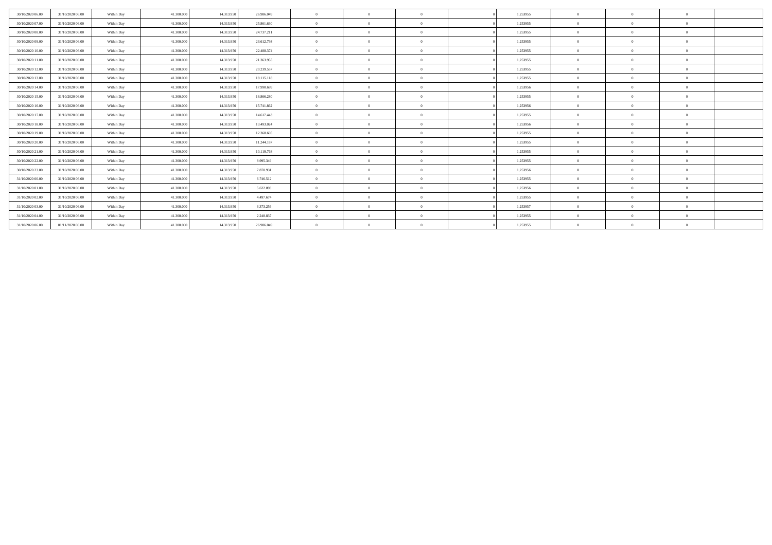| 30/10/2020 06:00 | 31/10/2020 06:00 | Within Day | 41.300,000 | 14.313.950 | 26.986.049 | $\overline{0}$ | $\Omega$       | $\Omega$       | 1,253955 | $\Omega$     |          | $\theta$ |  |
|------------------|------------------|------------|------------|------------|------------|----------------|----------------|----------------|----------|--------------|----------|----------|--|
| 30/10/2020 07:00 | 31/10/2020 06:00 | Within Day | 41,300,000 | 14.313.950 | 25.861.630 | $\mathbf{0}$   | $\Omega$       | $\Omega$       | 1,253955 | $\Omega$     |          | $\Omega$ |  |
| 30/10/2020 08:00 | 31/10/2020 06.00 | Within Day | 41,300,000 | 14.313.950 | 24.737.211 | $\theta$       | $\Omega$       | $\Omega$       | 1,253955 | $\Omega$     |          | $\theta$ |  |
| 30/10/2020 09:00 | 31/10/2020 06.00 | Within Day | 41.300.000 | 14.313.950 | 23.612.793 | $\Omega$       | $\Omega$       | $\Omega$       | 1,253955 | $\Omega$     |          | $\Omega$ |  |
| 30/10/2020 10:00 | 31/10/2020 06.00 | Within Day | 41.300.000 | 14.313.950 | 22.488.374 | $\theta$       | $\Omega$       | $\Omega$       | 1,253955 | $\Omega$     |          | $\theta$ |  |
| 30/10/2020 11:00 | 31/10/2020 06:00 | Within Day | 41.300.000 | 14.313.950 | 21.363.955 | $\theta$       | $\Omega$       | $\Omega$       | 1,253955 | $\Omega$     |          | $\Omega$ |  |
| 30/10/2020 12:00 | 31/10/2020 06:00 | Within Day | 41.300.000 | 14.313.950 | 20.239.537 | $\theta$       | $\Omega$       | $\Omega$       | 1,253955 | $\Omega$     |          | $\Omega$ |  |
| 30/10/2020 13:00 | 31/10/2020 06:00 | Within Day | 41.300.000 | 14.313.950 | 19.115.118 | $\Omega$       | $\Omega$       | $\Omega$       | 1,253955 | $\Omega$     |          | $\Omega$ |  |
| 30/10/2020 14:00 | 31/10/2020 06:00 | Within Day | 41.300.000 | 14.313.950 | 17.990.699 | $\theta$       | $\Omega$       | $\Omega$       | 1,253956 | $\Omega$     | $\theta$ | $\Omega$ |  |
| 30/10/2020 15:00 | 31/10/2020 06:00 | Within Day | 41,300,000 | 14.313.950 | 16.866.280 | $\overline{0}$ | $\Omega$       | $\Omega$       | 1.253955 | $\Omega$     | - 0      | $\theta$ |  |
| 30/10/2020 16:00 | 31/10/2020 06:00 | Within Day | 41.300.000 | 14.313.950 | 15.741.862 | $\theta$       | $\Omega$       | $\overline{0}$ | 1,253956 | $\Omega$     |          | $\theta$ |  |
| 30/10/2020 17:00 | 31/10/2020 06.00 | Within Day | 41,300,000 | 14.313.950 | 14.617.443 | $\theta$       | $\Omega$       | $\Omega$       | 1,253955 | $\Omega$     |          | $\Omega$ |  |
| 30/10/2020 18:00 | 31/10/2020 06.00 | Within Day | 41.300.000 | 14.313.950 | 13.493.024 | $\theta$       | $\Omega$       | $\Omega$       | 1,253956 | $\Omega$     |          | $\theta$ |  |
| 30/10/2020 19:00 | 31/10/2020 06:00 | Within Day | 41,300,000 | 14.313.950 | 12.368.605 | $\theta$       | $\Omega$       | $\Omega$       | 1,253955 | $\Omega$     |          | $\Omega$ |  |
| 30/10/2020 20:00 | 31/10/2020 06.00 | Within Day | 41.300.000 | 14.313.950 | 11.244.187 | $\overline{0}$ | $\overline{0}$ | $\overline{0}$ | 1,253955 | $\bf{0}$     | $\theta$ | $\theta$ |  |
| 30/10/2020 21:00 | 31/10/2020 06:00 | Within Day | 41,300,000 | 14.313.950 | 10.119.768 | $\overline{0}$ | $\Omega$       | $\overline{0}$ | 1,253955 | $\mathbf{0}$ | $\theta$ | $\theta$ |  |
| 30/10/2020 22.00 | 31/10/2020 06.00 | Within Day | 41.300.000 | 14.313.950 | 8.995.349  | $\overline{0}$ | $\Omega$       | $\Omega$       | 1,253955 | $\Omega$     |          | $\theta$ |  |
| 30/10/2020 23.00 | 31/10/2020 06:00 | Within Day | 41,300,000 | 14.313.950 | 7.870.931  | $\overline{0}$ | $\Omega$       | $\Omega$       | 1,253956 | $\Omega$     |          | $\Omega$ |  |
| 31/10/2020 00:00 | 31/10/2020 06.00 | Within Day | 41,300,000 | 14.313.950 | 6.746.512  | $\mathbf{0}$   | $\Omega$       | $\Omega$       | 1,253955 | $\Omega$     |          | $\theta$ |  |
| 31/10/2020 01:00 | 31/10/2020 06:00 | Within Day | 41,300,000 | 14.313.950 | 5.622.093  | $\mathbf{0}$   | $\Omega$       | $\Omega$       | 1,253956 | $\Omega$     |          | $\theta$ |  |
| 31/10/2020 02.00 | 31/10/2020 06.00 | Within Day | 41.300.000 | 14.313.950 | 4.497.674  | $\theta$       | $\Omega$       | $\Omega$       | 1,253955 | $\Omega$     |          | $\Omega$ |  |
| 31/10/2020 03.00 | 31/10/2020 06.00 | Within Day | 41.300.000 | 14.313.950 | 3.373.256  | $\theta$       | $\Omega$       | $\Omega$       | 1,253957 | $\Omega$     |          | $\theta$ |  |
| 31/10/2020 04.00 | 31/10/2020 06.00 | Within Day | 41.300.000 | 14.313.950 | 2.248.837  | $\theta$       | $\Omega$       | $\Omega$       | 1,253955 | $\Omega$     |          | $\Omega$ |  |
| 31/10/2020 06.00 | 01/11/2020 06:00 | Within Day | 41.300.000 | 14.313.950 | 26.986.049 | $\theta$       | $\Omega$       | $\Omega$       | 1,253955 | $\theta$     |          | $\theta$ |  |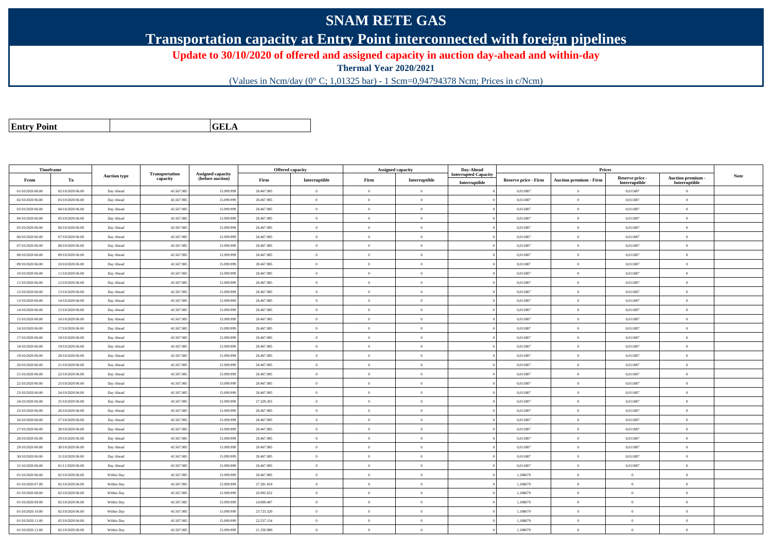## **SNAM RETE GAS**

**Transportation capacity at Entry Point interconnected with foreign pipelines**

**Update to 30/10/2020 of offered and assigned capacity in auction day-ahead and within-day**

**Thermal Year 2020/2021**

(Values in Ncm/day (0° C; 1,01325 bar) - 1 Scm=0,94794378 Ncm; Prices in c/Ncm)

| <b>Entry Point</b> |  |
|--------------------|--|
|                    |  |

**GELA**

| Timeframe        |                  |                     |                            |                                       |            | Offered capacity |                | <b>Assigned capacity</b> | Day-Ahead          |                             | Prices                        |                           |                                 |      |
|------------------|------------------|---------------------|----------------------------|---------------------------------------|------------|------------------|----------------|--------------------------|--------------------|-----------------------------|-------------------------------|---------------------------|---------------------------------|------|
| From             | To               | <b>Auction type</b> | Transportation<br>capacity | Assigned capacity<br>(before auction) | Firm       | Interruptible    | Firm           | Interruptible            | terrupted Capacity | <b>Reserve price - Firm</b> | <b>Auction premium - Firm</b> | Reserve price -           | Auction premium -               | Note |
| 01/10/2020 06:00 | 02/10/2020 06:00 | Day Ahead           | 43.567.985                 | 15.099.99                             | 28.467.985 | $\overline{0}$   | $\theta$       | $\overline{0}$           | Interruptible      | 0,011887                    | $\bf{0}$                      | Interruptible<br>0,011887 | Interruptible<br>$\overline{0}$ |      |
| 02/10/2020 06.00 | 03/10/2020 06:00 | Day Ahead           | 43.567.985                 | 15.099.99                             | 28.467.985 | $\overline{0}$   | $\theta$       | $\theta$                 |                    | 0,011887                    | $\overline{0}$                | 0,011887                  | $\theta$                        |      |
| 03/10/2020 06.00 | 04/10/2020 06.00 | Day Ahead           | 43.567.98                  | 15.099.99                             | 28.467.985 | $\overline{0}$   | $\overline{0}$ | $\theta$                 |                    | 0,011887                    | $\bf{0}$                      | 0,011887                  | $\overline{0}$                  |      |
| 04/10/2020 06:00 | 05/10/2020 06:00 | Day Ahead           | 43.567.985                 | 15.099.99                             | 28.467.985 | $\overline{0}$   | $\overline{0}$ | $\theta$                 |                    | 0,011887                    | $\bf{0}$                      | 0,011887                  | $\theta$                        |      |
| 05/10/2020 06:00 | 06/10/2020 06:00 | Day Ahead           | 43.567.985                 | 15.099.99                             | 28.467.985 | $\overline{0}$   | $\overline{0}$ | $\theta$                 |                    | 0.011887                    | $\bf{0}$                      | 0.011887                  | $\theta$                        |      |
| 06/10/2020 06:00 | 07/10/2020 06.00 | Day Ahead           | 43.567.985                 | 15.099.99                             | 28.467.985 | $\theta$         | $\Omega$       | $\Omega$                 |                    | 0.011887                    | $\bf{0}$                      | 0,011887                  | $\Omega$                        |      |
|                  |                  |                     |                            |                                       |            |                  |                | $\theta$                 |                    |                             |                               |                           |                                 |      |
| 07/10/2020 06:00 | 08/10/2020 06:00 | Day Ahead           | 43.567.985                 | 15.099.99                             | 28.467.985 | $\overline{0}$   | $\theta$       |                          |                    | 0,011887                    | $\bf{0}$                      | 0,011887                  | $\overline{0}$                  |      |
| 08/10/2020 06:00 | 09/10/2020 06:00 | Day Ahead           | 43.567.985                 | 15,099.99                             | 28.467.985 | $\overline{0}$   | $\theta$       | $\theta$                 |                    | 0.011887                    | $\overline{0}$                | 0.011887                  | $\overline{0}$                  |      |
| 09/10/2020 06:00 | 10/10/2020 06:00 | Day Ahead           | 43,567,985                 | 15.099.99                             | 28.467.985 | $\overline{0}$   | $\Omega$       | $\overline{0}$           |                    | 0.011887                    | $\overline{0}$                | 0.011887                  | $\Omega$                        |      |
| 10/10/2020 06:00 | 11/10/2020 06:00 | Day Ahead           | 43.567.98                  | 15.099.99                             | 28.467.985 | $\overline{0}$   | $\theta$       | $\Omega$                 |                    | 0,011887                    | $\bf{0}$                      | 0,011887                  | $\theta$                        |      |
| 11/10/2020 06:00 | 12/10/2020 06:00 | Day Ahead           | 43.567.98                  | 15.099.99                             | 28.467.985 | $\mathbf{0}$     | $\theta$       | $\theta$                 |                    | 0,011887                    | $\bf{0}$                      | 0,011887                  | $\mathbf{0}$                    |      |
| 12/10/2020 06:00 | 13/10/2020 06:00 | Day Ahead           | 43.567.985                 | 15.099.99                             | 28.467.985 | $\overline{0}$   | $\theta$       | $\theta$                 |                    | 0.011887                    | $\mathbf{0}$                  | 0.011887                  | $\Omega$                        |      |
| 13/10/2020 06:00 | 14/10/2020 06:00 | Day Ahead           | 43.567.985                 | 15.099.99                             | 28.467.985 | $\theta$         | $\theta$       | $\theta$                 |                    | 0.011887                    | $\theta$                      | 0.011887                  | $\Omega$                        |      |
| 14/10/2020 06.00 | 15/10/2020 06:00 | Day Ahead           | 43.567.98                  | 15.099.99                             | 28.467.985 | $\Omega$         | $\Omega$       | $\theta$                 |                    | 0,011887                    | $\bf{0}$                      | 0,011887                  | $\Omega$                        |      |
| 15/10/2020 06:00 | 16/10/2020 06:00 | Day Ahead           | 43.567.985                 | 15.099.99                             | 28.467.985 | $\mathbf{0}$     | $\theta$       | $\theta$                 |                    | 0,011887                    | $\bf{0}$                      | 0,011887                  | $\theta$                        |      |
| 16/10/2020 06:00 | 17/10/2020 06:00 | Day Ahead           | 43.567.98                  | 15.099.99                             | 28.467.985 | $\overline{0}$   | $\theta$       | $\theta$                 |                    | 0,011887                    | $\bf{0}$                      | 0,011887                  | $\overline{0}$                  |      |
| 17/10/2020 06.00 | 18/10/2020 06:00 | Day Ahead           | 43.567.985                 | 15.099.99                             | 28.467.985 | $\overline{0}$   | $\theta$       | $\overline{0}$           |                    | 0.011887                    | $\bf{0}$                      | 0,011887                  | $\mathbf{0}$                    |      |
| 18/10/2020 06:00 | 19/10/2020 06:00 | Day Ahead           | 43.567.985                 | 15.099.99                             | 28.467.985 | $\overline{0}$   | $\theta$       | $\theta$                 |                    | 0,011887                    | $\bf{0}$                      | 0,011887                  | $\overline{0}$                  |      |
| 19/10/2020 06:00 | 20/10/2020 06:00 | Day Ahead           | 43.567.98                  | 15.099.99                             | 28.467.985 | $\overline{0}$   | $\overline{0}$ | $\overline{0}$           |                    | 0,011887                    | $\bf{0}$                      | 0,011887                  | $\overline{0}$                  |      |
| 20/10/2020 06:00 | 21/10/2020 06:00 | Day Ahead           | 43.567.985                 | 15,099,999                            | 28.467.985 | $\overline{0}$   | $\theta$       | $\overline{0}$           |                    | 0.011887                    | $\mathbf{0}$                  | 0.011887                  | $\Omega$                        |      |
| 21/10/2020 06:00 | 22/10/2020 06:00 | Day Ahead           | 43.567.985                 | 15.099.99                             | 28.467.985 | $\overline{0}$   | $\overline{0}$ | $\Omega$                 |                    | 0,011887                    | $\bf{0}$                      | 0,011887                  | $\theta$                        |      |
| 22/10/2020 06:00 | 23/10/2020 06:00 | Day Ahead           | 43.567.98                  | 15.099.99                             | 28.467.985 | $\overline{0}$   | $\bf{0}$       | $\theta$                 |                    | 0,011887                    | $\bf{0}$                      | 0,011887                  | $\bf{0}$                        |      |
| 23/10/2020 06:00 | 24/10/2020 06:00 | Day Ahead           | 43.567.985                 | 15.099.99                             | 28.467.985 | $\mathbf{0}$     | $\theta$       | $\theta$                 |                    | 0,011887                    | $\bf{0}$                      | 0,011887                  | $\mathbf{0}$                    |      |
| 24/10/2020 06:00 | 25/10/2020 06:00 | Day Ahead           | 43.567.985                 | 15.099.99                             | 27.329.265 | $\overline{0}$   | $\theta$       | $\sqrt{2}$               |                    | 0.011887                    | $\theta$                      | 0.011887                  | $\Omega$                        |      |
| 25/10/2020 06:00 | 26/10/2020 06:00 | Day Ahead           | 43.567.985                 | 15.099.99                             | 28.467.985 | $\theta$         | $\overline{0}$ | $\theta$                 |                    | 0,011887                    | $\bf{0}$                      | 0,011887                  | $\theta$                        |      |
| 26/10/2020 06.00 | 27/10/2020 06.00 | Day Ahead           | 43.567.985                 | 15.099.99                             | 28.467.985 | $\overline{0}$   | $\theta$       | $\theta$                 |                    | 0,011887                    | $\bf{0}$                      | 0,011887                  | $\theta$                        |      |
| 27/10/2020 06.00 | 28/10/2020 06:00 | Day Ahead           | 43.567.98                  | 15.099.99                             | 28.467.985 | $\overline{0}$   | $\theta$       | $\theta$                 |                    | 0,011887                    | $\bf{0}$                      | 0,011887                  | $\overline{0}$                  |      |
| 28/10/2020 06:00 | 29/10/2020 06:00 | Day Ahead           | 43.567.985                 | 15.099.999                            | 28.467.985 | $\mathbf{0}$     | $\theta$       | $\overline{0}$           |                    | 0,011887                    | $\bf{0}$                      | 0,011887                  | $\mathbf{0}$                    |      |
| 29/10/2020 06.00 | 30/10/2020 06:00 | Day Ahead           | 43.567.985                 | 15.099.99                             | 28.467.985 | $\theta$         | $\theta$       | $\Omega$                 |                    | 0.011887                    | $\mathbf{0}$                  | 0.011887                  | $\Omega$                        |      |
| 30/10/2020 06.00 | 31/10/2020 06:00 | Day Ahead           | 43.567.98                  | 15.099.99                             | 28.467.985 | $\overline{0}$   | $\theta$       | $\theta$                 |                    | 0,011887                    | $\bf{0}$                      | 0,011887                  | $\overline{0}$                  |      |
| 31/10/2020 06.00 | 01/11/2020 06:00 | Day Ahead           | 43.567.98                  | 15.099.99                             | 28.467.985 | $\mathbf{0}$     | $\overline{0}$ | $\overline{0}$           |                    | 0,011887                    | $\bf{0}$                      | 0,011887                  | $\theta$                        |      |
| 01/10/2020 06:00 | 02/10/2020 06:00 | Within Day          | 43,567,985                 | 15.099.99                             | 28.467.985 | $\theta$         | $\Omega$       | $\theta$                 |                    | 1.188679                    | $\mathbf{0}$                  | $\overline{0}$            | $\Omega$                        |      |
| 01/10/2020 07:00 | 02/10/2020 06:00 | Within Day          | 43.567.98                  | 15.099.99                             | 27.281.818 | $\overline{0}$   | $\theta$       | $\theta$                 |                    | 1,188679                    | $\bf{0}$                      | $\theta$                  | $\overline{0}$                  |      |
| 01/10/2020 08:00 | 02/10/2020 06:00 | Within Day          | 43.567.985                 | 15.099.99                             | 26.095.652 | $\overline{0}$   | $\overline{0}$ | $\theta$                 |                    | 1,188679                    | $\bf{0}$                      | $\theta$                  | $\theta$                        |      |
| 01/10/2020 09:00 | 02/10/2020 06:00 | Within Day          | 43.567.98                  | 15.099.99                             | 24.909.487 | $\Omega$         | $\theta$       | $\Omega$                 |                    | 1,188679                    | $\bf{0}$                      | $\theta$                  | $\overline{0}$                  |      |
| 01/10/2020 10:00 | 02/10/2020 06:00 | Within Day          | 43.567.985                 | 15.099.99                             | 23.723.320 | $\theta$         | $\Omega$       | $\theta$                 |                    | 1,188679                    | $\bf{0}$                      | $\theta$                  | $\Omega$                        |      |
| 01/10/2020 11:00 | 02/10/2020 06:00 | Within Day          | 43.567.98                  | 15.099.99                             | 22.537.154 | $\overline{0}$   | $\overline{0}$ | $\theta$                 |                    | 1.188679                    | $\overline{0}$                | $\overline{0}$            | $\theta$                        |      |
| 01/10/2020 12:00 | 02/10/2020 06:00 | Within Day          | 43.567.98                  | 15.099.99                             | 21.350.989 | $\theta$         | $\theta$       | $\theta$                 |                    | 1,188679                    | $\bf{0}$                      | $\theta$                  | $\overline{0}$                  |      |
|                  |                  |                     |                            |                                       |            |                  |                |                          |                    |                             |                               |                           |                                 |      |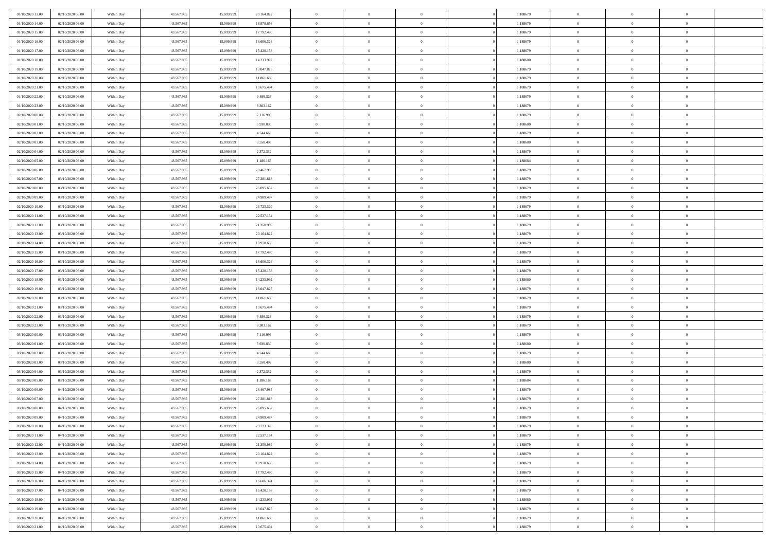| 01/10/2020 13.00 | 02/10/2020 06:00 | Within Day | 43.567.985 | 15.099.999 | 20.164.822 | $\,$ 0 $\,$    | $\overline{0}$ | $\overline{0}$           | 1,188679 | $\bf{0}$       | $\overline{0}$             | $\,0\,$        |  |
|------------------|------------------|------------|------------|------------|------------|----------------|----------------|--------------------------|----------|----------------|----------------------------|----------------|--|
| 01/10/2020 14:00 | 02/10/2020 06:00 | Within Day | 43.567.985 | 15,099.99  | 18.978.656 | $\theta$       | $\overline{0}$ | $\mathbf{0}$             | 1,188679 | $\theta$       | $\mathbf{0}$               | $\theta$       |  |
| 01/10/2020 15:00 | 02/10/2020 06:00 | Within Day | 43.567.985 | 15.099.999 | 17.792.490 | $\theta$       | $\overline{0}$ | $\mathbf{0}$             | 1,188679 | $\mathbf{0}$   | $\overline{0}$             | $\overline{0}$ |  |
| 01/10/2020 16:00 | 02/10/2020 06:00 | Within Day | 43.567.985 | 15.099.999 | 16.606.324 | $\,$ 0 $\,$    | $\overline{0}$ | $\overline{0}$           | 1,188679 | $\bf{0}$       | $\overline{0}$             | $\bf{0}$       |  |
| 01/10/2020 17.00 | 02/10/2020 06:00 | Within Day | 43.567.985 | 15.099.999 | 15.420.158 | $\bf{0}$       | $\overline{0}$ | $\mathbf{0}$             | 1,188679 | $\bf{0}$       | $\theta$                   | $\,0\,$        |  |
| 01/10/2020 18:00 | 02/10/2020 06:00 | Within Day | 43.567.985 | 15.099.999 | 14.233.992 | $\theta$       | $\overline{0}$ | $\mathbf{0}$             | 1,188680 | $\mathbf{0}$   | $\overline{0}$             | $\overline{0}$ |  |
| 01/10/2020 19:00 | 02/10/2020 06:00 | Within Day | 43.567.985 | 15.099.999 | 13.047.825 | $\,$ 0 $\,$    | $\overline{0}$ | $\overline{0}$           | 1,188679 | $\bf{0}$       | $\overline{0}$             | $\,0\,$        |  |
|                  |                  |            |            | 15,099,999 |            | $\overline{0}$ | $\overline{0}$ | $\mathbf{0}$             |          | $\,$ 0 $\,$    | $\overline{0}$             | $\theta$       |  |
| 01/10/2020 20:00 | 02/10/2020 06:00 | Within Day | 43.567.985 |            | 11.861.660 | $\theta$       |                |                          | 1,188679 | $\mathbf{0}$   |                            | $\overline{0}$ |  |
| 01/10/2020 21:00 | 02/10/2020 06:00 | Within Day | 43.567.985 | 15.099.999 | 10.675.494 |                | $\overline{0}$ | $\mathbf{0}$<br>$\Omega$ | 1,188679 |                | $\bf{0}$<br>$\overline{0}$ |                |  |
| 01/10/2020 22.00 | 02/10/2020 06:00 | Within Day | 43.567.985 | 15.099.999 | 9.489.328  | $\,$ 0 $\,$    | $\overline{0}$ |                          | 1,188679 | $\bf{0}$       |                            | $\,0\,$        |  |
| 01/10/2020 23.00 | 02/10/2020 06.00 | Within Day | 43.567.985 | 15.099.999 | 8.303.162  | $\bf{0}$       | $\overline{0}$ | $\mathbf{0}$             | 1,188679 | $\bf{0}$       | $\mathbf{0}$               | $\theta$       |  |
| 02/10/2020 00:00 | 02/10/2020 06:00 | Within Day | 43.567.985 | 15.099.999 | 7.116.996  | $\theta$       | $\overline{0}$ | $\mathbf{0}$             | 1,188679 | $\mathbf{0}$   | $\overline{0}$             | $\overline{0}$ |  |
| 02/10/2020 01:00 | 02/10/2020 06:00 | Within Day | 43.567.985 | 15.099.999 | 5.930.830  | $\,$ 0 $\,$    | $\overline{0}$ | $\overline{0}$           | 1,188680 | $\bf{0}$       | $\overline{0}$             | $\bf{0}$       |  |
| 02/10/2020 02:00 | 02/10/2020 06:00 | Within Day | 43.567.985 | 15.099.999 | 4.744.663  | $\bf{0}$       | $\overline{0}$ | $\mathbf{0}$             | 1,188679 | $\bf{0}$       | $\theta$                   | $\,0\,$        |  |
| 02/10/2020 03:00 | 02/10/2020 06:00 | Within Day | 43.567.985 | 15.099.999 | 3.558.498  | $\theta$       | $\overline{0}$ | $\mathbf{0}$             | 1,188680 | $\mathbf{0}$   | $\overline{0}$             | $\overline{0}$ |  |
| 02/10/2020 04:00 | 02/10/2020 06:00 | Within Day | 43.567.985 | 15.099.999 | 2.372.332  | $\,$ 0 $\,$    | $\overline{0}$ | $\Omega$                 | 1,188679 | $\bf{0}$       | $\overline{0}$             | $\bf{0}$       |  |
| 02/10/2020 05:00 | 02/10/2020 06.00 | Within Day | 43.567.985 | 15.099.999 | 1.186.165  | $\,$ 0         | $\overline{0}$ | $\mathbf{0}$             | 1,188684 | $\bf{0}$       | $\overline{0}$             | $\theta$       |  |
| 02/10/2020 06:00 | 03/10/2020 06:00 | Within Day | 43.567.985 | 15.099.999 | 28.467.985 | $\theta$       | $\overline{0}$ | $\mathbf{0}$             | 1,188679 | $\mathbf{0}$   | $\overline{0}$             | $\overline{0}$ |  |
| 02/10/2020 07.00 | 03/10/2020 06:00 | Within Day | 43.567.985 | 15.099.999 | 27.281.818 | $\bf{0}$       | $\overline{0}$ | $\Omega$                 | 1,188679 | $\bf{0}$       | $\overline{0}$             | $\,0\,$        |  |
| 02/10/2020 08:00 | 03/10/2020 06.00 | Within Day | 43.567.985 | 15.099.999 | 26.095.652 | $\bf{0}$       | $\overline{0}$ | $\mathbf{0}$             | 1,188679 | $\bf{0}$       | $\mathbf{0}$               | $\theta$       |  |
| 02/10/2020 09:00 | 03/10/2020 06:00 | Within Day | 43.567.985 | 15.099.999 | 24.909.487 | $\theta$       | $\overline{0}$ | $\mathbf{0}$             | 1,188679 | $\mathbf{0}$   | $\overline{0}$             | $\overline{0}$ |  |
| 02/10/2020 10:00 | 03/10/2020 06.00 | Within Day | 43.567.985 | 15.099.999 | 23.723.320 | $\,$ 0 $\,$    | $\overline{0}$ | $\overline{0}$           | 1,188679 | $\bf{0}$       | $\overline{0}$             | $\bf{0}$       |  |
| 02/10/2020 11:00 | 03/10/2020 06.00 | Within Day | 43.567.985 | 15.099.999 | 22.537.154 | $\bf{0}$       | $\overline{0}$ | $\mathbf{0}$             | 1,188679 | $\bf{0}$       | $\theta$                   | $\,0\,$        |  |
| 02/10/2020 12:00 | 03/10/2020 06:00 | Within Day | 43.567.985 | 15.099.999 | 21.350.989 | $\theta$       | $\overline{0}$ | $\mathbf{0}$             | 1,188679 | $\mathbf{0}$   | $\overline{0}$             | $\overline{0}$ |  |
| 02/10/2020 13:00 | 03/10/2020 06.00 | Within Day | 43.567.985 | 15.099.999 | 20.164.822 | $\,$ 0 $\,$    | $\overline{0}$ | $\overline{0}$           | 1,188679 | $\bf{0}$       | $\overline{0}$             | $\,0\,$        |  |
| 02/10/2020 14:00 | 03/10/2020 06.00 | Within Day | 43.567.985 | 15,099,999 | 18.978.656 | $\,$ 0         | $\overline{0}$ | $\mathbf{0}$             | 1,188679 | $\bf{0}$       | $\overline{0}$             | $\theta$       |  |
| 02/10/2020 15:00 | 03/10/2020 06:00 | Within Day | 43.567.985 | 15.099.999 | 17.792.490 | $\theta$       | $\overline{0}$ | $\overline{0}$           | 1,188679 | $\mathbf{0}$   | $\bf{0}$                   | $\overline{0}$ |  |
| 02/10/2020 16:00 | 03/10/2020 06.00 | Within Day | 43.567.985 | 15.099.999 | 16.606.324 | $\,$ 0 $\,$    | $\overline{0}$ | $\Omega$                 | 1,188679 | $\bf{0}$       | $\overline{0}$             | $\,0\,$        |  |
| 02/10/2020 17.00 | 03/10/2020 06.00 | Within Day | 43.567.985 | 15,099,999 | 15.420.158 | $\bf{0}$       | $\overline{0}$ | $\mathbf{0}$             | 1,188679 | $\bf{0}$       | $\mathbf{0}$               | $\theta$       |  |
| 02/10/2020 18:00 | 03/10/2020 06:00 | Within Day | 43.567.985 | 15.099.999 | 14.233.992 | $\theta$       | $\overline{0}$ | $\overline{0}$           | 1,188680 | $\mathbf{0}$   | $\overline{0}$             | $\overline{0}$ |  |
| 02/10/2020 19:00 | 03/10/2020 06:00 | Within Day | 43.567.985 | 15.099.999 | 13.047.825 | $\theta$       | $\overline{0}$ | $\overline{0}$           | 1,188679 | $\,$ 0         | $\overline{0}$             | $\,$ 0 $\,$    |  |
| 02/10/2020 20:00 | 03/10/2020 06.00 | Within Day | 43.567.985 | 15.099.999 | 11.861.660 | $\bf{0}$       | $\overline{0}$ | $\mathbf{0}$             | 1,188679 | $\bf{0}$       | $\mathbf{0}$               | $\overline{0}$ |  |
| 02/10/2020 21:00 | 03/10/2020 06:00 | Within Day | 43.567.985 | 15.099.999 | 10.675.494 | $\theta$       | $\overline{0}$ | $\mathbf{0}$             | 1,188679 | $\mathbf{0}$   | $\overline{0}$             | $\overline{0}$ |  |
| 02/10/2020 22.00 | 03/10/2020 06:00 | Within Day | 43.567.985 | 15.099.999 | 9.489.328  | $\theta$       | $\overline{0}$ | $\overline{0}$           | 1,188679 | $\,$ 0         | $\overline{0}$             | $\theta$       |  |
| 02/10/2020 23.00 | 03/10/2020 06.00 | Within Day | 43.567.985 | 15,099,999 | 8.303.162  | $\bf{0}$       | $\overline{0}$ | $\mathbf{0}$             | 1,188679 | $\mathbf{0}$   | $\overline{0}$             | $\overline{0}$ |  |
| 03/10/2020 00:00 | 03/10/2020 06:00 | Within Day | 43.567.985 | 15.099.999 | 7.116.996  | $\theta$       | $\overline{0}$ | $\mathbf{0}$             | 1,188679 | $\mathbf{0}$   | $\overline{0}$             | $\overline{0}$ |  |
| 03/10/2020 01:00 | 03/10/2020 06:00 | Within Day | 43.567.985 | 15.099.999 | 5.930.830  | $\theta$       | $\overline{0}$ | $\overline{0}$           | 1,188680 | $\,$ 0         | $\overline{0}$             | $\theta$       |  |
| 03/10/2020 02.00 | 03/10/2020 06.00 | Within Day | 43.567.985 | 15.099.999 | 4.744.663  | $\bf{0}$       | $\overline{0}$ | $\mathbf{0}$             | 1,188679 | $\bf{0}$       | $\mathbf{0}$               | $\overline{0}$ |  |
| 03/10/2020 03:00 | 03/10/2020 06:00 | Within Day | 43.567.985 | 15.099.999 | 3.558.498  | $\theta$       | $\overline{0}$ | $\mathbf{0}$             | 1,188680 | $\mathbf{0}$   | $\overline{0}$             | $\overline{0}$ |  |
| 03/10/2020 04:00 | 03/10/2020 06:00 | Within Day | 43.567.985 | 15.099.999 | 2.372.332  | $\,$ 0 $\,$    | $\overline{0}$ | $\overline{0}$           | 1,188679 | $\,$ 0         | $\overline{0}$             | $\,$ 0 $\,$    |  |
| 03/10/2020 05:00 | 03/10/2020 06.00 | Within Day | 43.567.985 | 15.099.999 | 1.186.165  | $\,$ 0         | $\,$ 0 $\,$    | $\overline{0}$           | 1,188684 | $\,$ 0 $\,$    | $\overline{0}$             | $\overline{0}$ |  |
| 03/10/2020 06:00 | 04/10/2020 06:00 | Within Day | 43.567.985 | 15.099.999 | 28.467.985 | $\theta$       | $\overline{0}$ | $\mathbf{0}$             | 1,188679 | $\mathbf{0}$   | $\overline{0}$             | $\theta$       |  |
| 03/10/2020 07:00 | 04/10/2020 06.00 | Within Day | 43.567.985 | 15.099.999 | 27.281.818 | $\overline{0}$ | $\overline{0}$ | $\overline{0}$           | 1,188679 | $\overline{0}$ | $\overline{0}$             | $\theta$       |  |
| 03/10/2020 08:00 | 04/10/2020 06:00 | Within Day | 43.567.985 | 15.099.999 | 26.095.652 | $\bf{0}$       | $\overline{0}$ | $\mathbf{0}$             | 1,188679 | $\bf{0}$       | $\overline{0}$             | $\overline{0}$ |  |
| 03/10/2020 09:00 | 04/10/2020 06:00 | Within Day | 43.567.985 | 15.099.999 | 24.909.487 | $\overline{0}$ | $\theta$       |                          | 1,188679 | $\overline{0}$ | $^{\circ}$                 | $\theta$       |  |
| 03/10/2020 10:00 | 04/10/2020 06:00 | Within Day | 43.567.985 | 15.099.999 | 23.723.320 | $\,$ 0 $\,$    | $\overline{0}$ | $\overline{0}$           | 1,188679 | $\,$ 0 $\,$    | $\bf{0}$                   | $\theta$       |  |
| 03/10/2020 11:00 | 04/10/2020 06:00 | Within Day | 43.567.985 | 15.099.999 | 22.537.154 | $\bf{0}$       | $\,$ 0 $\,$    | $\overline{0}$           | 1,188679 | $\,$ 0 $\,$    | $\overline{0}$             | $\overline{0}$ |  |
| 03/10/2020 12:00 | 04/10/2020 06:00 | Within Day | 43.567.985 | 15.099.999 | 21.350.989 | $\mathbf{0}$   | $\overline{0}$ | $\overline{0}$           | 1,188679 | $\,$ 0 $\,$    | $\bf{0}$                   | $\mathbf{0}$   |  |
| 03/10/2020 13:00 | 04/10/2020 06:00 | Within Day | 43.567.985 | 15.099.999 | 20.164.822 | $\,$ 0 $\,$    | $\overline{0}$ | $\overline{0}$           | 1,188679 | $\,$ 0 $\,$    | $\bf{0}$                   | $\,$ 0 $\,$    |  |
| 03/10/2020 14:00 | 04/10/2020 06.00 | Within Day | 43.567.985 | 15.099.999 | 18.978.656 | $\,$ 0 $\,$    | $\,$ 0 $\,$    | $\overline{0}$           | 1,188679 | $\,$ 0 $\,$    | $\overline{0}$             | $\overline{0}$ |  |
| 03/10/2020 15:00 | 04/10/2020 06:00 | Within Day | 43.567.985 | 15.099.999 | 17.792.490 | $\mathbf{0}$   | $\overline{0}$ | $\overline{0}$           | 1,188679 | $\mathbf{0}$   | $\overline{0}$             | $\overline{0}$ |  |
|                  |                  |            |            |            |            |                |                |                          |          |                |                            |                |  |
| 03/10/2020 16:00 | 04/10/2020 06:00 | Within Day | 43.567.985 | 15.099.999 | 16.606.324 | $\,$ 0 $\,$    | $\overline{0}$ | $\overline{0}$           | 1,188679 | $\,$ 0 $\,$    | $\overline{0}$             | $\,$ 0 $\,$    |  |
| 03/10/2020 17.00 | 04/10/2020 06.00 | Within Day | 43.567.985 | 15.099.999 | 15.420.158 | $\bf{0}$       | $\overline{0}$ | $\overline{0}$           | 1,188679 | $\,$ 0 $\,$    | $\overline{0}$             | $\overline{0}$ |  |
| 03/10/2020 18:00 | 04/10/2020 06:00 | Within Day | 43.567.985 | 15.099.999 | 14.233.992 | $\mathbf{0}$   | $\overline{0}$ | $\overline{0}$           | 1,188680 | $\mathbf{0}$   | $\bf{0}$                   | $\overline{0}$ |  |
| 03/10/2020 19:00 | 04/10/2020 06:00 | Within Day | 43.567.985 | 15.099.999 | 13.047.825 | $\,$ 0 $\,$    | $\overline{0}$ | $\overline{0}$           | 1,188679 | $\,$ 0 $\,$    | $\overline{0}$             | $\,$ 0 $\,$    |  |
| 03/10/2020 20:00 | 04/10/2020 06.00 | Within Day | 43.567.985 | 15.099.999 | 11.861.660 | $\,$ 0 $\,$    | $\,$ 0 $\,$    | $\overline{0}$           | 1,188679 | $\,$ 0 $\,$    | $\overline{0}$             | $\overline{0}$ |  |
| 03/10/2020 21:00 | 04/10/2020 06:00 | Within Day | 43.567.985 | 15.099.999 | 10.675.494 | $\theta$       | $\overline{0}$ | $\overline{0}$           | 1,188679 | $\mathbf{0}$   | $\overline{0}$             | $\overline{0}$ |  |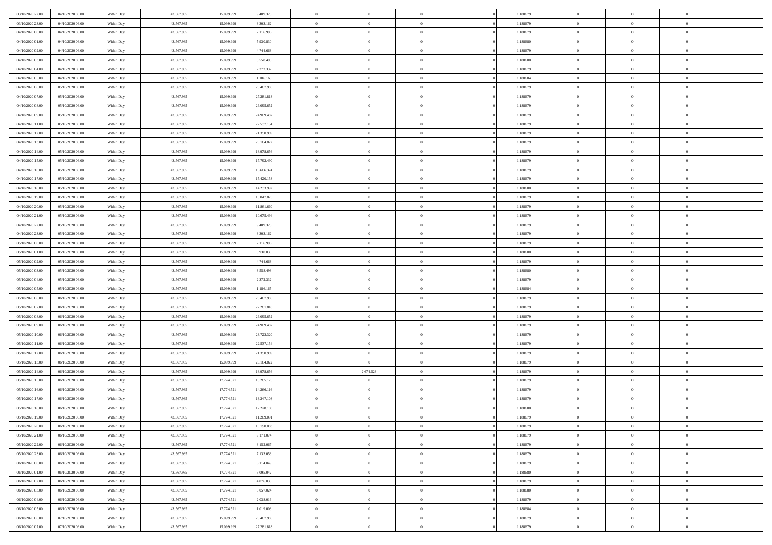| 03/10/2020 22.00 | 04/10/2020 06:00 | Within Day | 43.567.985 | 15.099.999 | 9.489.328  | $\bf{0}$       | $\overline{0}$ | $\overline{0}$ | 1,188679 | $\bf{0}$       | $\overline{0}$ | $\,0\,$        |  |
|------------------|------------------|------------|------------|------------|------------|----------------|----------------|----------------|----------|----------------|----------------|----------------|--|
| 03/10/2020 23.00 | 04/10/2020 06.00 | Within Day | 43.567.985 | 15,099.99  | 8.303.162  | $\theta$       | $\overline{0}$ | $\mathbf{0}$   | 1,188679 | $\theta$       | $\mathbf{0}$   | $\theta$       |  |
| 04/10/2020 00:00 | 04/10/2020 06:00 | Within Day | 43.567.985 | 15.099.999 | 7.116.996  | $\theta$       | $\overline{0}$ | $\mathbf{0}$   | 1,188679 | $\mathbf{0}$   | $\overline{0}$ | $\overline{0}$ |  |
| 04/10/2020 01:00 | 04/10/2020 06.00 | Within Day | 43.567.985 | 15.099.999 | 5.930.830  | $\,$ 0 $\,$    | $\overline{0}$ | $\overline{0}$ | 1,188680 | $\bf{0}$       | $\overline{0}$ | $\bf{0}$       |  |
| 04/10/2020 02.00 | 04/10/2020 06.00 | Within Day | 43.567.985 | 15.099.999 | 4.744.663  | $\bf{0}$       | $\overline{0}$ | $\mathbf{0}$   | 1,188679 | $\bf{0}$       | $\theta$       | $\,0\,$        |  |
| 04/10/2020 03:00 | 04/10/2020 06:00 | Within Day | 43.567.985 | 15.099.999 | 3.558.498  | $\theta$       | $\overline{0}$ | $\mathbf{0}$   | 1,188680 | $\mathbf{0}$   | $\overline{0}$ | $\overline{0}$ |  |
| 04/10/2020 04:00 | 04/10/2020 06:00 | Within Day | 43.567.985 | 15.099.999 | 2.372.332  | $\,$ 0 $\,$    | $\overline{0}$ | $\overline{0}$ | 1,188679 | $\bf{0}$       | $\overline{0}$ | $\,0\,$        |  |
| 04/10/2020 05:00 | 04/10/2020 06.00 | Within Day | 43.567.985 | 15,099,999 | 1.186.165  | $\theta$       | $\overline{0}$ | $\mathbf{0}$   | 1,188684 | $\,$ 0 $\,$    | $\overline{0}$ | $\theta$       |  |
| 04/10/2020 06:00 | 05/10/2020 06:00 | Within Day | 43.567.985 | 15.099.999 | 28.467.985 | $\theta$       | $\overline{0}$ | $\overline{0}$ | 1,188679 | $\mathbf{0}$   | $\bf{0}$       | $\overline{0}$ |  |
| 04/10/2020 07.00 | 05/10/2020 06.00 | Within Day | 43.567.985 | 15.099.999 | 27.281.818 | $\,$ 0 $\,$    | $\overline{0}$ | $\Omega$       | 1,188679 | $\bf{0}$       | $\overline{0}$ | $\,0\,$        |  |
| 04/10/2020 08:00 | 05/10/2020 06.00 | Within Day | 43.567.985 | 15,099,999 | 26.095.652 | $\bf{0}$       | $\overline{0}$ | $\mathbf{0}$   | 1,188679 | $\bf{0}$       | $\mathbf{0}$   | $\theta$       |  |
| 04/10/2020 09:00 | 05/10/2020 06:00 | Within Day | 43.567.985 | 15.099.999 | 24.909.487 | $\theta$       | $\overline{0}$ |                | 1,188679 | $\mathbf{0}$   | $\overline{0}$ | $\overline{0}$ |  |
| 04/10/2020 11:00 |                  |            |            |            |            | $\,$ 0 $\,$    |                | $\mathbf{0}$   |          | $\bf{0}$       |                | $\bf{0}$       |  |
|                  | 05/10/2020 06:00 | Within Day | 43.567.985 | 15.099.999 | 22.537.154 |                | $\overline{0}$ | $\overline{0}$ | 1,188679 |                | $\overline{0}$ |                |  |
| 04/10/2020 12:00 | 05/10/2020 06:00 | Within Day | 43.567.985 | 15.099.999 | 21.350.989 | $\bf{0}$       | $\overline{0}$ | $\mathbf{0}$   | 1,188679 | $\bf{0}$       | $\theta$       | $\,0\,$        |  |
| 04/10/2020 13:00 | 05/10/2020 06:00 | Within Dav | 43.567.985 | 15.099.999 | 20.164.822 | $\theta$       | $\overline{0}$ | $\mathbf{0}$   | 1,188679 | $\mathbf{0}$   | $\bf{0}$       | $\overline{0}$ |  |
| 04/10/2020 14:00 | 05/10/2020 06.00 | Within Day | 43.567.985 | 15.099.999 | 18.978.656 | $\,$ 0 $\,$    | $\overline{0}$ | $\Omega$       | 1,188679 | $\bf{0}$       | $\overline{0}$ | $\bf{0}$       |  |
| 04/10/2020 15:00 | 05/10/2020 06.00 | Within Day | 43.567.985 | 15.099.999 | 17.792.490 | $\,$ 0         | $\overline{0}$ | $\mathbf{0}$   | 1,188679 | $\bf{0}$       | $\overline{0}$ | $\theta$       |  |
| 04/10/2020 16:00 | 05/10/2020 06:00 | Within Day | 43.567.985 | 15.099.999 | 16.606.324 | $\theta$       | $\overline{0}$ | $\mathbf{0}$   | 1,188679 | $\mathbf{0}$   | $\overline{0}$ | $\overline{0}$ |  |
| 04/10/2020 17.00 | 05/10/2020 06:00 | Within Day | 43.567.985 | 15.099.999 | 15.420.158 | $\bf{0}$       | $\overline{0}$ | $\Omega$       | 1,188679 | $\bf{0}$       | $\overline{0}$ | $\,0\,$        |  |
| 04/10/2020 18:00 | 05/10/2020 06.00 | Within Day | 43.567.985 | 15.099.999 | 14.233.992 | $\bf{0}$       | $\overline{0}$ | $\mathbf{0}$   | 1,188680 | $\bf{0}$       | $\mathbf{0}$   | $\theta$       |  |
| 04/10/2020 19:00 | 05/10/2020 06:00 | Within Dav | 43.567.985 | 15.099.999 | 13.047.825 | $\theta$       | $\overline{0}$ | $\mathbf{0}$   | 1,188679 | $\mathbf{0}$   | $\overline{0}$ | $\overline{0}$ |  |
| 04/10/2020 20:00 | 05/10/2020 06.00 | Within Day | 43.567.985 | 15.099.999 | 11.861.660 | $\,$ 0 $\,$    | $\overline{0}$ | $\overline{0}$ | 1,188679 | $\bf{0}$       | $\overline{0}$ | $\bf{0}$       |  |
| 04/10/2020 21:00 | 05/10/2020 06.00 | Within Day | 43.567.985 | 15.099.999 | 10.675.494 | $\bf{0}$       | $\overline{0}$ | $\mathbf{0}$   | 1,188679 | $\bf{0}$       | $\theta$       | $\,0\,$        |  |
| 04/10/2020 22.00 | 05/10/2020 06:00 | Within Dav | 43.567.985 | 15.099.999 | 9.489.328  | $\theta$       | $\overline{0}$ | $\mathbf{0}$   | 1,188679 | $\mathbf{0}$   | $\overline{0}$ | $\overline{0}$ |  |
| 04/10/2020 23.00 | 05/10/2020 06:00 | Within Day | 43.567.985 | 15.099.999 | 8.303.162  | $\,$ 0 $\,$    | $\overline{0}$ | $\overline{0}$ | 1,188679 | $\bf{0}$       | $\overline{0}$ | $\,0\,$        |  |
| 05/10/2020 00:00 | 05/10/2020 06.00 | Within Day | 43.567.985 | 15.099.999 | 7.116.996  | $\,$ 0         | $\overline{0}$ | $\mathbf{0}$   | 1,188679 | $\bf{0}$       | $\overline{0}$ | $\theta$       |  |
| 05/10/2020 01:00 | 05/10/2020 06:00 | Within Day | 43.567.985 | 15.099.999 | 5.930.830  | $\theta$       | $\overline{0}$ | $\overline{0}$ | 1,188680 | $\mathbf{0}$   | $\bf{0}$       | $\overline{0}$ |  |
| 05/10/2020 02.00 | 05/10/2020 06.00 | Within Day | 43.567.985 | 15.099.999 | 4.744.663  | $\,$ 0 $\,$    | $\overline{0}$ | $\Omega$       | 1,188679 | $\bf{0}$       | $\overline{0}$ | $\,0\,$        |  |
| 05/10/2020 03:00 | 05/10/2020 06.00 | Within Day | 43.567.985 | 15,099,999 | 3.558.498  | $\bf{0}$       | $\overline{0}$ | $\mathbf{0}$   | 1,188680 | $\bf{0}$       | $\mathbf{0}$   | $\theta$       |  |
| 05/10/2020 04:00 | 05/10/2020 06:00 | Within Dav | 43.567.985 | 15.099.999 | 2.372.332  | $\theta$       | $\overline{0}$ | $\overline{0}$ | 1,188679 | $\mathbf{0}$   | $\overline{0}$ | $\overline{0}$ |  |
| 05/10/2020 05:00 | 05/10/2020 06:00 | Within Day | 43.567.985 | 15.099.999 | 1.186.165  | $\theta$       | $\overline{0}$ | $\overline{0}$ | 1,188684 | $\,$ 0         | $\overline{0}$ | $\,$ 0 $\,$    |  |
| 05/10/2020 06:00 | 06/10/2020 06:00 | Within Day | 43.567.985 | 15.099.999 | 28.467.985 | $\bf{0}$       | $\overline{0}$ | $\mathbf{0}$   | 1,188679 | $\bf{0}$       | $\mathbf{0}$   | $\bf{0}$       |  |
| 05/10/2020 07:00 | 06/10/2020 06:00 | Within Dav | 43.567.985 | 15.099.999 | 27.281.818 | $\theta$       | $\overline{0}$ | $\mathbf{0}$   | 1,188679 | $\mathbf{0}$   | $\overline{0}$ | $\overline{0}$ |  |
| 05/10/2020 08:00 | 06/10/2020 06:00 | Within Day | 43.567.985 | 15.099.999 | 26.095.652 | $\theta$       | $\overline{0}$ | $\overline{0}$ | 1,188679 | $\,$ 0         | $\overline{0}$ | $\theta$       |  |
| 05/10/2020 09:00 | 06/10/2020 06:00 | Within Day | 43.567.985 | 15.099.999 | 24.909.487 | $\bf{0}$       | $\overline{0}$ | $\mathbf{0}$   | 1,188679 | $\mathbf{0}$   | $\overline{0}$ | $\overline{0}$ |  |
| 05/10/2020 10:00 | 06/10/2020 06:00 | Within Day | 43.567.985 | 15.099.999 | 23.723.320 | $\theta$       | $\overline{0}$ | $\mathbf{0}$   | 1,188679 | $\mathbf{0}$   | $\overline{0}$ | $\overline{0}$ |  |
| 05/10/2020 11:00 | 06/10/2020 06:00 | Within Day | 43.567.985 | 15.099.999 | 22.537.154 | $\theta$       | $\overline{0}$ | $\overline{0}$ | 1,188679 | $\,$ 0         | $\overline{0}$ | $\theta$       |  |
| 05/10/2020 12:00 | 06/10/2020 06:00 | Within Day | 43.567.985 | 15.099.999 | 21.350.989 | $\bf{0}$       | $\overline{0}$ | $\mathbf{0}$   | 1,188679 | $\bf{0}$       | $\mathbf{0}$   | $\bf{0}$       |  |
| 05/10/2020 13:00 | 06/10/2020 06:00 | Within Dav | 43.567.985 | 15.099.999 | 20.164.822 | $\theta$       | $\overline{0}$ | $\overline{0}$ | 1,188679 | $\mathbf{0}$   | $\overline{0}$ | $\overline{0}$ |  |
| 05/10/2020 14:00 | 06/10/2020 06:00 | Within Day | 43.567.985 | 15.099.999 | 18.978.656 | $\,$ 0 $\,$    | 2.674.523      | $\overline{0}$ | 1,188679 | $\,$ 0         | $\overline{0}$ | $\,$ 0 $\,$    |  |
| 05/10/2020 15:00 | 06/10/2020 06:00 | Within Day | 43.567.985 | 17.774.521 | 15.285.125 | $\,$ 0         | $\overline{0}$ | $\mathbf{0}$   | 1,188679 | $\,$ 0 $\,$    | $\bf{0}$       | $\bf{0}$       |  |
| 05/10/2020 16:00 | 06/10/2020 06:00 | Within Dav | 43.567.985 | 17.774.521 | 14.266.116 | $\theta$       | $\overline{0}$ | $\mathbf{0}$   | 1,188679 | $\mathbf{0}$   | $\overline{0}$ | $\theta$       |  |
| 05/10/2020 17:00 | 06/10/2020 06:00 | Within Day | 43.567.985 | 17.774.521 | 13.247.108 | $\overline{0}$ | $\overline{0}$ | $\overline{0}$ | 1,188679 | $\,$ 0         | $\overline{0}$ | $\theta$       |  |
| 05/10/2020 18:00 | 06/10/2020 06:00 | Within Day | 43.567.985 | 17.774.521 | 12.228.100 | $\bf{0}$       | $\overline{0}$ | $\mathbf{0}$   | 1,188680 | $\bf{0}$       | $\overline{0}$ | $\bf{0}$       |  |
| 05/10/2020 19:00 | 06/10/2020 06:00 | Within Day | 43.567.985 | 17.774.521 | 11.209.091 | $\overline{0}$ | $\theta$       |                | 1,188679 | $\overline{0}$ | $^{\circ}$     | $\theta$       |  |
| 05/10/2020 20:00 | 06/10/2020 06:00 | Within Day | 43.567.985 | 17.774.521 | 10.190.083 | $\,$ 0 $\,$    | $\overline{0}$ | $\overline{0}$ | 1,188679 | $\,$ 0 $\,$    | $\bf{0}$       | $\theta$       |  |
| 05/10/2020 21.00 | 06/10/2020 06:00 | Within Day | 43.567.985 | 17.774.521 | 9.171.074  | $\bf{0}$       | $\,$ 0 $\,$    | $\mathbf{0}$   | 1,188679 | $\,$ 0 $\,$    | $\overline{0}$ | $\overline{0}$ |  |
| 05/10/2020 22.00 | 06/10/2020 06:00 | Within Day | 43.567.985 | 17.774.521 | 8.152.067  | $\overline{0}$ | $\overline{0}$ | $\overline{0}$ | 1,188679 | $\,$ 0 $\,$    | $\bf{0}$       | $\mathbf{0}$   |  |
| 05/10/2020 23:00 | 06/10/2020 06:00 | Within Day | 43.567.985 | 17.774.521 | 7.133.058  | $\,$ 0 $\,$    | $\overline{0}$ | $\overline{0}$ | 1,188679 | $\,$ 0 $\,$    | $\bf{0}$       | $\,$ 0 $\,$    |  |
| 06/10/2020 00:00 | 06/10/2020 06:00 | Within Day | 43.567.985 | 17.774.521 | 6.114.049  | $\,$ 0 $\,$    | $\,$ 0 $\,$    | $\overline{0}$ | 1,188679 | $\,$ 0 $\,$    | $\overline{0}$ | $\overline{0}$ |  |
| 06/10/2020 01:00 | 06/10/2020 06:00 | Within Day | 43.567.985 | 17.774.521 | 5.095.042  | $\overline{0}$ | $\overline{0}$ | $\overline{0}$ | 1,188680 | $\mathbf{0}$   | $\overline{0}$ | $\overline{0}$ |  |
| 06/10/2020 02:00 | 06/10/2020 06:00 | Within Day | 43.567.985 | 17.774.521 | 4.076.033  | $\,$ 0 $\,$    | $\overline{0}$ | $\overline{0}$ | 1,188679 | $\,$ 0 $\,$    | $\overline{0}$ | $\,$ 0 $\,$    |  |
| 06/10/2020 03:00 | 06/10/2020 06:00 | Within Day | 43.567.985 | 17.774.521 | 3.057.024  | $\bf{0}$       | $\overline{0}$ | $\overline{0}$ | 1,188680 | $\mathbf{0}$   | $\overline{0}$ | $\overline{0}$ |  |
| 06/10/2020 04:00 | 06/10/2020 06:00 | Within Day | 43.567.985 | 17.774.521 | 2.038.016  | $\overline{0}$ | $\overline{0}$ | $\overline{0}$ | 1,188679 | $\mathbf{0}$   | $\bf{0}$       | $\overline{0}$ |  |
|                  |                  |            |            |            |            | $\,$ 0 $\,$    |                | $\overline{0}$ |          |                | $\mathbf{0}$   | $\,$ 0 $\,$    |  |
| 06/10/2020 05:00 | 06/10/2020 06:00 | Within Day | 43.567.985 | 17.774.521 | 1.019.008  |                | $\overline{0}$ |                | 1,188684 | $\,$ 0 $\,$    |                |                |  |
| 06/10/2020 06:00 | 07/10/2020 06.00 | Within Day | 43.567.985 | 15.099.999 | 28.467.985 | $\,$ 0 $\,$    | $\,$ 0 $\,$    | $\overline{0}$ | 1,188679 | $\bf{0}$       | $\overline{0}$ | $\overline{0}$ |  |
| 06/10/2020 07:00 | 07/10/2020 06:00 | Within Day | 43.567.985 | 15.099.999 | 27.281.818 | $\theta$       | $\overline{0}$ | $\overline{0}$ | 1,188679 | $\mathbf{0}$   | $\overline{0}$ | $\overline{0}$ |  |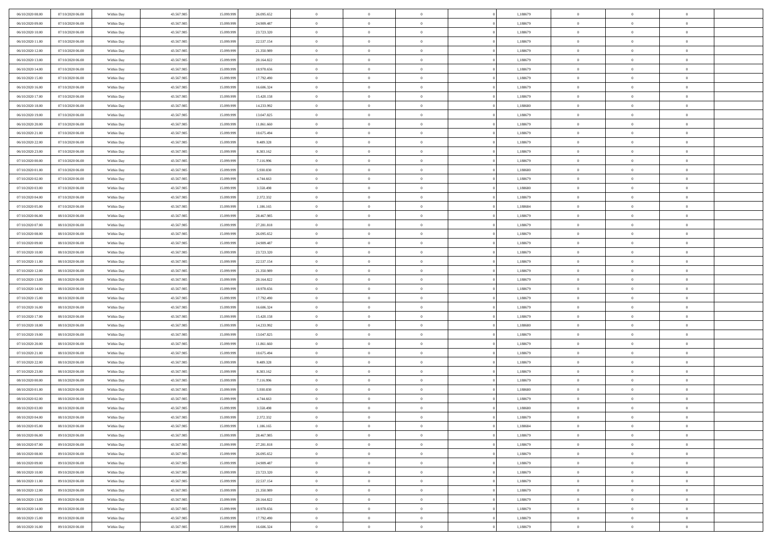| 06/10/2020 08:00 | 07/10/2020 06:00                     | Within Day | 43.567.985 | 15.099.999 | 26.095.652 | $\,$ 0 $\,$    | $\overline{0}$ | $\overline{0}$           | 1,188679 | $\bf{0}$       | $\overline{0}$ | $\,0\,$        |  |
|------------------|--------------------------------------|------------|------------|------------|------------|----------------|----------------|--------------------------|----------|----------------|----------------|----------------|--|
| 06/10/2020 09:00 | 07/10/2020 06:00                     | Within Day | 43.567.985 | 15,099.99  | 24.909.487 | $\theta$       | $\overline{0}$ | $\mathbf{0}$             | 1,188679 | $\theta$       | $\mathbf{0}$   | $\theta$       |  |
| 06/10/2020 10:00 | 07/10/2020 06:00                     | Within Dav | 43.567.985 | 15.099.999 | 23.723.320 | $\theta$       | $\overline{0}$ | $\mathbf{0}$             | 1,188679 | $\mathbf{0}$   | $\overline{0}$ | $\overline{0}$ |  |
| 06/10/2020 11:00 | 07/10/2020 06.00                     | Within Day | 43.567.985 | 15.099.999 | 22.537.154 | $\,$ 0 $\,$    | $\overline{0}$ | $\overline{0}$           | 1,188679 | $\bf{0}$       | $\overline{0}$ | $\bf{0}$       |  |
| 06/10/2020 12:00 | 07/10/2020 06.00                     | Within Day | 43.567.985 | 15.099.999 | 21.350.989 | $\bf{0}$       | $\overline{0}$ | $\mathbf{0}$             | 1,188679 | $\bf{0}$       | $\theta$       | $\,0\,$        |  |
| 06/10/2020 13:00 | 07/10/2020 06:00                     | Within Dav | 43.567.985 | 15.099.999 | 20.164.822 | $\theta$       | $\overline{0}$ | $\mathbf{0}$             | 1,188679 | $\mathbf{0}$   | $\overline{0}$ | $\overline{0}$ |  |
| 06/10/2020 14:00 | 07/10/2020 06:00                     | Within Day | 43.567.985 | 15.099.999 | 18.978.656 | $\,$ 0 $\,$    | $\overline{0}$ | $\overline{0}$           | 1,188679 | $\bf{0}$       | $\overline{0}$ | $\,0\,$        |  |
|                  |                                      |            |            | 15,099,999 |            | $\overline{0}$ | $\overline{0}$ | $\mathbf{0}$             |          | $\,$ 0 $\,$    | $\overline{0}$ | $\theta$       |  |
| 06/10/2020 15:00 | 07/10/2020 06:00                     | Within Day | 43.567.985 |            | 17.792.490 | $\theta$       |                |                          | 1,188679 | $\mathbf{0}$   |                | $\overline{0}$ |  |
| 06/10/2020 16:00 | 07/10/2020 06:00                     | Within Day | 43.567.985 | 15.099.999 | 16.606.324 |                | $\overline{0}$ | $\mathbf{0}$<br>$\Omega$ | 1,188679 |                | $\bf{0}$       |                |  |
| 06/10/2020 17.00 | 07/10/2020 06.00                     | Within Day | 43.567.985 | 15.099.999 | 15.420.158 | $\,$ 0 $\,$    | $\overline{0}$ |                          | 1,188679 | $\bf{0}$       | $\overline{0}$ | $\,0\,$        |  |
| 06/10/2020 18:00 | 07/10/2020 06.00                     | Within Day | 43.567.985 | 15,099,999 | 14.233.992 | $\bf{0}$       | $\overline{0}$ | $\mathbf{0}$             | 1,188680 | $\bf{0}$       | $\mathbf{0}$   | $\theta$       |  |
| 06/10/2020 19:00 | 07/10/2020 06:00                     | Within Dav | 43.567.985 | 15.099.999 | 13.047.825 | $\theta$       | $\overline{0}$ | $\mathbf{0}$             | 1,188679 | $\mathbf{0}$   | $\overline{0}$ | $\overline{0}$ |  |
| 06/10/2020 20:00 | 07/10/2020 06:00                     | Within Day | 43.567.985 | 15.099.999 | 11.861.660 | $\,$ 0 $\,$    | $\overline{0}$ | $\overline{0}$           | 1,188679 | $\bf{0}$       | $\overline{0}$ | $\bf{0}$       |  |
| 06/10/2020 21:00 | 07/10/2020 06.00                     | Within Day | 43.567.985 | 15.099.999 | 10.675.494 | $\bf{0}$       | $\overline{0}$ | $\mathbf{0}$             | 1,188679 | $\bf{0}$       | $\theta$       | $\,0\,$        |  |
| 06/10/2020 22.00 | 07/10/2020 06:00                     | Within Dav | 43.567.985 | 15.099.999 | 9.489.328  | $\theta$       | $\overline{0}$ | $\mathbf{0}$             | 1,188679 | $\mathbf{0}$   | $\bf{0}$       | $\overline{0}$ |  |
| 06/10/2020 23.00 | 07/10/2020 06.00                     | Within Day | 43.567.985 | 15.099.999 | 8.303.162  | $\,$ 0 $\,$    | $\overline{0}$ | $\Omega$                 | 1,188679 | $\bf{0}$       | $\overline{0}$ | $\,0\,$        |  |
| 07/10/2020 00:00 | 07/10/2020 06.00                     | Within Day | 43.567.985 | 15.099.999 | 7.116.996  | $\,$ 0         | $\overline{0}$ | $\mathbf{0}$             | 1,188679 | $\bf{0}$       | $\overline{0}$ | $\theta$       |  |
| 07/10/2020 01:00 | 07/10/2020 06:00                     | Within Day | 43.567.985 | 15.099.999 | 5.930.830  | $\theta$       | $\overline{0}$ | $\mathbf{0}$             | 1,188680 | $\mathbf{0}$   | $\overline{0}$ | $\overline{0}$ |  |
| 07/10/2020 02.00 | 07/10/2020 06:00                     | Within Day | 43.567.985 | 15.099.999 | 4.744.663  | $\,$ 0 $\,$    | $\overline{0}$ | $\Omega$                 | 1,188679 | $\bf{0}$       | $\overline{0}$ | $\,0\,$        |  |
| 07/10/2020 03:00 | 07/10/2020 06.00                     | Within Day | 43.567.985 | 15.099.999 | 3.558.498  | $\bf{0}$       | $\overline{0}$ | $\mathbf{0}$             | 1,188680 | $\bf{0}$       | $\mathbf{0}$   | $\theta$       |  |
| 07/10/2020 04:00 | 07/10/2020 06:00                     | Within Dav | 43.567.985 | 15.099.999 | 2.372.332  | $\theta$       | $\overline{0}$ | $\mathbf{0}$             | 1,188679 | $\mathbf{0}$   | $\overline{0}$ | $\overline{0}$ |  |
| 07/10/2020 05:00 | 07/10/2020 06.00                     | Within Day | 43.567.985 | 15.099.999 | 1.186.165  | $\,$ 0 $\,$    | $\overline{0}$ | $\overline{0}$           | 1,188684 | $\bf{0}$       | $\overline{0}$ | $\bf{0}$       |  |
| 07/10/2020 06:00 | 08/10/2020 06:00                     | Within Day | 43.567.985 | 15.099.999 | 28.467.985 | $\bf{0}$       | $\overline{0}$ | $\mathbf{0}$             | 1,188679 | $\bf{0}$       | $\theta$       | $\,0\,$        |  |
| 07/10/2020 07:00 | 08/10/2020 06:00                     | Within Dav | 43.567.985 | 15.099.999 | 27.281.818 | $\theta$       | $\overline{0}$ | $\mathbf{0}$             | 1,188679 | $\mathbf{0}$   | $\overline{0}$ | $\theta$       |  |
| 07/10/2020 08:00 | 08/10/2020 06:00                     | Within Day | 43.567.985 | 15.099.999 | 26.095.652 | $\,$ 0 $\,$    | $\overline{0}$ | $\overline{0}$           | 1,188679 | $\bf{0}$       | $\overline{0}$ | $\,0\,$        |  |
| 07/10/2020 09:00 | 08/10/2020 06:00                     | Within Day | 43.567.985 | 15.099.999 | 24.909.487 | $\,$ 0         | $\overline{0}$ | $\mathbf{0}$             | 1,188679 | $\bf{0}$       | $\overline{0}$ | $\theta$       |  |
| 07/10/2020 10:00 | 08/10/2020 06:00                     | Within Day | 43.567.985 | 15.099.999 | 23.723.320 | $\theta$       | $\overline{0}$ | $\overline{0}$           | 1,188679 | $\mathbf{0}$   | $\bf{0}$       | $\overline{0}$ |  |
| 07/10/2020 11:00 | 08/10/2020 06:00                     | Within Day | 43.567.985 | 15.099.999 | 22.537.154 | $\,$ 0 $\,$    | $\overline{0}$ | $\Omega$                 | 1,188679 | $\bf{0}$       | $\overline{0}$ | $\,0\,$        |  |
| 07/10/2020 12:00 | 08/10/2020 06:00                     | Within Day | 43.567.985 | 15.099.999 | 21.350.989 | $\bf{0}$       | $\overline{0}$ | $\mathbf{0}$             | 1,188679 | $\bf{0}$       | $\mathbf{0}$   | $\theta$       |  |
| 07/10/2020 13:00 | 08/10/2020 06:00                     | Within Dav | 43.567.985 | 15.099.999 | 20.164.822 | $\theta$       | $\overline{0}$ | $\overline{0}$           | 1,188679 | $\mathbf{0}$   | $\overline{0}$ | $\overline{0}$ |  |
| 07/10/2020 14:00 | 08/10/2020 06:00                     | Within Day | 43.567.985 | 15.099.999 | 18.978.656 | $\theta$       | $\overline{0}$ | $\overline{0}$           | 1,188679 | $\,$ 0         | $\overline{0}$ | $\,$ 0 $\,$    |  |
| 07/10/2020 15:00 | 08/10/2020 06:00                     | Within Day | 43.567.985 | 15.099.999 | 17.792.490 | $\bf{0}$       | $\overline{0}$ | $\mathbf{0}$             | 1,188679 | $\bf{0}$       | $\mathbf{0}$   | $\bf{0}$       |  |
| 07/10/2020 16:00 | 08/10/2020 06:00                     | Within Dav | 43.567.985 | 15.099.999 | 16.606.324 | $\theta$       | $\overline{0}$ | $\mathbf{0}$             | 1,188679 | $\mathbf{0}$   | $\overline{0}$ | $\overline{0}$ |  |
| 07/10/2020 17:00 | 08/10/2020 06:00                     | Within Day | 43.567.985 | 15.099.999 | 15.420.158 | $\theta$       | $\overline{0}$ | $\overline{0}$           | 1,188679 | $\,$ 0         | $\overline{0}$ | $\theta$       |  |
| 07/10/2020 18:00 | 08/10/2020 06:00                     | Within Day | 43.567.985 | 15.099.999 | 14.233.992 | $\bf{0}$       | $\overline{0}$ | $\mathbf{0}$             | 1,188680 | $\bf{0}$       | $\overline{0}$ | $\overline{0}$ |  |
| 07/10/2020 19:00 | 08/10/2020 06:00                     | Within Day | 43.567.985 | 15.099.999 | 13.047.825 | $\theta$       | $\overline{0}$ | $\mathbf{0}$             | 1,188679 | $\mathbf{0}$   | $\overline{0}$ | $\overline{0}$ |  |
| 07/10/2020 20:00 | 08/10/2020 06:00                     | Within Day | 43.567.985 | 15.099.999 | 11.861.660 | $\theta$       | $\overline{0}$ | $\overline{0}$           | 1,188679 | $\,$ 0         | $\overline{0}$ | $\theta$       |  |
| 07/10/2020 21:00 | 08/10/2020 06:00                     | Within Day | 43.567.985 | 15.099.999 | 10.675.494 | $\bf{0}$       | $\overline{0}$ | $\mathbf{0}$             | 1,188679 | $\bf{0}$       | $\mathbf{0}$   | $\bf{0}$       |  |
| 07/10/2020 22.00 | 08/10/2020 06:00                     | Within Dav | 43.567.985 | 15.099.999 | 9.489.328  | $\theta$       | $\overline{0}$ | $\mathbf{0}$             | 1,188679 | $\mathbf{0}$   | $\overline{0}$ | $\overline{0}$ |  |
|                  |                                      |            |            |            |            |                |                |                          |          |                |                |                |  |
| 07/10/2020 23:00 | 08/10/2020 06:00                     | Within Day | 43.567.985 | 15.099.999 | 8.303.162  | $\,$ 0 $\,$    | $\overline{0}$ | $\overline{0}$           | 1,188679 | $\,$ 0         | $\overline{0}$ | $\,$ 0 $\,$    |  |
| 08/10/2020 00:00 | 08/10/2020 06:00<br>08/10/2020 06:00 | Within Day | 43.567.985 | 15.099.999 | 7.116.996  | $\,$ 0         | $\,$ 0 $\,$    | $\overline{0}$           | 1,188679 | $\,$ 0 $\,$    | $\overline{0}$ | $\bf{0}$       |  |
| 08/10/2020 01:00 |                                      | Within Dav | 43.567.985 | 15.099.999 | 5.930.830  | $\theta$       | $\overline{0}$ | $\mathbf{0}$             | 1,188680 | $\mathbf{0}$   | $\overline{0}$ | $\theta$       |  |
| 08/10/2020 02:00 | 08/10/2020 06:00                     | Within Day | 43.567.985 | 15.099.999 | 4.744.663  | $\overline{0}$ | $\overline{0}$ | $\overline{0}$           | 1,188679 | $\overline{0}$ | $\overline{0}$ | $\theta$       |  |
| 08/10/2020 03:00 | 08/10/2020 06:00                     | Within Day | 43.567.985 | 15.099.999 | 3.558.498  | $\bf{0}$       | $\overline{0}$ | $\mathbf{0}$             | 1,188680 | $\bf{0}$       | $\overline{0}$ | $\bf{0}$       |  |
| 08/10/2020 04:00 | 08/10/2020 06:00                     | Within Day | 43.567.985 | 15.099.999 | 2.372.332  | $\overline{0}$ | $\theta$       |                          | 1,188679 | $\overline{0}$ | $^{\circ}$     | $\theta$       |  |
| 08/10/2020 05:00 | 08/10/2020 06:00                     | Within Day | 43.567.985 | 15.099.999 | 1.186.165  | $\,$ 0 $\,$    | $\overline{0}$ | $\overline{0}$           | 1,188684 | $\,$ 0 $\,$    | $\bf{0}$       | $\theta$       |  |
| 08/10/2020 06:00 | 09/10/2020 06:00                     | Within Day | 43.567.985 | 15,099,999 | 28.467.985 | $\bf{0}$       | $\,$ 0 $\,$    | $\mathbf{0}$             | 1,188679 | $\,$ 0 $\,$    | $\overline{0}$ | $\overline{0}$ |  |
| 08/10/2020 07:00 | 09/10/2020 06:00                     | Within Day | 43.567.985 | 15.099.999 | 27.281.818 | $\mathbf{0}$   | $\overline{0}$ | $\overline{0}$           | 1,188679 | $\,$ 0 $\,$    | $\bf{0}$       | $\mathbf{0}$   |  |
| 08/10/2020 08:00 | 09/10/2020 06:00                     | Within Day | 43.567.985 | 15.099.999 | 26.095.652 | $\,$ 0 $\,$    | $\overline{0}$ | $\overline{0}$           | 1,188679 | $\,$ 0 $\,$    | $\bf{0}$       | $\,$ 0 $\,$    |  |
| 08/10/2020 09:00 | 09/10/2020 06.00                     | Within Day | 43.567.985 | 15.099.999 | 24.909.487 | $\,$ 0 $\,$    | $\,$ 0 $\,$    | $\overline{0}$           | 1,188679 | $\,$ 0 $\,$    | $\overline{0}$ | $\overline{0}$ |  |
| 08/10/2020 10:00 | 09/10/2020 06:00                     | Within Day | 43.567.985 | 15.099.999 | 23.723.320 | $\mathbf{0}$   | $\overline{0}$ | $\overline{0}$           | 1,188679 | $\mathbf{0}$   | $\overline{0}$ | $\overline{0}$ |  |
| 08/10/2020 11:00 | 09/10/2020 06:00                     | Within Day | 43.567.985 | 15.099.999 | 22.537.154 | $\,$ 0 $\,$    | $\overline{0}$ | $\overline{0}$           | 1,188679 | $\,$ 0 $\,$    | $\mathbf{0}$   | $\,$ 0 $\,$    |  |
| 08/10/2020 12:00 | 09/10/2020 06.00                     | Within Day | 43.567.985 | 15.099.999 | 21.350.989 | $\bf{0}$       | $\overline{0}$ | $\overline{0}$           | 1,188679 | $\,$ 0 $\,$    | $\overline{0}$ | $\overline{0}$ |  |
| 08/10/2020 13:00 | 09/10/2020 06:00                     | Within Day | 43.567.985 | 15.099.999 | 20.164.822 | $\mathbf{0}$   | $\overline{0}$ | $\overline{0}$           | 1,188679 | $\mathbf{0}$   | $\bf{0}$       | $\overline{0}$ |  |
| 08/10/2020 14:00 | 09/10/2020 06:00                     | Within Day | 43.567.985 | 15.099.999 | 18.978.656 | $\,$ 0 $\,$    | $\overline{0}$ | $\overline{0}$           | 1,188679 | $\,$ 0 $\,$    | $\mathbf{0}$   | $\,$ 0 $\,$    |  |
| 08/10/2020 15:00 | 09/10/2020 06.00                     | Within Day | 43.567.985 | 15.099.999 | 17.792.490 | $\,$ 0 $\,$    | $\,$ 0 $\,$    | $\overline{0}$           | 1,188679 | $\,$ 0 $\,$    | $\overline{0}$ | $\overline{0}$ |  |
| 08/10/2020 16:00 | 09/10/2020 06:00                     | Within Day | 43.567.985 | 15.099.999 | 16.606.324 | $\theta$       | $\overline{0}$ | $\overline{0}$           | 1,188679 | $\mathbf{0}$   | $\overline{0}$ | $\overline{0}$ |  |
|                  |                                      |            |            |            |            |                |                |                          |          |                |                |                |  |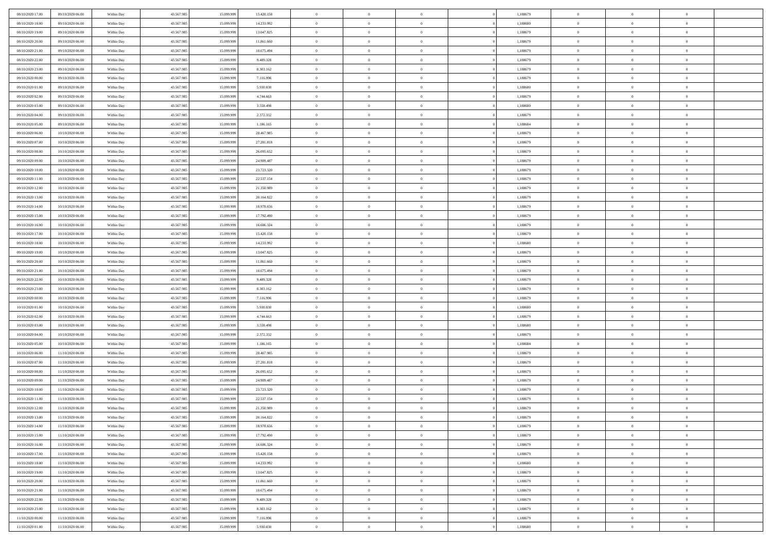| 08/10/2020 17:00 | 09/10/2020 06:00 | Within Day | 43.567.985 | 15.099.999 | 15.420.158 | $\,$ 0 $\,$    | $\overline{0}$ | $\overline{0}$           | 1,188679 | $\bf{0}$       | $\overline{0}$ | $\,0\,$        |  |
|------------------|------------------|------------|------------|------------|------------|----------------|----------------|--------------------------|----------|----------------|----------------|----------------|--|
| 08/10/2020 18:00 | 09/10/2020 06:00 | Within Day | 43.567.985 | 15,099.99  | 14.233.992 | $\theta$       | $\overline{0}$ | $\mathbf{0}$             | 1,188680 | $\theta$       | $\mathbf{0}$   | $\theta$       |  |
| 08/10/2020 19:00 | 09/10/2020 06:00 | Within Day | 43.567.985 | 15.099.999 | 13.047.825 | $\theta$       | $\overline{0}$ | $\mathbf{0}$             | 1,188679 | $\mathbf{0}$   | $\overline{0}$ | $\overline{0}$ |  |
| 08/10/2020 20:00 | 09/10/2020 06.00 | Within Day | 43.567.985 | 15.099.999 | 11.861.660 | $\,$ 0 $\,$    | $\overline{0}$ | $\overline{0}$           | 1,188679 | $\bf{0}$       | $\overline{0}$ | $\bf{0}$       |  |
| 08/10/2020 21:00 | 09/10/2020 06:00 | Within Day | 43.567.985 | 15.099.999 | 10.675.494 | $\bf{0}$       | $\overline{0}$ | $\mathbf{0}$             | 1,188679 | $\bf{0}$       | $\theta$       | $\,0\,$        |  |
| 08/10/2020 22.00 | 09/10/2020 06:00 | Within Day | 43.567.985 | 15.099.999 | 9.489.328  | $\theta$       | $\overline{0}$ | $\mathbf{0}$             | 1,188679 | $\mathbf{0}$   | $\overline{0}$ | $\overline{0}$ |  |
| 08/10/2020 23:00 | 09/10/2020 06:00 | Within Day | 43.567.985 | 15.099.999 | 8.303.162  | $\,$ 0 $\,$    | $\overline{0}$ | $\overline{0}$           | 1,188679 | $\bf{0}$       | $\overline{0}$ | $\,0\,$        |  |
|                  |                  |            |            |            |            | $\overline{0}$ | $\overline{0}$ | $\mathbf{0}$             |          | $\,$ 0 $\,$    | $\overline{0}$ | $\theta$       |  |
| 09/10/2020 00:00 | 09/10/2020 06:00 | Within Day | 43.567.985 | 15.099.999 | 7.116.996  | $\theta$       |                |                          | 1,188679 | $\mathbf{0}$   |                | $\overline{0}$ |  |
| 09/10/2020 01:00 | 09/10/2020 06:00 | Within Day | 43.567.985 | 15.099.999 | 5.930.830  |                | $\overline{0}$ | $\mathbf{0}$<br>$\Omega$ | 1,188680 |                | $\bf{0}$       |                |  |
| 09/10/2020 02.00 | 09/10/2020 06:00 | Within Day | 43.567.985 | 15.099.999 | 4.744.663  | $\,$ 0 $\,$    | $\overline{0}$ |                          | 1,188679 | $\bf{0}$       | $\overline{0}$ | $\,0\,$        |  |
| 09/10/2020 03:00 | 09/10/2020 06.00 | Within Day | 43.567.985 | 15.099.999 | 3.558.498  | $\bf{0}$       | $\overline{0}$ | $\mathbf{0}$             | 1,188680 | $\bf{0}$       | $\mathbf{0}$   | $\theta$       |  |
| 09/10/2020 04:00 | 09/10/2020 06:00 | Within Day | 43.567.985 | 15.099.999 | 2.372.332  | $\theta$       | $\overline{0}$ | $\mathbf{0}$             | 1,188679 | $\mathbf{0}$   | $\overline{0}$ | $\overline{0}$ |  |
| 09/10/2020 05:00 | 09/10/2020 06:00 | Within Day | 43.567.985 | 15.099.999 | 1.186.165  | $\,$ 0 $\,$    | $\overline{0}$ | $\overline{0}$           | 1,188684 | $\bf{0}$       | $\overline{0}$ | $\bf{0}$       |  |
| 09/10/2020 06:00 | 10/10/2020 06:00 | Within Day | 43.567.985 | 15.099.999 | 28.467.985 | $\bf{0}$       | $\overline{0}$ | $\mathbf{0}$             | 1,188679 | $\bf{0}$       | $\theta$       | $\,0\,$        |  |
| 09/10/2020 07:00 | 10/10/2020 06:00 | Within Day | 43.567.985 | 15.099.999 | 27.281.818 | $\theta$       | $\overline{0}$ | $\mathbf{0}$             | 1,188679 | $\mathbf{0}$   | $\overline{0}$ | $\overline{0}$ |  |
| 09/10/2020 08:00 | 10/10/2020 06:00 | Within Day | 43.567.985 | 15.099.999 | 26.095.652 | $\,$ 0 $\,$    | $\overline{0}$ | $\Omega$                 | 1,188679 | $\bf{0}$       | $\overline{0}$ | $\bf{0}$       |  |
| 09/10/2020 09:00 | 10/10/2020 06:00 | Within Day | 43.567.985 | 15.099.999 | 24.909.487 | $\,$ 0         | $\overline{0}$ | $\mathbf{0}$             | 1,188679 | $\bf{0}$       | $\overline{0}$ | $\theta$       |  |
| 09/10/2020 10:00 | 10/10/2020 06:00 | Within Day | 43.567.985 | 15.099.999 | 23.723.320 | $\theta$       | $\overline{0}$ | $\mathbf{0}$             | 1,188679 | $\mathbf{0}$   | $\overline{0}$ | $\overline{0}$ |  |
| 09/10/2020 11:00 | 10/10/2020 06:00 | Within Day | 43.567.985 | 15.099.999 | 22.537.154 | $\,$ 0 $\,$    | $\overline{0}$ | $\Omega$                 | 1,188679 | $\bf{0}$       | $\overline{0}$ | $\,0\,$        |  |
| 09/10/2020 12:00 | 10/10/2020 06:00 | Within Day | 43.567.985 | 15.099.999 | 21.350.989 | $\bf{0}$       | $\overline{0}$ | $\mathbf{0}$             | 1,188679 | $\bf{0}$       | $\mathbf{0}$   | $\theta$       |  |
| 09/10/2020 13:00 | 10/10/2020 06:00 | Within Day | 43.567.985 | 15.099.999 | 20.164.822 | $\theta$       | $\overline{0}$ | $\mathbf{0}$             | 1,188679 | $\mathbf{0}$   | $\overline{0}$ | $\overline{0}$ |  |
| 09/10/2020 14:00 | 10/10/2020 06:00 | Within Day | 43.567.985 | 15.099.999 | 18.978.656 | $\,$ 0 $\,$    | $\overline{0}$ | $\overline{0}$           | 1,188679 | $\bf{0}$       | $\overline{0}$ | $\bf{0}$       |  |
| 09/10/2020 15:00 | 10/10/2020 06:00 | Within Day | 43.567.985 | 15.099.999 | 17.792.490 | $\bf{0}$       | $\overline{0}$ | $\mathbf{0}$             | 1,188679 | $\bf{0}$       | $\theta$       | $\,0\,$        |  |
| 09/10/2020 16:00 | 10/10/2020 06:00 | Within Day | 43.567.985 | 15.099.999 | 16.606.324 | $\theta$       | $\overline{0}$ | $\mathbf{0}$             | 1,188679 | $\mathbf{0}$   | $\overline{0}$ | $\overline{0}$ |  |
| 09/10/2020 17.00 | 10/10/2020 06:00 | Within Day | 43.567.985 | 15.099.999 | 15.420.158 | $\,$ 0 $\,$    | $\overline{0}$ | $\overline{0}$           | 1,188679 | $\bf{0}$       | $\overline{0}$ | $\,0\,$        |  |
| 09/10/2020 18:00 | 10/10/2020 06:00 | Within Day | 43.567.985 | 15,099,999 | 14.233.992 | $\,$ 0         | $\overline{0}$ | $\mathbf{0}$             | 1,188680 | $\bf{0}$       | $\overline{0}$ | $\theta$       |  |
| 09/10/2020 19:00 | 10/10/2020 06:00 | Within Day | 43.567.985 | 15.099.999 | 13.047.825 | $\theta$       | $\overline{0}$ | $\overline{0}$           | 1,188679 | $\mathbf{0}$   | $\bf{0}$       | $\overline{0}$ |  |
| 09/10/2020 20:00 | 10/10/2020 06:00 | Within Day | 43.567.985 | 15.099.999 | 11.861.660 | $\,$ 0 $\,$    | $\overline{0}$ | $\Omega$                 | 1,188679 | $\bf{0}$       | $\overline{0}$ | $\,0\,$        |  |
| 09/10/2020 21:00 | 10/10/2020 06:00 | Within Day | 43.567.985 | 15,099,999 | 10.675.494 | $\bf{0}$       | $\overline{0}$ | $\mathbf{0}$             | 1,188679 | $\bf{0}$       | $\mathbf{0}$   | $\overline{0}$ |  |
| 09/10/2020 22.00 | 10/10/2020 06:00 | Within Day | 43.567.985 | 15.099.999 | 9.489.328  | $\theta$       | $\overline{0}$ | $\overline{0}$           | 1,188679 | $\mathbf{0}$   | $\overline{0}$ | $\overline{0}$ |  |
| 09/10/2020 23:00 | 10/10/2020 06:00 | Within Day | 43.567.985 | 15.099.999 | 8.303.162  | $\theta$       | $\overline{0}$ | $\overline{0}$           | 1,188679 | $\,$ 0         | $\overline{0}$ | $\,$ 0 $\,$    |  |
| 10/10/2020 00:00 | 10/10/2020 06:00 | Within Day | 43.567.985 | 15.099.999 | 7.116.996  | $\bf{0}$       | $\overline{0}$ | $\mathbf{0}$             | 1,188679 | $\bf{0}$       | $\mathbf{0}$   | $\overline{0}$ |  |
| 10/10/2020 01:00 | 10/10/2020 06:00 | Within Day | 43.567.985 | 15.099.999 | 5.930.830  | $\theta$       | $\overline{0}$ | $\mathbf{0}$             | 1,188680 | $\mathbf{0}$   | $\overline{0}$ | $\overline{0}$ |  |
| 10/10/2020 02:00 | 10/10/2020 06:00 | Within Day | 43.567.985 | 15.099.999 | 4.744.663  | $\theta$       | $\overline{0}$ | $\overline{0}$           | 1,188679 | $\,$ 0         | $\overline{0}$ | $\theta$       |  |
| 10/10/2020 03:00 | 10/10/2020 06:00 | Within Day | 43.567.985 | 15,099,999 | 3.558.498  | $\bf{0}$       | $\overline{0}$ | $\mathbf{0}$             | 1,188680 | $\mathbf{0}$   | $\overline{0}$ | $\overline{0}$ |  |
| 10/10/2020 04:00 | 10/10/2020 06:00 | Within Day | 43.567.985 | 15.099.999 | 2.372.332  | $\theta$       | $\overline{0}$ | $\mathbf{0}$             | 1,188679 | $\mathbf{0}$   | $\overline{0}$ | $\overline{0}$ |  |
| 10/10/2020 05:00 | 10/10/2020 06:00 | Within Day | 43.567.985 | 15.099.999 | 1.186.165  | $\theta$       | $\overline{0}$ | $\overline{0}$           | 1,188684 | $\,$ 0         | $\overline{0}$ | $\theta$       |  |
| 10/10/2020 06:00 | 11/10/2020 06.00 | Within Day | 43.567.985 | 15.099.999 | 28.467.985 | $\bf{0}$       | $\overline{0}$ | $\mathbf{0}$             | 1,188679 | $\bf{0}$       | $\mathbf{0}$   | $\overline{0}$ |  |
| 10/10/2020 07:00 | 11/10/2020 06:00 | Within Day | 43.567.985 | 15.099.999 | 27.281.818 | $\theta$       | $\overline{0}$ | $\mathbf{0}$             | 1,188679 | $\mathbf{0}$   | $\overline{0}$ | $\overline{0}$ |  |
| 10/10/2020 08:00 | 11/10/2020 06:00 | Within Day | 43.567.985 | 15.099.999 | 26.095.652 | $\,$ 0 $\,$    | $\overline{0}$ | $\overline{0}$           | 1,188679 | $\,$ 0         | $\overline{0}$ | $\,$ 0 $\,$    |  |
| 10/10/2020 09:00 | 11/10/2020 06:00 | Within Day | 43.567.985 | 15.099.999 | 24.909.487 | $\,$ 0         | $\,$ 0 $\,$    | $\overline{0}$           | 1,188679 | $\,$ 0 $\,$    | $\bf{0}$       | $\overline{0}$ |  |
| 10/10/2020 10:00 | 11/10/2020 06:00 | Within Day | 43.567.985 | 15.099.999 | 23.723.320 | $\theta$       | $\overline{0}$ | $\mathbf{0}$             | 1,188679 | $\mathbf{0}$   | $\overline{0}$ | $\theta$       |  |
| 10/10/2020 11:00 | 11/10/2020 06.00 | Within Day | 43.567.985 | 15.099.999 | 22.537.154 | $\overline{0}$ | $\overline{0}$ | $\overline{0}$           | 1,188679 | $\,$ 0         | $\overline{0}$ | $\theta$       |  |
| 10/10/2020 12:00 | 11/10/2020 06.00 | Within Day | 43.567.985 | 15.099.999 | 21.350.989 | $\bf{0}$       | $\overline{0}$ | $\mathbf{0}$             | 1,188679 | $\bf{0}$       | $\overline{0}$ | $\overline{0}$ |  |
| 10/10/2020 13:00 | 11/10/2020 06:00 | Within Day | 43.567.985 | 15.099.999 | 20.164.822 | $\overline{0}$ | $\theta$       |                          | 1,188679 | $\overline{0}$ | $^{\circ}$     | $\theta$       |  |
| 10/10/2020 14:00 | 11/10/2020 06:00 | Within Day | 43.567.985 | 15.099.999 | 18.978.656 | $\,$ 0 $\,$    | $\overline{0}$ | $\overline{0}$           | 1,188679 | $\,$ 0 $\,$    | $\bf{0}$       | $\theta$       |  |
| 10/10/2020 15:00 | 11/10/2020 06.00 | Within Day | 43.567.985 | 15.099.999 | 17.792.490 | $\bf{0}$       | $\,$ 0 $\,$    | $\overline{0}$           | 1,188679 | $\,$ 0 $\,$    | $\overline{0}$ | $\overline{0}$ |  |
| 10/10/2020 16:00 | 11/10/2020 06:00 | Within Day | 43.567.985 | 15.099.999 | 16.606.324 | $\mathbf{0}$   | $\overline{0}$ | $\overline{0}$           | 1,188679 | $\,$ 0 $\,$    | $\bf{0}$       | $\mathbf{0}$   |  |
| 10/10/2020 17:00 | 11/10/2020 06:00 | Within Day | 43.567.985 | 15.099.999 | 15.420.158 | $\,$ 0 $\,$    | $\overline{0}$ | $\overline{0}$           | 1,188679 | $\,$ 0 $\,$    | $\bf{0}$       | $\,$ 0 $\,$    |  |
| 10/10/2020 18:00 | 11/10/2020 06.00 | Within Day | 43.567.985 | 15.099.999 | 14.233.992 | $\,$ 0 $\,$    | $\,$ 0 $\,$    | $\overline{0}$           | 1,188680 | $\,$ 0 $\,$    | $\overline{0}$ | $\overline{0}$ |  |
| 10/10/2020 19:00 | 11/10/2020 06:00 | Within Day | 43.567.985 | 15.099.999 | 13.047.825 | $\mathbf{0}$   |                | $\overline{0}$           | 1,188679 | $\mathbf{0}$   | $\bf{0}$       | $\overline{0}$ |  |
|                  |                  |            |            |            |            |                | $\overline{0}$ |                          |          |                |                |                |  |
| 10/10/2020 20:00 | 11/10/2020 06:00 | Within Day | 43.567.985 | 15.099.999 | 11.861.660 | $\,$ 0 $\,$    | $\overline{0}$ | $\overline{0}$           | 1,188679 | $\,$ 0 $\,$    | $\overline{0}$ | $\,$ 0 $\,$    |  |
| 10/10/2020 21:00 | 11/10/2020 06.00 | Within Day | 43.567.985 | 15.099.999 | 10.675.494 | $\overline{0}$ | $\overline{0}$ | $\overline{0}$           | 1,188679 | $\,$ 0 $\,$    | $\overline{0}$ | $\overline{0}$ |  |
| 10/10/2020 22:00 | 11/10/2020 06:00 | Within Day | 43.567.985 | 15.099.999 | 9.489.328  | $\overline{0}$ | $\overline{0}$ | $\overline{0}$           | 1,188679 | $\mathbf{0}$   | $\bf{0}$       | $\overline{0}$ |  |
| 10/10/2020 23:00 | 11/10/2020 06:00 | Within Day | 43.567.985 | 15.099.999 | 8.303.162  | $\,$ 0 $\,$    | $\overline{0}$ | $\overline{0}$           | 1,188679 | $\,$ 0 $\,$    | $\overline{0}$ | $\,$ 0 $\,$    |  |
| 11/10/2020 00:00 | 11/10/2020 06.00 | Within Day | 43.567.985 | 15.099.999 | 7.116.996  | $\,$ 0 $\,$    | $\,$ 0 $\,$    | $\overline{0}$           | 1,188679 | $\,$ 0 $\,$    | $\overline{0}$ | $\overline{0}$ |  |
| 11/10/2020 01:00 | 11/10/2020 06:00 | Within Day | 43.567.985 | 15.099.999 | 5.930.830  | $\theta$       | $\overline{0}$ | $\overline{0}$           | 1,188680 | $\mathbf{0}$   | $\overline{0}$ | $\overline{0}$ |  |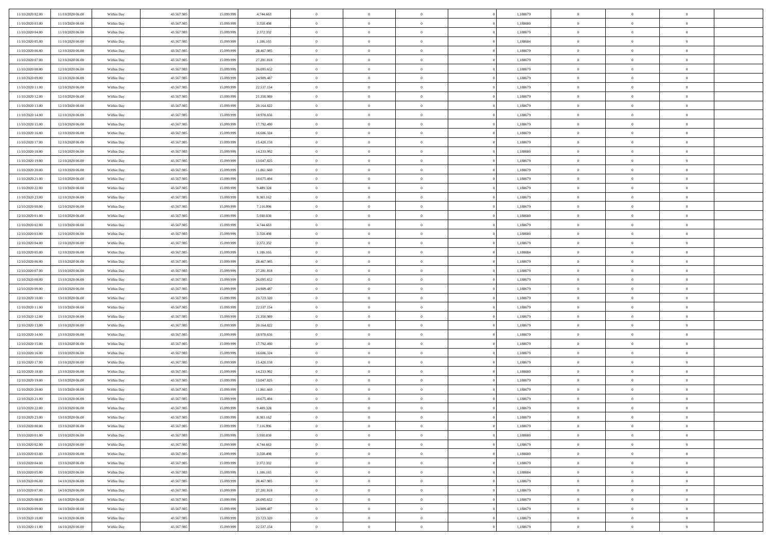| 11/10/2020 02:00 | 11/10/2020 06:00 | Within Day | 43.567.985 | 15.099.999 | 4.744.663  | $\,$ 0 $\,$    | $\overline{0}$ | $\overline{0}$ |          | 1,188679 | $\bf{0}$       | $\overline{0}$ | $\,0\,$        |  |
|------------------|------------------|------------|------------|------------|------------|----------------|----------------|----------------|----------|----------|----------------|----------------|----------------|--|
| 11/10/2020 03.00 | 11/10/2020 06:00 | Within Day | 43.567.985 | 15.099.99  | 3.558.498  | $\theta$       | $\overline{0}$ | $\mathbf{0}$   |          | 1,188680 | $\theta$       | $\overline{0}$ | $\theta$       |  |
| 11/10/2020 04:00 | 11/10/2020 06:00 | Within Day | 43.567.985 | 15.099.999 | 2.372.332  | $\theta$       | $\overline{0}$ | $\overline{0}$ |          | 1,188679 | $\mathbf{0}$   | $\overline{0}$ | $\overline{0}$ |  |
| 11/10/2020 05:00 | 11/10/2020 06:00 | Within Day | 43.567.985 | 15.099.999 | 1.186.165  | $\,$ 0 $\,$    | $\overline{0}$ | $\overline{0}$ |          | 1,188684 | $\bf{0}$       | $\overline{0}$ | $\bf{0}$       |  |
| 11/10/2020 06:00 | 12/10/2020 06:00 | Within Day | 43.567.985 | 15.099.999 | 28.467.985 | $\bf{0}$       | $\overline{0}$ | $\mathbf{0}$   |          | 1,188679 | $\bf{0}$       | $\theta$       | $\,0\,$        |  |
| 11/10/2020 07:00 | 12/10/2020 06:00 | Within Day | 43.567.985 | 15.099.999 | 27.281.818 | $\theta$       | $\overline{0}$ | $\mathbf{0}$   |          | 1,188679 | $\mathbf{0}$   | $\overline{0}$ | $\overline{0}$ |  |
| 11/10/2020 08:00 | 12/10/2020 06:00 | Within Day | 43.567.985 | 15.099.999 | 26.095.652 | $\,$ 0 $\,$    | $\overline{0}$ | $\overline{0}$ |          | 1,188679 | $\bf{0}$       | $\overline{0}$ | $\,0\,$        |  |
|                  |                  |            |            |            |            |                |                |                |          |          |                |                |                |  |
| 11/10/2020 09:00 | 12/10/2020 06:00 | Within Day | 43.567.985 | 15.099.999 | 24.909.487 | $\overline{0}$ | $\overline{0}$ | $\mathbf{0}$   |          | 1,188679 | $\,$ 0 $\,$    | $\overline{0}$ | $\theta$       |  |
| 11/10/2020 11:00 | 12/10/2020 06:00 | Within Day | 43.567.985 | 15.099.999 | 22.537.154 | $\theta$       | $\overline{0}$ | $\mathbf{0}$   |          | 1,188679 | $\mathbf{0}$   | $\overline{0}$ | $\overline{0}$ |  |
| 11/10/2020 12:00 | 12/10/2020 06:00 | Within Day | 43.567.985 | 15.099.999 | 21.350.989 | $\,$ 0 $\,$    | $\overline{0}$ | $\Omega$       |          | 1,188679 | $\bf{0}$       | $\overline{0}$ | $\,0\,$        |  |
| 11/10/2020 13:00 | 12/10/2020 06:00 | Within Day | 43.567.985 | 15.099.999 | 20.164.822 | $\bf{0}$       | $\overline{0}$ | $\mathbf{0}$   |          | 1,188679 | $\bf{0}$       | $\mathbf{0}$   | $\theta$       |  |
| 11/10/2020 14:00 | 12/10/2020 06:00 | Within Day | 43.567.985 | 15.099.999 | 18.978.656 | $\theta$       | $\overline{0}$ | $\overline{0}$ |          | 1,188679 | $\mathbf{0}$   | $\overline{0}$ | $\overline{0}$ |  |
| 11/10/2020 15:00 | 12/10/2020 06:00 | Within Day | 43.567.985 | 15.099.999 | 17.792.490 | $\,$ 0 $\,$    | $\overline{0}$ | $\overline{0}$ |          | 1,188679 | $\bf{0}$       | $\overline{0}$ | $\bf{0}$       |  |
| 11/10/2020 16:00 | 12/10/2020 06:00 | Within Day | 43.567.985 | 15.099.999 | 16.606.324 | $\bf{0}$       | $\overline{0}$ | $\mathbf{0}$   |          | 1,188679 | $\bf{0}$       | $\theta$       | $\,0\,$        |  |
| 11/10/2020 17:00 | 12/10/2020 06:00 | Within Day | 43.567.985 | 15.099.999 | 15.420.158 | $\theta$       | $\overline{0}$ | $\mathbf{0}$   |          | 1,188679 | $\mathbf{0}$   | $\overline{0}$ | $\overline{0}$ |  |
| 11/10/2020 18:00 | 12/10/2020 06:00 | Within Day | 43.567.985 | 15.099.999 | 14.233.992 | $\,$ 0 $\,$    | $\overline{0}$ | $\Omega$       |          | 1,188680 | $\bf{0}$       | $\overline{0}$ | $\bf{0}$       |  |
| 11/10/2020 19:00 | 12/10/2020 06.00 | Within Day | 43.567.985 | 15.099.999 | 13.047.825 | $\,$ 0         | $\overline{0}$ | $\mathbf{0}$   |          | 1,188679 | $\bf{0}$       | $\overline{0}$ | $\theta$       |  |
| 11/10/2020 20:00 | 12/10/2020 06:00 | Within Day | 43.567.985 | 15.099.999 | 11.861.660 | $\theta$       | $\overline{0}$ | $\mathbf{0}$   |          | 1,188679 | $\mathbf{0}$   | $\overline{0}$ | $\overline{0}$ |  |
| 11/10/2020 21:00 | 12/10/2020 06:00 | Within Day | 43.567.985 | 15.099.999 | 10.675.494 | $\,$ 0 $\,$    | $\overline{0}$ | $\Omega$       |          | 1,188679 | $\bf{0}$       | $\overline{0}$ | $\,0\,$        |  |
| 11/10/2020 22.00 | 12/10/2020 06:00 | Within Day | 43.567.985 | 15.099.999 | 9.489.328  | $\bf{0}$       | $\overline{0}$ | $\mathbf{0}$   |          | 1,188679 | $\bf{0}$       | $\mathbf{0}$   | $\theta$       |  |
| 11/10/2020 23:00 | 12/10/2020 06:00 | Within Day | 43.567.985 | 15.099.999 | 8.303.162  | $\theta$       | $\overline{0}$ | $\mathbf{0}$   |          | 1,188679 | $\mathbf{0}$   | $\overline{0}$ | $\overline{0}$ |  |
| 12/10/2020 00:00 | 12/10/2020 06:00 | Within Day | 43.567.985 | 15.099.999 | 7.116.996  | $\,$ 0 $\,$    | $\overline{0}$ | $\overline{0}$ |          | 1,188679 | $\bf{0}$       | $\overline{0}$ | $\bf{0}$       |  |
| 12/10/2020 01:00 | 12/10/2020 06:00 | Within Day | 43.567.985 | 15.099.999 | 5.930.830  | $\,$ 0         | $\overline{0}$ | $\mathbf{0}$   |          | 1,188680 | $\bf{0}$       | $\overline{0}$ | $\,0\,$        |  |
| 12/10/2020 02:00 | 12/10/2020 06:00 | Within Day | 43.567.985 | 15.099.999 | 4.744.663  | $\theta$       | $\overline{0}$ | $\mathbf{0}$   |          | 1,188679 | $\mathbf{0}$   | $\overline{0}$ | $\overline{0}$ |  |
| 12/10/2020 03:00 | 12/10/2020 06:00 | Within Day | 43.567.985 | 15.099.999 | 3.558.498  | $\,$ 0 $\,$    | $\overline{0}$ | $\overline{0}$ |          | 1,188680 | $\bf{0}$       | $\overline{0}$ | $\,0\,$        |  |
| 12/10/2020 04:00 | 12/10/2020 06:00 | Within Day | 43.567.985 | 15.099.999 | 2.372.332  | $\,$ 0         | $\overline{0}$ | $\mathbf{0}$   |          | 1,188679 | $\bf{0}$       | $\overline{0}$ | $\theta$       |  |
| 12/10/2020 05:00 | 12/10/2020 06:00 | Within Day | 43.567.985 | 15.099.999 | 1.186.165  | $\theta$       | $\overline{0}$ | $\overline{0}$ |          | 1,188684 | $\mathbf{0}$   | $\overline{0}$ | $\overline{0}$ |  |
| 12/10/2020 06:00 | 13/10/2020 06.00 | Within Day | 43.567.985 | 15.099.999 | 28.467.985 | $\,$ 0 $\,$    | $\overline{0}$ | $\Omega$       |          | 1,188679 | $\bf{0}$       | $\overline{0}$ | $\bf{0}$       |  |
| 12/10/2020 07.00 | 13/10/2020 06.00 | Within Day | 43.567.985 | 15,099,999 | 27.281.818 | $\bf{0}$       | $\overline{0}$ | $\mathbf{0}$   |          | 1,188679 | $\bf{0}$       | $\mathbf{0}$   | $\overline{0}$ |  |
| 12/10/2020 08:00 | 13/10/2020 06:00 | Within Day | 43.567.985 | 15.099.999 | 26.095.652 | $\theta$       | $\overline{0}$ | $\overline{0}$ |          | 1,188679 | $\mathbf{0}$   | $\overline{0}$ | $\overline{0}$ |  |
| 12/10/2020 09:00 | 13/10/2020 06:00 | Within Day | 43.567.985 | 15.099.999 | 24.909.487 | $\theta$       | $\overline{0}$ | $\overline{0}$ |          | 1,188679 | $\,$ 0         | $\overline{0}$ | $\,$ 0 $\,$    |  |
| 12/10/2020 10:00 | 13/10/2020 06:00 | Within Day | 43.567.985 | 15.099.999 | 23.723.320 | $\bf{0}$       | $\overline{0}$ | $\mathbf{0}$   |          | 1,188679 | $\bf{0}$       | $\mathbf{0}$   | $\overline{0}$ |  |
| 12/10/2020 11:00 | 13/10/2020 06:00 | Within Day | 43.567.985 | 15.099.999 | 22.537.154 | $\theta$       | $\overline{0}$ | $\mathbf{0}$   |          | 1,188679 | $\mathbf{0}$   | $\overline{0}$ | $\overline{0}$ |  |
| 12/10/2020 12:00 | 13/10/2020 06:00 | Within Day | 43.567.985 | 15.099.999 | 21.350.989 | $\theta$       | $\overline{0}$ | $\overline{0}$ |          | 1,188679 | $\,$ 0         | $\overline{0}$ | $\theta$       |  |
| 12/10/2020 13:00 | 13/10/2020 06.00 | Within Day | 43.567.985 | 15.099.999 | 20.164.822 | $\bf{0}$       | $\overline{0}$ | $\mathbf{0}$   |          | 1,188679 | $\mathbf{0}$   | $\overline{0}$ | $\overline{0}$ |  |
| 12/10/2020 14:00 | 13/10/2020 06:00 | Within Day | 43.567.985 | 15.099.999 | 18.978.656 | $\theta$       | $\overline{0}$ | $\mathbf{0}$   |          | 1,188679 | $\mathbf{0}$   | $\overline{0}$ | $\overline{0}$ |  |
| 12/10/2020 15:00 | 13/10/2020 06:00 | Within Day | 43.567.985 | 15.099.999 | 17.792.490 | $\theta$       | $\overline{0}$ | $\overline{0}$ |          | 1,188679 | $\,$ 0         | $\overline{0}$ | $\theta$       |  |
| 12/10/2020 16:00 | 13/10/2020 06.00 | Within Day | 43.567.985 | 15.099.999 | 16.606.324 | $\bf{0}$       | $\overline{0}$ | $\mathbf{0}$   |          | 1,188679 | $\bf{0}$       | $\mathbf{0}$   | $\overline{0}$ |  |
| 12/10/2020 17:00 | 13/10/2020 06:00 | Within Day | 43.567.985 | 15.099.999 | 15.420.158 | $\theta$       | $\overline{0}$ | $\overline{0}$ |          | 1,188679 | $\mathbf{0}$   | $\overline{0}$ | $\overline{0}$ |  |
| 12/10/2020 18:00 | 13/10/2020 06:00 | Within Day | 43.567.985 | 15.099.999 | 14.233.992 | $\,$ 0 $\,$    | $\overline{0}$ | $\overline{0}$ |          | 1,188680 | $\,$ 0         | $\overline{0}$ | $\,$ 0 $\,$    |  |
| 12/10/2020 19:00 | 13/10/2020 06:00 | Within Day | 43.567.985 | 15.099.999 | 13.047.825 | $\,$ 0         | $\,$ 0 $\,$    | $\overline{0}$ |          | 1,188679 | $\,$ 0 $\,$    | $\bf{0}$       | $\overline{0}$ |  |
| 12/10/2020 20:00 | 13/10/2020 06:00 | Within Day | 43.567.985 | 15.099.999 | 11.861.660 | $\theta$       | $\overline{0}$ | $\mathbf{0}$   |          | 1,188679 | $\mathbf{0}$   | $\overline{0}$ | $\theta$       |  |
| 12/10/2020 21:00 | 13/10/2020 06:00 | Within Day | 43.567.985 | 15.099.999 | 10.675.494 | $\overline{0}$ | $\overline{0}$ | $\overline{0}$ |          | 1,188679 | $\,$ 0         | $\overline{0}$ | $\theta$       |  |
| 12/10/2020 22.00 | 13/10/2020 06:00 | Within Day | 43.567.985 | 15.099.999 | 9.489.328  | $\bf{0}$       | $\overline{0}$ | $\mathbf{0}$   |          | 1,188679 | $\bf{0}$       | $\overline{0}$ | $\overline{0}$ |  |
| 12/10/2020 23:00 | 13/10/2020 06:00 | Within Day | 43.567.985 | 15.099.999 | 8.303.162  | $\overline{0}$ | $\theta$       |                |          | 1,188679 | $\overline{0}$ | $\theta$       | $\theta$       |  |
| 13/10/2020 00:00 | 13/10/2020 06:00 | Within Day | 43.567.985 | 15.099.999 | 7.116.996  | $\,$ 0 $\,$    | $\overline{0}$ | $\overline{0}$ |          | 1,188679 | $\,$ 0 $\,$    | $\bf{0}$       | $\theta$       |  |
| 13/10/2020 01:00 | 13/10/2020 06.00 | Within Day | 43.567.985 | 15.099.999 | 5.930.830  | $\bf{0}$       | $\,$ 0 $\,$    | $\mathbf{0}$   |          | 1,188680 | $\,$ 0 $\,$    | $\overline{0}$ | $\overline{0}$ |  |
|                  | 13/10/2020 06:00 |            |            |            |            |                |                |                |          |          | $\,$ 0 $\,$    |                |                |  |
| 13/10/2020 02:00 |                  | Within Day | 43.567.985 | 15.099.999 | 4.744.663  | $\overline{0}$ | $\overline{0}$ | $\overline{0}$ |          | 1,188679 |                | $\bf{0}$       | $\mathbf{0}$   |  |
| 13/10/2020 03:00 | 13/10/2020 06:00 | Within Day | 43.567.985 | 15.099.999 | 3.558.498  | $\,$ 0 $\,$    | $\overline{0}$ | $\overline{0}$ | $\theta$ | 1,188680 | $\,$ 0 $\,$    | $\bf{0}$       | $\,$ 0 $\,$    |  |
| 13/10/2020 04.00 | 13/10/2020 06.00 | Within Day | 43.567.985 | 15.099.999 | 2.372.332  | $\,$ 0 $\,$    | $\,$ 0 $\,$    | $\overline{0}$ |          | 1,188679 | $\,$ 0 $\,$    | $\overline{0}$ | $\overline{0}$ |  |
| 13/10/2020 05:00 | 13/10/2020 06:00 | Within Day | 43.567.985 | 15.099.999 | 1.186.165  | $\overline{0}$ | $\overline{0}$ | $\overline{0}$ |          | 1,188684 | $\mathbf{0}$   | $\overline{0}$ | $\overline{0}$ |  |
| 13/10/2020 06:00 | 14/10/2020 06:00 | Within Day | 43.567.985 | 15.099.999 | 28.467.985 | $\,$ 0 $\,$    | $\overline{0}$ | $\overline{0}$ |          | 1,188679 | $\,$ 0 $\,$    | $\mathbf{0}$   | $\,$ 0 $\,$    |  |
| 13/10/2020 07.00 | 14/10/2020 06.00 | Within Day | 43.567.985 | 15.099.999 | 27.281.818 | $\bf{0}$       | $\overline{0}$ | $\overline{0}$ |          | 1,188679 | $\,$ 0 $\,$    | $\overline{0}$ | $\overline{0}$ |  |
| 13/10/2020 08:00 | 14/10/2020 06:00 | Within Day | 43.567.985 | 15.099.999 | 26.095.652 | $\mathbf{0}$   | $\overline{0}$ | $\overline{0}$ |          | 1,188679 | $\mathbf{0}$   | $\bf{0}$       | $\overline{0}$ |  |
| 13/10/2020 09:00 | 14/10/2020 06:00 | Within Day | 43.567.985 | 15.099.999 | 24.909.487 | $\,$ 0 $\,$    | $\overline{0}$ | $\overline{0}$ |          | 1,188679 | $\,$ 0 $\,$    | $\mathbf{0}$   | $\,$ 0 $\,$    |  |
| 13/10/2020 10:00 | 14/10/2020 06.00 | Within Day | 43.567.985 | 15.099.999 | 23.723.320 | $\,$ 0 $\,$    | $\,$ 0 $\,$    | $\overline{0}$ |          | 1,188679 | $\,$ 0 $\,$    | $\overline{0}$ | $\overline{0}$ |  |
| 13/10/2020 11:00 | 14/10/2020 06:00 | Within Day | 43.567.985 | 15.099.999 | 22.537.154 | $\theta$       | $\overline{0}$ | $\overline{0}$ |          | 1,188679 | $\mathbf{0}$   | $\overline{0}$ | $\overline{0}$ |  |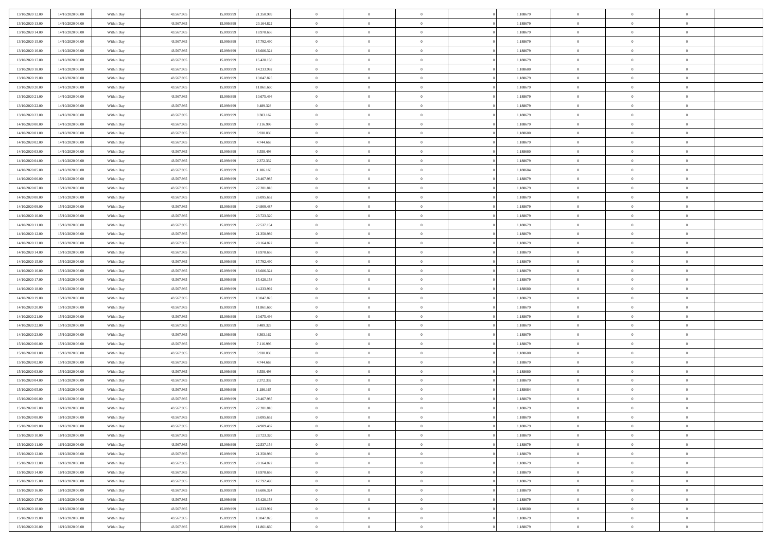| 13/10/2020 12:00 | 14/10/2020 06:00 | Within Day | 43.567.985 | 15.099.999 | 21.350.989 | $\bf{0}$       | $\overline{0}$ | $\overline{0}$ | 1,188679 | $\bf{0}$       | $\overline{0}$ | $\,0\,$        |  |
|------------------|------------------|------------|------------|------------|------------|----------------|----------------|----------------|----------|----------------|----------------|----------------|--|
| 13/10/2020 13:00 | 14/10/2020 06.00 | Within Day | 43.567.985 | 15.099.99  | 20.164.822 | $\overline{0}$ | $\overline{0}$ | $\mathbf{0}$   | 1,188679 | $\theta$       | $\overline{0}$ | $\theta$       |  |
| 13/10/2020 14:00 | 14/10/2020 06:00 | Within Day | 43.567.985 | 15.099.999 | 18.978.656 | $\theta$       | $\overline{0}$ | $\overline{0}$ | 1,188679 | $\mathbf{0}$   | $\overline{0}$ | $\overline{0}$ |  |
| 13/10/2020 15:00 | 14/10/2020 06:00 | Within Day | 43.567.985 | 15.099.999 | 17.792.490 | $\,$ 0 $\,$    | $\overline{0}$ | $\overline{0}$ | 1,188679 | $\bf{0}$       | $\overline{0}$ | $\bf{0}$       |  |
| 13/10/2020 16:00 | 14/10/2020 06:00 | Within Day | 43.567.985 | 15.099.999 | 16.606.324 | $\bf{0}$       | $\overline{0}$ | $\mathbf{0}$   | 1,188679 | $\bf{0}$       | $\theta$       | $\,0\,$        |  |
| 13/10/2020 17:00 | 14/10/2020 06:00 | Within Day | 43.567.985 | 15.099.999 | 15.420.158 | $\theta$       | $\overline{0}$ | $\mathbf{0}$   | 1,188679 | $\mathbf{0}$   | $\overline{0}$ | $\overline{0}$ |  |
| 13/10/2020 18:00 | 14/10/2020 06:00 | Within Day | 43.567.985 | 15.099.999 | 14.233.992 | $\,$ 0 $\,$    | $\overline{0}$ | $\overline{0}$ | 1,188680 | $\bf{0}$       | $\overline{0}$ | $\,0\,$        |  |
|                  |                  |            |            |            |            |                |                |                |          |                |                |                |  |
| 13/10/2020 19:00 | 14/10/2020 06:00 | Within Day | 43.567.985 | 15,099,999 | 13.047.825 | $\overline{0}$ | $\overline{0}$ | $\mathbf{0}$   | 1,188679 | $\,$ 0 $\,$    | $\overline{0}$ | $\theta$       |  |
| 13/10/2020 20:00 | 14/10/2020 06:00 | Within Day | 43.567.985 | 15.099.999 | 11.861.660 | $\theta$       | $\overline{0}$ | $\mathbf{0}$   | 1,188679 | $\mathbf{0}$   | $\overline{0}$ | $\overline{0}$ |  |
| 13/10/2020 21:00 | 14/10/2020 06:00 | Within Day | 43.567.985 | 15.099.999 | 10.675.494 | $\,$ 0 $\,$    | $\overline{0}$ | $\Omega$       | 1,188679 | $\bf{0}$       | $\overline{0}$ | $\,0\,$        |  |
| 13/10/2020 22.00 | 14/10/2020 06:00 | Within Day | 43.567.985 | 15,099,999 | 9.489.328  | $\bf{0}$       | $\overline{0}$ | $\mathbf{0}$   | 1,188679 | $\bf{0}$       | $\mathbf{0}$   | $\theta$       |  |
| 13/10/2020 23:00 | 14/10/2020 06:00 | Within Day | 43.567.985 | 15.099.999 | 8.303.162  | $\theta$       | $\overline{0}$ | $\overline{0}$ | 1,188679 | $\mathbf{0}$   | $\overline{0}$ | $\overline{0}$ |  |
| 14/10/2020 00:00 | 14/10/2020 06:00 | Within Day | 43.567.985 | 15.099.999 | 7.116.996  | $\,$ 0 $\,$    | $\overline{0}$ | $\overline{0}$ | 1,188679 | $\bf{0}$       | $\overline{0}$ | $\bf{0}$       |  |
| 14/10/2020 01:00 | 14/10/2020 06:00 | Within Day | 43.567.985 | 15.099.999 | 5.930.830  | $\,$ 0         | $\overline{0}$ | $\mathbf{0}$   | 1,188680 | $\bf{0}$       | $\theta$       | $\,0\,$        |  |
| 14/10/2020 02.00 | 14/10/2020 06:00 | Within Day | 43.567.985 | 15.099.999 | 4.744.663  | $\theta$       | $\overline{0}$ | $\mathbf{0}$   | 1,188679 | $\mathbf{0}$   | $\overline{0}$ | $\overline{0}$ |  |
| 14/10/2020 03:00 | 14/10/2020 06:00 | Within Day | 43.567.985 | 15.099.999 | 3.558.498  | $\,$ 0 $\,$    | $\overline{0}$ | $\Omega$       | 1,188680 | $\bf{0}$       | $\overline{0}$ | $\bf{0}$       |  |
| 14/10/2020 04:00 | 14/10/2020 06:00 | Within Day | 43.567.985 | 15.099.999 | 2.372.332  | $\,$ 0         | $\overline{0}$ | $\mathbf{0}$   | 1,188679 | $\bf{0}$       | $\overline{0}$ | $\theta$       |  |
| 14/10/2020 05:00 | 14/10/2020 06:00 | Within Day | 43.567.985 | 15.099.999 | 1.186.165  | $\theta$       | $\overline{0}$ | $\mathbf{0}$   | 1,188684 | $\mathbf{0}$   | $\overline{0}$ | $\overline{0}$ |  |
| 14/10/2020 06:00 | 15/10/2020 06:00 | Within Day | 43.567.985 | 15.099.999 | 28.467.985 | $\,$ 0 $\,$    | $\overline{0}$ | $\Omega$       | 1,188679 | $\bf{0}$       | $\overline{0}$ | $\,0\,$        |  |
| 14/10/2020 07.00 | 15/10/2020 06:00 | Within Day | 43.567.985 | 15.099.999 | 27.281.818 | $\bf{0}$       | $\overline{0}$ | $\mathbf{0}$   | 1,188679 | $\bf{0}$       | $\mathbf{0}$   | $\theta$       |  |
| 14/10/2020 08:00 | 15/10/2020 06:00 | Within Day | 43.567.985 | 15.099.999 | 26.095.652 | $\theta$       | $\overline{0}$ | $\mathbf{0}$   | 1,188679 | $\mathbf{0}$   | $\overline{0}$ | $\overline{0}$ |  |
| 14/10/2020 09:00 | 15/10/2020 06:00 | Within Day | 43.567.985 | 15.099.999 | 24.909.487 | $\,$ 0 $\,$    | $\overline{0}$ | $\overline{0}$ | 1,188679 | $\bf{0}$       | $\overline{0}$ | $\bf{0}$       |  |
| 14/10/2020 10:00 | 15/10/2020 06:00 | Within Day | 43.567.985 | 15.099.999 | 23.723.320 | $\,$ 0         | $\overline{0}$ | $\mathbf{0}$   | 1,188679 | $\bf{0}$       | $\bf{0}$       | $\,0\,$        |  |
| 14/10/2020 11:00 | 15/10/2020 06:00 | Within Day | 43.567.985 | 15.099.999 | 22.537.154 | $\theta$       | $\overline{0}$ | $\mathbf{0}$   | 1,188679 | $\mathbf{0}$   | $\overline{0}$ | $\overline{0}$ |  |
| 14/10/2020 12:00 | 15/10/2020 06:00 | Within Day | 43.567.985 | 15.099.999 | 21.350.989 | $\,$ 0 $\,$    | $\overline{0}$ | $\overline{0}$ | 1,188679 | $\bf{0}$       | $\overline{0}$ | $\,0\,$        |  |
| 14/10/2020 13:00 | 15/10/2020 06:00 | Within Day | 43.567.985 | 15,099,999 | 20.164.822 | $\,$ 0         | $\overline{0}$ | $\mathbf{0}$   | 1,188679 | $\bf{0}$       | $\overline{0}$ | $\theta$       |  |
| 14/10/2020 14:00 | 15/10/2020 06:00 | Within Day | 43.567.985 | 15.099.999 | 18.978.656 | $\theta$       | $\overline{0}$ | $\overline{0}$ | 1,188679 | $\mathbf{0}$   | $\overline{0}$ | $\overline{0}$ |  |
| 14/10/2020 15:00 | 15/10/2020 06:00 | Within Day | 43.567.985 | 15.099.999 | 17.792.490 | $\,$ 0 $\,$    | $\overline{0}$ | $\Omega$       | 1,188679 | $\bf{0}$       | $\overline{0}$ | $\,0\,$        |  |
| 14/10/2020 16:00 | 15/10/2020 06:00 | Within Day | 43.567.985 | 15,099,999 | 16.606.324 | $\bf{0}$       | $\overline{0}$ | $\mathbf{0}$   | 1,188679 | $\bf{0}$       | $\mathbf{0}$   | $\overline{0}$ |  |
| 14/10/2020 17:00 | 15/10/2020 06:00 | Within Day | 43.567.985 | 15.099.999 | 15.420.158 | $\theta$       | $\overline{0}$ | $\overline{0}$ | 1,188679 | $\mathbf{0}$   | $\overline{0}$ | $\overline{0}$ |  |
| 14/10/2020 18:00 | 15/10/2020 06:00 | Within Day | 43.567.985 | 15.099.999 | 14.233.992 | $\,$ 0 $\,$    | $\overline{0}$ | $\overline{0}$ | 1,188680 | $\,$ 0         | $\overline{0}$ | $\,$ 0 $\,$    |  |
| 14/10/2020 19:00 | 15/10/2020 06:00 | Within Day | 43.567.985 | 15.099.999 | 13.047.825 | $\bf{0}$       | $\overline{0}$ | $\mathbf{0}$   | 1,188679 | $\bf{0}$       | $\mathbf{0}$   | $\bf{0}$       |  |
| 14/10/2020 20:00 | 15/10/2020 06:00 | Within Day | 43.567.985 | 15.099.999 | 11.861.660 | $\theta$       | $\overline{0}$ | $\mathbf{0}$   | 1,188679 | $\mathbf{0}$   | $\overline{0}$ | $\overline{0}$ |  |
| 14/10/2020 21:00 | 15/10/2020 06:00 | Within Day | 43.567.985 | 15.099.999 | 10.675.494 | $\theta$       | $\overline{0}$ | $\overline{0}$ | 1,188679 | $\,$ 0         | $\overline{0}$ | $\theta$       |  |
| 14/10/2020 22.00 | 15/10/2020 06.00 | Within Day | 43.567.985 | 15,099,999 | 9.489.328  | $\bf{0}$       | $\overline{0}$ | $\mathbf{0}$   | 1,188679 | $\mathbf{0}$   | $\overline{0}$ | $\overline{0}$ |  |
| 14/10/2020 23:00 | 15/10/2020 06:00 | Within Day | 43.567.985 | 15.099.999 | 8.303.162  | $\theta$       | $\overline{0}$ | $\mathbf{0}$   | 1,188679 | $\mathbf{0}$   | $\overline{0}$ | $\overline{0}$ |  |
| 15/10/2020 00:00 | 15/10/2020 06:00 | Within Day | 43.567.985 | 15.099.999 | 7.116.996  | $\theta$       | $\overline{0}$ | $\overline{0}$ | 1,188679 | $\,$ 0         | $\overline{0}$ | $\theta$       |  |
| 15/10/2020 01:00 | 15/10/2020 06:00 | Within Day | 43.567.985 | 15.099.999 | 5.930.830  | $\bf{0}$       | $\overline{0}$ | $\mathbf{0}$   | 1,188680 | $\bf{0}$       | $\mathbf{0}$   | $\bf{0}$       |  |
| 15/10/2020 02:00 | 15/10/2020 06:00 | Within Day | 43.567.985 | 15.099.999 | 4.744.663  | $\theta$       | $\overline{0}$ | $\overline{0}$ | 1,188679 | $\mathbf{0}$   | $\overline{0}$ | $\overline{0}$ |  |
| 15/10/2020 03:00 | 15/10/2020 06:00 | Within Day | 43.567.985 | 15.099.999 | 3.558.498  | $\,$ 0 $\,$    | $\overline{0}$ | $\overline{0}$ | 1,188680 | $\,$ 0         | $\overline{0}$ | $\,$ 0 $\,$    |  |
| 15/10/2020 04:00 | 15/10/2020 06:00 | Within Day | 43.567.985 | 15.099.999 | 2.372.332  | $\,$ 0         | $\,$ 0 $\,$    | $\overline{0}$ | 1,188679 | $\,$ 0 $\,$    | $\bf{0}$       | $\bf{0}$       |  |
| 15/10/2020 05:00 | 15/10/2020 06:00 | Within Day | 43.567.985 | 15.099.999 | 1.186.165  | $\theta$       | $\overline{0}$ | $\mathbf{0}$   | 1,188684 | $\mathbf{0}$   | $\overline{0}$ | $\theta$       |  |
| 15/10/2020 06:00 | 16/10/2020 06:00 | Within Day | 43.567.985 | 15.099.999 | 28.467.985 | $\overline{0}$ | $\overline{0}$ | $\overline{0}$ | 1,188679 | $\,$ 0         | $\overline{0}$ | $\theta$       |  |
| 15/10/2020 07:00 | 16/10/2020 06:00 | Within Day | 43.567.985 | 15.099.999 | 27.281.818 | $\bf{0}$       | $\overline{0}$ | $\mathbf{0}$   | 1,188679 | $\bf{0}$       | $\overline{0}$ | $\bf{0}$       |  |
| 15/10/2020 08:00 | 16/10/2020 06:00 | Within Day | 43.567.985 | 15.099.999 | 26.095.652 | $\overline{0}$ | $\theta$       |                | 1,188679 | $\overline{0}$ | $\theta$       | $\theta$       |  |
| 15/10/2020 09:00 | 16/10/2020 06:00 | Within Day | 43.567.985 | 15.099.999 | 24.909.487 | $\,$ 0 $\,$    | $\overline{0}$ | $\overline{0}$ | 1,188679 | $\,$ 0 $\,$    | $\bf{0}$       | $\theta$       |  |
| 15/10/2020 10:00 | 16/10/2020 06:00 | Within Day | 43.567.985 | 15,099,999 | 23.723.320 | $\bf{0}$       | $\,$ 0 $\,$    | $\mathbf{0}$   | 1,188679 | $\,$ 0 $\,$    | $\overline{0}$ | $\overline{0}$ |  |
| 15/10/2020 11:00 | 16/10/2020 06:00 | Within Day | 43.567.985 | 15.099.999 | 22.537.154 | $\mathbf{0}$   | $\overline{0}$ | $\overline{0}$ | 1,188679 | $\,$ 0 $\,$    | $\bf{0}$       | $\mathbf{0}$   |  |
| 15/10/2020 12:00 | 16/10/2020 06:00 | Within Day | 43.567.985 | 15.099.999 | 21.350.989 | $\,$ 0 $\,$    | $\overline{0}$ | $\overline{0}$ | 1,188679 | $\,$ 0 $\,$    | $\bf{0}$       | $\,$ 0 $\,$    |  |
|                  |                  |            |            |            |            |                |                |                |          |                |                |                |  |
| 15/10/2020 13.00 | 16/10/2020 06:00 | Within Day | 43.567.985 | 15.099.999 | 20.164.822 | $\,$ 0 $\,$    | $\,$ 0 $\,$    | $\overline{0}$ | 1,188679 | $\,$ 0 $\,$    | $\overline{0}$ | $\overline{0}$ |  |
| 15/10/2020 14:00 | 16/10/2020 06:00 | Within Day | 43.567.985 | 15.099.999 | 18.978.656 | $\mathbf{0}$   | $\overline{0}$ | $\overline{0}$ | 1,188679 | $\mathbf{0}$   | $\overline{0}$ | $\overline{0}$ |  |
| 15/10/2020 15:00 | 16/10/2020 06:00 | Within Day | 43.567.985 | 15.099.999 | 17.792.490 | $\,$ 0 $\,$    | $\overline{0}$ | $\overline{0}$ | 1,188679 | $\,$ 0 $\,$    | $\mathbf{0}$   | $\,$ 0 $\,$    |  |
| 15/10/2020 16.00 | 16/10/2020 06:00 | Within Day | 43.567.985 | 15.099.999 | 16.606.324 | $\bf{0}$       | $\overline{0}$ | $\overline{0}$ | 1,188679 | $\,$ 0 $\,$    | $\overline{0}$ | $\overline{0}$ |  |
| 15/10/2020 17:00 | 16/10/2020 06:00 | Within Day | 43.567.985 | 15.099.999 | 15.420.158 | $\mathbf{0}$   | $\overline{0}$ | $\overline{0}$ | 1,188679 | $\mathbf{0}$   | $\bf{0}$       | $\overline{0}$ |  |
| 15/10/2020 18:00 | 16/10/2020 06:00 | Within Day | 43.567.985 | 15.099.999 | 14.233.992 | $\,$ 0 $\,$    | $\overline{0}$ | $\overline{0}$ | 1,188680 | $\,$ 0 $\,$    | $\mathbf{0}$   | $\,$ 0 $\,$    |  |
| 15/10/2020 19:00 | 16/10/2020 06:00 | Within Day | 43.567.985 | 15.099.999 | 13.047.825 | $\,$ 0 $\,$    | $\,$ 0 $\,$    | $\overline{0}$ | 1,188679 | $\,$ 0 $\,$    | $\overline{0}$ | $\overline{0}$ |  |
| 15/10/2020 20:00 | 16/10/2020 06:00 | Within Day | 43.567.985 | 15.099.999 | 11.861.660 | $\theta$       | $\overline{0}$ | $\overline{0}$ | 1,188679 | $\mathbf{0}$   | $\overline{0}$ | $\overline{0}$ |  |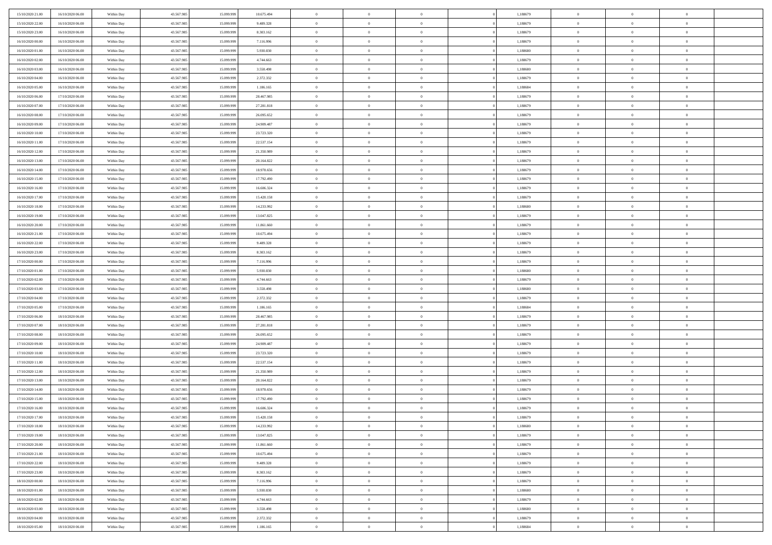| 15/10/2020 21:00                     | 16/10/2020 06:00                     | Within Day | 43.567.985 | 15.099.999 | 10.675.494 | $\,$ 0 $\,$          | $\overline{0}$ | $\overline{0}$ |          | 1,188679 | $\bf{0}$                 | $\overline{0}$ | $\,0\,$        |  |
|--------------------------------------|--------------------------------------|------------|------------|------------|------------|----------------------|----------------|----------------|----------|----------|--------------------------|----------------|----------------|--|
| 15/10/2020 22.00                     | 16/10/2020 06:00                     | Within Day | 43.567.985 | 15.099.99  | 9.489.328  | $\overline{0}$       | $\overline{0}$ | $\mathbf{0}$   |          | 1,188679 | $\theta$                 | $\overline{0}$ | $\theta$       |  |
| 15/10/2020 23:00                     | 16/10/2020 06:00                     | Within Day | 43.567.985 | 15.099.999 | 8.303.162  | $\theta$             | $\overline{0}$ | $\overline{0}$ |          | 1,188679 | $\mathbf{0}$             | $\overline{0}$ | $\overline{0}$ |  |
| 16/10/2020 00:00                     | 16/10/2020 06:00                     | Within Day | 43.567.985 | 15.099.999 | 7.116.996  | $\,$ 0 $\,$          | $\overline{0}$ | $\overline{0}$ |          | 1,188679 | $\bf{0}$                 | $\overline{0}$ | $\bf{0}$       |  |
| 16/10/2020 01:00                     | 16/10/2020 06:00                     | Within Day | 43.567.985 | 15.099.999 | 5.930.830  | $\bf{0}$             | $\overline{0}$ | $\mathbf{0}$   |          | 1,188680 | $\bf{0}$                 | $\theta$       | $\,0\,$        |  |
| 16/10/2020 02:00                     | 16/10/2020 06:00                     | Within Day | 43.567.985 | 15.099.999 | 4.744.663  | $\theta$             | $\overline{0}$ | $\mathbf{0}$   |          | 1,188679 | $\mathbf{0}$             | $\overline{0}$ | $\overline{0}$ |  |
| 16/10/2020 03:00                     | 16/10/2020 06:00                     | Within Day | 43.567.985 | 15.099.999 | 3.558.498  | $\,$ 0 $\,$          | $\overline{0}$ | $\overline{0}$ |          | 1,188680 | $\bf{0}$                 | $\overline{0}$ | $\,0\,$        |  |
| 16/10/2020 04:00                     | 16/10/2020 06:00                     | Within Day | 43.567.985 | 15.099.999 | 2.372.332  | $\overline{0}$       | $\overline{0}$ | $\mathbf{0}$   |          | 1,188679 | $\,$ 0 $\,$              | $\overline{0}$ | $\theta$       |  |
| 16/10/2020 05:00                     | 16/10/2020 06:00                     | Within Day | 43.567.985 | 15.099.999 | 1.186.165  | $\theta$             | $\overline{0}$ | $\mathbf{0}$   |          | 1,188684 | $\mathbf{0}$             | $\overline{0}$ | $\overline{0}$ |  |
| 16/10/2020 06:00                     | 17/10/2020 06:00                     |            | 43.567.985 | 15.099.999 | 28.467.985 | $\,$ 0 $\,$          | $\overline{0}$ | $\Omega$       |          | 1,188679 | $\bf{0}$                 | $\overline{0}$ | $\,0\,$        |  |
|                                      |                                      | Within Day |            | 15.099.999 |            |                      |                |                |          |          |                          | $\mathbf{0}$   | $\theta$       |  |
| 16/10/2020 07.00<br>16/10/2020 08:00 | 17/10/2020 06.00                     | Within Day | 43.567.985 |            | 27.281.818 | $\bf{0}$<br>$\theta$ | $\overline{0}$ | $\mathbf{0}$   |          | 1,188679 | $\bf{0}$<br>$\mathbf{0}$ |                | $\overline{0}$ |  |
|                                      | 17/10/2020 06:00                     | Within Day | 43.567.985 | 15.099.999 | 26.095.652 |                      | $\overline{0}$ | $\overline{0}$ |          | 1,188679 |                          | $\overline{0}$ |                |  |
| 16/10/2020 09:00                     | 17/10/2020 06:00                     | Within Day | 43.567.985 | 15.099.999 | 24.909.487 | $\,$ 0 $\,$          | $\overline{0}$ | $\overline{0}$ |          | 1,188679 | $\bf{0}$                 | $\overline{0}$ | $\bf{0}$       |  |
| 16/10/2020 10:00                     | 17/10/2020 06:00                     | Within Day | 43.567.985 | 15.099.999 | 23.723.320 | $\bf{0}$             | $\overline{0}$ | $\mathbf{0}$   |          | 1,188679 | $\bf{0}$                 | $\theta$       | $\,0\,$        |  |
| 16/10/2020 11:00                     | 17/10/2020 06:00                     | Within Day | 43.567.985 | 15.099.999 | 22.537.154 | $\theta$             | $\overline{0}$ | $\mathbf{0}$   |          | 1,188679 | $\mathbf{0}$             | $\overline{0}$ | $\overline{0}$ |  |
| 16/10/2020 12:00                     | 17/10/2020 06.00                     | Within Day | 43.567.985 | 15.099.999 | 21.350.989 | $\,$ 0 $\,$          | $\overline{0}$ | $\Omega$       |          | 1,188679 | $\bf{0}$                 | $\overline{0}$ | $\bf{0}$       |  |
| 16/10/2020 13:00                     | 17/10/2020 06.00                     | Within Day | 43.567.985 | 15.099.999 | 20.164.822 | $\,$ 0               | $\overline{0}$ | $\mathbf{0}$   |          | 1,188679 | $\bf{0}$                 | $\overline{0}$ | $\theta$       |  |
| 16/10/2020 14:00                     | 17/10/2020 06:00                     | Within Day | 43.567.985 | 15.099.999 | 18.978.656 | $\theta$             | $\overline{0}$ | $\mathbf{0}$   |          | 1,188679 | $\mathbf{0}$             | $\overline{0}$ | $\overline{0}$ |  |
| 16/10/2020 15:00                     | 17/10/2020 06.00                     | Within Day | 43.567.985 | 15.099.999 | 17.792.490 | $\,$ 0 $\,$          | $\overline{0}$ | $\Omega$       |          | 1,188679 | $\bf{0}$                 | $\overline{0}$ | $\,0\,$        |  |
| 16/10/2020 16:00                     | 17/10/2020 06.00                     | Within Day | 43.567.985 | 15.099.999 | 16.606.324 | $\bf{0}$             | $\overline{0}$ | $\mathbf{0}$   |          | 1,188679 | $\bf{0}$                 | $\mathbf{0}$   | $\theta$       |  |
| 16/10/2020 17:00                     | 17/10/2020 06:00                     | Within Day | 43.567.985 | 15.099.999 | 15.420.158 | $\theta$             | $\overline{0}$ | $\mathbf{0}$   |          | 1,188679 | $\mathbf{0}$             | $\overline{0}$ | $\overline{0}$ |  |
| 16/10/2020 18:00                     | 17/10/2020 06:00                     | Within Day | 43.567.985 | 15.099.999 | 14.233.992 | $\,$ 0 $\,$          | $\overline{0}$ | $\overline{0}$ |          | 1,188680 | $\bf{0}$                 | $\overline{0}$ | $\bf{0}$       |  |
| 16/10/2020 19:00                     | 17/10/2020 06:00                     | Within Day | 43.567.985 | 15.099.999 | 13.047.825 | $\bf{0}$             | $\overline{0}$ | $\mathbf{0}$   |          | 1,188679 | $\bf{0}$                 | $\overline{0}$ | $\,0\,$        |  |
| 16/10/2020 20:00                     | 17/10/2020 06:00                     | Within Day | 43.567.985 | 15.099.999 | 11.861.660 | $\theta$             | $\overline{0}$ | $\mathbf{0}$   |          | 1,188679 | $\mathbf{0}$             | $\overline{0}$ | $\overline{0}$ |  |
| 16/10/2020 21:00                     | 17/10/2020 06:00                     | Within Day | 43.567.985 | 15.099.999 | 10.675.494 | $\,$ 0 $\,$          | $\overline{0}$ | $\overline{0}$ |          | 1,188679 | $\bf{0}$                 | $\overline{0}$ | $\,0\,$        |  |
| 16/10/2020 22:00                     | 17/10/2020 06.00                     | Within Day | 43.567.985 | 15,099,999 | 9.489.328  | $\,$ 0               | $\overline{0}$ | $\mathbf{0}$   |          | 1,188679 | $\bf{0}$                 | $\overline{0}$ | $\theta$       |  |
| 16/10/2020 23:00                     | 17/10/2020 06:00                     | Within Day | 43.567.985 | 15.099.999 | 8.303.162  | $\theta$             | $\overline{0}$ | $\mathbf{0}$   |          | 1,188679 | $\mathbf{0}$             | $\overline{0}$ | $\overline{0}$ |  |
| 17/10/2020 00:00                     | 17/10/2020 06:00                     | Within Day | 43.567.985 | 15.099.999 | 7.116.996  | $\,$ 0 $\,$          | $\overline{0}$ | $\Omega$       |          | 1,188679 | $\bf{0}$                 | $\overline{0}$ | $\,0\,$        |  |
| 17/10/2020 01:00                     | 17/10/2020 06.00                     | Within Day | 43.567.985 | 15,099,999 | 5.930.830  | $\bf{0}$             | $\overline{0}$ | $\mathbf{0}$   |          | 1,188680 | $\bf{0}$                 | $\mathbf{0}$   | $\overline{0}$ |  |
| 17/10/2020 02.00                     | 17/10/2020 06:00                     | Within Dav | 43.567.985 | 15.099.999 | 4.744.663  | $\theta$             | $\overline{0}$ | $\overline{0}$ |          | 1,188679 | $\mathbf{0}$             | $\overline{0}$ | $\overline{0}$ |  |
| 17/10/2020 03:00                     | 17/10/2020 06:00                     | Within Day | 43.567.985 | 15.099.999 | 3.558.498  | $\,$ 0 $\,$          | $\overline{0}$ | $\overline{0}$ |          | 1,188680 | $\,$ 0                   | $\overline{0}$ | $\,$ 0 $\,$    |  |
| 17/10/2020 04:00                     | 17/10/2020 06:00                     | Within Day | 43.567.985 | 15.099.999 | 2.372.332  | $\,$ 0               | $\overline{0}$ | $\mathbf{0}$   |          | 1,188679 | $\bf{0}$                 | $\mathbf{0}$   | $\overline{0}$ |  |
| 17/10/2020 05:00                     | 17/10/2020 06:00                     | Within Dav | 43.567.985 | 15.099.999 | 1.186.165  | $\theta$             | $\overline{0}$ | $\mathbf{0}$   |          | 1,188684 | $\mathbf{0}$             | $\overline{0}$ | $\overline{0}$ |  |
| 17/10/2020 06:00                     | 18/10/2020 06:00                     | Within Day | 43.567.985 | 15.099.999 | 28.467.985 | $\theta$             | $\overline{0}$ | $\overline{0}$ |          | 1,188679 | $\,$ 0                   | $\overline{0}$ | $\theta$       |  |
| 17/10/2020 07:00                     | 18/10/2020 06:00                     | Within Day | 43.567.985 | 15,099,999 | 27.281.818 | $\bf{0}$             | $\overline{0}$ | $\mathbf{0}$   |          | 1,188679 | $\mathbf{0}$             | $\overline{0}$ | $\overline{0}$ |  |
| 17/10/2020 08:00                     | 18/10/2020 06:00                     | Within Day | 43.567.985 | 15.099.999 | 26.095.652 | $\theta$             | $\overline{0}$ | $\mathbf{0}$   |          | 1,188679 | $\mathbf{0}$             | $\overline{0}$ | $\overline{0}$ |  |
| 17/10/2020 09:00                     | 18/10/2020 06:00                     | Within Day | 43.567.985 | 15.099.999 | 24.909.487 | $\theta$             | $\overline{0}$ | $\overline{0}$ |          | 1,188679 | $\,$ 0                   | $\overline{0}$ | $\theta$       |  |
| 17/10/2020 10:00                     | 18/10/2020 06:00                     | Within Day | 43.567.985 | 15.099.999 | 23.723.320 | $\bf{0}$             | $\overline{0}$ | $\mathbf{0}$   |          | 1,188679 | $\bf{0}$                 | $\mathbf{0}$   | $\overline{0}$ |  |
| 17/10/2020 11:00                     | 18/10/2020 06:00                     | Within Dav | 43.567.985 | 15.099.999 | 22.537.154 | $\theta$             | $\overline{0}$ | $\overline{0}$ |          | 1,188679 | $\mathbf{0}$             | $\overline{0}$ | $\overline{0}$ |  |
| 17/10/2020 12:00                     | 18/10/2020 06:00                     | Within Day | 43.567.985 | 15.099.999 | 21.350.989 | $\,$ 0 $\,$          | $\overline{0}$ | $\overline{0}$ |          | 1,188679 | $\,$ 0                   | $\overline{0}$ | $\,$ 0 $\,$    |  |
| 17/10/2020 13:00                     | 18/10/2020 06:00                     | Within Day | 43.567.985 | 15.099.999 | 20.164.822 | $\,$ 0               | $\,$ 0 $\,$    | $\overline{0}$ |          | 1,188679 | $\,$ 0 $\,$              | $\bf{0}$       | $\overline{0}$ |  |
| 17/10/2020 14:00                     | 18/10/2020 06:00                     | Within Dav | 43.567.985 | 15.099.999 | 18.978.656 | $\theta$             | $\overline{0}$ | $\mathbf{0}$   |          | 1,188679 | $\mathbf{0}$             | $\overline{0}$ | $\theta$       |  |
| 17/10/2020 15:00                     | 18/10/2020 06:00                     | Within Day | 43.567.985 | 15.099.999 | 17.792.490 | $\overline{0}$       | $\overline{0}$ | $\overline{0}$ |          | 1,188679 | $\,$ 0                   | $\overline{0}$ | $\theta$       |  |
| 17/10/2020 16:00                     | 18/10/2020 06:00                     | Within Day | 43.567.985 | 15.099.999 | 16.606.324 | $\bf{0}$             | $\overline{0}$ | $\mathbf{0}$   |          | 1,188679 | $\bf{0}$                 | $\overline{0}$ | $\overline{0}$ |  |
| 17/10/2020 17:00                     | 18/10/2020 06:00                     | Within Day | 43.567.985 | 15.099.999 | 15.420.158 | $\overline{0}$       | $\theta$       |                |          | 1,188679 | $\overline{0}$           | $\theta$       | $\theta$       |  |
| 17/10/2020 18:00                     | 18/10/2020 06:00                     | Within Day | 43.567.985 | 15.099.999 | 14.233.992 | $\,$ 0 $\,$          | $\overline{0}$ | $\overline{0}$ |          | 1,188680 | $\,$ 0 $\,$              | $\bf{0}$       | $\theta$       |  |
| 17/10/2020 19:00                     | 18/10/2020 06:00                     | Within Day | 43.567.985 | 15.099.999 | 13.047.825 | $\overline{0}$       | $\,$ 0 $\,$    | $\mathbf{0}$   |          | 1,188679 | $\,$ 0 $\,$              | $\overline{0}$ | $\overline{0}$ |  |
| 17/10/2020 20:00                     | 18/10/2020 06:00                     | Within Day | 43.567.985 | 15.099.999 | 11.861.660 | $\mathbf{0}$         | $\overline{0}$ | $\overline{0}$ |          | 1,188679 | $\,$ 0 $\,$              | $\bf{0}$       | $\mathbf{0}$   |  |
| 17/10/2020 21:00                     | 18/10/2020 06:00                     | Within Day | 43.567.985 | 15.099.999 | 10.675.494 | $\,$ 0 $\,$          | $\overline{0}$ | $\overline{0}$ | $\theta$ | 1,188679 | $\,$ 0 $\,$              | $\bf{0}$       | $\,$ 0 $\,$    |  |
| 17/10/2020 22.00                     | 18/10/2020 06:00                     | Within Day | 43.567.985 | 15.099.999 | 9.489.328  | $\,$ 0 $\,$          | $\,$ 0 $\,$    | $\overline{0}$ |          | 1,188679 | $\,$ 0 $\,$              | $\overline{0}$ | $\overline{0}$ |  |
| 17/10/2020 23:00                     | 18/10/2020 06:00                     | Within Day | 43.567.985 | 15.099.999 | 8.303.162  | $\overline{0}$       | $\overline{0}$ | $\overline{0}$ |          | 1,188679 | $\mathbf{0}$             | $\overline{0}$ | $\overline{0}$ |  |
| 18/10/2020 00:00                     | 18/10/2020 06:00                     |            | 43.567.985 | 15.099.999 | 7.116.996  | $\,$ 0 $\,$          | $\overline{0}$ | $\overline{0}$ |          | 1,188679 | $\,$ 0 $\,$              | $\overline{0}$ | $\,$ 0 $\,$    |  |
|                                      |                                      | Within Day | 43.567.985 |            |            | $\overline{0}$       | $\overline{0}$ | $\overline{0}$ |          |          |                          | $\overline{0}$ |                |  |
| 18/10/2020 01:00                     | 18/10/2020 06:00<br>18/10/2020 06:00 | Within Day | 43.567.985 | 15.099.999 | 5.930.830  | $\mathbf{0}$         |                |                |          | 1,188680 | $\,$ 0 $\,$              |                | $\overline{0}$ |  |
| 18/10/2020 02:00                     |                                      | Within Day |            | 15.099.999 | 4.744.663  |                      | $\overline{0}$ | $\overline{0}$ |          | 1,188679 | $\mathbf{0}$             | $\bf{0}$       | $\overline{0}$ |  |
| 18/10/2020 03:00                     | 18/10/2020 06:00                     | Within Day | 43.567.985 | 15.099.999 | 3.558.498  | $\,$ 0 $\,$          | $\overline{0}$ | $\overline{0}$ |          | 1,188680 | $\,$ 0 $\,$              | $\overline{0}$ | $\,$ 0 $\,$    |  |
| 18/10/2020 04:00                     | 18/10/2020 06:00                     | Within Day | 43.567.985 | 15.099.999 | 2.372.332  | $\,$ 0 $\,$          | $\,$ 0 $\,$    | $\overline{0}$ |          | 1,188679 | $\,$ 0 $\,$              | $\overline{0}$ | $\overline{0}$ |  |
| 18/10/2020 05:00                     | 18/10/2020 06:00                     | Within Day | 43.567.985 | 15.099.999 | 1.186.165  | $\theta$             | $\overline{0}$ | $\overline{0}$ |          | 1,188684 | $\mathbf{0}$             | $\overline{0}$ | $\overline{0}$ |  |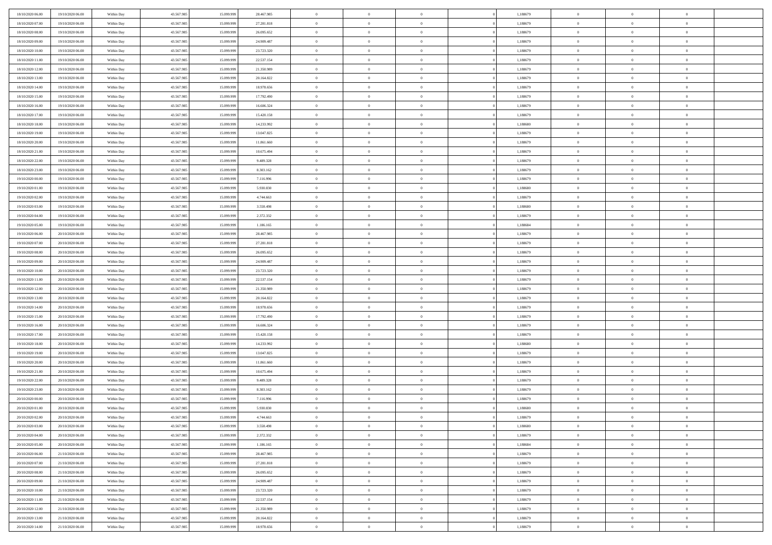| 18/10/2020 06:00 | 19/10/2020 06:00 | Within Day | 43.567.985 | 15.099.999 | 28.467.985 | $\,$ 0 $\,$    | $\overline{0}$ | $\overline{0}$ | 1,188679 | $\bf{0}$       | $\overline{0}$ | $\,0\,$        |  |
|------------------|------------------|------------|------------|------------|------------|----------------|----------------|----------------|----------|----------------|----------------|----------------|--|
| 18/10/2020 07:00 | 19/10/2020 06:00 | Within Day | 43.567.985 | 15.099.99  | 27.281.818 | $\theta$       | $\overline{0}$ | $\mathbf{0}$   | 1,188679 | $\theta$       | $\mathbf{0}$   | $\theta$       |  |
| 18/10/2020 08:00 | 19/10/2020 06:00 | Within Dav | 43.567.985 | 15.099.999 | 26.095.652 | $\theta$       | $\overline{0}$ | $\overline{0}$ | 1,188679 | $\mathbf{0}$   | $\overline{0}$ | $\overline{0}$ |  |
| 18/10/2020 09:00 | 19/10/2020 06:00 | Within Day | 43.567.985 | 15.099.999 | 24.909.487 | $\,$ 0 $\,$    | $\overline{0}$ | $\overline{0}$ | 1,188679 | $\bf{0}$       | $\overline{0}$ | $\bf{0}$       |  |
| 18/10/2020 10:00 | 19/10/2020 06:00 | Within Day | 43.567.985 | 15.099.999 | 23.723.320 | $\bf{0}$       | $\overline{0}$ | $\mathbf{0}$   | 1,188679 | $\bf{0}$       | $\theta$       | $\,0\,$        |  |
| 18/10/2020 11:00 | 19/10/2020 06:00 | Within Dav | 43.567.985 | 15.099.999 | 22.537.154 | $\theta$       | $\overline{0}$ | $\mathbf{0}$   | 1,188679 | $\mathbf{0}$   | $\overline{0}$ | $\overline{0}$ |  |
| 18/10/2020 12:00 | 19/10/2020 06:00 | Within Day | 43.567.985 | 15.099.999 | 21.350.989 | $\,$ 0 $\,$    | $\overline{0}$ | $\overline{0}$ | 1,188679 | $\bf{0}$       | $\overline{0}$ | $\,0\,$        |  |
|                  |                  |            |            |            |            |                |                |                |          |                |                |                |  |
| 18/10/2020 13:00 | 19/10/2020 06:00 | Within Day | 43.567.985 | 15.099.999 | 20.164.822 | $\overline{0}$ | $\overline{0}$ | $\mathbf{0}$   | 1,188679 | $\,$ 0 $\,$    | $\overline{0}$ | $\theta$       |  |
| 18/10/2020 14:00 | 19/10/2020 06:00 | Within Day | 43.567.985 | 15.099.999 | 18.978.656 | $\theta$       | $\overline{0}$ | $\mathbf{0}$   | 1,188679 | $\mathbf{0}$   | $\bf{0}$       | $\overline{0}$ |  |
| 18/10/2020 15:00 | 19/10/2020 06:00 | Within Day | 43.567.985 | 15.099.999 | 17.792.490 | $\,$ 0 $\,$    | $\overline{0}$ | $\Omega$       | 1,188679 | $\bf{0}$       | $\overline{0}$ | $\,0\,$        |  |
| 18/10/2020 16:00 | 19/10/2020 06:00 | Within Day | 43.567.985 | 15,099,999 | 16.606.324 | $\bf{0}$       | $\overline{0}$ | $\mathbf{0}$   | 1,188679 | $\bf{0}$       | $\mathbf{0}$   | $\theta$       |  |
| 18/10/2020 17:00 | 19/10/2020 06:00 | Within Dav | 43.567.985 | 15.099.999 | 15.420.158 | $\theta$       | $\overline{0}$ | $\mathbf{0}$   | 1,188679 | $\mathbf{0}$   | $\overline{0}$ | $\overline{0}$ |  |
| 18/10/2020 18:00 | 19/10/2020 06:00 | Within Day | 43.567.985 | 15.099.999 | 14.233.992 | $\,$ 0 $\,$    | $\overline{0}$ | $\overline{0}$ | 1,188680 | $\bf{0}$       | $\overline{0}$ | $\bf{0}$       |  |
| 18/10/2020 19:00 | 19/10/2020 06:00 | Within Day | 43.567.985 | 15.099.999 | 13.047.825 | $\bf{0}$       | $\overline{0}$ | $\mathbf{0}$   | 1,188679 | $\bf{0}$       | $\theta$       | $\,0\,$        |  |
| 18/10/2020 20:00 | 19/10/2020 06:00 | Within Dav | 43.567.985 | 15.099.999 | 11.861.660 | $\theta$       | $\overline{0}$ | $\mathbf{0}$   | 1,188679 | $\mathbf{0}$   | $\overline{0}$ | $\overline{0}$ |  |
| 18/10/2020 21:00 | 19/10/2020 06:00 | Within Day | 43.567.985 | 15.099.999 | 10.675.494 | $\,$ 0 $\,$    | $\overline{0}$ | $\overline{0}$ | 1,188679 | $\bf{0}$       | $\overline{0}$ | $\bf{0}$       |  |
| 18/10/2020 22.00 | 19/10/2020 06:00 | Within Day | 43.567.985 | 15.099.999 | 9.489.328  | $\,$ 0         | $\overline{0}$ | $\mathbf{0}$   | 1,188679 | $\bf{0}$       | $\overline{0}$ | $\theta$       |  |
| 18/10/2020 23:00 | 19/10/2020 06:00 | Within Day | 43.567.985 | 15.099.999 | 8.303.162  | $\theta$       | $\overline{0}$ | $\mathbf{0}$   | 1,188679 | $\mathbf{0}$   | $\overline{0}$ | $\overline{0}$ |  |
| 19/10/2020 00:00 | 19/10/2020 06:00 | Within Day | 43.567.985 | 15.099.999 | 7.116.996  | $\,$ 0 $\,$    | $\overline{0}$ | $\Omega$       | 1,188679 | $\bf{0}$       | $\overline{0}$ | $\,0\,$        |  |
| 19/10/2020 01:00 | 19/10/2020 06:00 | Within Day | 43.567.985 | 15.099.999 | 5.930.830  | $\bf{0}$       | $\overline{0}$ | $\mathbf{0}$   | 1,188680 | $\bf{0}$       | $\mathbf{0}$   | $\theta$       |  |
| 19/10/2020 02:00 | 19/10/2020 06:00 | Within Dav | 43.567.985 | 15.099.999 | 4.744.663  | $\theta$       | $\overline{0}$ | $\mathbf{0}$   | 1,188679 | $\mathbf{0}$   | $\overline{0}$ | $\overline{0}$ |  |
| 19/10/2020 03:00 | 19/10/2020 06:00 | Within Day | 43.567.985 | 15.099.999 | 3.558.498  | $\,$ 0 $\,$    | $\overline{0}$ | $\overline{0}$ | 1,188680 | $\bf{0}$       | $\overline{0}$ | $\bf{0}$       |  |
| 19/10/2020 04:00 | 19/10/2020 06:00 | Within Day | 43.567.985 | 15.099.999 | 2.372.332  | $\bf{0}$       | $\overline{0}$ | $\mathbf{0}$   | 1,188679 | $\bf{0}$       | $\theta$       | $\,0\,$        |  |
| 19/10/2020 05:00 | 19/10/2020 06:00 | Within Dav | 43.567.985 | 15.099.999 | 1.186.165  | $\theta$       | $\overline{0}$ | $\mathbf{0}$   | 1,188684 | $\mathbf{0}$   | $\overline{0}$ | $\overline{0}$ |  |
| 19/10/2020 06:00 | 20/10/2020 06:00 | Within Day | 43.567.985 | 15.099.999 | 28.467.985 | $\,$ 0 $\,$    | $\overline{0}$ | $\overline{0}$ | 1,188679 | $\bf{0}$       | $\overline{0}$ | $\,0\,$        |  |
| 19/10/2020 07:00 | 20/10/2020 06:00 | Within Day | 43.567.985 | 15.099.999 | 27.281.818 | $\,$ 0         | $\overline{0}$ | $\mathbf{0}$   | 1,188679 | $\bf{0}$       | $\overline{0}$ | $\theta$       |  |
| 19/10/2020 08:00 | 20/10/2020 06:00 | Within Day | 43.567.985 | 15.099.999 | 26.095.652 | $\theta$       | $\overline{0}$ | $\overline{0}$ | 1,188679 | $\mathbf{0}$   | $\bf{0}$       | $\overline{0}$ |  |
| 19/10/2020 09:00 | 20/10/2020 06:00 | Within Day | 43.567.985 | 15.099.999 | 24.909.487 | $\,$ 0 $\,$    | $\overline{0}$ | $\Omega$       | 1,188679 | $\bf{0}$       | $\overline{0}$ | $\,0\,$        |  |
| 19/10/2020 10:00 | 20/10/2020 06:00 | Within Day | 43.567.985 | 15.099.999 | 23.723.320 | $\bf{0}$       | $\overline{0}$ | $\mathbf{0}$   | 1,188679 | $\bf{0}$       | $\mathbf{0}$   | $\overline{0}$ |  |
| 19/10/2020 11:00 | 20/10/2020 06:00 | Within Dav | 43.567.985 | 15.099.999 | 22.537.154 | $\theta$       | $\overline{0}$ | $\overline{0}$ | 1,188679 | $\mathbf{0}$   | $\overline{0}$ | $\overline{0}$ |  |
| 19/10/2020 12:00 | 20/10/2020 06:00 | Within Day | 43.567.985 | 15.099.999 | 21.350.989 | $\theta$       | $\overline{0}$ | $\overline{0}$ | 1,188679 | $\,$ 0         | $\overline{0}$ | $\,$ 0 $\,$    |  |
| 19/10/2020 13:00 | 20/10/2020 06:00 | Within Day | 43.567.985 | 15.099.999 | 20.164.822 | $\bf{0}$       | $\overline{0}$ | $\mathbf{0}$   | 1,188679 | $\bf{0}$       | $\mathbf{0}$   | $\overline{0}$ |  |
| 19/10/2020 14:00 | 20/10/2020 06:00 | Within Dav | 43.567.985 | 15.099.999 | 18.978.656 | $\theta$       | $\overline{0}$ | $\mathbf{0}$   | 1,188679 | $\mathbf{0}$   | $\overline{0}$ | $\overline{0}$ |  |
| 19/10/2020 15:00 | 20/10/2020 06:00 | Within Day | 43.567.985 | 15.099.999 | 17.792.490 | $\theta$       | $\overline{0}$ | $\overline{0}$ | 1,188679 | $\,$ 0         | $\overline{0}$ | $\theta$       |  |
| 19/10/2020 16:00 | 20/10/2020 06.00 | Within Day | 43.567.985 | 15,099,999 | 16.606.324 | $\bf{0}$       | $\overline{0}$ | $\mathbf{0}$   | 1,188679 | $\mathbf{0}$   | $\overline{0}$ | $\overline{0}$ |  |
| 19/10/2020 17:00 | 20/10/2020 06:00 | Within Day | 43.567.985 | 15.099.999 | 15.420.158 | $\theta$       | $\overline{0}$ | $\mathbf{0}$   | 1,188679 | $\mathbf{0}$   | $\overline{0}$ | $\overline{0}$ |  |
| 19/10/2020 18:00 | 20/10/2020 06:00 | Within Day | 43.567.985 | 15.099.999 | 14.233.992 | $\theta$       | $\overline{0}$ | $\overline{0}$ | 1,188680 | $\,$ 0         | $\overline{0}$ | $\theta$       |  |
| 19/10/2020 19:00 | 20/10/2020 06:00 | Within Day | 43.567.985 | 15.099.999 | 13.047.825 | $\bf{0}$       | $\overline{0}$ | $\mathbf{0}$   | 1,188679 | $\bf{0}$       | $\mathbf{0}$   | $\bf{0}$       |  |
| 19/10/2020 20:00 | 20/10/2020 06:00 | Within Dav | 43.567.985 | 15.099.999 | 11.861.660 | $\theta$       | $\overline{0}$ | $\mathbf{0}$   | 1,188679 | $\mathbf{0}$   | $\overline{0}$ | $\overline{0}$ |  |
| 19/10/2020 21:00 | 20/10/2020 06:00 | Within Day | 43.567.985 | 15.099.999 | 10.675.494 | $\,$ 0 $\,$    | $\overline{0}$ | $\overline{0}$ | 1,188679 | $\,$ 0         | $\overline{0}$ | $\,$ 0 $\,$    |  |
| 19/10/2020 22.00 | 20/10/2020 06:00 | Within Day | 43.567.985 | 15.099.999 | 9.489.328  | $\,$ 0         | $\,$ 0 $\,$    | $\overline{0}$ | 1,188679 | $\,$ 0 $\,$    | $\overline{0}$ | $\bf{0}$       |  |
| 19/10/2020 23:00 | 20/10/2020 06:00 | Within Dav | 43.567.985 | 15.099.999 | 8.303.162  | $\theta$       | $\overline{0}$ | $\mathbf{0}$   | 1,188679 | $\mathbf{0}$   | $\overline{0}$ | $\theta$       |  |
| 20/10/2020 00:00 | 20/10/2020 06:00 | Within Day | 43.567.985 | 15.099.999 | 7.116.996  | $\overline{0}$ | $\overline{0}$ | $\overline{0}$ | 1,188679 | $\overline{0}$ | $\overline{0}$ | $\theta$       |  |
| 20/10/2020 01:00 | 20/10/2020 06:00 | Within Day | 43.567.985 | 15.099.999 | 5.930.830  | $\bf{0}$       | $\overline{0}$ | $\mathbf{0}$   | 1,188680 | $\bf{0}$       | $\overline{0}$ | $\bf{0}$       |  |
| 20/10/2020 02:00 | 20/10/2020 06:00 | Within Day | 43.567.985 | 15.099.999 | 4.744.663  | $\overline{0}$ | $\theta$       |                | 1,188679 | $\overline{0}$ | $\theta$       | $\theta$       |  |
| 20/10/2020 03:00 | 20/10/2020 06:00 | Within Day | 43.567.985 | 15.099.999 | 3.558.498  | $\,$ 0 $\,$    | $\overline{0}$ | $\overline{0}$ | 1,188680 | $\,$ 0 $\,$    | $\bf{0}$       | $\theta$       |  |
| 20/10/2020 04.00 | 20/10/2020 06:00 | Within Day | 43.567.985 | 15.099.999 | 2.372.332  | $\bf{0}$       | $\,$ 0 $\,$    | $\mathbf{0}$   | 1,188679 | $\,$ 0 $\,$    | $\overline{0}$ | $\overline{0}$ |  |
|                  | 20/10/2020 06:00 |            |            |            |            |                |                |                |          | $\,$ 0 $\,$    |                |                |  |
| 20/10/2020 05:00 |                  | Within Day | 43.567.985 | 15.099.999 | 1.186.165  | $\mathbf{0}$   | $\overline{0}$ | $\overline{0}$ | 1,188684 |                | $\bf{0}$       | $\mathbf{0}$   |  |
| 20/10/2020 06:00 | 21/10/2020 06:00 | Within Day | 43.567.985 | 15.099.999 | 28.467.985 | $\,$ 0 $\,$    | $\overline{0}$ | $\overline{0}$ | 1,188679 | $\,$ 0 $\,$    | $\bf{0}$       | $\,$ 0 $\,$    |  |
| 20/10/2020 07:00 | 21/10/2020 06.00 | Within Day | 43.567.985 | 15.099.999 | 27.281.818 | $\,$ 0 $\,$    | $\,$ 0 $\,$    | $\overline{0}$ | 1,188679 | $\,$ 0 $\,$    | $\overline{0}$ | $\overline{0}$ |  |
| 20/10/2020 08:00 | 21/10/2020 06:00 | Within Day | 43.567.985 | 15.099.999 | 26.095.652 | $\mathbf{0}$   | $\overline{0}$ | $\overline{0}$ | 1,188679 | $\mathbf{0}$   | $\bf{0}$       | $\overline{0}$ |  |
| 20/10/2020 09:00 | 21/10/2020 06:00 | Within Day | 43.567.985 | 15.099.999 | 24.909.487 | $\,$ 0 $\,$    | $\overline{0}$ | $\overline{0}$ | 1,188679 | $\,$ 0 $\,$    | $\mathbf{0}$   | $\,$ 0 $\,$    |  |
| 20/10/2020 10:00 | 21/10/2020 06.00 | Within Day | 43.567.985 | 15.099.999 | 23.723.320 | $\bf{0}$       | $\overline{0}$ | $\overline{0}$ | 1,188679 | $\,$ 0 $\,$    | $\overline{0}$ | $\overline{0}$ |  |
| 20/10/2020 11:00 | 21/10/2020 06:00 | Within Day | 43.567.985 | 15.099.999 | 22.537.154 | $\mathbf{0}$   | $\overline{0}$ | $\overline{0}$ | 1,188679 | $\mathbf{0}$   | $\bf{0}$       | $\overline{0}$ |  |
| 20/10/2020 12:00 | 21/10/2020 06:00 | Within Day | 43.567.985 | 15.099.999 | 21.350.989 | $\,$ 0 $\,$    | $\overline{0}$ | $\overline{0}$ | 1,188679 | $\,$ 0 $\,$    | $\mathbf{0}$   | $\,$ 0 $\,$    |  |
| 20/10/2020 13:00 | 21/10/2020 06.00 | Within Day | 43.567.985 | 15.099.999 | 20.164.822 | $\,$ 0 $\,$    | $\,$ 0 $\,$    | $\overline{0}$ | 1,188679 | $\,$ 0 $\,$    | $\overline{0}$ | $\overline{0}$ |  |
| 20/10/2020 14:00 | 21/10/2020 06:00 | Within Day | 43.567.985 | 15.099.999 | 18.978.656 | $\theta$       | $\overline{0}$ | $\overline{0}$ | 1,188679 | $\mathbf{0}$   | $\overline{0}$ | $\overline{0}$ |  |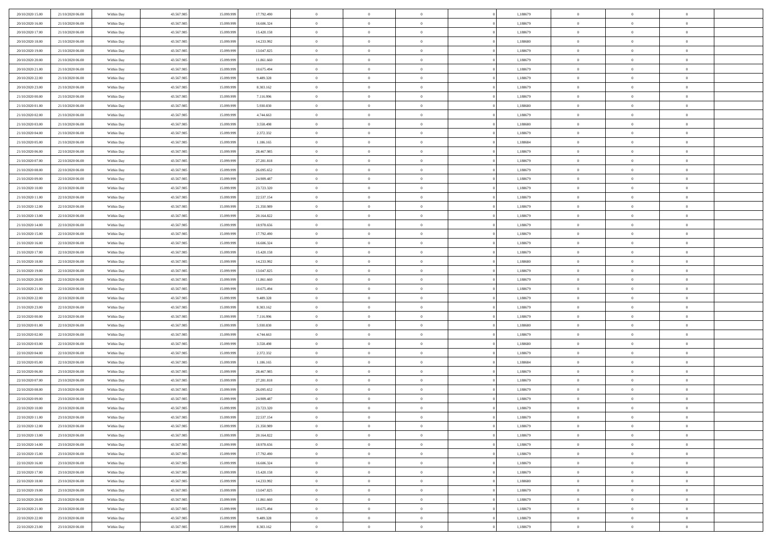| 20/10/2020 15:00 | 21/10/2020 06.00 | Within Day | 43.567.985 | 15.099.999 | 17.792.490 | $\bf{0}$       | $\overline{0}$ | $\overline{0}$ | 1,188679 | $\bf{0}$       | $\overline{0}$ | $\,0\,$        |  |
|------------------|------------------|------------|------------|------------|------------|----------------|----------------|----------------|----------|----------------|----------------|----------------|--|
| 20/10/2020 16:00 | 21/10/2020 06.00 | Within Day | 43.567.985 | 15.099.99  | 16.606.324 | $\theta$       | $\overline{0}$ | $\mathbf{0}$   | 1,188679 | $\theta$       | $\mathbf{0}$   | $\theta$       |  |
| 20/10/2020 17:00 | 21/10/2020 06:00 | Within Dav | 43.567.985 | 15.099.999 | 15.420.158 | $\theta$       | $\overline{0}$ | $\mathbf{0}$   | 1,188679 | $\mathbf{0}$   | $\overline{0}$ | $\overline{0}$ |  |
| 20/10/2020 18:00 | 21/10/2020 06.00 | Within Day | 43.567.985 | 15.099.999 | 14.233.992 | $\,$ 0 $\,$    | $\overline{0}$ | $\overline{0}$ | 1,188680 | $\bf{0}$       | $\overline{0}$ | $\bf{0}$       |  |
| 20/10/2020 19:00 | 21/10/2020 06:00 | Within Day | 43.567.985 | 15.099.999 | 13.047.825 | $\bf{0}$       | $\overline{0}$ | $\mathbf{0}$   | 1,188679 | $\bf{0}$       | $\theta$       | $\,0\,$        |  |
| 20/10/2020 20:00 | 21/10/2020 06:00 | Within Dav | 43.567.985 | 15.099.999 | 11.861.660 | $\theta$       | $\overline{0}$ | $\mathbf{0}$   | 1,188679 | $\mathbf{0}$   | $\overline{0}$ | $\overline{0}$ |  |
| 20/10/2020 21:00 | 21/10/2020 06:00 | Within Day | 43.567.985 | 15.099.999 | 10.675.494 | $\,$ 0 $\,$    | $\overline{0}$ | $\overline{0}$ | 1,188679 | $\bf{0}$       | $\overline{0}$ | $\,0\,$        |  |
|                  |                  |            |            |            |            | $\,$ 0         | $\overline{0}$ |                |          | $\,$ 0 $\,$    | $\overline{0}$ | $\theta$       |  |
| 20/10/2020 22:00 | 21/10/2020 06.00 | Within Day | 43.567.985 | 15.099.999 | 9.489.328  |                |                | $\mathbf{0}$   | 1,188679 |                |                |                |  |
| 20/10/2020 23:00 | 21/10/2020 06:00 | Within Day | 43.567.985 | 15.099.999 | 8.303.162  | $\theta$       | $\overline{0}$ | $\overline{0}$ | 1,188679 | $\mathbf{0}$   | $\bf{0}$       | $\overline{0}$ |  |
| 21/10/2020 00:00 | 21/10/2020 06.00 | Within Day | 43.567.985 | 15.099.999 | 7.116.996  | $\,$ 0 $\,$    | $\overline{0}$ | $\Omega$       | 1,188679 | $\bf{0}$       | $\overline{0}$ | $\,0\,$        |  |
| 21/10/2020 01:00 | 21/10/2020 06.00 | Within Day | 43.567.985 | 15.099.999 | 5.930.830  | $\bf{0}$       | $\overline{0}$ | $\mathbf{0}$   | 1,188680 | $\bf{0}$       | $\mathbf{0}$   | $\theta$       |  |
| 21/10/2020 02.00 | 21/10/2020 06:00 | Within Dav | 43.567.985 | 15.099.999 | 4.744.663  | $\theta$       | $\overline{0}$ | $\mathbf{0}$   | 1,188679 | $\mathbf{0}$   | $\overline{0}$ | $\overline{0}$ |  |
| 21/10/2020 03:00 | 21/10/2020 06.00 | Within Day | 43.567.985 | 15.099.999 | 3.558.498  | $\,$ 0 $\,$    | $\overline{0}$ | $\overline{0}$ | 1,188680 | $\bf{0}$       | $\overline{0}$ | $\bf{0}$       |  |
| 21/10/2020 04:00 | 21/10/2020 06:00 | Within Day | 43.567.985 | 15.099.999 | 2.372.332  | $\bf{0}$       | $\overline{0}$ | $\mathbf{0}$   | 1,188679 | $\bf{0}$       | $\theta$       | $\,0\,$        |  |
| 21/10/2020 05:00 | 21/10/2020 06:00 | Within Dav | 43.567.985 | 15.099.999 | 1.186.165  | $\theta$       | $\overline{0}$ | $\mathbf{0}$   | 1,188684 | $\mathbf{0}$   | $\overline{0}$ | $\overline{0}$ |  |
| 21/10/2020 06:00 | 22/10/2020 06.00 | Within Day | 43.567.985 | 15.099.999 | 28.467.985 | $\,$ 0 $\,$    | $\overline{0}$ | $\Omega$       | 1,188679 | $\bf{0}$       | $\overline{0}$ | $\bf{0}$       |  |
| 21/10/2020 07:00 | 22/10/2020 06.00 | Within Day | 43.567.985 | 15.099.999 | 27.281.818 | $\,$ 0         | $\overline{0}$ | $\mathbf{0}$   | 1,188679 | $\bf{0}$       | $\overline{0}$ | $\theta$       |  |
| 21/10/2020 08:00 | 22/10/2020 06:00 | Within Day | 43.567.985 | 15.099.999 | 26.095.652 | $\theta$       | $\overline{0}$ | $\mathbf{0}$   | 1,188679 | $\mathbf{0}$   | $\overline{0}$ | $\overline{0}$ |  |
| 21/10/2020 09:00 | 22/10/2020 06:00 | Within Day | 43.567.985 | 15.099.999 | 24.909.487 | $\,$ 0 $\,$    | $\overline{0}$ | $\Omega$       | 1,188679 | $\bf{0}$       | $\overline{0}$ | $\,0\,$        |  |
| 21/10/2020 10:00 | 22/10/2020 06:00 | Within Day | 43.567.985 | 15.099.999 | 23.723.320 | $\bf{0}$       | $\overline{0}$ | $\mathbf{0}$   | 1,188679 | $\bf{0}$       | $\mathbf{0}$   | $\theta$       |  |
| 21/10/2020 11:00 | 22/10/2020 06:00 | Within Day | 43.567.985 | 15.099.999 | 22.537.154 | $\theta$       | $\overline{0}$ | $\overline{0}$ | 1,188679 | $\mathbf{0}$   | $\overline{0}$ | $\overline{0}$ |  |
| 21/10/2020 12:00 | 22/10/2020 06:00 | Within Day | 43.567.985 | 15.099.999 | 21.350.989 | $\,$ 0 $\,$    | $\overline{0}$ | $\overline{0}$ | 1,188679 | $\bf{0}$       | $\overline{0}$ | $\bf{0}$       |  |
| 21/10/2020 13:00 | 22/10/2020 06:00 | Within Day | 43.567.985 | 15.099.999 | 20.164.822 | $\,$ 0         | $\overline{0}$ | $\mathbf{0}$   | 1,188679 | $\bf{0}$       | $\theta$       | $\,0\,$        |  |
| 21/10/2020 14:00 | 22/10/2020 06:00 | Within Day | 43.567.985 | 15.099.999 | 18.978.656 | $\theta$       | $\overline{0}$ | $\mathbf{0}$   | 1,188679 | $\mathbf{0}$   | $\overline{0}$ | $\overline{0}$ |  |
| 21/10/2020 15:00 | 22/10/2020 06:00 | Within Day | 43.567.985 | 15.099.999 | 17.792.490 | $\,$ 0 $\,$    | $\overline{0}$ | $\overline{0}$ | 1,188679 | $\bf{0}$       | $\overline{0}$ | $\,0\,$        |  |
| 21/10/2020 16:00 | 22/10/2020 06.00 | Within Day | 43.567.985 | 15,099,999 | 16.606.324 | $\,$ 0         | $\overline{0}$ | $\mathbf{0}$   | 1,188679 | $\bf{0}$       | $\overline{0}$ | $\theta$       |  |
| 21/10/2020 17:00 | 22/10/2020 06:00 | Within Day | 43.567.985 | 15.099.999 | 15.420.158 | $\theta$       | $\overline{0}$ | $\overline{0}$ | 1,188679 | $\mathbf{0}$   | $\bf{0}$       | $\overline{0}$ |  |
|                  | 22/10/2020 06:00 |            |            |            |            | $\,$ 0 $\,$    |                | $\Omega$       |          | $\bf{0}$       | $\overline{0}$ | $\,0\,$        |  |
| 21/10/2020 18:00 |                  | Within Day | 43.567.985 | 15.099.999 | 14.233.992 |                | $\overline{0}$ |                | 1,188680 |                |                |                |  |
| 21/10/2020 19:00 | 22/10/2020 06.00 | Within Day | 43.567.985 | 15,099,999 | 13.047.825 | $\bf{0}$       | $\overline{0}$ | $\mathbf{0}$   | 1,188679 | $\bf{0}$       | $\mathbf{0}$   | $\theta$       |  |
| 21/10/2020 20:00 | 22/10/2020 06:00 | Within Day | 43.567.985 | 15.099.999 | 11.861.660 | $\theta$       | $\overline{0}$ | $\overline{0}$ | 1,188679 | $\mathbf{0}$   | $\overline{0}$ | $\overline{0}$ |  |
| 21/10/2020 21:00 | 22/10/2020 06:00 | Within Day | 43.567.985 | 15.099.999 | 10.675.494 | $\,$ 0 $\,$    | $\overline{0}$ | $\overline{0}$ | 1,188679 | $\,$ 0         | $\overline{0}$ | $\,$ 0 $\,$    |  |
| 21/10/2020 22.00 | 22/10/2020 06:00 | Within Day | 43.567.985 | 15.099.999 | 9.489.328  | $\,$ 0         | $\overline{0}$ | $\mathbf{0}$   | 1,188679 | $\bf{0}$       | $\mathbf{0}$   | $\bf{0}$       |  |
| 21/10/2020 23:00 | 22/10/2020 06:00 | Within Day | 43.567.985 | 15.099.999 | 8.303.162  | $\theta$       | $\overline{0}$ | $\mathbf{0}$   | 1,188679 | $\mathbf{0}$   | $\overline{0}$ | $\overline{0}$ |  |
| 22/10/2020 00:00 | 22/10/2020 06:00 | Within Day | 43.567.985 | 15.099.999 | 7.116.996  | $\theta$       | $\overline{0}$ | $\overline{0}$ | 1,188679 | $\,$ 0         | $\overline{0}$ | $\theta$       |  |
| 22/10/2020 01:00 | 22/10/2020 06.00 | Within Day | 43.567.985 | 15,099,999 | 5.930.830  | $\bf{0}$       | $\overline{0}$ | $\mathbf{0}$   | 1,188680 | $\mathbf{0}$   | $\overline{0}$ | $\overline{0}$ |  |
| 22/10/2020 02.00 | 22/10/2020 06:00 | Within Day | 43.567.985 | 15.099.999 | 4.744.663  | $\theta$       | $\overline{0}$ | $\mathbf{0}$   | 1,188679 | $\mathbf{0}$   | $\overline{0}$ | $\overline{0}$ |  |
| 22/10/2020 03:00 | 22/10/2020 06:00 | Within Day | 43.567.985 | 15.099.999 | 3.558.498  | $\theta$       | $\overline{0}$ | $\overline{0}$ | 1,188680 | $\,$ 0         | $\overline{0}$ | $\theta$       |  |
| 22/10/2020 04:00 | 22/10/2020 06.00 | Within Day | 43.567.985 | 15.099.999 | 2.372.332  | $\bf{0}$       | $\overline{0}$ | $\mathbf{0}$   | 1,188679 | $\bf{0}$       | $\mathbf{0}$   | $\bf{0}$       |  |
| 22/10/2020 05:00 | 22/10/2020 06:00 | Within Day | 43.567.985 | 15.099.999 | 1.186.165  | $\theta$       | $\overline{0}$ | $\mathbf{0}$   | 1,188684 | $\mathbf{0}$   | $\overline{0}$ | $\overline{0}$ |  |
| 22/10/2020 06:00 | 23/10/2020 06:00 | Within Day | 43.567.985 | 15.099.999 | 28.467.985 | $\,$ 0 $\,$    | $\overline{0}$ | $\overline{0}$ | 1,188679 | $\,$ 0         | $\overline{0}$ | $\,$ 0 $\,$    |  |
| 22/10/2020 07:00 | 23/10/2020 06:00 | Within Day | 43.567.985 | 15.099.999 | 27.281.818 | $\,$ 0         | $\,$ 0 $\,$    | $\overline{0}$ | 1,188679 | $\,$ 0 $\,$    | $\overline{0}$ | $\bf{0}$       |  |
| 22/10/2020 08:00 | 23/10/2020 06:00 | Within Day | 43.567.985 | 15.099.999 | 26.095.652 | $\theta$       | $\overline{0}$ | $\mathbf{0}$   | 1,188679 | $\mathbf{0}$   | $\overline{0}$ | $\theta$       |  |
| 22/10/2020 09:00 | 23/10/2020 06.00 | Within Day | 43.567.985 | 15.099.999 | 24.909.487 | $\overline{0}$ | $\overline{0}$ | $\overline{0}$ | 1,188679 | $\,$ 0         | $\overline{0}$ | $\theta$       |  |
| 22/10/2020 10:00 | 23/10/2020 06.00 | Within Day | 43.567.985 | 15.099.999 | 23.723.320 | $\bf{0}$       | $\,$ 0 $\,$    | $\mathbf{0}$   | 1,188679 | $\bf{0}$       | $\overline{0}$ | $\bf{0}$       |  |
| 22/10/2020 11:00 | 23/10/2020 06:00 | Within Day | 43.567.985 | 15.099.999 | 22.537.154 | $\overline{0}$ | $\theta$       |                | 1,188679 | $\overline{0}$ | $\theta$       | $\theta$       |  |
| 22/10/2020 12:00 | 23/10/2020 06:00 | Within Day | 43.567.985 | 15.099.999 | 21.350.989 | $\,$ 0 $\,$    | $\overline{0}$ | $\overline{0}$ | 1,188679 | $\,$ 0 $\,$    | $\bf{0}$       | $\theta$       |  |
| 22/10/2020 13.00 | 23/10/2020 06.00 | Within Day | 43.567.985 | 15.099.999 | 20.164.822 | $\bf{0}$       | $\,$ 0 $\,$    | $\overline{0}$ | 1,188679 | $\,$ 0 $\,$    | $\overline{0}$ | $\overline{0}$ |  |
| 22/10/2020 14:00 | 23/10/2020 06:00 | Within Day | 43.567.985 | 15.099.999 | 18.978.656 | $\mathbf{0}$   | $\overline{0}$ | $\overline{0}$ | 1,188679 | $\,$ 0 $\,$    | $\bf{0}$       | $\mathbf{0}$   |  |
| 22/10/2020 15:00 | 23/10/2020 06:00 | Within Day | 43.567.985 | 15.099.999 | 17.792.490 | $\,$ 0 $\,$    | $\overline{0}$ | $\overline{0}$ | 1,188679 | $\,$ 0 $\,$    | $\bf{0}$       | $\,$ 0 $\,$    |  |
| 22/10/2020 16:00 | 23/10/2020 06.00 | Within Day | 43.567.985 | 15.099.999 | 16.606.324 | $\,$ 0 $\,$    | $\,$ 0 $\,$    | $\overline{0}$ | 1,188679 | $\,$ 0 $\,$    | $\overline{0}$ | $\overline{0}$ |  |
| 22/10/2020 17:00 | 23/10/2020 06:00 | Within Day | 43.567.985 | 15.099.999 | 15.420.158 | $\mathbf{0}$   | $\overline{0}$ | $\overline{0}$ | 1,188679 | $\mathbf{0}$   | $\overline{0}$ | $\overline{0}$ |  |
|                  |                  |            |            |            |            |                |                |                |          |                |                |                |  |
| 22/10/2020 18:00 | 23/10/2020 06:00 | Within Day | 43.567.985 | 15.099.999 | 14.233.992 | $\,$ 0 $\,$    | $\overline{0}$ | $\overline{0}$ | 1,188680 | $\,$ 0 $\,$    | $\mathbf{0}$   | $\,$ 0 $\,$    |  |
| 22/10/2020 19:00 | 23/10/2020 06.00 | Within Day | 43.567.985 | 15.099.999 | 13.047.825 | $\overline{0}$ | $\overline{0}$ | $\overline{0}$ | 1,188679 | $\,$ 0 $\,$    | $\overline{0}$ | $\overline{0}$ |  |
| 22/10/2020 20:00 | 23/10/2020 06:00 | Within Day | 43.567.985 | 15.099.999 | 11.861.660 | $\mathbf{0}$   | $\overline{0}$ | $\overline{0}$ | 1,188679 | $\mathbf{0}$   | $\bf{0}$       | $\overline{0}$ |  |
| 22/10/2020 21:00 | 23/10/2020 06:00 | Within Day | 43.567.985 | 15.099.999 | 10.675.494 | $\,$ 0 $\,$    | $\overline{0}$ | $\overline{0}$ | 1,188679 | $\,$ 0 $\,$    | $\mathbf{0}$   | $\,$ 0 $\,$    |  |
| 22/10/2020 22.00 | 23/10/2020 06.00 | Within Day | 43.567.985 | 15.099.999 | 9.489.328  | $\,$ 0 $\,$    | $\,$ 0 $\,$    | $\overline{0}$ | 1,188679 | $\bf{0}$       | $\overline{0}$ | $\overline{0}$ |  |
| 22/10/2020 23:00 | 23/10/2020 06:00 | Within Day | 43.567.985 | 15.099.999 | 8.303.162  | $\theta$       | $\overline{0}$ | $\overline{0}$ | 1,188679 | $\mathbf{0}$   | $\overline{0}$ | $\overline{0}$ |  |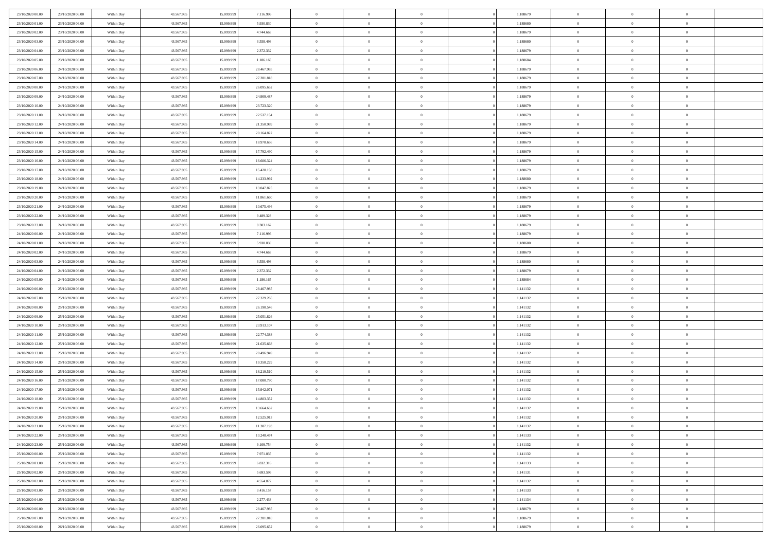| 23/10/2020 00:00                     | 23/10/2020 06.00                     | Within Day               | 43.567.985               | 15.099.999               | 7.116.996                | $\bf{0}$                      | $\overline{0}$                   | $\Omega$                         | 1,188679             | $\bf{0}$                 | $\overline{0}$             | $\bf{0}$                  |  |
|--------------------------------------|--------------------------------------|--------------------------|--------------------------|--------------------------|--------------------------|-------------------------------|----------------------------------|----------------------------------|----------------------|--------------------------|----------------------------|---------------------------|--|
| 23/10/2020 01:00                     | 23/10/2020 06:00                     | Within Day               | 43.567.985               | 15.099.999               | 5.930.830                | $\theta$                      | $\overline{0}$                   | $\overline{0}$                   | 1,188680             | $\mathbf{0}$             | $\bf{0}$                   | $\overline{0}$            |  |
| 23/10/2020 02:00                     | 23/10/2020 06:00                     | Within Day               | 43.567.985               | 15.099.999               | 4.744.663                | $\theta$                      | $\overline{0}$                   | $\bf{0}$                         | 1,188679             | $\,$ 0                   | $\overline{0}$             | $\,$ 0 $\,$               |  |
| 23/10/2020 03:00                     | 23/10/2020 06.00                     | Within Day               | 43.567.985               | 15.099.999               | 3.558.498                | $\overline{0}$                | $\overline{0}$                   | $\mathbf{0}$                     | 1.188680             | $\bf{0}$                 | $\mathbf{0}$               | $\theta$                  |  |
| 23/10/2020 04:00                     | 23/10/2020 06:00                     | Within Day               | 43.567.985               | 15.099.999               | 2.372.332                | $\mathbf{0}$                  | $\overline{0}$                   | $\overline{0}$                   | 1,188679             | $\mathbf{0}$             | $\bf{0}$                   | $\overline{0}$            |  |
| 23/10/2020 05:00                     | 23/10/2020 06:00                     | Within Day               | 43.567.985               | 15.099.999               | 1.186.165                | $\theta$                      | $\overline{0}$                   | $\bf{0}$                         | 1,188684             | $\,$ 0                   | $\overline{0}$             | $\,$ 0 $\,$               |  |
| 23/10/2020 06:00                     | 24/10/2020 06:00                     | Within Day               | 43.567.985               | 15.099.999               | 28.467.985               | $\,$ 0 $\,$                   | $\overline{0}$                   | $\Omega$                         | 1.188679             | $\bf{0}$                 | $\bf{0}$                   | $\theta$                  |  |
| 23/10/2020 07:00                     | 24/10/2020 06:00                     | Within Day               | 43.567.985               | 15.099.999               | 27.281.818               | $\overline{0}$                | $\overline{0}$                   | $\overline{0}$                   | 1,188679             | $\mathbf{0}$             | $\bf{0}$                   | $\overline{0}$            |  |
| 23/10/2020 08:00                     | 24/10/2020 06:00                     | Within Day               | 43.567.985               | 15.099.999               | 26.095.652               | $\theta$                      | $\overline{0}$                   | $\overline{0}$                   | 1,188679             | $\,$ 0                   | $\overline{0}$             | $\,$ 0 $\,$               |  |
| 23/10/2020 09:00                     | 24/10/2020 06.00                     | Within Day               | 43.567.985               | 15.099.999               | 24,909,487               | $\overline{0}$                | $\overline{0}$                   | $\mathbf{0}$                     | 1.188679             | $\bf{0}$                 | $\mathbf{0}$               | $\theta$                  |  |
| 23/10/2020 10:00                     | 24/10/2020 06:00                     | Within Day               | 43.567.985               | 15.099.999               | 23.723.320               | $\mathbf{0}$                  | $\overline{0}$                   | $\overline{0}$                   | 1,188679             | $\mathbf{0}$             | $\bf{0}$                   | $\overline{0}$            |  |
| 23/10/2020 11:00                     | 24/10/2020 06:00                     | Within Day               | 43.567.985               | 15.099.999               | 22.537.154               | $\theta$                      | $\overline{0}$                   | $\bf{0}$                         | 1,188679             | $\,$ 0                   | $\overline{0}$             | $\,$ 0 $\,$               |  |
| 23/10/2020 12:00                     | 24/10/2020 06:00                     | Within Day               | 43.567.985               | 15.099.999               | 21.350.989               | $\theta$                      | $\overline{0}$                   | $\mathbf{0}$                     | 1.188679             | $\bf{0}$                 | $\mathbf{0}$               | $\theta$                  |  |
| 23/10/2020 13:00                     | 24/10/2020 06.00                     | Within Day               | 43.567.985               | 15.099.999               | 20.164.822               | $\overline{0}$                | $\overline{0}$                   | $\overline{0}$                   | 1,188679             | $\mathbf{0}$             | $\bf{0}$                   | $\overline{0}$            |  |
| 23/10/2020 14:00                     | 24/10/2020 06:00                     | Within Day               | 43.567.985               | 15.099.999               | 18.978.656               | $\theta$                      | $\overline{0}$                   | $\overline{0}$                   | 1,188679             | $\,$ 0                   | $\overline{0}$             | $\,$ 0 $\,$               |  |
| 23/10/2020 15:00                     | 24/10/2020 06.00                     | Within Day               | 43.567.985               | 15.099.999               | 17.792.490               | $\bf{0}$                      | $\overline{0}$                   | $\mathbf{0}$                     | 1,188679             | $\bf{0}$                 | $\mathbf{0}$               | $\bf{0}$                  |  |
| 23/10/2020 16:00                     | 24/10/2020 06:00                     | Within Day               | 43.567.985               | 15.099.999               | 16.606.324               | $\overline{0}$                | $\overline{0}$                   | $\overline{0}$                   | 1,188679             | $\mathbf{0}$             | $\bf{0}$                   | $\overline{0}$            |  |
| 23/10/2020 17:00                     | 24/10/2020 06:00                     | Within Day               | 43.567.985               | 15.099.999               | 15.420.158               | $\theta$                      | $\overline{0}$                   | $\bf{0}$                         | 1,188679             | $\,$ 0                   | $\overline{0}$             | $\,0\,$                   |  |
| 23/10/2020 18:00                     | 24/10/2020 06.00                     | Within Day               | 43.567.985               | 15.099.999               | 14.233.992               | $\theta$                      | $\overline{0}$                   | $\mathbf{0}$                     | 1.188680             | $\theta$                 | $\mathbf{0}$               | $\theta$                  |  |
| 23/10/2020 19:00                     | 24/10/2020 06:00                     | Within Day               | 43.567.985               | 15.099.999               | 13.047.825               | $\overline{0}$                | $\overline{0}$                   | $\overline{0}$                   | 1,188679             | $\mathbf{0}$             | $\bf{0}$                   | $\overline{0}$            |  |
| 23/10/2020 20:00                     | 24/10/2020 06:00                     | Within Day               | 43.567.985               | 15.099.999               | 11.861.660               | $\theta$                      | $\overline{0}$                   | $\overline{0}$                   | 1,188679             | $\,$ 0                   | $\overline{0}$             | $\,$ 0 $\,$               |  |
| 23/10/2020 21:00                     | 24/10/2020 06.00                     | Within Day               | 43.567.985               | 15.099.999               | 10.675.494               | $\theta$                      | $\overline{0}$                   | $\mathbf{0}$                     | 1.188679             | $\bf{0}$                 | $\mathbf{0}$               | $\theta$                  |  |
| 23/10/2020 22.00                     | 24/10/2020 06.00                     | Within Day               | 43.567.985               | 15.099.999               | 9.489.328                | $\mathbf{0}$                  | $\overline{0}$                   | $\overline{0}$                   | 1,188679             | $\mathbf{0}$             | $\bf{0}$                   | $\overline{0}$            |  |
| 23/10/2020 23:00                     | 24/10/2020 06:00                     | Within Day               | 43.567.985               | 15.099.999               | 8.303.162                | $\theta$                      | $\overline{0}$                   | $\bf{0}$                         | 1,188679             | $\,$ 0                   | $\overline{0}$             | $\,$ 0 $\,$               |  |
| 24/10/2020 00:00                     | 24/10/2020 06:00                     | Within Day               | 43.567.985               | 15.099.999               | 7.116.996                | $\,$ 0 $\,$                   | $\overline{0}$                   | $\mathbf{0}$                     | 1,188679             | $\bf{0}$                 | $\bf{0}$                   | $\bf{0}$                  |  |
| 24/10/2020 01:00                     | 24/10/2020 06:00                     | Within Day               | 43.567.985               | 15.099.999               | 5.930.830                | $\overline{0}$                | $\overline{0}$                   | $\overline{0}$                   | 1,188680             | $\mathbf{0}$             | $\bf{0}$                   | $\overline{0}$            |  |
| 24/10/2020 02.00                     | 24/10/2020 06:00                     | Within Day               | 43.567.985               | 15.099.999               | 4.744.663                | $\theta$                      | $\overline{0}$                   | $\overline{0}$                   | 1,188679             | $\,$ 0                   | $\overline{0}$             | $\,$ 0 $\,$               |  |
| 24/10/2020 03.00                     | 24/10/2020 06.00                     | Within Day               | 43.567.985               | 15.099.999               | 3.558.498                | $\mathbf{0}$                  | $\overline{0}$                   | $\mathbf{0}$                     | 1.188680             | $\bf{0}$                 | $\mathbf{0}$               | $\theta$                  |  |
| 24/10/2020 04:00                     | 24/10/2020 06:00                     | Within Day               | 43.567.985               | 15.099.999               | 2.372.332                | $\mathbf{0}$                  | $\overline{0}$                   | $\overline{0}$                   | 1,188679             | $\mathbf{0}$             | $\bf{0}$                   | $\overline{0}$            |  |
| 24/10/2020 05:00                     | 24/10/2020 06:00                     | Within Day               | 43.567.985               | 15.099.999               | 1.186.165                | $\theta$                      | $\overline{0}$                   | $\bf{0}$                         | 1,188684             | $\,$ 0                   | $\overline{0}$             | $\,$ 0 $\,$               |  |
| 24/10/2020 06.00                     | 25/10/2020 06.00                     | Within Day               | 43.567.985               | 15.099.999               | 28.467.985               | $\bf{0}$                      | $\overline{0}$                   | $\overline{0}$                   | 1,141132             | $\bf{0}$                 | $\overline{0}$             | $\,0\,$                   |  |
| 24/10/2020 07:00                     | 25/10/2020 06:00                     | Within Day               | 43.567.985               | 15.099.999               | 27.329.265               | $\overline{0}$                | $\overline{0}$                   | $\overline{0}$                   | 1,141132             | $\mathbf{0}$             | $\bf{0}$                   | $\overline{0}$            |  |
| 24/10/2020 08:00                     | 25/10/2020 06:00                     | Within Day               | 43.567.985               | 15.099.999               | 26.190.546               | $\theta$                      | $\overline{0}$                   | $\overline{0}$                   | 1,141132             | $\,$ 0                   | $\overline{0}$             | $\,$ 0 $\,$               |  |
| 24/10/2020 09:00                     | 25/10/2020 06.00                     | Within Day               | 43.567.985               | 15.099.999               | 25.051.826               | $\,$ 0 $\,$                   | $\overline{0}$                   | $\overline{0}$                   | 1,141132             | $\bf{0}$                 | $\overline{0}$             | $\,0\,$                   |  |
| 24/10/2020 10:00                     | 25/10/2020 06:00                     | Within Day               | 43.567.985               | 15.099.999               | 23.913.107               | $\theta$                      | $\overline{0}$                   | $\overline{0}$                   | 1,141132             | $\mathbf{0}$             | $\bf{0}$                   | $\overline{0}$            |  |
| 24/10/2020 11:00                     | 25/10/2020 06:00                     | Within Day               | 43.567.985               | 15.099.999               | 22.774.388               | $\theta$                      | $\overline{0}$                   | $\bf{0}$                         | 1,141132             | $\,$ 0                   | $\overline{0}$             | $\,$ 0 $\,$               |  |
| 24/10/2020 12:00<br>24/10/2020 13:00 | 25/10/2020 06:00<br>25/10/2020 06:00 | Within Day<br>Within Day | 43.567.985<br>43.567.985 | 15.099.999<br>15.099.999 | 21.635.668<br>20.496.949 | $\,$ 0 $\,$<br>$\overline{0}$ | $\overline{0}$<br>$\overline{0}$ | $\overline{0}$<br>$\overline{0}$ | 1,141132<br>1,141132 | $\bf{0}$<br>$\mathbf{0}$ | $\overline{0}$<br>$\bf{0}$ | $\,0\,$<br>$\overline{0}$ |  |
| 24/10/2020 14:00                     | 25/10/2020 06:00                     |                          | 43.567.985               | 15.099.999               | 19.358.229               | $\theta$                      | $\overline{0}$                   | $\bf{0}$                         | 1,141132             | $\,$ 0                   | $\overline{0}$             | $\,$ 0 $\,$               |  |
|                                      |                                      | Within Day               |                          |                          |                          | $\,$ 0 $\,$                   |                                  | $\overline{0}$                   |                      | $\bf{0}$                 | $\overline{0}$             | $\,0\,$                   |  |
| 24/10/2020 15:00<br>24/10/2020 16:00 | 25/10/2020 06.00<br>25/10/2020 06:00 | Within Day<br>Within Day | 43.567.985<br>43.567.985 | 15.099.999<br>15.099.999 | 18.219.510<br>17.080.790 | $\theta$                      | $\overline{0}$<br>$\overline{0}$ | $\overline{0}$                   | 1,141132<br>1,141132 | $\mathbf{0}$             | $\bf{0}$                   | $\overline{0}$            |  |
| 24/10/2020 17:00                     | 25/10/2020 06:00                     | Within Day               | 43.567.985               | 15.099.999               | 15.942.071               | $\theta$                      | $\overline{0}$                   | $\overline{0}$                   | 1,141132             | $\,$ 0                   | $\overline{0}$             | $\,$ 0 $\,$               |  |
| 24/10/2020 18:00                     | 25/10/2020 06:00                     | Within Day               | 43.567.985               | 15.099.999               | 14.803.352               | $\,$ 0 $\,$                   | $\overline{0}$                   | $\overline{0}$                   | 1,141132             | $\bf{0}$                 | $\overline{0}$             | $\,0\,$                   |  |
| 24/10/2020 19:00                     | 25/10/2020 06:00                     | Within Dav               | 43.567.985               | 15.099.999               | 13.664.632               | $\theta$                      | $\overline{0}$                   | $\overline{0}$                   | 1,141132             | $\mathbf{0}$             | $\bf{0}$                   | $\overline{0}$            |  |
| 24/10/2020 20:00                     | 25/10/2020 06:00                     | Within Day               | 43.567.985               | 15.099.999               | 12.525.913               | $\overline{0}$                | $\overline{0}$                   | $\Omega$                         | 1,141132             | $\overline{0}$           | $\overline{0}$             | $\theta$                  |  |
| 24/10/2020 21.00                     | 25/10/2020 06:00                     | Within Day               | 43.567.985               | 15.099.999               | 11.387.193               | $\bf{0}$                      | $\overline{0}$                   | $\overline{0}$                   | 1,141132             | $\bf{0}$                 | $\overline{0}$             | $\bf{0}$                  |  |
| 24/10/2020 22.00                     | 25/10/2020 06:00                     | Within Day               | 43.567.985               | 15.099.999               | 10.248.474               | $\overline{0}$                | $\overline{0}$                   | $\overline{0}$                   | 1,141133             | $\overline{0}$           | $\overline{0}$             | $\overline{0}$            |  |
| 24/10/2020 23:00                     | 25/10/2020 06:00                     | Within Day               | 43.567.985               | 15.099.999               | 9.109.754                | $\,$ 0 $\,$                   | $\overline{0}$                   | $\overline{0}$                   | 1,141132             | $\,$ 0 $\,$              | $\,$ 0 $\,$                | $\,$ 0 $\,$               |  |
| 25/10/2020 00:00                     | 25/10/2020 06:00                     | Within Day               | 43.567.985               | 15.099.999               | 7.971.035                | $\bf{0}$                      | $\overline{0}$                   | $\overline{0}$                   | 1,141132             | $\mathbf{0}$             | $\overline{0}$             | $\bf{0}$                  |  |
| 25/10/2020 01:00                     | 25/10/2020 06:00                     | Within Day               | 43.567.985               | 15.099.999               | 6.832.316                | $\,$ 0 $\,$                   | $\overline{0}$                   | $\overline{0}$                   | 1,141133             | $\,$ 0 $\,$              | $\bf{0}$                   | $\overline{0}$            |  |
| 25/10/2020 02:00                     | 25/10/2020 06:00                     | Within Day               | 43.567.985               | 15.099.999               | 5.693.596                | $\,$ 0 $\,$                   | $\overline{0}$                   | $\overline{0}$                   | 1,141131             | $\,$ 0 $\,$              | $\overline{0}$             | $\,$ 0 $\,$               |  |
| 25/10/2020 02.00                     | 25/10/2020 06:00                     | Within Day               | 43.567.985               | 15.099.999               | 4.554.877                | $\bf{0}$                      | $\overline{0}$                   | $\overline{0}$                   | 1,141132             | $\overline{0}$           | $\overline{0}$             | $\overline{0}$            |  |
| 25/10/2020 03:00                     | 25/10/2020 06:00                     | Within Day               | 43.567.985               | 15.099.999               | 3.416.157                | $\,$ 0 $\,$                   | $\overline{0}$                   | $\overline{0}$                   | 1,141133             | $\,$ 0 $\,$              | $\bf{0}$                   | $\mathbf{0}$              |  |
| 25/10/2020 04:00                     | 25/10/2020 06:00                     | Within Day               | 43.567.985               | 15.099.999               | 2.277.438                | $\,$ 0                        | $\overline{0}$                   | $\overline{0}$                   | 1,141134             | $\,$ 0 $\,$              | $\,$ 0 $\,$                | $\,$ 0 $\,$               |  |
| 25/10/2020 06:00                     | 26/10/2020 06.00                     | Within Day               | 43.567.985               | 15.099.999               | 28.467.985               | $\bf{0}$                      | $\overline{0}$                   | $\overline{0}$                   | 1,188679             | $\mathbf{0}$             | $\overline{0}$             | $\bf{0}$                  |  |
| 25/10/2020 07:00                     | 26/10/2020 06:00                     | Within Day               | 43.567.985               | 15.099.999               | 27.281.818               | $\,$ 0 $\,$                   | $\overline{0}$                   | $\overline{0}$                   | 1,188679             | $\mathbf{0}$             | $\bf{0}$                   | $\overline{0}$            |  |
| 25/10/2020 08:00                     | 26/10/2020 06.00                     | Within Day               | 43.567.985               | 15.099.999               | 26.095.652               | $\,$ 0 $\,$                   | $\overline{0}$                   | $\overline{0}$                   | 1,188679             | $\,$ 0 $\,$              | $\overline{0}$             | $\,$ 0 $\,$               |  |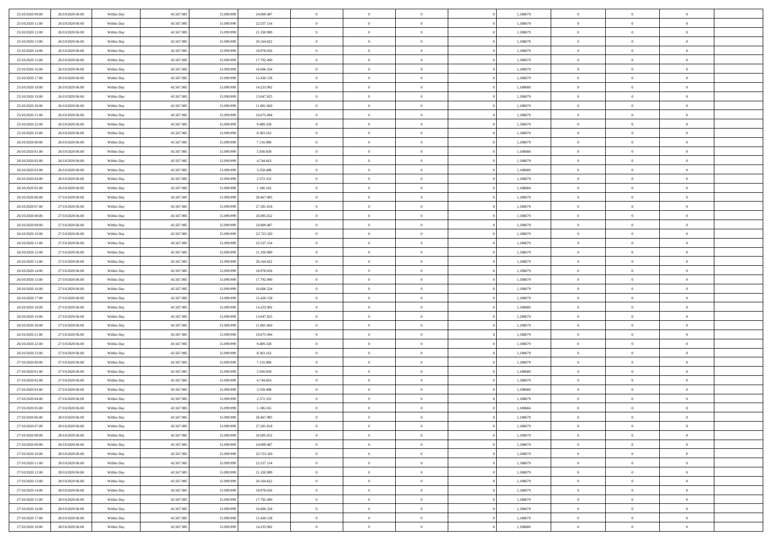| 25/10/2020 09:00 | 26/10/2020 06:00 | Within Day               | 43.567.985 | 15.099.999 | 24.909.487              | $\bf{0}$           | $\overline{0}$ | $\overline{0}$ | 1,188679 | $\bf{0}$                 | $\overline{0}$ | $\,0\,$        |  |
|------------------|------------------|--------------------------|------------|------------|-------------------------|--------------------|----------------|----------------|----------|--------------------------|----------------|----------------|--|
| 25/10/2020 11:00 | 26/10/2020 06.00 | Within Day               | 43.567.985 | 15.099.99  | 22.537.154              | $\theta$           | $\overline{0}$ | $\mathbf{0}$   | 1,188679 | $\theta$                 | $\mathbf{0}$   | $\theta$       |  |
| 25/10/2020 12:00 | 26/10/2020 06:00 | Within Day               | 43.567.985 | 15.099.999 | 21.350.989              | $\theta$           | $\overline{0}$ | $\mathbf{0}$   | 1,188679 | $\mathbf{0}$             | $\overline{0}$ | $\overline{0}$ |  |
| 25/10/2020 13:00 | 26/10/2020 06.00 | Within Day               | 43.567.985 | 15.099.999 | 20.164.822              | $\,$ 0 $\,$        | $\overline{0}$ | $\overline{0}$ | 1,188679 | $\bf{0}$                 | $\overline{0}$ | $\bf{0}$       |  |
| 25/10/2020 14:00 | 26/10/2020 06:00 | Within Day               | 43.567.985 | 15.099.999 | 18.978.656              | $\bf{0}$           | $\overline{0}$ | $\mathbf{0}$   | 1,188679 | $\bf{0}$                 | $\theta$       | $\,0\,$        |  |
| 25/10/2020 15:00 | 26/10/2020 06:00 | Within Day               | 43.567.985 | 15.099.999 | 17.792.490              | $\theta$           | $\overline{0}$ | $\mathbf{0}$   | 1,188679 | $\mathbf{0}$             | $\overline{0}$ | $\overline{0}$ |  |
| 25/10/2020 16:00 | 26/10/2020 06:00 | Within Day               | 43.567.985 | 15.099.999 | 16.606.324              | $\,$ 0 $\,$        | $\overline{0}$ | $\overline{0}$ | 1,188679 | $\bf{0}$                 | $\overline{0}$ | $\,0\,$        |  |
| 25/10/2020 17.00 | 26/10/2020 06:00 | Within Day               | 43.567.985 | 15,099,999 | 15.420.158              | $\,$ 0             | $\overline{0}$ | $\mathbf{0}$   | 1,188679 | $\,$ 0 $\,$              | $\overline{0}$ | $\theta$       |  |
| 25/10/2020 18:00 | 26/10/2020 06:00 | Within Day               | 43.567.985 | 15.099.999 | 14.233.992              | $\theta$           | $\overline{0}$ | $\overline{0}$ | 1,188680 | $\mathbf{0}$             | $\bf{0}$       | $\overline{0}$ |  |
| 25/10/2020 19:00 | 26/10/2020 06:00 | Within Day               | 43.567.985 | 15.099.999 | 13.047.825              | $\,$ 0 $\,$        | $\overline{0}$ | $\Omega$       | 1,188679 | $\bf{0}$                 | $\overline{0}$ | $\,0\,$        |  |
| 25/10/2020 20:00 | 26/10/2020 06:00 | Within Day               | 43.567.985 | 15,099,999 | 11.861.660              | $\bf{0}$           | $\overline{0}$ | $\mathbf{0}$   | 1,188679 | $\bf{0}$                 | $\mathbf{0}$   | $\theta$       |  |
| 25/10/2020 21:00 | 26/10/2020 06:00 | Within Day               | 43.567.985 | 15.099.999 | 10.675.494              | $\theta$           | $\overline{0}$ | $\mathbf{0}$   | 1,188679 | $\mathbf{0}$             | $\overline{0}$ | $\overline{0}$ |  |
| 25/10/2020 22.00 | 26/10/2020 06:00 | Within Day               | 43.567.985 | 15.099.999 | 9.489.328               | $\,$ 0 $\,$        | $\overline{0}$ | $\overline{0}$ | 1,188679 | $\bf{0}$                 | $\overline{0}$ | $\bf{0}$       |  |
| 25/10/2020 23.00 | 26/10/2020 06:00 | Within Day               | 43.567.985 | 15.099.999 | 8.303.162               | $\bf{0}$           | $\overline{0}$ | $\mathbf{0}$   | 1,188679 | $\bf{0}$                 | $\theta$       | $\,0\,$        |  |
| 26/10/2020 00:00 | 26/10/2020 06:00 | Within Day               | 43.567.985 | 15.099.999 | 7.116.996               | $\theta$           | $\overline{0}$ | $\mathbf{0}$   | 1,188679 | $\mathbf{0}$             | $\overline{0}$ | $\overline{0}$ |  |
| 26/10/2020 01:00 | 26/10/2020 06:00 | Within Day               | 43.567.985 | 15.099.999 | 5.930.830               | $\,$ 0 $\,$        | $\overline{0}$ | $\Omega$       | 1,188680 | $\bf{0}$                 | $\overline{0}$ | $\bf{0}$       |  |
| 26/10/2020 02:00 | 26/10/2020 06:00 |                          | 43.567.985 | 15.099.999 | 4.744.663               | $\,$ 0             | $\overline{0}$ | $\mathbf{0}$   | 1,188679 | $\bf{0}$                 | $\overline{0}$ | $\theta$       |  |
| 26/10/2020 03:00 | 26/10/2020 06:00 | Within Day<br>Within Day | 43.567.985 | 15.099.999 | 3.558.498               | $\theta$           | $\overline{0}$ | $\mathbf{0}$   | 1,188680 | $\mathbf{0}$             | $\overline{0}$ | $\overline{0}$ |  |
| 26/10/2020 04:00 | 26/10/2020 06:00 | Within Day               | 43.567.985 | 15.099.999 | 2.372.332               | $\,$ 0 $\,$        | $\overline{0}$ | $\Omega$       | 1,188679 | $\bf{0}$                 | $\overline{0}$ | $\,0\,$        |  |
| 26/10/2020 05:00 | 26/10/2020 06:00 |                          | 43.567.985 | 15.099.999 |                         | $\bf{0}$           | $\overline{0}$ | $\mathbf{0}$   | 1,188684 | $\bf{0}$                 | $\mathbf{0}$   | $\theta$       |  |
| 26/10/2020 06:00 | 27/10/2020 06:00 | Within Day<br>Within Day | 43.567.985 | 15.099.999 | 1.186.165<br>28.467.985 | $\theta$           | $\overline{0}$ | $\overline{0}$ | 1,188679 | $\mathbf{0}$             | $\overline{0}$ | $\overline{0}$ |  |
| 26/10/2020 07:00 |                  |                          |            |            |                         | $\,$ 0 $\,$        |                | $\overline{0}$ |          | $\bf{0}$                 | $\overline{0}$ | $\bf{0}$       |  |
|                  | 27/10/2020 06.00 | Within Day               | 43.567.985 | 15.099.999 | 27.281.818              |                    | $\overline{0}$ |                | 1,188679 |                          | $\theta$       |                |  |
| 26/10/2020 08:00 | 27/10/2020 06:00 | Within Day               | 43.567.985 | 15.099.999 | 26.095.652              | $\,$ 0<br>$\theta$ | $\overline{0}$ | $\mathbf{0}$   | 1,188679 | $\bf{0}$<br>$\mathbf{0}$ |                | $\,0\,$        |  |
| 26/10/2020 09:00 | 27/10/2020 06:00 | Within Day               | 43.567.985 | 15.099.999 | 24.909.487              |                    | $\overline{0}$ | $\mathbf{0}$   | 1,188679 |                          | $\overline{0}$ | $\theta$       |  |
| 26/10/2020 10:00 | 27/10/2020 06.00 | Within Day               | 43.567.985 | 15.099.999 | 23.723.320              | $\,$ 0 $\,$        | $\overline{0}$ | $\overline{0}$ | 1,188679 | $\bf{0}$                 | $\overline{0}$ | $\,0\,$        |  |
| 26/10/2020 11:00 | 27/10/2020 06.00 | Within Day               | 43.567.985 | 15.099.999 | 22.537.154              | $\,$ 0             | $\overline{0}$ | $\mathbf{0}$   | 1,188679 | $\bf{0}$                 | $\overline{0}$ | $\theta$       |  |
| 26/10/2020 12:00 | 27/10/2020 06:00 | Within Day               | 43.567.985 | 15.099.999 | 21.350.989              | $\theta$           | $\overline{0}$ | $\overline{0}$ | 1,188679 | $\mathbf{0}$             | $\bf{0}$       | $\overline{0}$ |  |
| 26/10/2020 13:00 | 27/10/2020 06.00 | Within Day               | 43.567.985 | 15.099.999 | 20.164.822              | $\,$ 0 $\,$        | $\overline{0}$ | $\Omega$       | 1,188679 | $\bf{0}$                 | $\overline{0}$ | $\,0\,$        |  |
| 26/10/2020 14:00 | 27/10/2020 06.00 | Within Day               | 43.567.985 | 15,099,999 | 18.978.656              | $\bf{0}$           | $\overline{0}$ | $\mathbf{0}$   | 1,188679 | $\bf{0}$                 | $\mathbf{0}$   | $\theta$       |  |
| 26/10/2020 15:00 | 27/10/2020 06:00 | Within Day               | 43.567.985 | 15.099.999 | 17.792.490              | $\theta$           | $\overline{0}$ | $\overline{0}$ | 1,188679 | $\mathbf{0}$             | $\overline{0}$ | $\overline{0}$ |  |
| 26/10/2020 16:00 | 27/10/2020 06:00 | Within Day               | 43.567.985 | 15.099.999 | 16.606.324              | $\theta$           | $\overline{0}$ | $\overline{0}$ | 1,188679 | $\,$ 0                   | $\overline{0}$ | $\,$ 0 $\,$    |  |
| 26/10/2020 17:00 | 27/10/2020 06:00 | Within Day               | 43.567.985 | 15.099.999 | 15.420.158              | $\,$ 0             | $\overline{0}$ | $\mathbf{0}$   | 1,188679 | $\bf{0}$                 | $\mathbf{0}$   | $\overline{0}$ |  |
| 26/10/2020 18:00 | 27/10/2020 06:00 | Within Day               | 43.567.985 | 15.099.999 | 14.233.992              | $\theta$           | $\overline{0}$ | $\mathbf{0}$   | 1,188680 | $\mathbf{0}$             | $\overline{0}$ | $\overline{0}$ |  |
| 26/10/2020 19:00 | 27/10/2020 06.00 | Within Day               | 43.567.985 | 15.099.999 | 13.047.825              | $\theta$           | $\overline{0}$ | $\overline{0}$ | 1,188679 | $\,$ 0                   | $\overline{0}$ | $\theta$       |  |
| 26/10/2020 20:00 | 27/10/2020 06.00 | Within Day               | 43.567.985 | 15.099.999 | 11.861.660              | $\bf{0}$           | $\overline{0}$ | $\mathbf{0}$   | 1,188679 | $\mathbf{0}$             | $\overline{0}$ | $\overline{0}$ |  |
| 26/10/2020 21:00 | 27/10/2020 06:00 | Within Day               | 43.567.985 | 15.099.999 | 10.675.494              | $\theta$           | $\overline{0}$ | $\mathbf{0}$   | 1,188679 | $\mathbf{0}$             | $\overline{0}$ | $\overline{0}$ |  |
| 26/10/2020 22.00 | 27/10/2020 06:00 | Within Day               | 43.567.985 | 15.099.999 | 9.489.328               | $\theta$           | $\overline{0}$ | $\overline{0}$ | 1,188679 | $\,$ 0                   | $\overline{0}$ | $\theta$       |  |
| 26/10/2020 23.00 | 27/10/2020 06.00 | Within Day               | 43.567.985 | 15.099.999 | 8.303.162               | $\bf{0}$           | $\overline{0}$ | $\mathbf{0}$   | 1,188679 | $\bf{0}$                 | $\mathbf{0}$   | $\overline{0}$ |  |
| 27/10/2020 00:00 | 27/10/2020 06:00 | Within Dav               | 43.567.985 | 15.099.999 | 7.116.996               | $\theta$           | $\overline{0}$ | $\overline{0}$ | 1,188679 | $\mathbf{0}$             | $\overline{0}$ | $\overline{0}$ |  |
| 27/10/2020 01:00 | 27/10/2020 06:00 | Within Day               | 43.567.985 | 15.099.999 | 5.930.830               | $\,$ 0 $\,$        | $\overline{0}$ | $\overline{0}$ | 1,188680 | $\,$ 0                   | $\overline{0}$ | $\,$ 0 $\,$    |  |
| 27/10/2020 02.00 | 27/10/2020 06:00 | Within Day               | 43.567.985 | 15.099.999 | 4.744.663               | $\,$ 0             | $\,$ 0 $\,$    | $\overline{0}$ | 1,188679 | $\,$ 0 $\,$              | $\overline{0}$ | $\overline{0}$ |  |
| 27/10/2020 03:00 | 27/10/2020 06:00 | Within Dav               | 43.567.985 | 15.099.999 | 3.558.498               | $\theta$           | $\overline{0}$ | $\mathbf{0}$   | 1,188680 | $\mathbf{0}$             | $\overline{0}$ | $\theta$       |  |
| 27/10/2020 04:00 | 27/10/2020 06.00 | Within Day               | 43.567.985 | 15.099.999 | 2.372.332               | $\overline{0}$     | $\overline{0}$ | $\overline{0}$ | 1,188679 | $\,$ 0                   | $\overline{0}$ | $\theta$       |  |
| 27/10/2020 05:00 | 27/10/2020 06.00 | Within Day               | 43.567.985 | 15.099.999 | 1.186.165               | $\bf{0}$           | $\overline{0}$ | $\mathbf{0}$   | 1,188684 | $\bf{0}$                 | $\overline{0}$ | $\bf{0}$       |  |
| 27/10/2020 06:00 | 28/10/2020 06:00 | Within Day               | 43.567.985 | 15.099.999 | 28.467.985              | $\overline{0}$     | $\theta$       |                | 1,188679 | $\overline{0}$           | $\theta$       | $\theta$       |  |
| 27/10/2020 07:00 | 28/10/2020 06:00 | Within Day               | 43.567.985 | 15.099.999 | 27.281.818              | $\,$ 0 $\,$        | $\overline{0}$ | $\overline{0}$ | 1,188679 | $\,$ 0 $\,$              | $\bf{0}$       | $\theta$       |  |
| 27/10/2020 08.00 | 28/10/2020 06.00 | Within Day               | 43.567.985 | 15.099.999 | 26.095.652              | $\bf{0}$           | $\,$ 0 $\,$    | $\overline{0}$ | 1,188679 | $\,$ 0 $\,$              | $\overline{0}$ | $\overline{0}$ |  |
| 27/10/2020 09:00 | 28/10/2020 06:00 | Within Day               | 43.567.985 | 15.099.999 | 24.909.487              | $\mathbf{0}$       | $\overline{0}$ | $\overline{0}$ | 1,188679 | $\,$ 0 $\,$              | $\bf{0}$       | $\mathbf{0}$   |  |
| 27/10/2020 10:00 | 28/10/2020 06:00 | Within Day               | 43.567.985 | 15.099.999 | 23.723.320              | $\,$ 0 $\,$        | $\overline{0}$ | $\overline{0}$ | 1,188679 | $\,$ 0 $\,$              | $\bf{0}$       | $\,$ 0 $\,$    |  |
| 27/10/2020 11:00 | 28/10/2020 06.00 | Within Day               | 43.567.985 | 15.099.999 | 22.537.154              | $\,$ 0 $\,$        | $\,$ 0 $\,$    | $\overline{0}$ | 1,188679 | $\,$ 0 $\,$              | $\overline{0}$ | $\overline{0}$ |  |
| 27/10/2020 12:00 | 28/10/2020 06:00 | Within Day               | 43.567.985 | 15.099.999 | 21.350.989              | $\mathbf{0}$       | $\overline{0}$ | $\overline{0}$ | 1,188679 | $\mathbf{0}$             | $\bf{0}$       | $\overline{0}$ |  |
| 27/10/2020 13:00 | 28/10/2020 06:00 | Within Day               | 43.567.985 | 15.099.999 | 20.164.822              | $\,$ 0 $\,$        | $\overline{0}$ | $\overline{0}$ | 1,188679 | $\,$ 0 $\,$              | $\mathbf{0}$   | $\,$ 0 $\,$    |  |
| 27/10/2020 14:00 | 28/10/2020 06.00 | Within Day               | 43.567.985 | 15.099.999 | 18.978.656              | $\bf{0}$           | $\overline{0}$ | $\overline{0}$ | 1,188679 | $\,$ 0 $\,$              | $\overline{0}$ | $\overline{0}$ |  |
| 27/10/2020 15:00 | 28/10/2020 06:00 | Within Day               | 43.567.985 | 15.099.999 | 17.792.490              | $\,$ 0 $\,$        | $\overline{0}$ | $\overline{0}$ | 1,188679 | $\mathbf{0}$             | $\bf{0}$       | $\overline{0}$ |  |
| 27/10/2020 16:00 | 28/10/2020 06:00 | Within Day               | 43.567.985 | 15.099.999 | 16.606.324              | $\,$ 0 $\,$        | $\overline{0}$ | $\overline{0}$ | 1,188679 | $\,$ 0 $\,$              | $\mathbf{0}$   | $\,$ 0 $\,$    |  |
| 27/10/2020 17.00 | 28/10/2020 06.00 | Within Day               | 43.567.985 | 15.099.999 | 15.420.158              | $\,$ 0 $\,$        | $\,$ 0 $\,$    | $\overline{0}$ | 1,188679 | $\,$ 0 $\,$              | $\overline{0}$ | $\overline{0}$ |  |
| 27/10/2020 18:00 | 28/10/2020 06:00 | Within Day               | 43.567.985 | 15.099.999 | 14.233.992              | $\theta$           | $\overline{0}$ | $\overline{0}$ | 1,188680 | $\mathbf{0}$             | $\overline{0}$ | $\overline{0}$ |  |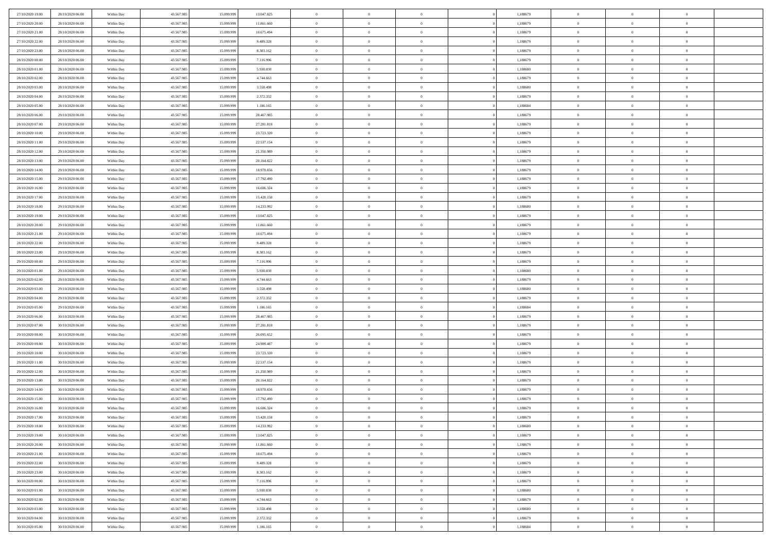| 27/10/2020 19:00                     | 28/10/2020 06:00                     | Within Day               | 43.567.985 | 15.099.999 | 13.047.825              | $\,$ 0 $\,$    | $\overline{0}$ | $\overline{0}$                 | 1,188679 | $\bf{0}$       | $\overline{0}$ | $\,0\,$        |  |
|--------------------------------------|--------------------------------------|--------------------------|------------|------------|-------------------------|----------------|----------------|--------------------------------|----------|----------------|----------------|----------------|--|
| 27/10/2020 20:00                     | 28/10/2020 06:00                     | Within Day               | 43.567.985 | 15.099.99  | 11.861.660              | $\theta$       | $\overline{0}$ | $\mathbf{0}$                   | 1,188679 | $\theta$       | $\mathbf{0}$   | $\theta$       |  |
| 27/10/2020 21:00                     | 28/10/2020 06:00                     | Within Dav               | 43.567.985 | 15.099.999 | 10.675.494              | $\theta$       | $\overline{0}$ | $\mathbf{0}$                   | 1,188679 | $\mathbf{0}$   | $\overline{0}$ | $\overline{0}$ |  |
| 27/10/2020 22.00                     | 28/10/2020 06:00                     | Within Day               | 43.567.985 | 15.099.999 | 9.489.328               | $\,$ 0 $\,$    | $\overline{0}$ | $\overline{0}$                 | 1,188679 | $\bf{0}$       | $\overline{0}$ | $\bf{0}$       |  |
| 27/10/2020 23.00                     | 28/10/2020 06:00                     | Within Day               | 43.567.985 | 15.099.999 | 8.303.162               | $\bf{0}$       | $\overline{0}$ | $\mathbf{0}$                   | 1,188679 | $\bf{0}$       | $\theta$       | $\,0\,$        |  |
| 28/10/2020 00:00                     | 28/10/2020 06:00                     | Within Dav               | 43.567.985 | 15.099.999 | 7.116.996               | $\theta$       | $\overline{0}$ | $\mathbf{0}$                   | 1,188679 | $\mathbf{0}$   | $\overline{0}$ | $\overline{0}$ |  |
| 28/10/2020 01:00                     | 28/10/2020 06:00                     | Within Day               | 43.567.985 | 15.099.999 | 5.930.830               | $\,$ 0 $\,$    | $\overline{0}$ | $\overline{0}$                 | 1,188680 | $\bf{0}$       | $\overline{0}$ | $\,0\,$        |  |
| 28/10/2020 02:00                     | 28/10/2020 06:00                     | Within Day               | 43.567.985 | 15,099,999 | 4.744.663               | $\overline{0}$ | $\overline{0}$ | $\mathbf{0}$                   | 1,188679 | $\,$ 0 $\,$    | $\overline{0}$ | $\theta$       |  |
| 28/10/2020 03:00                     | 28/10/2020 06:00                     | Within Day               | 43.567.985 | 15.099.999 | 3.558.498               | $\theta$       | $\overline{0}$ | $\overline{0}$                 | 1,188680 | $\mathbf{0}$   | $\overline{0}$ | $\overline{0}$ |  |
| 28/10/2020 04:00                     | 28/10/2020 06:00                     | Within Day               | 43.567.985 | 15.099.999 | 2.372.332               | $\,$ 0 $\,$    | $\overline{0}$ | $\Omega$                       | 1,188679 | $\bf{0}$       | $\overline{0}$ | $\,0\,$        |  |
| 28/10/2020 05:00                     | 28/10/2020 06:00                     | Within Day               | 43.567.985 | 15.099.999 |                         | $\bf{0}$       | $\overline{0}$ | $\mathbf{0}$                   | 1,188684 | $\bf{0}$       | $\mathbf{0}$   | $\theta$       |  |
| 28/10/2020 06:00                     | 29/10/2020 06:00                     | Within Dav               | 43.567.985 | 15.099.999 | 1.186.165<br>28.467.985 | $\theta$       | $\overline{0}$ | $\mathbf{0}$                   | 1,188679 | $\mathbf{0}$   | $\overline{0}$ | $\overline{0}$ |  |
| 28/10/2020 07:00                     | 29/10/2020 06:00                     |                          | 43.567.985 | 15.099.999 | 27.281.818              | $\,$ 0 $\,$    | $\overline{0}$ | $\overline{0}$                 | 1,188679 | $\bf{0}$       | $\overline{0}$ | $\bf{0}$       |  |
|                                      |                                      | Within Day               | 43.567.985 | 15.099.999 | 23.723.320              | $\bf{0}$       | $\overline{0}$ | $\mathbf{0}$                   | 1,188679 | $\bf{0}$       | $\theta$       | $\,0\,$        |  |
| 28/10/2020 10:00<br>28/10/2020 11:00 | 29/10/2020 06:00<br>29/10/2020 06:00 | Within Day<br>Within Dav | 43.567.985 | 15.099.999 | 22.537.154              | $\theta$       | $\overline{0}$ |                                | 1,188679 | $\mathbf{0}$   | $\overline{0}$ | $\overline{0}$ |  |
|                                      |                                      |                          |            |            |                         |                |                | $\mathbf{0}$<br>$\overline{0}$ |          |                | $\overline{0}$ |                |  |
| 28/10/2020 12:00                     | 29/10/2020 06.00                     | Within Day               | 43.567.985 | 15.099.999 | 21.350.989              | $\,$ 0 $\,$    | $\overline{0}$ |                                | 1,188679 | $\bf{0}$       | $\overline{0}$ | $\bf{0}$       |  |
| 28/10/2020 13:00                     | 29/10/2020 06.00                     | Within Day               | 43.567.985 | 15.099.999 | 20.164.822              | $\,$ 0         | $\overline{0}$ | $\mathbf{0}$                   | 1,188679 | $\bf{0}$       |                | $\theta$       |  |
| 28/10/2020 14:00                     | 29/10/2020 06:00                     | Within Day               | 43.567.985 | 15.099.999 | 18.978.656              | $\theta$       | $\overline{0}$ | $\mathbf{0}$                   | 1,188679 | $\mathbf{0}$   | $\overline{0}$ | $\overline{0}$ |  |
| 28/10/2020 15:00                     | 29/10/2020 06.00                     | Within Day               | 43.567.985 | 15.099.999 | 17.792.490              | $\,$ 0 $\,$    | $\overline{0}$ | $\Omega$                       | 1,188679 | $\bf{0}$       | $\overline{0}$ | $\,0\,$        |  |
| 28/10/2020 16:00                     | 29/10/2020 06:00                     | Within Day               | 43.567.985 | 15.099.999 | 16.606.324              | $\bf{0}$       | $\overline{0}$ | $\mathbf{0}$                   | 1,188679 | $\bf{0}$       | $\mathbf{0}$   | $\theta$       |  |
| 28/10/2020 17:00                     | 29/10/2020 06:00                     | Within Dav               | 43.567.985 | 15.099.999 | 15.420.158              | $\theta$       | $\overline{0}$ | $\mathbf{0}$                   | 1,188679 | $\mathbf{0}$   | $\overline{0}$ | $\overline{0}$ |  |
| 28/10/2020 18:00                     | 29/10/2020 06.00                     | Within Day               | 43.567.985 | 15.099.999 | 14.233.992              | $\,$ 0 $\,$    | $\overline{0}$ | $\overline{0}$                 | 1,188680 | $\bf{0}$       | $\overline{0}$ | $\bf{0}$       |  |
| 28/10/2020 19:00                     | 29/10/2020 06:00                     | Within Day               | 43.567.985 | 15.099.999 | 13.047.825              | $\,$ 0         | $\overline{0}$ | $\mathbf{0}$                   | 1,188679 | $\bf{0}$       | $\bf{0}$       | $\,0\,$        |  |
| 28/10/2020 20:00                     | 29/10/2020 06:00                     | Within Dav               | 43.567.985 | 15.099.999 | 11.861.660              | $\theta$       | $\overline{0}$ | $\mathbf{0}$                   | 1,188679 | $\mathbf{0}$   | $\overline{0}$ | $\overline{0}$ |  |
| 28/10/2020 21:00                     | 29/10/2020 06:00                     | Within Day               | 43.567.985 | 15.099.999 | 10.675.494              | $\,$ 0 $\,$    | $\overline{0}$ | $\overline{0}$                 | 1,188679 | $\bf{0}$       | $\overline{0}$ | $\,0\,$        |  |
| 28/10/2020 22:00                     | 29/10/2020 06:00                     | Within Day               | 43.567.985 | 15.099.999 | 9.489.328               | $\,$ 0         | $\overline{0}$ | $\mathbf{0}$                   | 1,188679 | $\bf{0}$       | $\overline{0}$ | $\theta$       |  |
| 28/10/2020 23:00                     | 29/10/2020 06:00                     | Within Day               | 43.567.985 | 15.099.999 | 8.303.162               | $\theta$       | $\overline{0}$ | $\overline{0}$                 | 1,188679 | $\mathbf{0}$   | $\bf{0}$       | $\overline{0}$ |  |
| 29/10/2020 00:00                     | 29/10/2020 06.00                     | Within Day               | 43.567.985 | 15.099.999 | 7.116.996               | $\,$ 0 $\,$    | $\overline{0}$ | $\Omega$                       | 1,188679 | $\bf{0}$       | $\overline{0}$ | $\,0\,$        |  |
| 29/10/2020 01:00                     | 29/10/2020 06:00                     | Within Day               | 43.567.985 | 15,099,999 | 5.930.830               | $\bf{0}$       | $\overline{0}$ | $\mathbf{0}$                   | 1,188680 | $\bf{0}$       | $\mathbf{0}$   | $\overline{0}$ |  |
| 29/10/2020 02.00                     | 29/10/2020 06:00                     | Within Dav               | 43.567.985 | 15.099.999 | 4.744.663               | $\theta$       | $\overline{0}$ | $\overline{0}$                 | 1,188679 | $\mathbf{0}$   | $\overline{0}$ | $\overline{0}$ |  |
| 29/10/2020 03:00                     | 29/10/2020 06:00                     | Within Day               | 43.567.985 | 15.099.999 | 3.558.498               | $\theta$       | $\overline{0}$ | $\overline{0}$                 | 1,188680 | $\,$ 0         | $\overline{0}$ | $\,$ 0 $\,$    |  |
| 29/10/2020 04:00                     | 29/10/2020 06:00                     | Within Day               | 43.567.985 | 15.099.999 | 2.372.332               | $\,$ 0         | $\overline{0}$ | $\mathbf{0}$                   | 1,188679 | $\bf{0}$       | $\mathbf{0}$   | $\overline{0}$ |  |
| 29/10/2020 05:00                     | 29/10/2020 06:00                     | Within Dav               | 43.567.985 | 15.099.999 | 1.186.165               | $\theta$       | $\overline{0}$ | $\mathbf{0}$                   | 1,188684 | $\mathbf{0}$   | $\overline{0}$ | $\overline{0}$ |  |
| 29/10/2020 06:00                     | 30/10/2020 06:00                     | Within Day               | 43.567.985 | 15.099.999 | 28.467.985              | $\theta$       | $\overline{0}$ | $\overline{0}$                 | 1,188679 | $\,$ 0         | $\overline{0}$ | $\theta$       |  |
| 29/10/2020 07:00                     | 30/10/2020 06:00                     | Within Day               | 43.567.985 | 15,099,999 | 27.281.818              | $\bf{0}$       | $\overline{0}$ | $\mathbf{0}$                   | 1,188679 | $\mathbf{0}$   | $\overline{0}$ | $\overline{0}$ |  |
| 29/10/2020 08:00                     | 30/10/2020 06:00                     | Within Day               | 43.567.985 | 15.099.999 | 26.095.652              | $\theta$       | $\overline{0}$ | $\mathbf{0}$                   | 1,188679 | $\mathbf{0}$   | $\overline{0}$ | $\overline{0}$ |  |
| 29/10/2020 09:00                     | 30/10/2020 06:00                     | Within Day               | 43.567.985 | 15.099.999 | 24.909.487              | $\theta$       | $\overline{0}$ | $\overline{0}$                 | 1,188679 | $\,$ 0         | $\overline{0}$ | $\theta$       |  |
| 29/10/2020 10:00                     | 30/10/2020 06:00                     | Within Day               | 43.567.985 | 15.099.999 | 23.723.320              | $\bf{0}$       | $\overline{0}$ | $\mathbf{0}$                   | 1,188679 | $\bf{0}$       | $\mathbf{0}$   | $\overline{0}$ |  |
| 29/10/2020 11:00                     | 30/10/2020 06:00                     | Within Dav               | 43.567.985 | 15.099.999 | 22.537.154              | $\theta$       | $\overline{0}$ | $\mathbf{0}$                   | 1,188679 | $\mathbf{0}$   | $\overline{0}$ | $\overline{0}$ |  |
| 29/10/2020 12:00                     | 30/10/2020 06:00                     | Within Day               | 43.567.985 | 15.099.999 | 21.350.989              | $\,$ 0 $\,$    | $\overline{0}$ | $\overline{0}$                 | 1,188679 | $\,$ 0         | $\overline{0}$ | $\,$ 0 $\,$    |  |
| 29/10/2020 13:00                     | 30/10/2020 06:00                     | Within Day               | 43.567.985 | 15.099.999 | 20.164.822              | $\,$ 0         | $\,$ 0 $\,$    | $\overline{0}$                 | 1,188679 | $\,$ 0 $\,$    | $\bf{0}$       | $\overline{0}$ |  |
| 29/10/2020 14:00                     | 30/10/2020 06:00                     | Within Dav               | 43.567.985 | 15.099.999 | 18.978.656              | $\theta$       | $\overline{0}$ | $\mathbf{0}$                   | 1,188679 | $\mathbf{0}$   | $\overline{0}$ | $\theta$       |  |
| 29/10/2020 15:00                     | 30/10/2020 06:00                     | Within Day               | 43.567.985 | 15.099.999 | 17.792.490              | $\overline{0}$ | $\overline{0}$ | $\overline{0}$                 | 1,188679 | $\,$ 0         | $\overline{0}$ | $\theta$       |  |
| 29/10/2020 16:00                     | 30/10/2020 06:00                     | Within Day               | 43.567.985 | 15.099.999 | 16.606.324              | $\bf{0}$       | $\,$ 0 $\,$    | $\mathbf{0}$                   | 1,188679 | $\bf{0}$       | $\overline{0}$ | $\overline{0}$ |  |
| 29/10/2020 17:00                     | 30/10/2020 06:00                     | Within Day               | 43.567.985 | 15.099.999 | 15.420.158              | $\overline{0}$ | $\theta$       |                                | 1,188679 | $\overline{0}$ | $\theta$       | $\theta$       |  |
| 29/10/2020 18:00                     | 30/10/2020 06:00                     | Within Day               | 43.567.985 | 15.099.999 | 14.233.992              | $\,$ 0 $\,$    | $\overline{0}$ | $\overline{0}$                 | 1,188680 | $\,$ 0 $\,$    | $\bf{0}$       | $\theta$       |  |
| 29/10/2020 19:00                     | 30/10/2020 06:00                     | Within Day               | 43.567.985 | 15.099.999 | 13.047.825              | $\overline{0}$ | $\,$ 0 $\,$    | $\mathbf{0}$                   | 1,188679 | $\,$ 0 $\,$    | $\overline{0}$ | $\overline{0}$ |  |
| 29/10/2020 20:00                     | 30/10/2020 06:00                     | Within Day               | 43.567.985 | 15.099.999 | 11.861.660              | $\overline{0}$ | $\overline{0}$ | $\overline{0}$                 | 1,188679 | $\,$ 0 $\,$    | $\bf{0}$       | $\mathbf{0}$   |  |
| 29/10/2020 21:00                     | 30/10/2020 06:00                     | Within Day               | 43.567.985 | 15.099.999 | 10.675.494              | $\,$ 0 $\,$    | $\overline{0}$ | $\overline{0}$                 | 1,188679 | $\,$ 0 $\,$    | $\bf{0}$       | $\,$ 0 $\,$    |  |
| 29/10/2020 22.00                     | 30/10/2020 06:00                     | Within Day               | 43.567.985 | 15.099.999 | 9.489.328               | $\,$ 0 $\,$    | $\,$ 0 $\,$    | $\overline{0}$                 | 1,188679 | $\,$ 0 $\,$    | $\overline{0}$ | $\overline{0}$ |  |
| 29/10/2020 23:00                     | 30/10/2020 06:00                     | Within Day               | 43.567.985 | 15.099.999 | 8.303.162               | $\overline{0}$ | $\overline{0}$ | $\overline{0}$                 | 1,188679 | $\mathbf{0}$   | $\overline{0}$ | $\overline{0}$ |  |
| 30/10/2020 00:00                     | 30/10/2020 06:00                     | Within Day               | 43.567.985 | 15.099.999 | 7.116.996               | $\,$ 0 $\,$    | $\overline{0}$ | $\overline{0}$                 | 1,188679 | $\,$ 0 $\,$    | $\overline{0}$ | $\,$ 0 $\,$    |  |
| 30/10/2020 01:00                     | 30/10/2020 06:00                     | Within Day               | 43.567.985 | 15.099.999 | 5.930.830               | $\overline{0}$ | $\overline{0}$ | $\overline{0}$                 | 1,188680 | $\,$ 0 $\,$    | $\overline{0}$ | $\overline{0}$ |  |
| 30/10/2020 02:00                     | 30/10/2020 06:00                     | Within Day               | 43.567.985 | 15.099.999 | 4.744.663               | $\overline{0}$ | $\overline{0}$ | $\overline{0}$                 | 1,188679 | $\mathbf{0}$   | $\bf{0}$       | $\overline{0}$ |  |
| 30/10/2020 03:00                     | 30/10/2020 06:00                     | Within Day               | 43.567.985 | 15.099.999 | 3.558.498               | $\,$ 0 $\,$    | $\overline{0}$ | $\overline{0}$                 | 1,188680 | $\,$ 0 $\,$    | $\mathbf{0}$   | $\,$ 0 $\,$    |  |
| 30/10/2020 04:00                     | 30/10/2020 06:00                     | Within Day               | 43.567.985 | 15.099.999 | 2.372.332               | $\,$ 0 $\,$    | $\,$ 0 $\,$    | $\overline{0}$                 | 1,188679 | $\,$ 0 $\,$    | $\overline{0}$ | $\overline{0}$ |  |
| 30/10/2020 05:00                     | 30/10/2020 06:00                     | Within Day               | 43.567.985 | 15.099.999 | 1.186.165               | $\theta$       | $\overline{0}$ | $\overline{0}$                 | 1,188684 | $\mathbf{0}$   | $\overline{0}$ | $\overline{0}$ |  |
|                                      |                                      |                          |            |            |                         |                |                |                                |          |                |                |                |  |